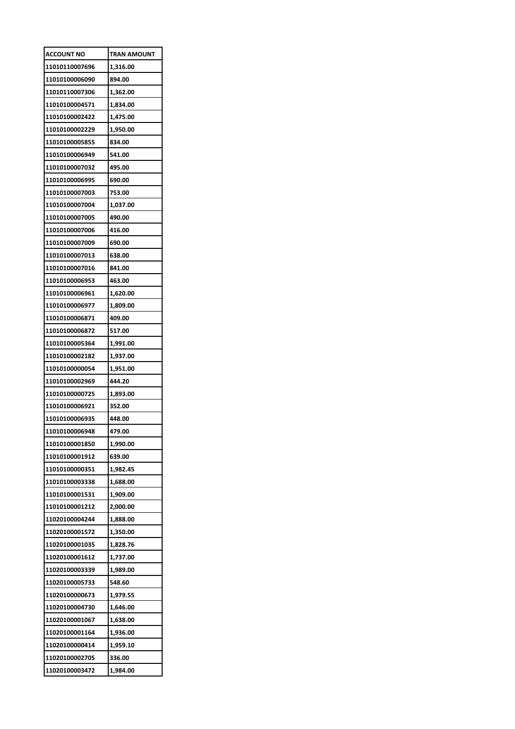| <b>ACCOUNT NO</b> | TRAN AMOUNT |
|-------------------|-------------|
| 11010110007696    | 1,316.00    |
| 11010100006090    | 894.00      |
| 11010110007306    | 1,362.00    |
| 11010100004571    | 1,834.00    |
| 11010100002422    | 1,475.00    |
| 11010100002229    | 1,950.00    |
| 11010100005855    | 834.00      |
| 11010100006949    | 541.00      |
| 11010100007032    | 495.00      |
| 11010100006995    | 690.00      |
| 11010100007003    | 753.00      |
| 11010100007004    | 1,037.00    |
| 11010100007005    | 490.00      |
| 11010100007006    | 416.00      |
| 11010100007009    | 690.00      |
| 11010100007013    | 638.00      |
| 11010100007016    | 841.00      |
| 11010100006953    | 463.00      |
| 11010100006961    | 1,620.00    |
| 11010100006977    | 1,809.00    |
| 11010100006871    | 409.00      |
| 11010100006872    | 517.00      |
| 11010100005364    | 1,991.00    |
| 11010100002182    | 1,937.00    |
| 11010100000054    | 1,951.00    |
| 11010100002969    | 444.20      |
| 11010100000725    | 1,893.00    |
| 11010100006921    | 352.00      |
| 11010100006935    | 448.00      |
| 11010100006948    | 479.00      |
| 11010100001850    | 1,990.00    |
| 11010100001912    | 639.00      |
| 11010100000351    | 1,982.45    |
| 11010100003338    | 1,688.00    |
| 11010100001531    | 1,909.00    |
| 11010100001212    | 2,000.00    |
| 11020100004244    | 1,888.00    |
| 11020100001572    | 1,350.00    |
| 11020100001035    | 1,828.76    |
| 11020100001612    | 1,737.00    |
| 11020100003339    | 1,989.00    |
| 11020100005733    | 548.60      |
| 11020100000673    | 1,979.55    |
| 11020100004730    | 1,646.00    |
| 11020100001067    | 1,638.00    |
| 11020100001164    | 1,936.00    |
| 11020100000414    | 1,959.10    |
| 11020100002705    | 336.00      |
| 11020100003472    | 1,984.00    |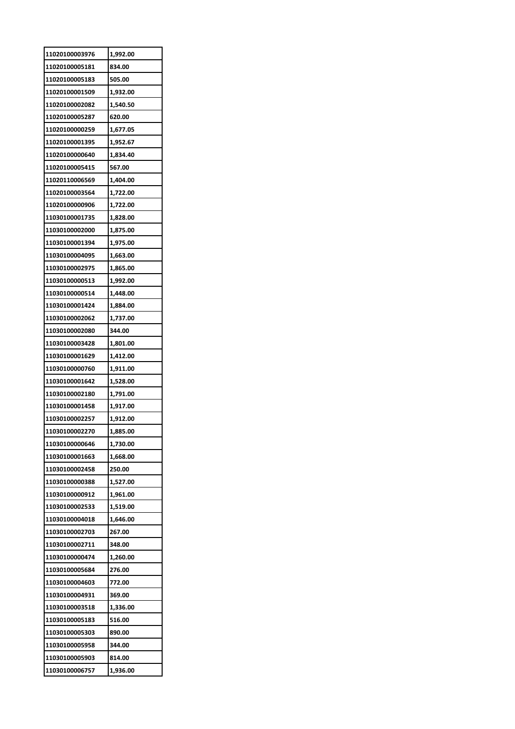| 11020100003976 | 1,992.00 |
|----------------|----------|
| 11020100005181 | 834.00   |
| 11020100005183 | 505.00   |
| 11020100001509 | 1,932.00 |
| 11020100002082 | 1,540.50 |
| 11020100005287 | 620.00   |
| 11020100000259 | 1,677.05 |
| 11020100001395 | 1,952.67 |
| 11020100000640 | 1,834.40 |
| 11020100005415 | 567.00   |
| 11020110006569 | 1,404.00 |
| 11020100003564 | 1,722.00 |
| 11020100000906 | 1,722.00 |
| 11030100001735 | 1,828.00 |
| 11030100002000 | 1,875.00 |
| 11030100001394 | 1,975.00 |
| 11030100004095 | 1,663.00 |
| 11030100002975 | 1,865.00 |
| 11030100000513 | 1,992.00 |
| 11030100000514 | 1,448.00 |
| 11030100001424 | 1,884.00 |
| 11030100002062 | 1,737.00 |
| 11030100002080 | 344.00   |
| 11030100003428 | 1,801.00 |
| 11030100001629 | 1,412.00 |
| 11030100000760 | 1,911.00 |
| 11030100001642 | 1,528.00 |
| 11030100002180 | 1,791.00 |
| 11030100001458 | 1,917.00 |
| 11030100002257 | 1,912.00 |
| 11030100002270 | 1,885.00 |
| 11030100000646 | 1,730.00 |
| 11030100001663 | 1,668.00 |
| 11030100002458 | 250.00   |
| 11030100000388 | 1,527.00 |
| 11030100000912 | 1,961.00 |
| 11030100002533 | 1,519.00 |
| 11030100004018 | 1,646.00 |
| 11030100002703 | 267.00   |
| 11030100002711 | 348.00   |
| 11030100000474 | 1,260.00 |
| 11030100005684 | 276.00   |
| 11030100004603 | 772.00   |
| 11030100004931 | 369.00   |
| 11030100003518 | 1,336.00 |
| 11030100005183 | 516.00   |
| 11030100005303 | 890.00   |
| 11030100005958 | 344.00   |
| 11030100005903 | 814.00   |
| 11030100006757 | 1,936.00 |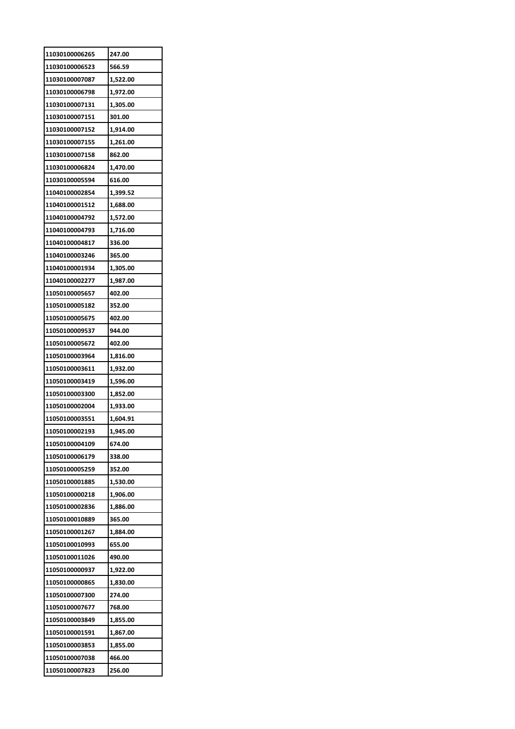| 11030100006265 | 247.00   |
|----------------|----------|
| 11030100006523 | 566.59   |
| 11030100007087 | 1,522.00 |
| 11030100006798 | 1,972.00 |
| 11030100007131 | 1,305.00 |
| 11030100007151 | 301.00   |
| 11030100007152 | 1,914.00 |
| 11030100007155 | 1,261.00 |
| 11030100007158 | 862.00   |
| 11030100006824 | 1,470.00 |
| 11030100005594 | 616.00   |
| 11040100002854 | 1,399.52 |
| 11040100001512 | 1,688.00 |
| 11040100004792 | 1,572.00 |
| 11040100004793 | 1,716.00 |
| 11040100004817 | 336.00   |
| 11040100003246 | 365.00   |
| 11040100001934 | 1,305.00 |
| 11040100002277 | 1,987.00 |
| 11050100005657 | 402.00   |
| 11050100005182 | 352.00   |
| 11050100005675 | 402.00   |
| 11050100009537 | 944.00   |
|                | 402.00   |
| 11050100005672 |          |
| 11050100003964 | 1,816.00 |
| 11050100003611 | 1,932.00 |
| 11050100003419 | 1,596.00 |
| 11050100003300 | 1,852.00 |
| 11050100002004 | 1,933.00 |
| 11050100003551 | 1,604.91 |
| 11050100002193 | 1,945.00 |
| 11050100004109 | 674.00   |
| 11050100006179 | 338.00   |
| 11050100005259 | 352.00   |
| 11050100001885 | 1,530.00 |
| 11050100000218 | 1,906.00 |
| 11050100002836 | 1,886.00 |
| 11050100010889 | 365.00   |
| 11050100001267 | 1,884.00 |
| 11050100010993 | 655.00   |
| 11050100011026 | 490.00   |
| 11050100000937 | 1,922.00 |
| 11050100000865 | 1,830.00 |
| 11050100007300 | 274.00   |
| 11050100007677 | 768.00   |
| 11050100003849 | 1,855.00 |
| 11050100001591 | 1,867.00 |
| 11050100003853 | 1,855.00 |
| 11050100007038 | 466.00   |
| 11050100007823 | 256.00   |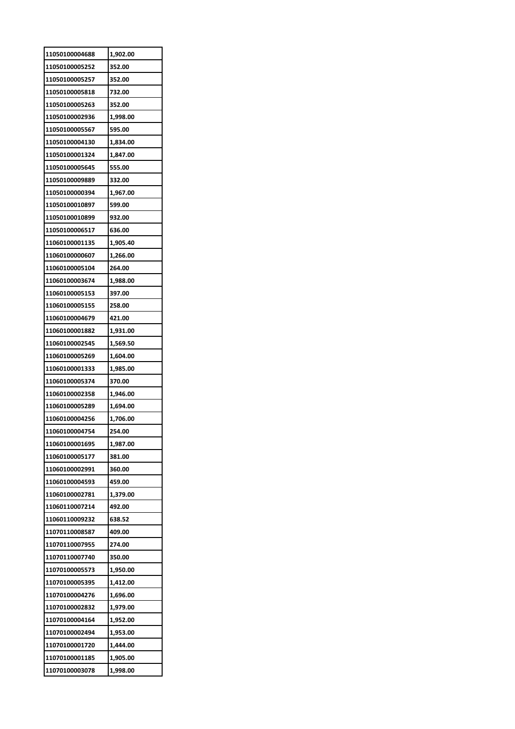| 11050100004688 | 1,902.00 |
|----------------|----------|
| 11050100005252 | 352.00   |
| 11050100005257 | 352.00   |
| 11050100005818 | 732.00   |
| 11050100005263 | 352.00   |
| 11050100002936 | 1,998.00 |
| 11050100005567 | 595.00   |
| 11050100004130 | 1,834.00 |
| 11050100001324 | 1,847.00 |
| 11050100005645 | 555.00   |
| 11050100009889 | 332.00   |
| 11050100000394 | 1,967.00 |
| 11050100010897 | 599.00   |
| 11050100010899 | 932.00   |
| 11050100006517 | 636.00   |
| 11060100001135 | 1,905.40 |
| 11060100000607 | 1,266.00 |
| 11060100005104 | 264.00   |
| 11060100003674 | 1,988.00 |
| 11060100005153 | 397.00   |
| 11060100005155 | 258.00   |
| 11060100004679 | 421.00   |
| 11060100001882 | 1,931.00 |
| 11060100002545 | 1,569.50 |
| 11060100005269 | 1,604.00 |
| 11060100001333 | 1,985.00 |
| 11060100005374 | 370.00   |
| 11060100002358 | 1,946.00 |
| 11060100005289 | 1,694.00 |
| 11060100004256 | 1,706.00 |
| 11060100004754 | 254.00   |
| 11060100001695 | 1,987.00 |
| 11060100005177 | 381.00   |
| 11060100002991 | 360.00   |
| 11060100004593 | 459.00   |
| 11060100002781 | 1,379.00 |
| 11060110007214 | 492.00   |
| 11060110009232 | 638.52   |
| 11070110008587 | 409.00   |
| 11070110007955 | 274.00   |
| 11070110007740 | 350.00   |
| 11070100005573 | 1,950.00 |
| 11070100005395 | 1,412.00 |
| 11070100004276 | 1,696.00 |
| 11070100002832 | 1,979.00 |
| 11070100004164 | 1,952.00 |
| 11070100002494 | 1,953.00 |
| 11070100001720 | 1,444.00 |
| 11070100001185 | 1,905.00 |
| 11070100003078 | 1,998.00 |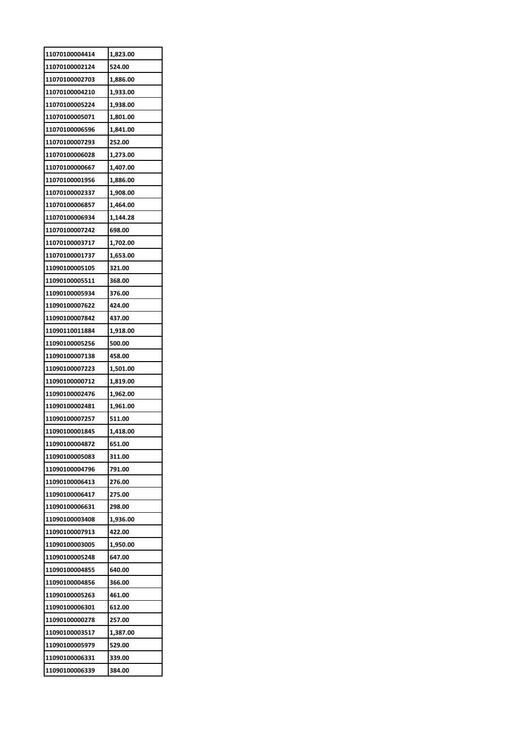| 11070100004414 | 1,823.00           |
|----------------|--------------------|
| 11070100002124 | 524.00             |
| 11070100002703 | 1,886.00           |
| 11070100004210 | 1,933.00           |
| 11070100005224 | 1,938.00           |
| 11070100005071 | 1,801.00           |
| 11070100006596 | 1,841.00           |
| 11070100007293 | 252.00             |
| 11070100006028 | 1,273.00           |
| 11070100000667 | 1,407.00           |
| 11070100001956 | 1,886.00           |
| 11070100002337 | 1,908.00           |
| 11070100006857 | 1,464.00           |
| 11070100006934 | 1,144.28           |
| 11070100007242 | 698.00             |
| 11070100003717 | 1,702.00           |
| 11070100001737 | 1,653.00           |
| 11090100005105 | 321.00             |
| 11090100005511 | 368.00             |
| 11090100005934 | 376.00             |
| 11090100007622 | 424.00             |
| 11090100007842 | 437.00             |
| 11090110011884 | 1,918.00           |
| 11090100005256 | 500.00             |
| 11090100007138 | 458.00             |
| 11090100007223 | 1,501.00           |
| 11090100000712 | 1,819.00           |
| 11090100002476 | 1,962.00           |
| 11090100002481 | 1,961.00           |
| 11090100007257 | 511.00             |
| 11090100001845 | 1.418.00           |
| 11090100004872 | 651.00             |
| 11090100005083 | 311.00             |
| 11090100004796 | 791.00             |
| 11090100006413 | 276.00             |
| 11090100006417 | 275.00             |
| 11090100006631 | 298.00             |
| 11090100003408 | 1,936.00           |
| 11090100007913 | 422.00             |
| 11090100003005 | 1,950.00           |
| 11090100005248 | 647.00             |
| 11090100004855 | 640.00             |
| 11090100004856 | 366.00             |
| 11090100005263 | 461.00             |
| 11090100006301 | 612.00             |
| 11090100000278 | 257.00             |
| 11090100003517 |                    |
| 11090100005979 | 1,387.00<br>529.00 |
| 11090100006331 |                    |
|                | 339.00<br>384.00   |
| 11090100006339 |                    |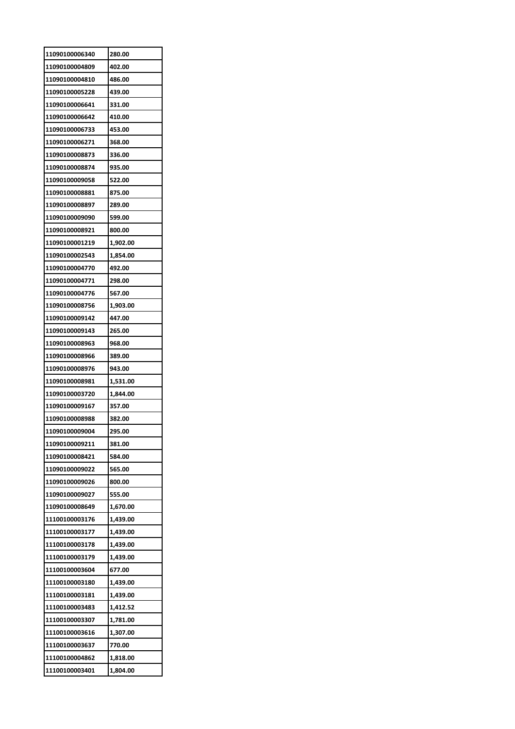| 11090100006340 | 280.00   |
|----------------|----------|
| 11090100004809 | 402.00   |
| 11090100004810 | 486.00   |
| 11090100005228 | 439.00   |
| 11090100006641 | 331.00   |
| 11090100006642 | 410.00   |
| 11090100006733 | 453.00   |
| 11090100006271 | 368.00   |
| 11090100008873 | 336.00   |
| 11090100008874 | 935.00   |
| 11090100009058 | 522.00   |
| 11090100008881 | 875.00   |
| 11090100008897 | 289.00   |
| 11090100009090 | 599.00   |
| 11090100008921 | 800.00   |
| 11090100001219 | 1,902.00 |
| 11090100002543 | 1,854.00 |
| 11090100004770 | 492.00   |
| 11090100004771 | 298.00   |
| 11090100004776 | 567.00   |
| 11090100008756 | 1,903.00 |
| 11090100009142 | 447.00   |
| 11090100009143 | 265.00   |
| 11090100008963 | 968.00   |
| 11090100008966 | 389.00   |
| 11090100008976 | 943.00   |
| 11090100008981 | 1,531.00 |
| 11090100003720 | 1,844.00 |
| 11090100009167 | 357.00   |
| 11090100008988 | 382.00   |
| 11090100009004 | 295.00   |
| 11090100009211 | 381.00   |
| 11090100008421 | 584.00   |
| 11090100009022 | 565.00   |
| 11090100009026 | 800.00   |
| 11090100009027 | 555.00   |
| 11090100008649 | 1,670.00 |
| 11100100003176 | 1,439.00 |
| 11100100003177 | 1,439.00 |
| 11100100003178 | 1,439.00 |
| 11100100003179 | 1,439.00 |
| 11100100003604 | 677.00   |
| 11100100003180 | 1,439.00 |
| 11100100003181 | 1,439.00 |
| 11100100003483 | 1,412.52 |
| 11100100003307 | 1,781.00 |
| 11100100003616 | 1,307.00 |
| 11100100003637 | 770.00   |
| 11100100004862 | 1,818.00 |
| 11100100003401 | 1,804.00 |
|                |          |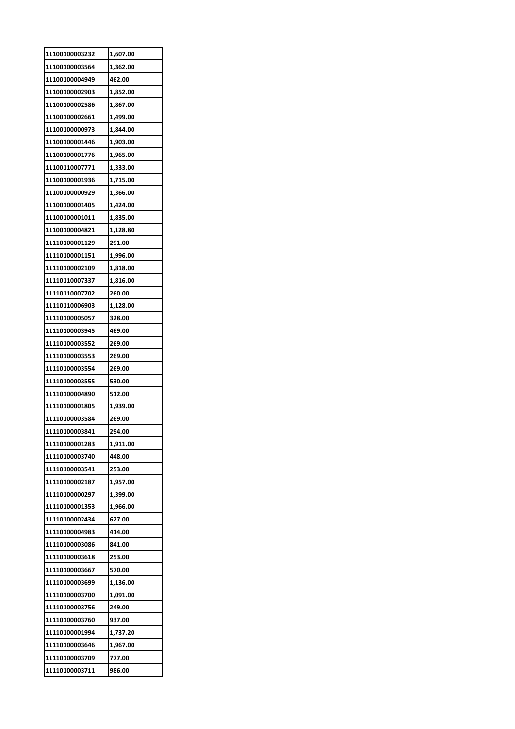| 11100100003232 | 1,607.00 |
|----------------|----------|
| 11100100003564 | 1,362.00 |
| 11100100004949 | 462.00   |
| 11100100002903 | 1,852.00 |
| 11100100002586 | 1,867.00 |
| 11100100002661 | 1,499.00 |
| 11100100000973 | 1,844.00 |
| 11100100001446 | 1,903.00 |
| 11100100001776 | 1,965.00 |
| 11100110007771 | 1,333.00 |
| 11100100001936 | 1,715.00 |
| 11100100000929 | 1,366.00 |
| 11100100001405 | 1,424.00 |
| 11100100001011 | 1,835.00 |
| 11100100004821 | 1,128.80 |
| 11110100001129 | 291.00   |
| 11110100001151 | 1,996.00 |
| 11110100002109 | 1,818.00 |
| 11110110007337 | 1,816.00 |
|                | 260.00   |
| 11110110007702 |          |
| 11110110006903 | 1,128.00 |
| 11110100005057 | 328.00   |
| 11110100003945 | 469.00   |
| 11110100003552 | 269.00   |
| 11110100003553 | 269.00   |
| 11110100003554 | 269.00   |
| 11110100003555 | 530.00   |
| 11110100004890 | 512.00   |
| 11110100001805 | 1,939.00 |
| 11110100003584 | 269.00   |
| 11110100003841 | 294.00   |
| 11110100001283 | 1,911.00 |
| 11110100003740 | 448.00   |
| 11110100003541 | 253.00   |
| 11110100002187 | 1,957.00 |
| 11110100000297 | 1,399.00 |
| 11110100001353 | 1,966.00 |
| 11110100002434 | 627.00   |
| 11110100004983 | 414.00   |
| 11110100003086 | 841.00   |
| 11110100003618 | 253.00   |
| 11110100003667 | 570.00   |
| 11110100003699 | 1,136.00 |
| 11110100003700 | 1,091.00 |
| 11110100003756 | 249.00   |
| 11110100003760 | 937.00   |
| 11110100001994 | 1,737.20 |
| 11110100003646 | 1,967.00 |
| 11110100003709 | 777.00   |
| 11110100003711 | 986.00   |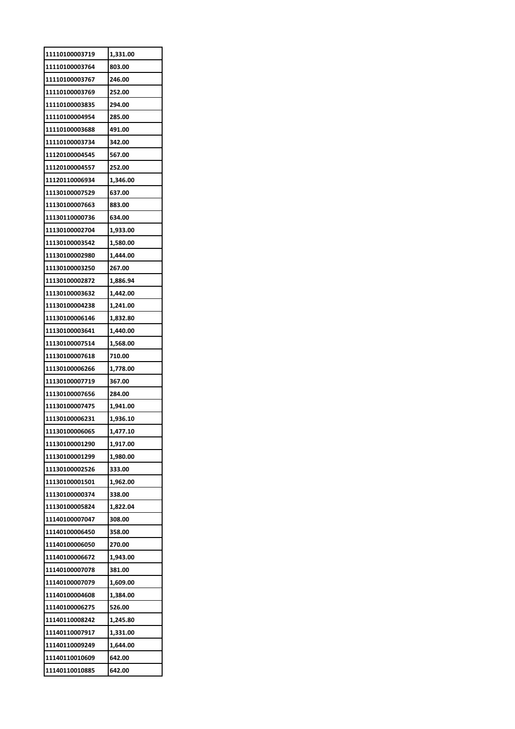| 11110100003719 | 1,331.00 |
|----------------|----------|
| 11110100003764 | 803.00   |
| 11110100003767 | 246.00   |
| 11110100003769 | 252.00   |
| 11110100003835 | 294.00   |
| 11110100004954 | 285.00   |
| 11110100003688 | 491.00   |
| 11110100003734 | 342.00   |
| 11120100004545 | 567.00   |
| 11120100004557 | 252.00   |
| 11120110006934 | 1,346.00 |
| 11130100007529 | 637.00   |
| 11130100007663 | 883.00   |
| 11130110000736 | 634.00   |
| 11130100002704 | 1,933.00 |
| 11130100003542 | 1,580.00 |
| 11130100002980 | 1,444.00 |
| 11130100003250 | 267.00   |
| 11130100002872 | 1,886.94 |
| 11130100003632 | 1,442.00 |
| 11130100004238 | 1,241.00 |
| 11130100006146 | 1,832.80 |
| 11130100003641 | 1,440.00 |
| 11130100007514 | 1,568.00 |
| 11130100007618 | 710.00   |
|                |          |
| 11130100006266 | 1,778.00 |
| 11130100007719 | 367.00   |
| 11130100007656 | 284.00   |
| 11130100007475 | 1,941.00 |
| 11130100006231 | 1,936.10 |
| 11130100006065 | 1,477.10 |
| 11130100001290 | 1,917.00 |
| 11130100001299 | 1,980.00 |
| 11130100002526 | 333.00   |
| 11130100001501 | 1,962.00 |
| 11130100000374 | 338.00   |
| 11130100005824 | 1,822.04 |
| 11140100007047 | 308.00   |
| 11140100006450 | 358.00   |
| 11140100006050 | 270.00   |
| 11140100006672 | 1,943.00 |
| 11140100007078 | 381.00   |
| 11140100007079 | 1,609.00 |
| 11140100004608 | 1,384.00 |
| 11140100006275 | 526.00   |
| 11140110008242 | 1,245.80 |
|                |          |
| 11140110007917 | 1,331.00 |
| 11140110009249 | 1,644.00 |
| 11140110010609 | 642.00   |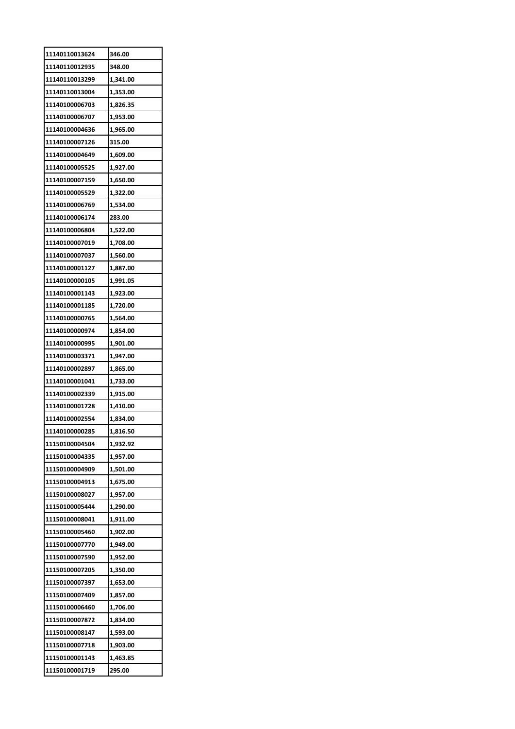| 11140110013624 | 346.00   |
|----------------|----------|
| 11140110012935 | 348.00   |
| 11140110013299 | 1,341.00 |
| 11140110013004 | 1,353.00 |
| 11140100006703 | 1,826.35 |
| 11140100006707 | 1,953.00 |
| 11140100004636 | 1,965.00 |
| 11140100007126 | 315.00   |
| 11140100004649 | 1,609.00 |
| 11140100005525 | 1,927.00 |
| 11140100007159 | 1,650.00 |
| 11140100005529 | 1,322.00 |
| 11140100006769 | 1,534.00 |
| 11140100006174 | 283.00   |
| 11140100006804 | 1,522.00 |
| 11140100007019 | 1,708.00 |
| 11140100007037 | 1,560.00 |
| 11140100001127 | 1,887.00 |
| 11140100000105 | 1,991.05 |
| 11140100001143 | 1,923.00 |
| 11140100001185 | 1,720.00 |
| 11140100000765 | 1,564.00 |
| 11140100000974 | 1,854.00 |
| 11140100000995 | 1,901.00 |
| 11140100003371 | 1,947.00 |
| 11140100002897 | 1,865.00 |
| 11140100001041 | 1,733.00 |
| 11140100002339 | 1,915.00 |
| 11140100001728 | 1,410.00 |
| 11140100002554 | 1,834.00 |
| 11140100000285 | 1,816.50 |
| 11150100004504 | 1,932.92 |
| 11150100004335 | 1,957.00 |
| 11150100004909 | 1,501.00 |
| 11150100004913 | 1,675.00 |
| 11150100008027 | 1,957.00 |
| 11150100005444 | 1,290.00 |
| 11150100008041 | 1,911.00 |
| 11150100005460 | 1,902.00 |
| 11150100007770 | 1,949.00 |
| 11150100007590 | 1,952.00 |
| 11150100007205 | 1,350.00 |
| 11150100007397 | 1,653.00 |
| 11150100007409 | 1,857.00 |
| 11150100006460 | 1,706.00 |
| 11150100007872 | 1,834.00 |
| 11150100008147 | 1,593.00 |
| 11150100007718 | 1,903.00 |
| 11150100001143 | 1,463.85 |
| 11150100001719 | 295.00   |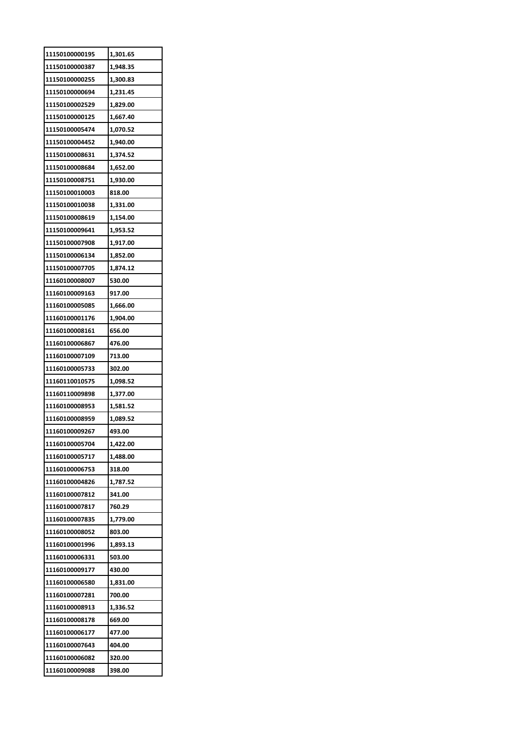| 11150100000195 | 1,301.65 |
|----------------|----------|
| 11150100000387 | 1,948.35 |
| 11150100000255 | 1,300.83 |
| 11150100000694 | 1,231.45 |
| 11150100002529 | 1,829.00 |
| 11150100000125 | 1,667.40 |
| 11150100005474 | 1,070.52 |
| 11150100004452 | 1,940.00 |
| 11150100008631 | 1,374.52 |
| 11150100008684 | 1,652.00 |
| 11150100008751 | 1,930.00 |
| 11150100010003 | 818.00   |
| 11150100010038 | 1,331.00 |
| 11150100008619 | 1,154.00 |
| 11150100009641 | 1,953.52 |
| 11150100007908 | 1,917.00 |
| 11150100006134 | 1,852.00 |
| 11150100007705 | 1,874.12 |
| 11160100008007 | 530.00   |
|                |          |
| 11160100009163 | 917.00   |
| 11160100005085 | 1,666.00 |
| 11160100001176 | 1,904.00 |
| 11160100008161 | 656.00   |
| 11160100006867 | 476.00   |
| 11160100007109 | 713.00   |
| 11160100005733 | 302.00   |
| 11160110010575 | 1,098.52 |
| 11160110009898 | 1,377.00 |
| 11160100008953 | 1,581.52 |
| 11160100008959 | 1,089.52 |
| 11160100009267 | 493.00   |
| 11160100005704 | 1,422.00 |
| 11160100005717 | 1,488.00 |
| 11160100006753 | 318.00   |
| 11160100004826 | 1,787.52 |
| 11160100007812 | 341.00   |
| 11160100007817 | 760.29   |
| 11160100007835 | 1,779.00 |
| 11160100008052 | 803.00   |
| 11160100001996 | 1,893.13 |
| 11160100006331 | 503.00   |
| 11160100009177 | 430.00   |
| 11160100006580 | 1,831.00 |
| 11160100007281 | 700.00   |
| 11160100008913 | 1,336.52 |
| 11160100008178 | 669.00   |
| 11160100006177 | 477.00   |
| 11160100007643 | 404.00   |
| 11160100006082 | 320.00   |
| 11160100009088 | 398.00   |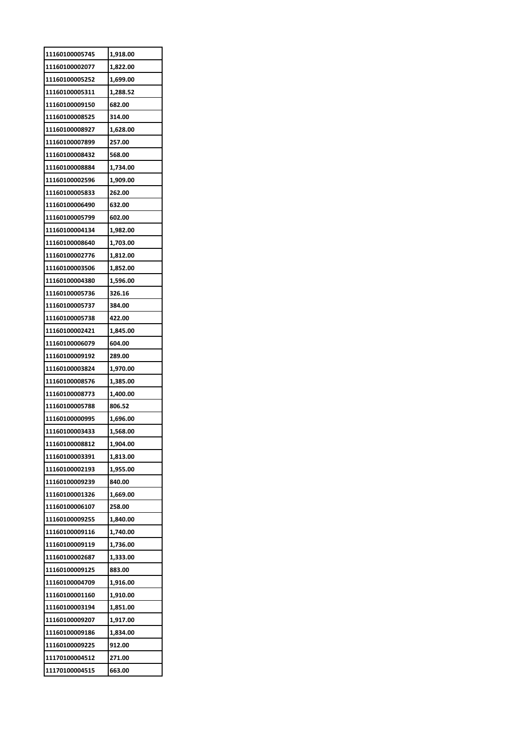| 11160100005745 | 1,918.00 |
|----------------|----------|
| 11160100002077 | 1,822.00 |
| 11160100005252 | 1,699.00 |
| 11160100005311 | 1,288.52 |
| 11160100009150 | 682.00   |
| 11160100008525 | 314.00   |
| 11160100008927 | 1,628.00 |
| 11160100007899 | 257.00   |
| 11160100008432 | 568.00   |
| 11160100008884 | 1,734.00 |
| 11160100002596 | 1,909.00 |
| 11160100005833 | 262.00   |
| 11160100006490 | 632.00   |
| 11160100005799 | 602.00   |
| 11160100004134 | 1,982.00 |
| 11160100008640 | 1,703.00 |
| 11160100002776 | 1,812.00 |
| 11160100003506 | 1,852.00 |
| 11160100004380 | 1,596.00 |
| 11160100005736 | 326.16   |
| 11160100005737 | 384.00   |
| 11160100005738 | 422.00   |
| 11160100002421 | 1,845.00 |
| 11160100006079 | 604.00   |
| 11160100009192 | 289.00   |
| 11160100003824 | 1,970.00 |
| 11160100008576 | 1,385.00 |
| 11160100008773 | 1,400.00 |
| 11160100005788 | 806.52   |
| 11160100000995 | 1,696.00 |
| 11160100003433 | 1,568.00 |
| 11160100008812 | 1,904.00 |
| 11160100003391 | 1,813.00 |
| 11160100002193 | 1,955.00 |
| 11160100009239 | 840.00   |
| 11160100001326 | 1,669.00 |
| 11160100006107 | 258.00   |
| 11160100009255 | 1,840.00 |
| 11160100009116 | 1,740.00 |
| 11160100009119 | 1,736.00 |
| 11160100002687 | 1,333.00 |
| 11160100009125 | 883.00   |
| 11160100004709 | 1,916.00 |
| 11160100001160 | 1,910.00 |
| 11160100003194 | 1,851.00 |
| 11160100009207 | 1,917.00 |
| 11160100009186 | 1,834.00 |
| 11160100009225 | 912.00   |
| 11170100004512 | 271.00   |
| 11170100004515 | 663.00   |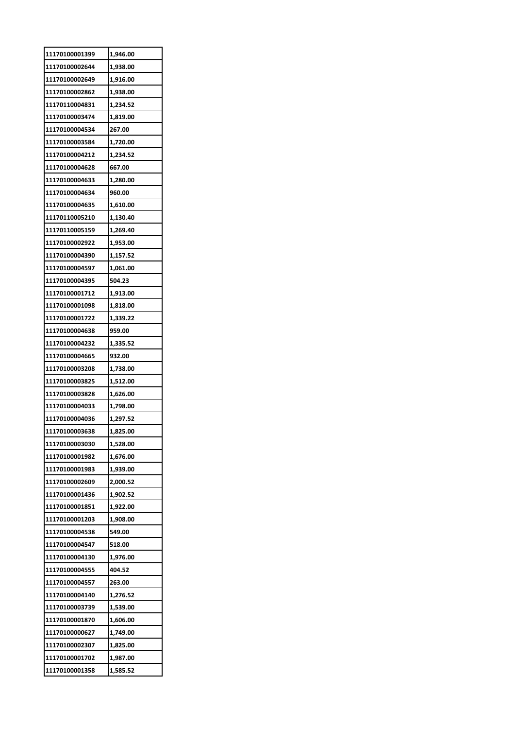| 11170100001399 | 1,946.00 |
|----------------|----------|
| 11170100002644 | 1,938.00 |
| 11170100002649 | 1,916.00 |
| 11170100002862 | 1,938.00 |
| 11170110004831 | 1,234.52 |
| 11170100003474 | 1,819.00 |
| 11170100004534 | 267.00   |
| 11170100003584 | 1,720.00 |
| 11170100004212 | 1,234.52 |
| 11170100004628 | 667.00   |
| 11170100004633 | 1,280.00 |
| 11170100004634 | 960.00   |
| 11170100004635 | 1,610.00 |
| 11170110005210 | 1,130.40 |
| 11170110005159 | 1,269.40 |
| 11170100002922 | 1,953.00 |
| 11170100004390 | 1,157.52 |
| 11170100004597 | 1,061.00 |
| 11170100004395 | 504.23   |
| 11170100001712 | 1,913.00 |
| 11170100001098 | 1,818.00 |
| 11170100001722 | 1,339.22 |
| 11170100004638 | 959.00   |
| 11170100004232 | 1,335.52 |
| 11170100004665 | 932.00   |
| 11170100003208 | 1,738.00 |
| 11170100003825 | 1,512.00 |
| 11170100003828 | 1,626.00 |
| 11170100004033 | 1,798.00 |
| 11170100004036 | 1,297.52 |
| 11170100003638 | 1,825.00 |
| 11170100003030 | 1,528.00 |
| 11170100001982 | 1,676.00 |
| 11170100001983 | 1,939.00 |
| 11170100002609 | 2,000.52 |
| 11170100001436 | 1,902.52 |
| 11170100001851 | 1,922.00 |
| 11170100001203 | 1,908.00 |
| 11170100004538 | 549.00   |
| 11170100004547 | 518.00   |
| 11170100004130 | 1,976.00 |
| 11170100004555 | 404.52   |
| 11170100004557 | 263.00   |
| 11170100004140 | 1,276.52 |
| 11170100003739 | 1,539.00 |
| 11170100001870 | 1,606.00 |
| 11170100000627 | 1,749.00 |
| 11170100002307 | 1,825.00 |
| 11170100001702 | 1,987.00 |
| 11170100001358 | 1,585.52 |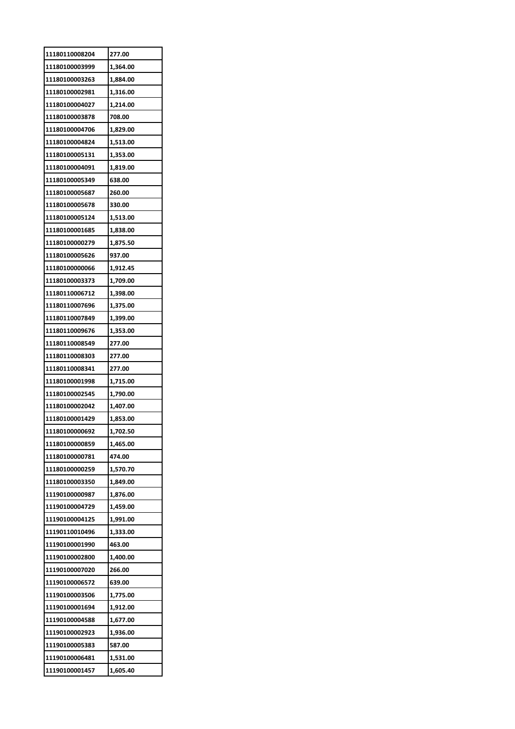| 11180110008204                   | 277.00   |
|----------------------------------|----------|
| 11180100003999                   | 1,364.00 |
| 11180100003263                   | 1,884.00 |
| 11180100002981                   | 1,316.00 |
| 11180100004027                   | 1,214.00 |
| 11180100003878                   | 708.00   |
| 11180100004706                   | 1,829.00 |
| 11180100004824                   | 1,513.00 |
| 11180100005131                   | 1,353.00 |
| 11180100004091                   | 1,819.00 |
| 11180100005349                   | 638.00   |
| 11180100005687                   | 260.00   |
| 11180100005678                   | 330.00   |
| 11180100005124                   | 1,513.00 |
| 11180100001685                   | 1,838.00 |
| 11180100000279                   | 1,875.50 |
| 11180100005626                   | 937.00   |
|                                  |          |
| 11180100000066<br>11180100003373 | 1,912.45 |
|                                  | 1,709.00 |
| 11180110006712                   | 1,398.00 |
| 11180110007696                   | 1,375.00 |
| 11180110007849                   | 1,399.00 |
| 11180110009676                   | 1,353.00 |
| 11180110008549                   | 277.00   |
| 11180110008303                   | 277.00   |
| 11180110008341                   | 277.00   |
| 11180100001998                   | 1,715.00 |
| 11180100002545                   | 1,790.00 |
| 11180100002042                   | 1,407.00 |
| 11180100001429                   | 1,853.00 |
| 11180100000692                   | 1.702.50 |
| 11180100000859                   | 1,465.00 |
| 11180100000781                   | 474.00   |
| 11180100000259                   | 1,570.70 |
| 11180100003350                   | 1,849.00 |
| 11190100000987                   | 1,876.00 |
| 11190100004729                   | 1,459.00 |
| 11190100004125                   | 1,991.00 |
| 11190110010496                   | 1,333.00 |
| 11190100001990                   | 463.00   |
| 11190100002800                   | 1,400.00 |
| 11190100007020                   | 266.00   |
| 11190100006572                   | 639.00   |
| 11190100003506                   | 1,775.00 |
| 11190100001694                   | 1,912.00 |
| 11190100004588                   | 1,677.00 |
| 11190100002923                   | 1,936.00 |
| 11190100005383                   | 587.00   |
| 11190100006481                   | 1,531.00 |
| 11190100001457                   | 1,605.40 |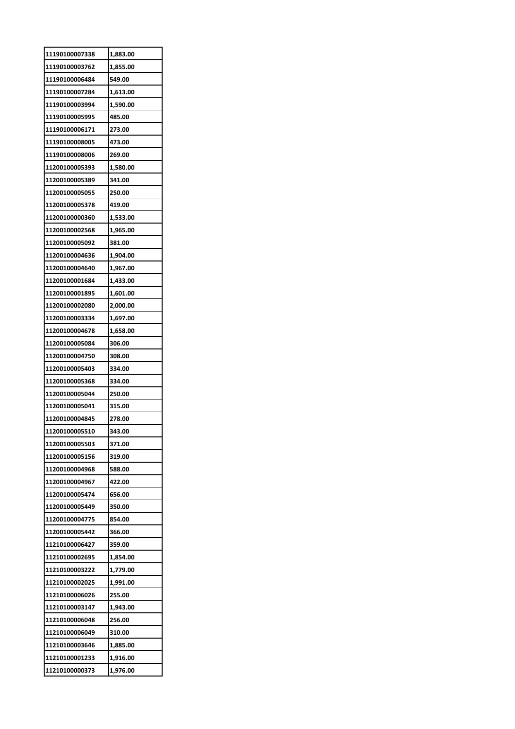| 11190100007338 | 1,883.00 |
|----------------|----------|
| 11190100003762 | 1,855.00 |
| 11190100006484 | 549.00   |
| 11190100007284 | 1,613.00 |
| 11190100003994 | 1,590.00 |
| 11190100005995 | 485.00   |
| 11190100006171 | 273.00   |
| 11190100008005 | 473.00   |
| 11190100008006 | 269.00   |
| 11200100005393 | 1,580.00 |
| 11200100005389 | 341.00   |
| 11200100005055 | 250.00   |
| 11200100005378 | 419.00   |
| 11200100000360 | 1,533.00 |
| 11200100002568 | 1,965.00 |
| 11200100005092 | 381.00   |
| 11200100004636 | 1,904.00 |
| 11200100004640 | 1,967.00 |
| 11200100001684 | 1,433.00 |
| 11200100001895 | 1,601.00 |
| 11200100002080 | 2,000.00 |
| 11200100003334 | 1,697.00 |
| 11200100004678 | 1,658.00 |
| 11200100005084 | 306.00   |
| 11200100004750 | 308.00   |
| 11200100005403 | 334.00   |
| 11200100005368 | 334.00   |
| 11200100005044 | 250.00   |
| 11200100005041 | 315.00   |
| 11200100004845 | 278.00   |
| 11200100005510 | 343.00   |
| 11200100005503 | 371.00   |
| 11200100005156 | 319.00   |
| 11200100004968 | 588.00   |
| 11200100004967 | 422.00   |
| 11200100005474 | 656.00   |
| 11200100005449 | 350.00   |
| 11200100004775 | 854.00   |
| 11200100005442 | 366.00   |
| 11210100006427 | 359.00   |
| 11210100002695 | 1,854.00 |
| 11210100003222 | 1,779.00 |
| 11210100002025 | 1,991.00 |
| 11210100006026 | 255.00   |
| 11210100003147 | 1,943.00 |
| 11210100006048 | 256.00   |
| 11210100006049 | 310.00   |
| 11210100003646 | 1,885.00 |
| 11210100001233 |          |
|                | 1,916.00 |
| 11210100000373 | 1,976.00 |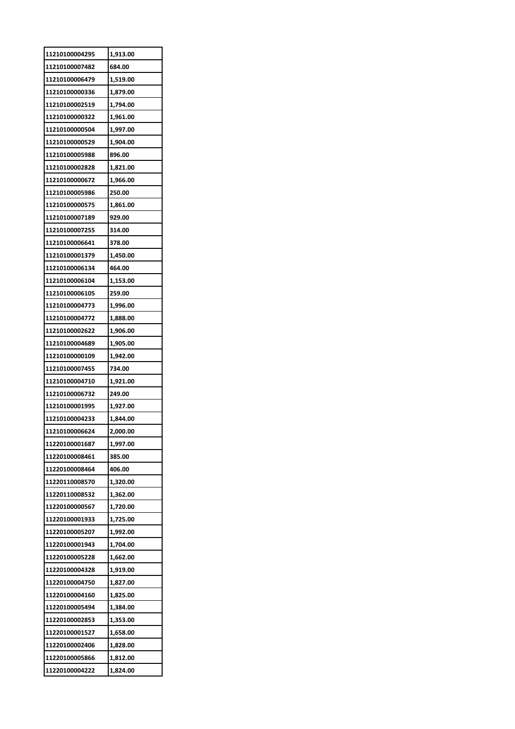| 11210100004295 | 1,913.00 |
|----------------|----------|
| 11210100007482 | 684.00   |
| 11210100006479 | 1,519.00 |
| 11210100000336 | 1,879.00 |
| 11210100002519 | 1,794.00 |
| 11210100000322 | 1,961.00 |
| 11210100000504 | 1,997.00 |
| 11210100000529 | 1,904.00 |
| 11210100005988 | 896.00   |
| 11210100002828 | 1,821.00 |
| 11210100000672 | 1,966.00 |
| 11210100005986 | 250.00   |
| 11210100000575 | 1,861.00 |
| 11210100007189 | 929.00   |
| 11210100007255 | 314.00   |
| 11210100006641 | 378.00   |
| 11210100001379 | 1,450.00 |
| 11210100006134 | 464.00   |
| 11210100006104 | 1,153.00 |
| 11210100006105 | 259.00   |
| 11210100004773 | 1,996.00 |
| 11210100004772 | 1,888.00 |
| 11210100002622 | 1,906.00 |
| 11210100004689 | 1,905.00 |
| 11210100000109 | 1,942.00 |
| 11210100007455 | 734.00   |
| 11210100004710 | 1,921.00 |
| 11210100006732 | 249.00   |
| 11210100001995 | 1,927.00 |
| 11210100004233 | 1,844.00 |
| 11210100006624 | 2,000.00 |
| 11220100001687 | 1,997.00 |
| 11220100008461 | 385.00   |
| 11220100008464 | 406.00   |
| 11220110008570 | 1,320.00 |
| 11220110008532 | 1,362.00 |
| 11220100000567 | 1,720.00 |
| 11220100001933 | 1,725.00 |
| 11220100005207 | 1,992.00 |
| 11220100001943 | 1,704.00 |
| 11220100005228 | 1,662.00 |
| 11220100004328 | 1,919.00 |
| 11220100004750 | 1,827.00 |
| 11220100004160 | 1,825.00 |
| 11220100005494 | 1,384.00 |
| 11220100002853 | 1,353.00 |
| 11220100001527 | 1,658.00 |
| 11220100002406 | 1,828.00 |
| 11220100005866 | 1,812.00 |
| 11220100004222 | 1,824.00 |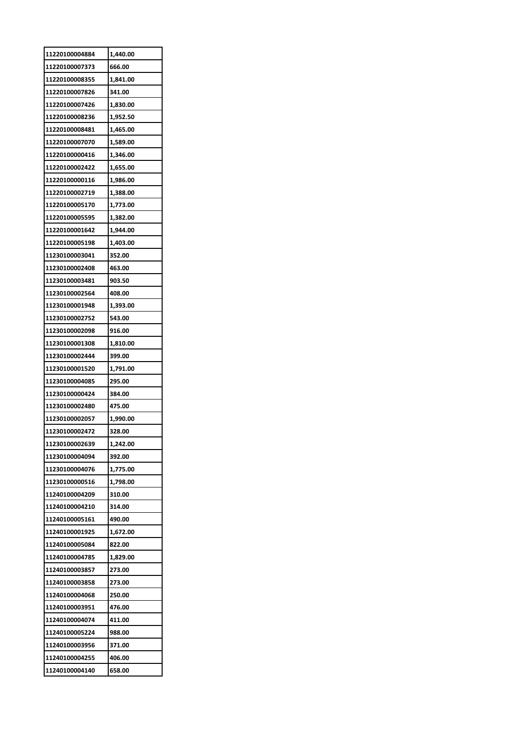| 11220100004884 | 1,440.00           |
|----------------|--------------------|
| 11220100007373 | 666.00             |
| 11220100008355 | 1,841.00           |
| 11220100007826 | 341.00             |
| 11220100007426 | 1,830.00           |
| 11220100008236 | 1,952.50           |
| 11220100008481 | 1,465.00           |
| 11220100007070 | 1,589.00           |
| 11220100000416 | 1,346.00           |
| 11220100002422 | 1,655.00           |
| 11220100000116 | 1,986.00           |
| 11220100002719 | 1,388.00           |
| 11220100005170 | 1,773.00           |
| 11220100005595 | 1,382.00           |
| 11220100001642 | 1,944.00           |
| 11220100005198 | 1,403.00           |
| 11230100003041 | 352.00             |
| 11230100002408 | 463.00             |
| 11230100003481 | 903.50             |
| 11230100002564 | 408.00             |
| 11230100001948 | 1,393.00           |
| 11230100002752 | 543.00             |
| 11230100002098 | 916.00             |
| 11230100001308 | 1,810.00           |
| 11230100002444 | 399.00             |
| 11230100001520 | 1,791.00           |
| 11230100004085 | 295.00             |
| 11230100000424 | 384.00             |
| 11230100002480 | 475.00             |
| 11230100002057 |                    |
| 11230100002472 | 1,990.00<br>328.00 |
|                |                    |
| 11230100002639 | 1,242.00           |
| 11230100004094 | 392.00             |
| 11230100004076 | 1,775.00           |
| 11230100000516 | 1,798.00           |
| 11240100004209 | 310.00             |
| 11240100004210 | 314.00             |
| 11240100005161 | 490.00             |
| 11240100001925 | 1,672.00           |
| 11240100005084 | 822.00             |
| 11240100004785 | 1,829.00           |
| 11240100003857 | 273.00             |
| 11240100003858 | 273.00             |
| 11240100004068 | 250.00             |
| 11240100003951 | 476.00             |
| 11240100004074 | 411.00             |
| 11240100005224 | 988.00             |
| 11240100003956 | 371.00             |
| 11240100004255 | 406.00             |
| 11240100004140 | 658.00             |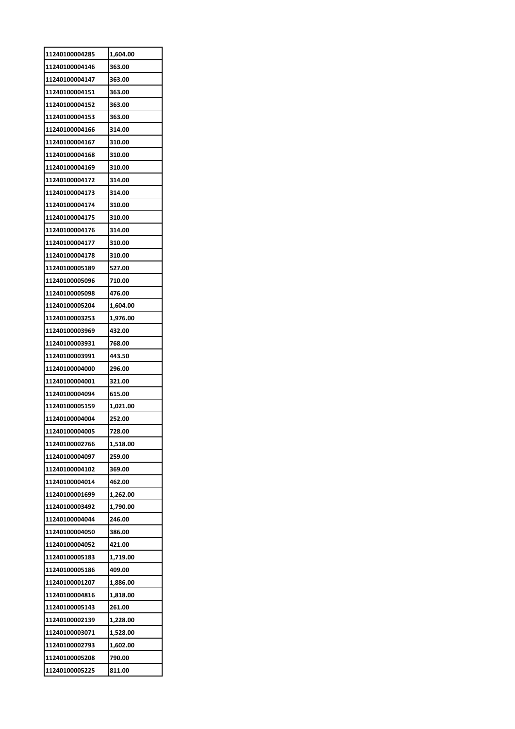| 11240100004285 | 1,604.00 |
|----------------|----------|
| 11240100004146 | 363.00   |
| 11240100004147 | 363.00   |
| 11240100004151 | 363.00   |
| 11240100004152 | 363.00   |
| 11240100004153 | 363.00   |
| 11240100004166 | 314.00   |
| 11240100004167 | 310.00   |
| 11240100004168 | 310.00   |
| 11240100004169 | 310.00   |
| 11240100004172 | 314.00   |
| 11240100004173 | 314.00   |
| 11240100004174 | 310.00   |
| 11240100004175 | 310.00   |
| 11240100004176 | 314.00   |
| 11240100004177 | 310.00   |
| 11240100004178 | 310.00   |
| 11240100005189 | 527.00   |
| 11240100005096 | 710.00   |
| 11240100005098 | 476.00   |
| 11240100005204 | 1,604.00 |
| 11240100003253 | 1,976.00 |
| 11240100003969 | 432.00   |
| 11240100003931 | 768.00   |
| 11240100003991 | 443.50   |
| 11240100004000 | 296.00   |
| 11240100004001 | 321.00   |
| 11240100004094 | 615.00   |
| 11240100005159 | 1,021.00 |
| 11240100004004 | 252.00   |
| 11240100004005 | 728.00   |
| 11240100002766 | 1,518.00 |
| 11240100004097 | 259.00   |
| 11240100004102 | 369.00   |
| 11240100004014 | 462.00   |
| 11240100001699 | 1,262.00 |
| 11240100003492 | 1,790.00 |
| 11240100004044 | 246.00   |
| 11240100004050 | 386.00   |
| 11240100004052 | 421.00   |
| 11240100005183 | 1,719.00 |
| 11240100005186 | 409.00   |
| 11240100001207 | 1,886.00 |
| 11240100004816 | 1,818.00 |
| 11240100005143 | 261.00   |
| 11240100002139 | 1,228.00 |
| 11240100003071 | 1,528.00 |
|                |          |
| 11240100002793 | 1,602.00 |
| 11240100005208 | 790.00   |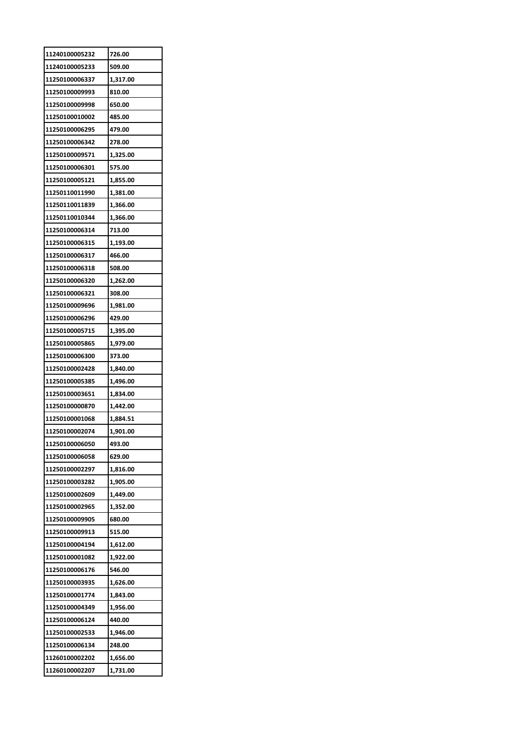| 11240100005232 | 726.00   |
|----------------|----------|
| 11240100005233 | 509.00   |
| 11250100006337 | 1,317.00 |
| 11250100009993 | 810.00   |
| 11250100009998 | 650.00   |
| 11250100010002 | 485.00   |
| 11250100006295 | 479.00   |
| 11250100006342 | 278.00   |
| 11250100009571 | 1,325.00 |
| 11250100006301 | 575.00   |
| 11250100005121 | 1,855.00 |
| 11250110011990 | 1,381.00 |
| 11250110011839 | 1,366.00 |
| 11250110010344 | 1,366.00 |
| 11250100006314 | 713.00   |
| 11250100006315 | 1,193.00 |
| 11250100006317 | 466.00   |
| 11250100006318 | 508.00   |
| 11250100006320 | 1,262.00 |
| 11250100006321 | 308.00   |
| 11250100009696 |          |
|                | 1,981.00 |
| 11250100006296 | 429.00   |
| 11250100005715 | 1,395.00 |
| 11250100005865 | 1,979.00 |
| 11250100006300 | 373.00   |
| 11250100002428 | 1,840.00 |
| 11250100005385 | 1,496.00 |
| 11250100003651 | 1,834.00 |
| 11250100000870 | 1,442.00 |
| 11250100001068 | 1,884.51 |
| 11250100002074 | 1,901.00 |
| 11250100006050 | 493.00   |
| 11250100006058 | 629.00   |
| 11250100002297 | 1,816.00 |
| 11250100003282 | 1,905.00 |
| 11250100002609 | 1,449.00 |
| 11250100002965 | 1,352.00 |
| 11250100009905 | 680.00   |
| 11250100009913 | 515.00   |
| 11250100004194 | 1,612.00 |
| 11250100001082 | 1,922.00 |
| 11250100006176 | 546.00   |
| 11250100003935 | 1,626.00 |
| 11250100001774 | 1,843.00 |
| 11250100004349 | 1,956.00 |
| 11250100006124 | 440.00   |
| 11250100002533 | 1,946.00 |
| 11250100006134 | 248.00   |
| 11260100002202 | 1,656.00 |
| 11260100002207 | 1,731.00 |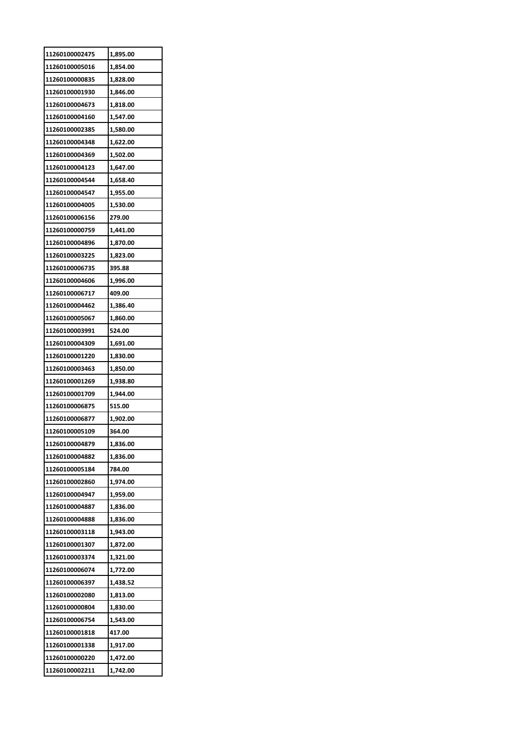| 11260100002475 | 1,895.00 |
|----------------|----------|
| 11260100005016 | 1,854.00 |
| 11260100000835 | 1,828.00 |
| 11260100001930 | 1,846.00 |
| 11260100004673 | 1,818.00 |
| 11260100004160 | 1,547.00 |
| 11260100002385 | 1,580.00 |
| 11260100004348 | 1,622.00 |
| 11260100004369 | 1,502.00 |
| 11260100004123 | 1,647.00 |
| 11260100004544 | 1,658.40 |
| 11260100004547 | 1,955.00 |
| 11260100004005 | 1,530.00 |
| 11260100006156 | 279.00   |
| 11260100000759 | 1,441.00 |
| 11260100004896 | 1,870.00 |
| 11260100003225 | 1,823.00 |
| 11260100006735 | 395.88   |
| 11260100004606 | 1,996.00 |
| 11260100006717 | 409.00   |
| 11260100004462 | 1,386.40 |
| 11260100005067 | 1,860.00 |
| 11260100003991 | 524.00   |
| 11260100004309 | 1,691.00 |
| 11260100001220 | 1,830.00 |
| 11260100003463 | 1,850.00 |
| 11260100001269 | 1,938.80 |
| 11260100001709 | 1,944.00 |
| 11260100006875 | 515.00   |
| 11260100006877 | 1,902.00 |
| 11260100005109 | 364.00   |
| 11260100004879 | 1,836.00 |
| 11260100004882 | 1,836.00 |
| 11260100005184 | 784.00   |
| 11260100002860 | 1,974.00 |
| 11260100004947 | 1,959.00 |
| 11260100004887 | 1,836.00 |
| 11260100004888 | 1,836.00 |
| 11260100003118 | 1,943.00 |
| 11260100001307 | 1,872.00 |
| 11260100003374 | 1,321.00 |
| 11260100006074 | 1,772.00 |
| 11260100006397 | 1,438.52 |
| 11260100002080 | 1,813.00 |
| 11260100000804 | 1,830.00 |
| 11260100006754 | 1,543.00 |
| 11260100001818 | 417.00   |
| 11260100001338 | 1,917.00 |
| 11260100000220 | 1,472.00 |
| 11260100002211 | 1,742.00 |
|                |          |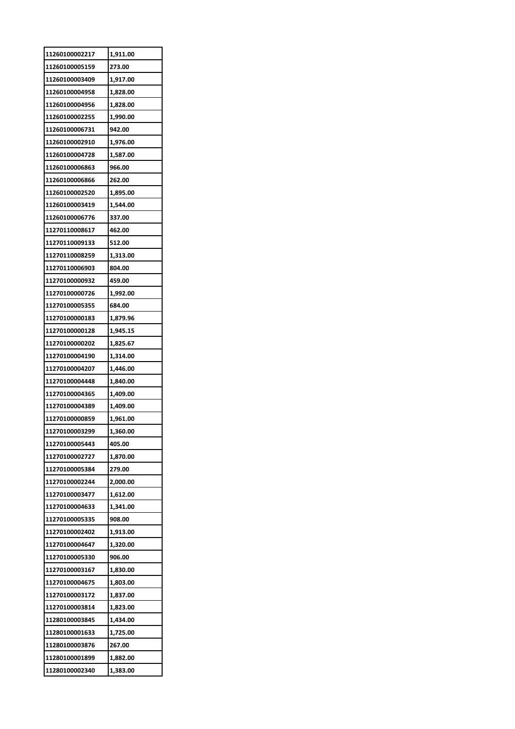| 11260100002217 | 1,911.00 |
|----------------|----------|
| 11260100005159 | 273.00   |
| 11260100003409 | 1,917.00 |
| 11260100004958 | 1,828.00 |
| 11260100004956 | 1,828.00 |
| 11260100002255 | 1,990.00 |
| 11260100006731 | 942.00   |
| 11260100002910 | 1,976.00 |
| 11260100004728 | 1,587.00 |
| 11260100006863 | 966.00   |
| 11260100006866 | 262.00   |
| 11260100002520 | 1,895.00 |
| 11260100003419 | 1,544.00 |
| 11260100006776 | 337.00   |
| 11270110008617 | 462.00   |
| 11270110009133 | 512.00   |
| 11270110008259 | 1,313.00 |
| 11270110006903 | 804.00   |
| 11270100000932 | 459.00   |
| 11270100000726 | 1,992.00 |
| 11270100005355 | 684.00   |
| 11270100000183 | 1,879.96 |
| 11270100000128 | 1,945.15 |
| 11270100000202 | 1,825.67 |
| 11270100004190 | 1,314.00 |
| 11270100004207 | 1,446.00 |
| 11270100004448 | 1,840.00 |
| 11270100004365 | 1,409.00 |
| 11270100004389 | 1,409.00 |
| 11270100000859 | 1,961.00 |
| 11270100003299 | 1,360.00 |
| 11270100005443 | 405.00   |
| 11270100002727 | 1,870.00 |
| 11270100005384 | 279.00   |
| 11270100002244 | 2,000.00 |
| 11270100003477 | 1,612.00 |
| 11270100004633 | 1,341.00 |
| 11270100005335 | 908.00   |
| 11270100002402 | 1,913.00 |
| 11270100004647 | 1,320.00 |
| 11270100005330 | 906.00   |
| 11270100003167 | 1,830.00 |
| 11270100004675 | 1,803.00 |
| 11270100003172 | 1,837.00 |
| 11270100003814 | 1,823.00 |
| 11280100003845 | 1,434.00 |
| 11280100001633 | 1,725.00 |
| 11280100003876 | 267.00   |
| 11280100001899 | 1,882.00 |
| 11280100002340 | 1,383.00 |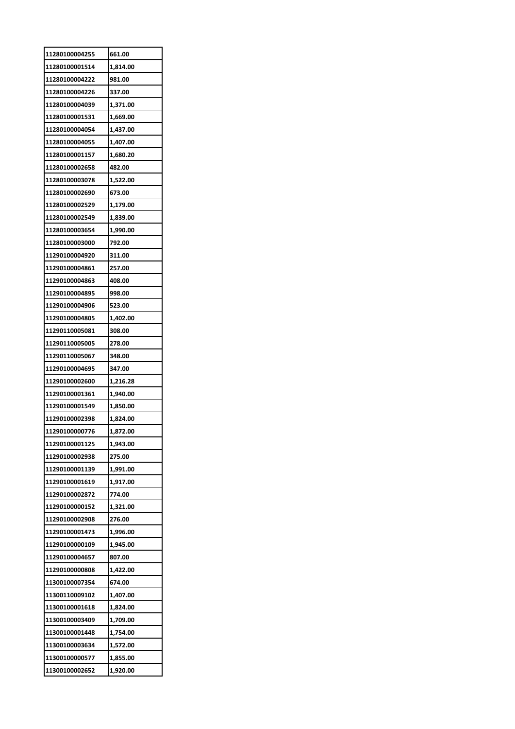| 11280100004255 | 661.00   |
|----------------|----------|
| 11280100001514 | 1,814.00 |
| 11280100004222 | 981.00   |
| 11280100004226 | 337.00   |
| 11280100004039 | 1,371.00 |
| 11280100001531 | 1,669.00 |
| 11280100004054 | 1,437.00 |
| 11280100004055 | 1,407.00 |
| 11280100001157 | 1,680.20 |
| 11280100002658 | 482.00   |
| 11280100003078 | 1,522.00 |
| 11280100002690 | 673.00   |
| 11280100002529 | 1,179.00 |
| 11280100002549 | 1,839.00 |
| 11280100003654 | 1,990.00 |
| 11280100003000 | 792.00   |
| 11290100004920 | 311.00   |
| 11290100004861 | 257.00   |
| 11290100004863 | 408.00   |
| 11290100004895 | 998.00   |
| 11290100004906 | 523.00   |
| 11290100004805 | 1,402.00 |
| 11290110005081 | 308.00   |
| 11290110005005 | 278.00   |
| 11290110005067 | 348.00   |
| 11290100004695 | 347.00   |
| 11290100002600 | 1,216.28 |
| 11290100001361 | 1,940.00 |
| 11290100001549 | 1,850.00 |
| 11290100002398 | 1,824.00 |
| 11290100000776 | 1,872.00 |
| 11290100001125 | 1,943.00 |
| 11290100002938 | 275.00   |
| 11290100001139 | 1,991.00 |
|                |          |
| 11290100001619 | 1,917.00 |
| 11290100002872 | 774.00   |
| 11290100000152 | 1,321.00 |
| 11290100002908 | 276.00   |
| 11290100001473 | 1,996.00 |
| 11290100000109 | 1,945.00 |
| 11290100004657 | 807.00   |
| 11290100000808 | 1,422.00 |
| 11300100007354 | 674.00   |
| 11300110009102 | 1,407.00 |
| 11300100001618 | 1,824.00 |
| 11300100003409 | 1,709.00 |
| 11300100001448 | 1,754.00 |
| 11300100003634 | 1,572.00 |
| 11300100000577 | 1,855.00 |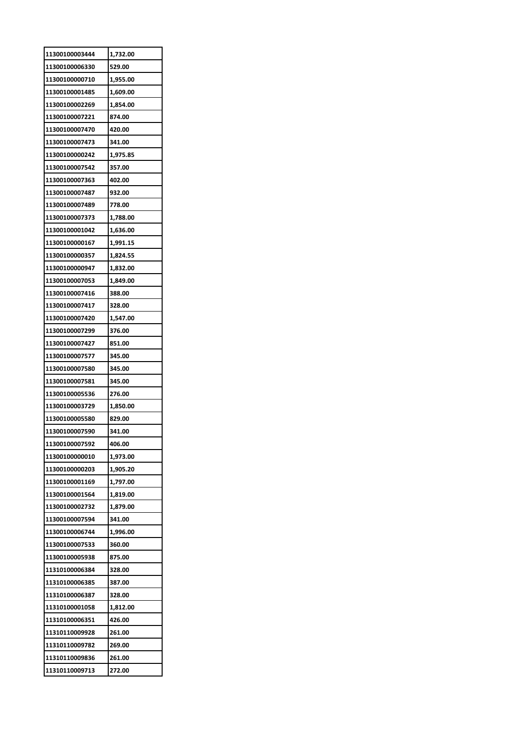| 11300100003444 | 1,732.00 |
|----------------|----------|
| 11300100006330 | 529.00   |
| 11300100000710 | 1,955.00 |
| 11300100001485 | 1,609.00 |
| 11300100002269 | 1,854.00 |
| 11300100007221 | 874.00   |
| 11300100007470 | 420.00   |
| 11300100007473 | 341.00   |
| 11300100000242 | 1,975.85 |
| 11300100007542 | 357.00   |
| 11300100007363 | 402.00   |
| 11300100007487 | 932.00   |
| 11300100007489 | 778.00   |
| 11300100007373 | 1,788.00 |
| 11300100001042 | 1,636.00 |
| 11300100000167 | 1,991.15 |
| 11300100000357 | 1,824.55 |
| 11300100000947 | 1,832.00 |
| 11300100007053 | 1,849.00 |
| 11300100007416 | 388.00   |
| 11300100007417 | 328.00   |
|                |          |
| 11300100007420 | 1,547.00 |
| 11300100007299 | 376.00   |
| 11300100007427 | 851.00   |
| 11300100007577 | 345.00   |
| 11300100007580 | 345.00   |
| 11300100007581 | 345.00   |
| 11300100005536 | 276.00   |
| 11300100003729 | 1,850.00 |
| 11300100005580 | 829.00   |
| 11300100007590 | 341.00   |
| 11300100007592 | 406.00   |
| 11300100000010 | 1,973.00 |
| 11300100000203 | 1,905.20 |
| 11300100001169 | 1,797.00 |
| 11300100001564 | 1,819.00 |
| 11300100002732 | 1,879.00 |
| 11300100007594 | 341.00   |
| 11300100006744 | 1,996.00 |
| 11300100007533 | 360.00   |
| 11300100005938 | 875.00   |
| 11310100006384 | 328.00   |
| 11310100006385 | 387.00   |
| 11310100006387 | 328.00   |
| 11310100001058 | 1,812.00 |
| 11310100006351 | 426.00   |
| 11310110009928 | 261.00   |
| 11310110009782 | 269.00   |
| 11310110009836 | 261.00   |
| 11310110009713 | 272.00   |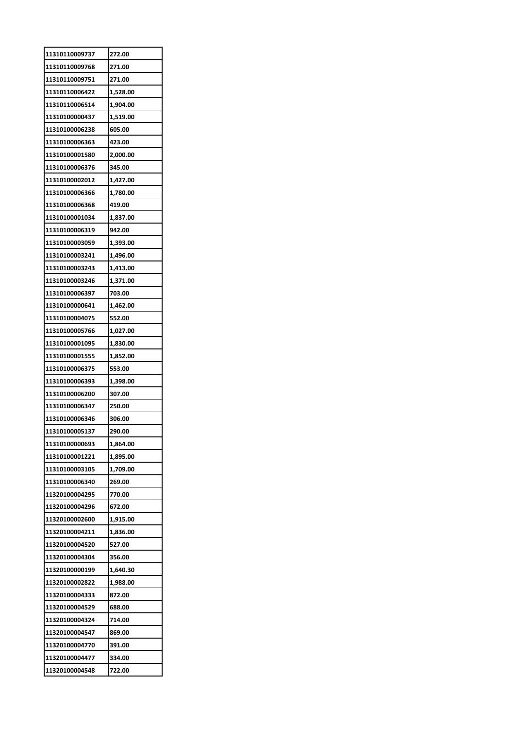| 11310110009737 | 272.00   |
|----------------|----------|
| 11310110009768 | 271.00   |
| 11310110009751 | 271.00   |
| 11310110006422 | 1,528.00 |
| 11310110006514 | 1,904.00 |
| 11310100000437 | 1,519.00 |
| 11310100006238 | 605.00   |
| 11310100006363 | 423.00   |
| 11310100001580 | 2,000.00 |
| 11310100006376 | 345.00   |
| 11310100002012 | 1,427.00 |
| 11310100006366 | 1,780.00 |
| 11310100006368 | 419.00   |
| 11310100001034 | 1,837.00 |
| 11310100006319 | 942.00   |
| 11310100003059 | 1,393.00 |
| 11310100003241 | 1,496.00 |
| 11310100003243 | 1,413.00 |
| 11310100003246 | 1,371.00 |
| 11310100006397 | 703.00   |
| 11310100000641 | 1,462.00 |
| 11310100004075 | 552.00   |
| 11310100005766 | 1,027.00 |
| 11310100001095 | 1,830.00 |
| 11310100001555 | 1,852.00 |
| 11310100006375 | 553.00   |
| 11310100006393 | 1,398.00 |
| 11310100006200 | 307.00   |
| 11310100006347 | 250.00   |
| 11310100006346 | 306.00   |
| 11310100005137 | 290.00   |
| 11310100000693 | 1,864.00 |
| 11310100001221 | 1,895.00 |
| 11310100003105 | 1,709.00 |
| 11310100006340 | 269.00   |
| 11320100004295 | 770.00   |
| 11320100004296 | 672.00   |
| 11320100002600 | 1,915.00 |
| 11320100004211 | 1,836.00 |
| 11320100004520 | 527.00   |
| 11320100004304 | 356.00   |
| 11320100000199 | 1,640.30 |
| 11320100002822 | 1,988.00 |
| 11320100004333 | 872.00   |
| 11320100004529 | 688.00   |
| 11320100004324 | 714.00   |
| 11320100004547 | 869.00   |
| 11320100004770 | 391.00   |
| 11320100004477 | 334.00   |
| 11320100004548 | 722.00   |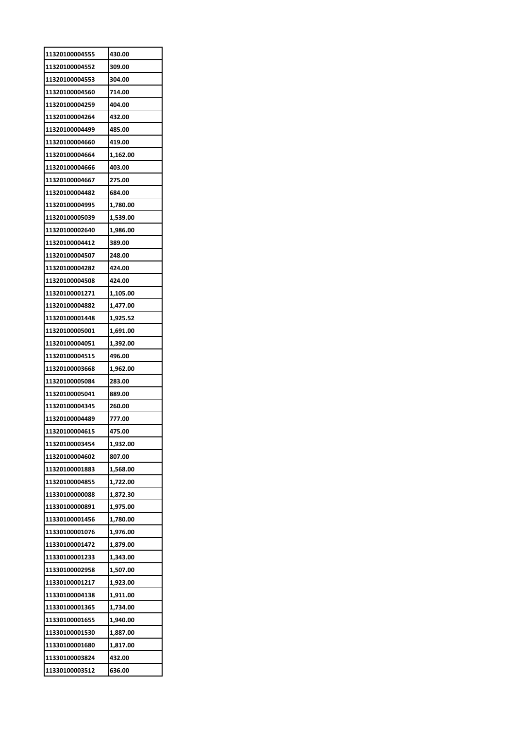| 11320100004555 | 430.00   |
|----------------|----------|
| 11320100004552 | 309.00   |
| 11320100004553 | 304.00   |
| 11320100004560 | 714.00   |
| 11320100004259 | 404.00   |
| 11320100004264 | 432.00   |
| 11320100004499 | 485.00   |
| 11320100004660 | 419.00   |
| 11320100004664 | 1,162.00 |
| 11320100004666 | 403.00   |
| 11320100004667 | 275.00   |
| 11320100004482 | 684.00   |
| 11320100004995 | 1,780.00 |
| 11320100005039 | 1,539.00 |
| 11320100002640 | 1,986.00 |
| 11320100004412 | 389.00   |
| 11320100004507 | 248.00   |
| 11320100004282 | 424.00   |
| 11320100004508 | 424.00   |
|                |          |
| 11320100001271 | 1,105.00 |
| 11320100004882 | 1,477.00 |
| 11320100001448 | 1,925.52 |
| 11320100005001 | 1,691.00 |
| 11320100004051 | 1,392.00 |
| 11320100004515 | 496.00   |
| 11320100003668 | 1,962.00 |
| 11320100005084 | 283.00   |
| 11320100005041 | 889.00   |
| 11320100004345 | 260.00   |
| 11320100004489 | 777.00   |
| 11320100004615 | 475.00   |
| 11320100003454 | 1,932.00 |
| 11320100004602 | 807.00   |
| 11320100001883 | 1,568.00 |
| 11320100004855 | 1,722.00 |
| 11330100000088 | 1,872.30 |
| 11330100000891 | 1,975.00 |
| 11330100001456 | 1,780.00 |
| 11330100001076 | 1,976.00 |
| 11330100001472 | 1,879.00 |
| 11330100001233 | 1,343.00 |
| 11330100002958 | 1,507.00 |
| 11330100001217 | 1,923.00 |
| 11330100004138 | 1,911.00 |
| 11330100001365 | 1,734.00 |
| 11330100001655 | 1,940.00 |
| 11330100001530 | 1,887.00 |
| 11330100001680 | 1,817.00 |
| 11330100003824 | 432.00   |
| 11330100003512 | 636.00   |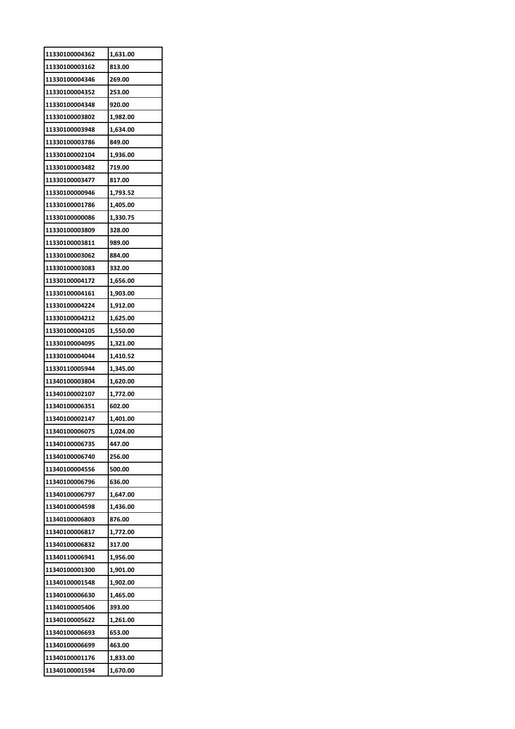| 11330100004362 | 1,631.00 |
|----------------|----------|
| 11330100003162 | 813.00   |
| 11330100004346 | 269.00   |
| 11330100004352 | 253.00   |
| 11330100004348 | 920.00   |
| 11330100003802 | 1,982.00 |
| 11330100003948 | 1,634.00 |
| 11330100003786 | 849.00   |
| 11330100002104 | 1,936.00 |
| 11330100003482 | 719.00   |
| 11330100003477 | 817.00   |
| 11330100000946 | 1,793.52 |
| 11330100001786 | 1,405.00 |
| 11330100000086 | 1,330.75 |
| 11330100003809 | 328.00   |
| 11330100003811 | 989.00   |
| 11330100003062 | 884.00   |
| 11330100003083 | 332.00   |
| 11330100004172 | 1,656.00 |
| 11330100004161 | 1,903.00 |
| 11330100004224 | 1,912.00 |
| 11330100004212 | 1,625.00 |
| 11330100004105 | 1,550.00 |
| 11330100004095 | 1,321.00 |
| 11330100004044 | 1,410.52 |
| 11330110005944 | 1,345.00 |
| 11340100003804 | 1,620.00 |
| 11340100002107 | 1,772.00 |
| 11340100006351 | 602.00   |
| 11340100002147 | 1,401.00 |
| 11340100006075 | 1,024.00 |
| 11340100006735 | 447.00   |
| 11340100006740 | 256.00   |
| 11340100004556 | 500.00   |
| 11340100006796 | 636.00   |
| 11340100006797 | 1,647.00 |
| 11340100004598 | 1,436.00 |
| 11340100006803 | 876.00   |
| 11340100006817 | 1,772.00 |
| 11340100006832 | 317.00   |
| 11340110006941 | 1,956.00 |
| 11340100001300 | 1,901.00 |
| 11340100001548 | 1,902.00 |
| 11340100006630 | 1,465.00 |
| 11340100005406 | 393.00   |
| 11340100005622 | 1,261.00 |
| 11340100006693 | 653.00   |
| 11340100006699 | 463.00   |
| 11340100001176 | 1,833.00 |
| 11340100001594 | 1,670.00 |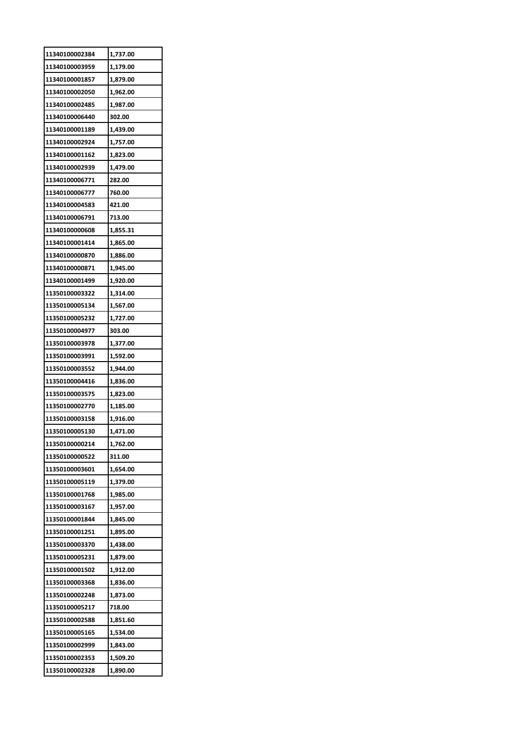| 11340100002384 | 1,737.00 |
|----------------|----------|
| 11340100003959 | 1,179.00 |
| 11340100001857 | 1,879.00 |
| 11340100002050 | 1,962.00 |
| 11340100002485 | 1,987.00 |
| 11340100006440 | 302.00   |
| 11340100001189 | 1,439.00 |
| 11340100002924 | 1,757.00 |
| 11340100001162 | 1,823.00 |
| 11340100002939 | 1,479.00 |
| 11340100006771 | 282.00   |
| 11340100006777 | 760.00   |
| 11340100004583 | 421.00   |
| 11340100006791 | 713.00   |
| 11340100000608 | 1,855.31 |
| 11340100001414 | 1,865.00 |
| 11340100000870 | 1,886.00 |
| 11340100000871 | 1,945.00 |
| 11340100001499 | 1,920.00 |
| 11350100003322 | 1,314.00 |
| 11350100005134 | 1,567.00 |
| 11350100005232 | 1,727.00 |
| 11350100004977 | 303.00   |
| 11350100003978 | 1,377.00 |
| 11350100003991 | 1,592.00 |
| 11350100003552 | 1,944.00 |
| 11350100004416 | 1,836.00 |
| 11350100003575 | 1,823.00 |
| 11350100002770 | 1,185.00 |
| 11350100003158 | 1,916.00 |
| 11350100005130 | 1,471.00 |
| 11350100000214 | 1,762.00 |
| 11350100000522 | 311.00   |
| 11350100003601 | 1,654.00 |
| 11350100005119 | 1,379.00 |
| 11350100001768 | 1,985.00 |
| 11350100003167 | 1,957.00 |
| 11350100001844 | 1,845.00 |
| 11350100001251 | 1,895.00 |
| 11350100003370 | 1,438.00 |
| 11350100005231 | 1,879.00 |
| 11350100001502 | 1,912.00 |
| 11350100003368 | 1,836.00 |
| 11350100002248 | 1,873.00 |
| 11350100005217 | 718.00   |
| 11350100002588 | 1,851.60 |
| 11350100005165 | 1,534.00 |
| 11350100002999 | 1,843.00 |
| 11350100002353 | 1,509.20 |
| 11350100002328 | 1,890.00 |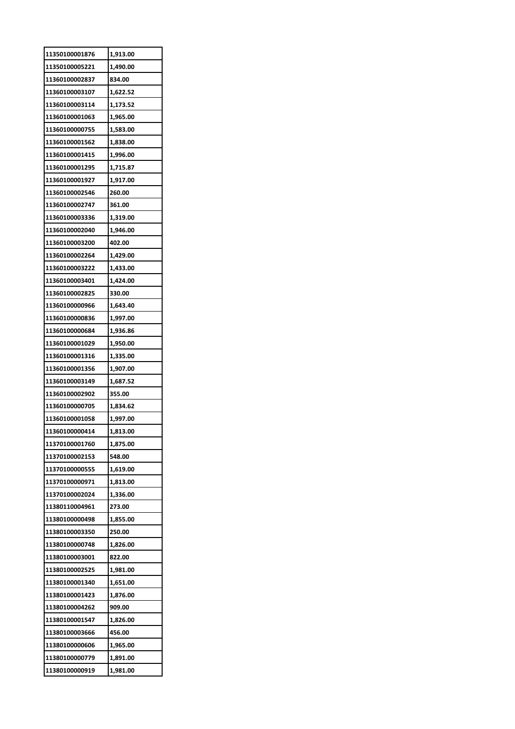| 11350100001876 | 1,913.00 |
|----------------|----------|
| 11350100005221 | 1,490.00 |
| 11360100002837 | 834.00   |
| 11360100003107 | 1,622.52 |
| 11360100003114 | 1,173.52 |
| 11360100001063 | 1,965.00 |
| 11360100000755 | 1,583.00 |
| 11360100001562 | 1,838.00 |
| 11360100001415 | 1,996.00 |
| 11360100001295 | 1,715.87 |
| 11360100001927 | 1,917.00 |
| 11360100002546 | 260.00   |
| 11360100002747 | 361.00   |
| 11360100003336 | 1,319.00 |
| 11360100002040 | 1,946.00 |
| 11360100003200 | 402.00   |
| 11360100002264 | 1,429.00 |
| 11360100003222 | 1,433.00 |
| 11360100003401 | 1,424.00 |
| 11360100002825 | 330.00   |
| 11360100000966 | 1,643.40 |
| 11360100000836 | 1,997.00 |
| 11360100000684 | 1,936.86 |
| 11360100001029 | 1,950.00 |
| 11360100001316 | 1,335.00 |
| 11360100001356 | 1,907.00 |
| 11360100003149 | 1,687.52 |
| 11360100002902 | 355.00   |
| 11360100000705 | 1,834.62 |
| 11360100001058 | 1,997.00 |
| 11360100000414 | 1,813.00 |
| 11370100001760 | 1,875.00 |
| 11370100002153 | 548.00   |
| 11370100000555 | 1,619.00 |
| 11370100000971 | 1,813.00 |
| 11370100002024 | 1,336.00 |
| 11380110004961 | 273.00   |
| 11380100000498 | 1,855.00 |
| 11380100003350 | 250.00   |
| 11380100000748 | 1,826.00 |
| 11380100003001 | 822.00   |
| 11380100002525 | 1,981.00 |
| 11380100001340 | 1,651.00 |
| 11380100001423 | 1,876.00 |
| 11380100004262 | 909.00   |
| 11380100001547 | 1,826.00 |
| 11380100003666 | 456.00   |
| 11380100000606 | 1,965.00 |
| 11380100000779 | 1,891.00 |
| 11380100000919 | 1,981.00 |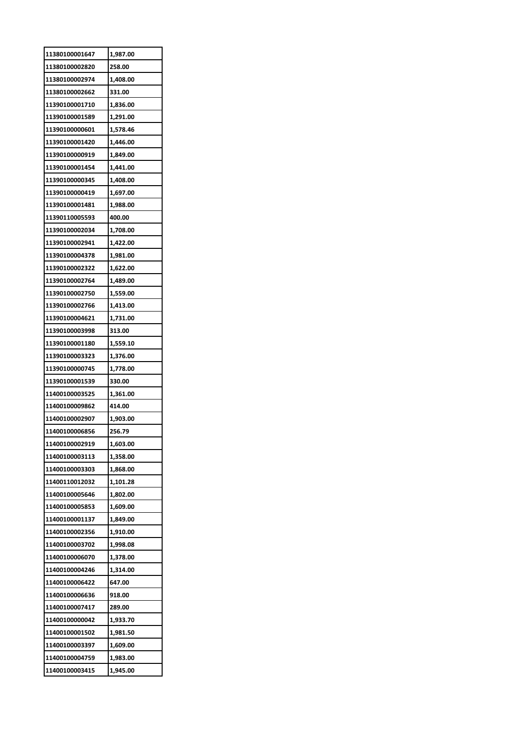| 11380100001647 | 1,987.00 |
|----------------|----------|
| 11380100002820 | 258.00   |
| 11380100002974 | 1,408.00 |
| 11380100002662 | 331.00   |
| 11390100001710 | 1,836.00 |
| 11390100001589 | 1,291.00 |
| 11390100000601 | 1,578.46 |
| 11390100001420 | 1,446.00 |
| 11390100000919 | 1,849.00 |
| 11390100001454 | 1,441.00 |
| 11390100000345 | 1,408.00 |
| 11390100000419 | 1,697.00 |
| 11390100001481 | 1,988.00 |
| 11390110005593 | 400.00   |
| 11390100002034 | 1,708.00 |
| 11390100002941 | 1,422.00 |
| 11390100004378 | 1,981.00 |
| 11390100002322 | 1,622.00 |
| 11390100002764 | 1,489.00 |
| 11390100002750 | 1,559.00 |
| 11390100002766 | 1,413.00 |
| 11390100004621 | 1,731.00 |
| 11390100003998 | 313.00   |
| 11390100001180 | 1,559.10 |
| 11390100003323 | 1,376.00 |
| 11390100000745 | 1,778.00 |
| 11390100001539 | 330.00   |
| 11400100003525 | 1,361.00 |
| 11400100009862 | 414.00   |
| 11400100002907 | 1,903.00 |
| 11400100006856 | 256.79   |
| 11400100002919 | 1,603.00 |
| 11400100003113 | 1,358.00 |
| 11400100003303 | 1,868.00 |
| 11400110012032 | 1,101.28 |
| 11400100005646 | 1,802.00 |
| 11400100005853 | 1,609.00 |
| 11400100001137 | 1,849.00 |
| 11400100002356 | 1,910.00 |
| 11400100003702 | 1,998.08 |
| 11400100006070 | 1,378.00 |
| 11400100004246 | 1,314.00 |
| 11400100006422 | 647.00   |
| 11400100006636 | 918.00   |
| 11400100007417 | 289.00   |
| 11400100000042 | 1,933.70 |
| 11400100001502 | 1,981.50 |
| 11400100003397 | 1,609.00 |
| 11400100004759 |          |
| 11400100003415 | 1,983.00 |
|                | 1,945.00 |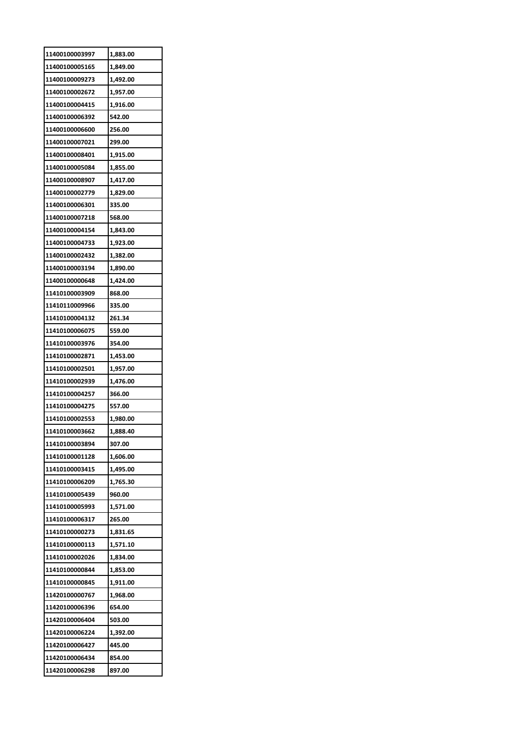| 11400100003997 | 1,883.00 |
|----------------|----------|
| 11400100005165 | 1,849.00 |
| 11400100009273 | 1,492.00 |
| 11400100002672 | 1,957.00 |
| 11400100004415 | 1,916.00 |
| 11400100006392 | 542.00   |
| 11400100006600 | 256.00   |
| 11400100007021 | 299.00   |
| 11400100008401 | 1,915.00 |
| 11400100005084 | 1,855.00 |
| 11400100008907 | 1,417.00 |
| 11400100002779 | 1,829.00 |
| 11400100006301 | 335.00   |
| 11400100007218 | 568.00   |
| 11400100004154 | 1,843.00 |
| 11400100004733 | 1,923.00 |
| 11400100002432 | 1,382.00 |
| 11400100003194 | 1,890.00 |
| 11400100000648 | 1,424.00 |
| 11410100003909 | 868.00   |
| 11410110009966 | 335.00   |
| 11410100004132 | 261.34   |
| 11410100006075 | 559.00   |
| 11410100003976 | 354.00   |
| 11410100002871 | 1,453.00 |
| 11410100002501 | 1,957.00 |
| 11410100002939 | 1,476.00 |
| 11410100004257 | 366.00   |
| 11410100004275 | 557.00   |
| 11410100002553 | 1,980.00 |
| 11410100003662 | 1,888.40 |
| 11410100003894 | 307.00   |
| 11410100001128 | 1,606.00 |
| 11410100003415 | 1,495.00 |
| 11410100006209 | 1,765.30 |
| 11410100005439 | 960.00   |
| 11410100005993 | 1,571.00 |
| 11410100006317 | 265.00   |
| 11410100000273 | 1,831.65 |
| 11410100000113 | 1,571.10 |
| 11410100002026 | 1,834.00 |
| 11410100000844 | 1,853.00 |
| 11410100000845 | 1,911.00 |
| 11420100000767 | 1,968.00 |
| 11420100006396 | 654.00   |
| 11420100006404 | 503.00   |
| 11420100006224 | 1,392.00 |
| 11420100006427 | 445.00   |
| 11420100006434 | 854.00   |
| 11420100006298 | 897.00   |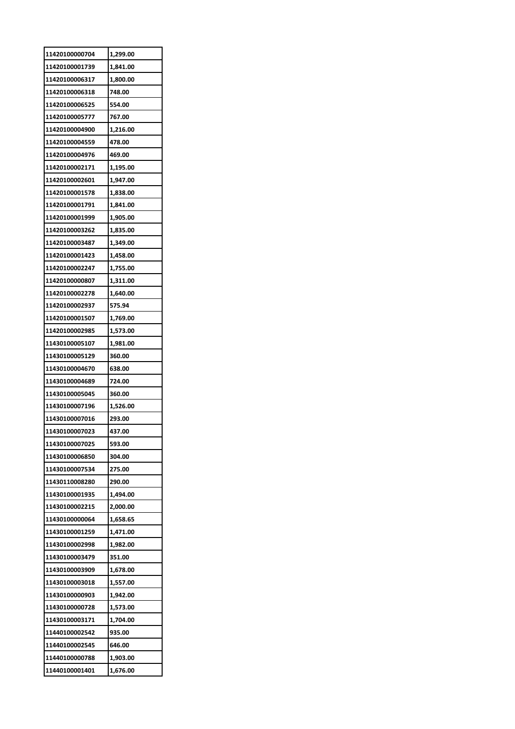| 11420100000704 | 1,299.00 |
|----------------|----------|
| 11420100001739 | 1,841.00 |
| 11420100006317 | 1,800.00 |
| 11420100006318 | 748.00   |
| 11420100006525 | 554.00   |
| 11420100005777 | 767.00   |
| 11420100004900 | 1,216.00 |
| 11420100004559 | 478.00   |
| 11420100004976 | 469.00   |
| 11420100002171 | 1,195.00 |
| 11420100002601 | 1,947.00 |
| 11420100001578 | 1,838.00 |
| 11420100001791 | 1,841.00 |
| 11420100001999 | 1,905.00 |
| 11420100003262 | 1,835.00 |
| 11420100003487 | 1,349.00 |
| 11420100001423 | 1,458.00 |
| 11420100002247 | 1,755.00 |
| 11420100000807 | 1,311.00 |
| 11420100002278 | 1,640.00 |
| 11420100002937 | 575.94   |
| 11420100001507 | 1,769.00 |
| 11420100002985 | 1,573.00 |
| 11430100005107 | 1,981.00 |
| 11430100005129 | 360.00   |
| 11430100004670 | 638.00   |
| 11430100004689 | 724.00   |
| 11430100005045 | 360.00   |
| 11430100007196 | 1,526.00 |
| 11430100007016 | 293.00   |
| 11430100007023 | 437.00   |
| 11430100007025 | 593.00   |
| 11430100006850 | 304.00   |
| 11430100007534 | 275.00   |
| 11430110008280 | 290.00   |
| 11430100001935 | 1,494.00 |
| 11430100002215 | 2,000.00 |
| 11430100000064 | 1,658.65 |
| 11430100001259 | 1,471.00 |
| 11430100002998 | 1,982.00 |
| 11430100003479 | 351.00   |
| 11430100003909 | 1,678.00 |
| 11430100003018 | 1,557.00 |
| 11430100000903 | 1,942.00 |
| 11430100000728 | 1,573.00 |
| 11430100003171 | 1,704.00 |
| 11440100002542 | 935.00   |
| 11440100002545 | 646.00   |
| 11440100000788 | 1,903.00 |
| 11440100001401 | 1,676.00 |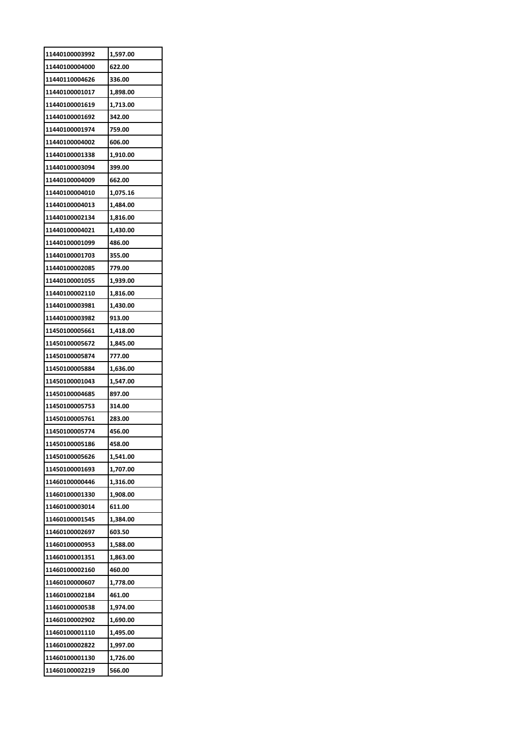| 11440100003992 | 1,597.00 |
|----------------|----------|
| 11440100004000 | 622.00   |
| 11440110004626 | 336.00   |
| 11440100001017 | 1,898.00 |
| 11440100001619 | 1,713.00 |
| 11440100001692 | 342.00   |
| 11440100001974 | 759.00   |
| 11440100004002 | 606.00   |
| 11440100001338 | 1,910.00 |
| 11440100003094 | 399.00   |
| 11440100004009 | 662.00   |
| 11440100004010 | 1,075.16 |
| 11440100004013 | 1,484.00 |
| 11440100002134 | 1,816.00 |
| 11440100004021 | 1,430.00 |
| 11440100001099 | 486.00   |
| 11440100001703 | 355.00   |
| 11440100002085 | 779.00   |
| 11440100001055 | 1,939.00 |
| 11440100002110 | 1,816.00 |
| 11440100003981 | 1,430.00 |
| 11440100003982 | 913.00   |
| 11450100005661 | 1,418.00 |
| 11450100005672 | 1,845.00 |
| 11450100005874 | 777.00   |
| 11450100005884 | 1,636.00 |
| 11450100001043 | 1,547.00 |
| 11450100004685 | 897.00   |
| 11450100005753 | 314.00   |
| 11450100005761 | 283.00   |
| 11450100005774 | 456.00   |
| 11450100005186 | 458.00   |
| 11450100005626 | 1,541.00 |
| 11450100001693 | 1,707.00 |
| 11460100000446 | 1,316.00 |
| 11460100001330 | 1,908.00 |
| 11460100003014 | 611.00   |
| 11460100001545 | 1,384.00 |
| 11460100002697 | 603.50   |
| 11460100000953 | 1,588.00 |
| 11460100001351 | 1,863.00 |
| 11460100002160 | 460.00   |
| 11460100000607 | 1,778.00 |
| 11460100002184 | 461.00   |
| 11460100000538 | 1,974.00 |
| 11460100002902 | 1,690.00 |
| 11460100001110 | 1,495.00 |
| 11460100002822 | 1,997.00 |
| 11460100001130 | 1,726.00 |
| 11460100002219 | 566.00   |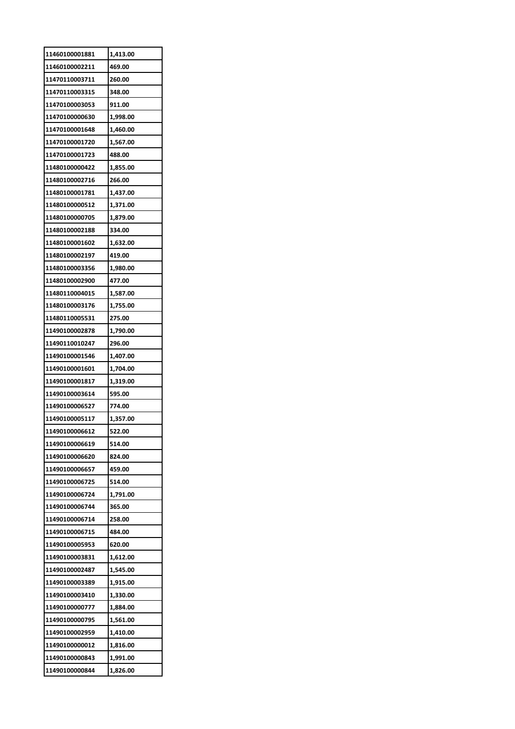| 11460100001881 | 1,413.00             |
|----------------|----------------------|
| 11460100002211 | 469.00               |
| 11470110003711 | 260.00               |
| 11470110003315 | 348.00               |
| 11470100003053 | 911.00               |
| 11470100000630 | 1,998.00             |
| 11470100001648 | 1,460.00             |
| 11470100001720 | 1,567.00             |
| 11470100001723 | 488.00               |
| 11480100000422 | 1,855.00             |
| 11480100002716 | 266.00               |
| 11480100001781 | 1,437.00             |
| 11480100000512 | 1,371.00             |
| 11480100000705 | 1,879.00             |
| 11480100002188 | 334.00               |
| 11480100001602 | 1,632.00             |
| 11480100002197 | 419.00               |
| 11480100003356 | 1,980.00             |
| 11480100002900 | 477.00               |
| 11480110004015 |                      |
| 11480100003176 | 1,587.00<br>1,755.00 |
| 11480110005531 | 275.00               |
| 11490100002878 | 1,790.00             |
|                |                      |
| 11490110010247 | 296.00               |
| 11490100001546 | 1,407.00             |
|                |                      |
| 11490100001601 | 1,704.00             |
| 11490100001817 | 1,319.00             |
| 11490100003614 | 595.00               |
| 11490100006527 | 774.00               |
| 11490100005117 | 1,357.00             |
| 11490100006612 | 522.00               |
| 11490100006619 | 514.00               |
| 11490100006620 | 824.00               |
| 11490100006657 | 459.00               |
| 11490100006725 | 514.00               |
| 11490100006724 | 1,791.00             |
| 11490100006744 | 365.00               |
| 11490100006714 | 258.00               |
| 11490100006715 | 484.00               |
| 11490100005953 | 620.00               |
| 11490100003831 | 1,612.00             |
| 11490100002487 | 1,545.00             |
| 11490100003389 | 1,915.00             |
| 11490100003410 | 1,330.00             |
| 11490100000777 | 1,884.00             |
| 11490100000795 | 1,561.00             |
| 11490100002959 | 1,410.00             |
| 11490100000012 | 1,816.00             |
| 11490100000843 | 1,991.00             |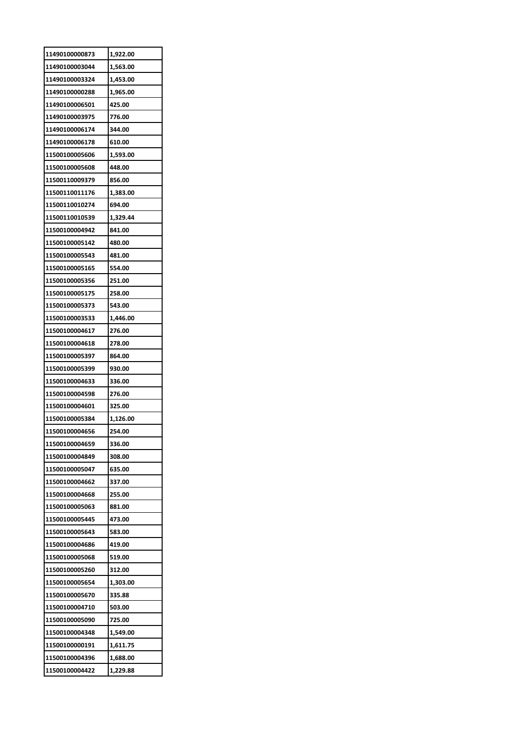| 11490100000873 | 1,922.00 |
|----------------|----------|
| 11490100003044 | 1,563.00 |
| 11490100003324 | 1,453.00 |
| 11490100000288 | 1,965.00 |
| 11490100006501 | 425.00   |
| 11490100003975 | 776.00   |
| 11490100006174 | 344.00   |
| 11490100006178 | 610.00   |
| 11500100005606 | 1,593.00 |
| 11500100005608 | 448.00   |
| 11500110009379 | 856.00   |
| 11500110011176 | 1,383.00 |
| 11500110010274 | 694.00   |
| 11500110010539 | 1,329.44 |
| 11500100004942 | 841.00   |
| 11500100005142 | 480.00   |
| 11500100005543 | 481.00   |
| 11500100005165 | 554.00   |
| 11500100005356 | 251.00   |
| 11500100005175 | 258.00   |
| 11500100005373 | 543.00   |
| 11500100003533 | 1,446.00 |
| 11500100004617 | 276.00   |
| 11500100004618 | 278.00   |
| 11500100005397 | 864.00   |
| 11500100005399 | 930.00   |
| 11500100004633 | 336.00   |
| 11500100004598 | 276.00   |
| 11500100004601 | 325.00   |
| 11500100005384 | 1,126.00 |
| 11500100004656 | 254.00   |
| 11500100004659 | 336.00   |
| 11500100004849 | 308.00   |
| 11500100005047 | 635.00   |
| 11500100004662 | 337.00   |
| 11500100004668 | 255.00   |
| 11500100005063 | 881.00   |
| 11500100005445 | 473.00   |
| 11500100005643 | 583.00   |
| 11500100004686 | 419.00   |
| 11500100005068 | 519.00   |
| 11500100005260 | 312.00   |
| 11500100005654 | 1,303.00 |
| 11500100005670 | 335.88   |
| 11500100004710 | 503.00   |
| 11500100005090 | 725.00   |
| 11500100004348 | 1,549.00 |
| 11500100000191 | 1,611.75 |
| 11500100004396 | 1,688.00 |
| 11500100004422 | 1,229.88 |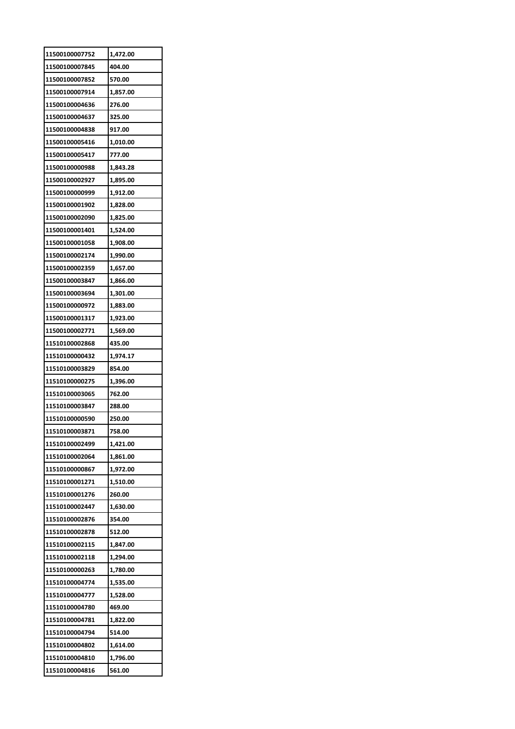| 11500100007752 | 1,472.00             |
|----------------|----------------------|
| 11500100007845 | 404.00               |
| 11500100007852 | 570.00               |
| 11500100007914 | 1,857.00             |
| 11500100004636 | 276.00               |
| 11500100004637 | 325.00               |
| 11500100004838 | 917.00               |
| 11500100005416 | 1,010.00             |
| 11500100005417 | 777.00               |
| 11500100000988 | 1,843.28             |
| 11500100002927 | 1,895.00             |
| 11500100000999 | 1,912.00             |
| 11500100001902 | 1,828.00             |
| 11500100002090 | 1,825.00             |
| 11500100001401 | 1,524.00             |
| 11500100001058 | 1,908.00             |
| 11500100002174 | 1,990.00             |
| 11500100002359 | 1,657.00             |
| 11500100003847 | 1,866.00             |
| 11500100003694 |                      |
| 11500100000972 | 1,301.00<br>1,883.00 |
|                |                      |
| 11500100001317 | 1,923.00             |
| 11500100002771 | 1,569.00             |
| 11510100002868 | 435.00               |
| 11510100000432 | 1,974.17             |
| 11510100003829 | 854.00               |
| 11510100000275 | 1,396.00             |
| 11510100003065 | 762.00               |
| 11510100003847 | 288.00               |
| 11510100000590 | 250.00               |
| 11510100003871 | 758.00               |
| 11510100002499 | 1,421.00             |
| 11510100002064 | 1,861.00             |
| 11510100000867 | 1,972.00             |
| 11510100001271 | 1,510.00             |
| 11510100001276 | 260.00               |
| 11510100002447 | 1,630.00             |
| 11510100002876 | 354.00               |
| 11510100002878 | 512.00               |
| 11510100002115 | 1,847.00             |
| 11510100002118 | 1,294.00             |
| 11510100000263 | 1,780.00             |
| 11510100004774 | 1,535.00             |
| 11510100004777 | 1,528.00             |
| 11510100004780 | 469.00               |
| 11510100004781 | 1,822.00             |
| 11510100004794 | 514.00               |
| 11510100004802 | 1,614.00             |
| 11510100004810 | 1,796.00             |
|                |                      |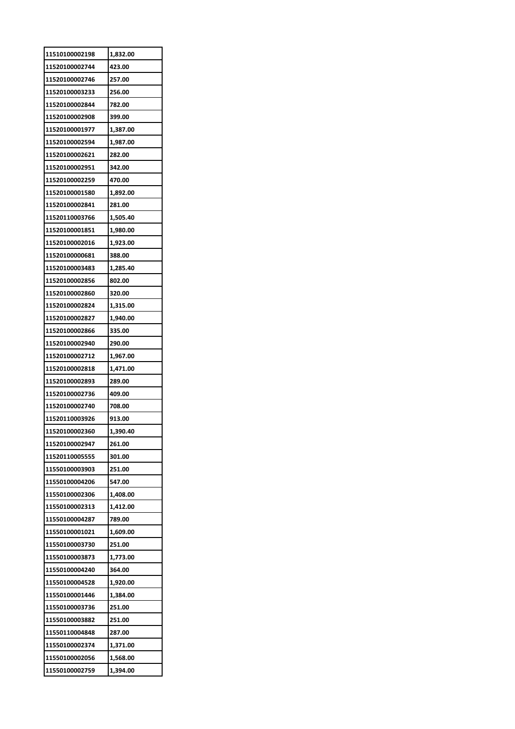| 11510100002198 | 1,832.00 |
|----------------|----------|
| 11520100002744 | 423.00   |
| 11520100002746 | 257.00   |
| 11520100003233 | 256.00   |
| 11520100002844 | 782.00   |
| 11520100002908 | 399.00   |
| 11520100001977 | 1,387.00 |
| 11520100002594 | 1,987.00 |
| 11520100002621 | 282.00   |
| 11520100002951 | 342.00   |
| 11520100002259 | 470.00   |
| 11520100001580 | 1,892.00 |
| 11520100002841 | 281.00   |
| 11520110003766 | 1,505.40 |
| 11520100001851 | 1,980.00 |
| 11520100002016 | 1,923.00 |
| 11520100000681 | 388.00   |
| 11520100003483 | 1,285.40 |
| 11520100002856 | 802.00   |
| 11520100002860 | 320.00   |
| 11520100002824 | 1,315.00 |
| 11520100002827 | 1,940.00 |
| 11520100002866 | 335.00   |
| 11520100002940 | 290.00   |
| 11520100002712 | 1,967.00 |
| 11520100002818 | 1,471.00 |
| 11520100002893 | 289.00   |
| 11520100002736 | 409.00   |
| 11520100002740 | 708.00   |
| 11520110003926 | 913.00   |
| 11520100002360 | 1,390.40 |
| 11520100002947 | 261.00   |
| 11520110005555 | 301.00   |
| 11550100003903 | 251.00   |
| 11550100004206 | 547.00   |
| 11550100002306 | 1,408.00 |
| 11550100002313 | 1,412.00 |
| 11550100004287 | 789.00   |
| 11550100001021 | 1,609.00 |
| 11550100003730 | 251.00   |
| 11550100003873 | 1,773.00 |
| 11550100004240 | 364.00   |
| 11550100004528 | 1,920.00 |
| 11550100001446 | 1,384.00 |
| 11550100003736 | 251.00   |
| 11550100003882 | 251.00   |
| 11550110004848 | 287.00   |
| 11550100002374 | 1,371.00 |
| 11550100002056 | 1,568.00 |
| 11550100002759 | 1,394.00 |
|                |          |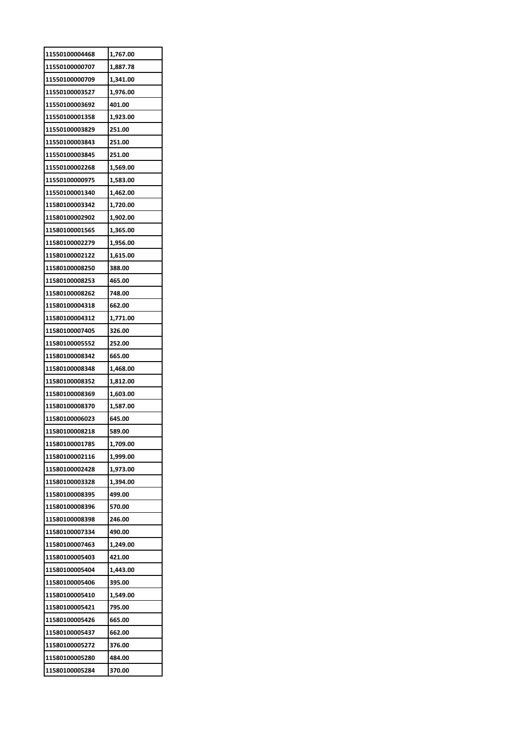| 11550100004468 | 1,767.00 |
|----------------|----------|
| 11550100000707 | 1,887.78 |
| 11550100000709 | 1,341.00 |
| 11550100003527 | 1,976.00 |
| 11550100003692 | 401.00   |
| 11550100001358 | 1,923.00 |
| 11550100003829 | 251.00   |
| 11550100003843 | 251.00   |
| 11550100003845 | 251.00   |
| 11550100002268 | 1,569.00 |
| 11550100000975 | 1,583.00 |
| 11550100001340 | 1,462.00 |
| 11580100003342 | 1,720.00 |
| 11580100002902 | 1,902.00 |
| 11580100001565 | 1,365.00 |
| 11580100002279 | 1,956.00 |
| 11580100002122 | 1,615.00 |
| 11580100008250 | 388.00   |
| 11580100008253 | 465.00   |
| 11580100008262 | 748.00   |
| 11580100004318 | 662.00   |
| 11580100004312 | 1,771.00 |
| 11580100007405 | 326.00   |
| 11580100005552 | 252.00   |
| 11580100008342 | 665.00   |
| 11580100008348 | 1,468.00 |
| 11580100008352 | 1,812.00 |
| 11580100008369 | 1,603.00 |
| 11580100008370 | 1,587.00 |
| 11580100006023 | 645.00   |
| 11580100008218 | 589.00   |
| 11580100001785 | 1,709.00 |
| 11580100002116 | 1,999.00 |
| 11580100002428 | 1,973.00 |
| 11580100003328 | 1,394.00 |
| 11580100008395 | 499.00   |
| 11580100008396 | 570.00   |
| 11580100008398 | 246.00   |
| 11580100007334 | 490.00   |
| 11580100007463 | 1,249.00 |
| 11580100005403 | 421.00   |
| 11580100005404 | 1,443.00 |
| 11580100005406 | 395.00   |
| 11580100005410 | 1,549.00 |
| 11580100005421 | 795.00   |
| 11580100005426 | 665.00   |
| 11580100005437 | 662.00   |
| 11580100005272 |          |
|                | 376.00   |
| 11580100005280 | 484.00   |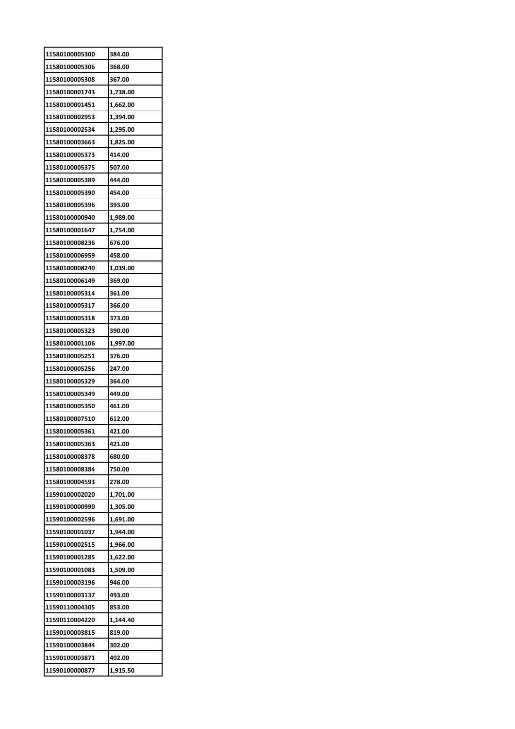| 11580100005300 | 384.00   |
|----------------|----------|
| 11580100005306 | 368.00   |
| 11580100005308 | 367.00   |
| 11580100001743 | 1,738.00 |
| 11580100001451 | 1,662.00 |
| 11580100002953 | 1,394.00 |
| 11580100002534 | 1,295.00 |
| 11580100003663 | 1,825.00 |
| 11580100005373 | 414.00   |
| 11580100005375 | 507.00   |
| 11580100005389 | 444.00   |
| 11580100005390 | 454.00   |
| 11580100005396 | 393.00   |
| 11580100000940 | 1,989.00 |
| 11580100001647 | 1,754.00 |
| 11580100008236 | 676.00   |
| 11580100006959 | 458.00   |
| 11580100008240 | 1,039.00 |
| 11580100006149 | 369.00   |
| 11580100005314 | 361.00   |
| 11580100005317 | 366.00   |
| 11580100005318 | 373.00   |
| 11580100005323 | 390.00   |
| 11580100001106 | 1,997.00 |
| 11580100005251 | 376.00   |
| 11580100005256 | 247.00   |
| 11580100005329 | 364.00   |
| 11580100005349 | 449.00   |
| 11580100005350 | 461.00   |
| 11580100007510 | 612.00   |
| 11580100005361 | 421.00   |
| 11580100005363 | 421.00   |
| 11580100008378 | 680.00   |
| 11580100008384 | 750.00   |
| 11580100004593 | 278.00   |
| 11590100002020 | 1,701.00 |
| 11590100000990 | 1,305.00 |
| 11590100002596 | 1,691.00 |
| 11590100001037 | 1,944.00 |
| 11590100002515 | 1,966.00 |
| 11590100001285 | 1,622.00 |
| 11590100001083 | 1,509.00 |
| 11590100003196 | 946.00   |
| 11590100003137 | 493.00   |
| 11590110004305 | 853.00   |
| 11590110004220 | 1,144.40 |
| 11590100003815 | 819.00   |
| 11590100003844 | 302.00   |
| 11590100003871 | 402.00   |
| 11590100000877 | 1,915.50 |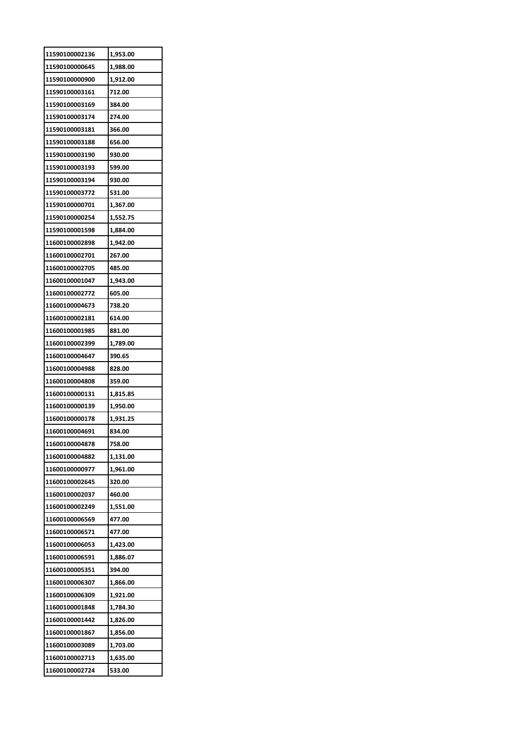| 11590100002136 | 1,953.00 |
|----------------|----------|
| 11590100000645 | 1,988.00 |
| 11590100000900 | 1,912.00 |
| 11590100003161 | 712.00   |
| 11590100003169 | 384.00   |
| 11590100003174 | 274.00   |
| 11590100003181 | 366.00   |
| 11590100003188 | 656.00   |
| 11590100003190 | 930.00   |
| 11590100003193 | 599.00   |
| 11590100003194 | 930.00   |
| 11590100003772 | 531.00   |
| 11590100000701 | 1,367.00 |
| 11590100000254 | 1,552.75 |
| 11590100001598 | 1,884.00 |
| 11600100002898 | 1,942.00 |
| 11600100002701 | 267.00   |
| 11600100002705 | 485.00   |
| 11600100001047 | 1,943.00 |
| 11600100002772 | 605.00   |
| 11600100004673 | 738.20   |
| 11600100002181 | 614.00   |
| 11600100001985 | 881.00   |
| 11600100002399 | 1,789.00 |
| 11600100004647 | 390.65   |
| 11600100004988 | 828.00   |
| 11600100004808 | 359.00   |
| 11600100000131 | 1,815.85 |
| 11600100000139 | 1,950.00 |
| 11600100000178 | 1,931.25 |
| 11600100004691 | 834.00   |
| 11600100004878 | 758.00   |
| 11600100004882 | 1,131.00 |
| 11600100000977 | 1,961.00 |
| 11600100002645 | 320.00   |
| 11600100002037 | 460.00   |
| 11600100002249 | 1,551.00 |
| 11600100006569 | 477.00   |
| 11600100006571 | 477.00   |
| 11600100006053 | 1,423.00 |
| 11600100006591 | 1,886.07 |
| 11600100005351 | 394.00   |
| 11600100006307 | 1,866.00 |
| 11600100006309 | 1,921.00 |
| 11600100001848 | 1,784.30 |
| 11600100001442 | 1,826.00 |
| 11600100001867 |          |
|                | 1,856.00 |
| 11600100003089 | 1,703.00 |
| 11600100002713 | 1,635.00 |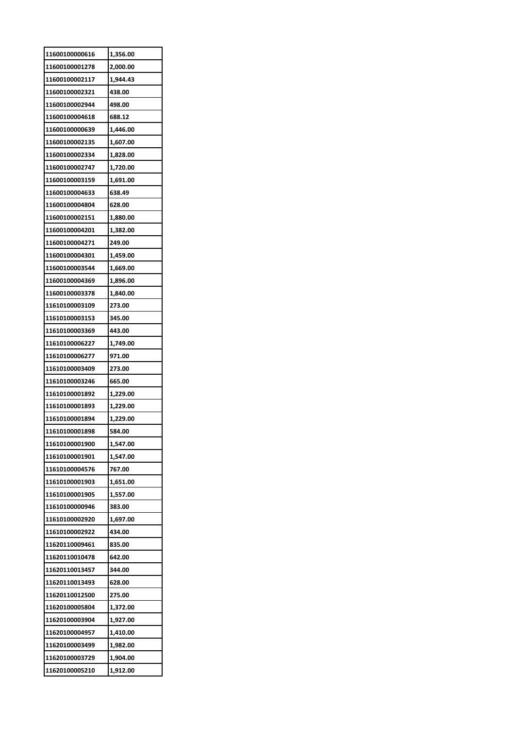| 11600100000616 | 1,356.00 |
|----------------|----------|
| 11600100001278 | 2,000.00 |
| 11600100002117 | 1,944.43 |
| 11600100002321 | 438.00   |
| 11600100002944 | 498.00   |
| 11600100004618 | 688.12   |
| 11600100000639 | 1,446.00 |
| 11600100002135 | 1,607.00 |
| 11600100002334 | 1,828.00 |
| 11600100002747 | 1,720.00 |
| 11600100003159 | 1,691.00 |
| 11600100004633 | 638.49   |
| 11600100004804 | 628.00   |
| 11600100002151 | 1,880.00 |
| 11600100004201 | 1,382.00 |
| 11600100004271 | 249.00   |
| 11600100004301 | 1,459.00 |
| 11600100003544 | 1,669.00 |
| 11600100004369 | 1,896.00 |
| 11600100003378 | 1,840.00 |
| 11610100003109 | 273.00   |
| 11610100003153 | 345.00   |
| 11610100003369 | 443.00   |
|                |          |
| 11610100006227 | 1,749.00 |
| 11610100006277 | 971.00   |
| 11610100003409 | 273.00   |
| 11610100003246 | 665.00   |
| 11610100001892 | 1,229.00 |
| 11610100001893 | 1,229.00 |
| 11610100001894 | 1,229.00 |
| 11610100001898 | 584.00   |
| 11610100001900 | 1,547.00 |
| 11610100001901 | 1,547.00 |
| 11610100004576 | 767.00   |
| 11610100001903 | 1,651.00 |
| 11610100001905 | 1,557.00 |
| 11610100000946 | 383.00   |
| 11610100002920 | 1,697.00 |
| 11610100002922 | 434.00   |
| 11620110009461 | 835.00   |
| 11620110010478 | 642.00   |
| 11620110013457 | 344.00   |
| 11620110013493 | 628.00   |
| 11620110012500 | 275.00   |
| 11620100005804 | 1,372.00 |
| 11620100003904 | 1,927.00 |
| 11620100004957 | 1,410.00 |
| 11620100003499 | 1,982.00 |
| 11620100003729 | 1,904.00 |
| 11620100005210 | 1,912.00 |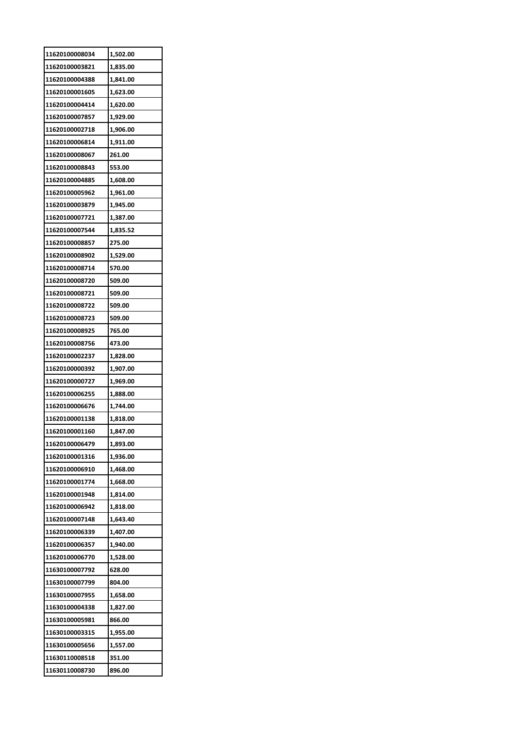| 11620100008034 | 1,502.00 |
|----------------|----------|
| 11620100003821 | 1,835.00 |
| 11620100004388 | 1,841.00 |
| 11620100001605 | 1,623.00 |
| 11620100004414 | 1,620.00 |
| 11620100007857 | 1,929.00 |
| 11620100002718 | 1,906.00 |
| 11620100006814 | 1,911.00 |
| 11620100008067 | 261.00   |
| 11620100008843 | 553.00   |
| 11620100004885 | 1,608.00 |
| 11620100005962 | 1,961.00 |
| 11620100003879 | 1,945.00 |
| 11620100007721 | 1,387.00 |
| 11620100007544 | 1,835.52 |
| 11620100008857 | 275.00   |
| 11620100008902 | 1,529.00 |
| 11620100008714 | 570.00   |
| 11620100008720 | 509.00   |
| 11620100008721 | 509.00   |
| 11620100008722 | 509.00   |
| 11620100008723 | 509.00   |
| 11620100008925 | 765.00   |
| 11620100008756 | 473.00   |
| 11620100002237 | 1,828.00 |
| 11620100000392 | 1,907.00 |
| 11620100000727 | 1,969.00 |
| 11620100006255 | 1,888.00 |
| 11620100006676 | 1,744.00 |
| 11620100001138 | 1,818.00 |
| 11620100001160 | 1.847.00 |
| 11620100006479 | 1,893.00 |
| 11620100001316 | 1,936.00 |
| 11620100006910 | 1,468.00 |
| 11620100001774 | 1,668.00 |
| 11620100001948 | 1,814.00 |
| 11620100006942 | 1,818.00 |
| 11620100007148 | 1,643.40 |
| 11620100006339 | 1,407.00 |
| 11620100006357 | 1,940.00 |
| 11620100006770 | 1,528.00 |
| 11630100007792 | 628.00   |
| 11630100007799 | 804.00   |
| 11630100007955 | 1,658.00 |
| 11630100004338 | 1,827.00 |
| 11630100005981 | 866.00   |
| 11630100003315 | 1,955.00 |
| 11630100005656 | 1,557.00 |
| 11630110008518 | 351.00   |
| 11630110008730 | 896.00   |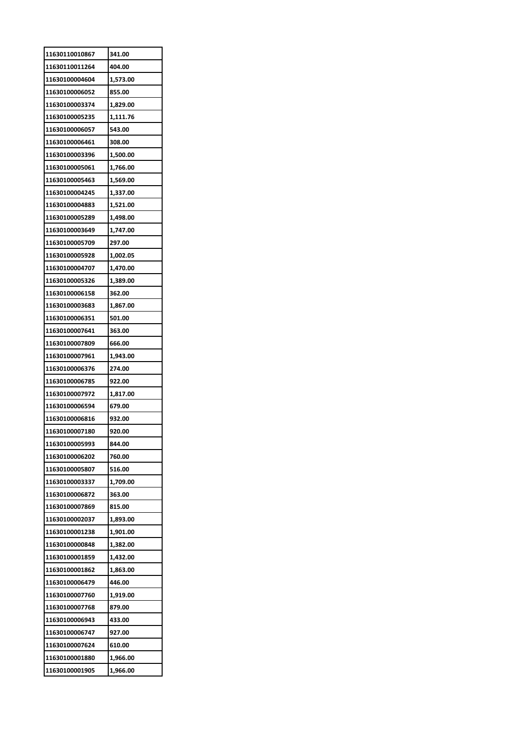| 11630110010867 | 341.00   |
|----------------|----------|
| 11630110011264 | 404.00   |
| 11630100004604 | 1,573.00 |
| 11630100006052 | 855.00   |
| 11630100003374 | 1,829.00 |
| 11630100005235 | 1,111.76 |
| 11630100006057 | 543.00   |
| 11630100006461 | 308.00   |
| 11630100003396 | 1,500.00 |
| 11630100005061 | 1,766.00 |
| 11630100005463 | 1,569.00 |
| 11630100004245 | 1,337.00 |
| 11630100004883 | 1,521.00 |
| 11630100005289 | 1,498.00 |
| 11630100003649 | 1,747.00 |
| 11630100005709 | 297.00   |
| 11630100005928 | 1,002.05 |
| 11630100004707 | 1,470.00 |
| 11630100005326 | 1,389.00 |
| 11630100006158 | 362.00   |
| 11630100003683 | 1,867.00 |
| 11630100006351 | 501.00   |
| 11630100007641 | 363.00   |
| 11630100007809 | 666.00   |
| 11630100007961 | 1,943.00 |
| 11630100006376 | 274.00   |
| 11630100006785 | 922.00   |
| 11630100007972 | 1,817.00 |
| 11630100006594 | 679.00   |
| 11630100006816 | 932.00   |
| 11630100007180 | 920.00   |
| 11630100005993 | 844.00   |
| 11630100006202 | 760.00   |
| 11630100005807 | 516.00   |
| 11630100003337 | 1,709.00 |
| 11630100006872 | 363.00   |
| 11630100007869 | 815.00   |
| 11630100002037 | 1,893.00 |
| 11630100001238 | 1,901.00 |
| 11630100000848 | 1,382.00 |
| 11630100001859 | 1,432.00 |
| 11630100001862 | 1,863.00 |
| 11630100006479 | 446.00   |
| 11630100007760 | 1,919.00 |
| 11630100007768 | 879.00   |
| 11630100006943 | 433.00   |
| 11630100006747 | 927.00   |
| 11630100007624 | 610.00   |
| 11630100001880 | 1,966.00 |
|                |          |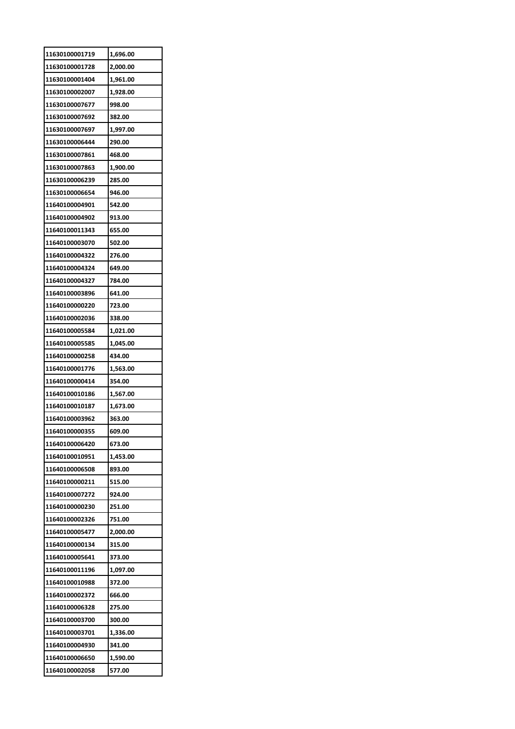| 11630100001719 | 1,696.00 |
|----------------|----------|
| 11630100001728 | 2,000.00 |
| 11630100001404 | 1,961.00 |
| 11630100002007 | 1,928.00 |
| 11630100007677 | 998.00   |
| 11630100007692 | 382.00   |
| 11630100007697 | 1,997.00 |
| 11630100006444 | 290.00   |
| 11630100007861 | 468.00   |
| 11630100007863 | 1,900.00 |
| 11630100006239 | 285.00   |
| 11630100006654 | 946.00   |
| 11640100004901 | 542.00   |
| 11640100004902 | 913.00   |
| 11640100011343 | 655.00   |
| 11640100003070 | 502.00   |
| 11640100004322 | 276.00   |
| 11640100004324 | 649.00   |
| 11640100004327 | 784.00   |
| 11640100003896 | 641.00   |
| 11640100000220 | 723.00   |
| 11640100002036 | 338.00   |
| 11640100005584 | 1,021.00 |
| 11640100005585 | 1,045.00 |
| 11640100000258 | 434.00   |
| 11640100001776 | 1,563.00 |
| 11640100000414 | 354.00   |
| 11640100010186 | 1,567.00 |
| 11640100010187 | 1,673.00 |
| 11640100003962 | 363.00   |
| 11640100000355 | 609.00   |
| 11640100006420 | 673.00   |
| 11640100010951 | 1,453.00 |
| 11640100006508 | 893.00   |
| 11640100000211 | 515.00   |
| 11640100007272 | 924.00   |
| 11640100000230 | 251.00   |
| 11640100002326 | 751.00   |
| 11640100005477 | 2,000.00 |
| 11640100000134 | 315.00   |
| 11640100005641 | 373.00   |
| 11640100011196 | 1,097.00 |
| 11640100010988 | 372.00   |
| 11640100002372 | 666.00   |
| 11640100006328 | 275.00   |
| 11640100003700 | 300.00   |
| 11640100003701 | 1,336.00 |
| 11640100004930 | 341.00   |
| 11640100006650 | 1,590.00 |
| 11640100002058 | 577.00   |
|                |          |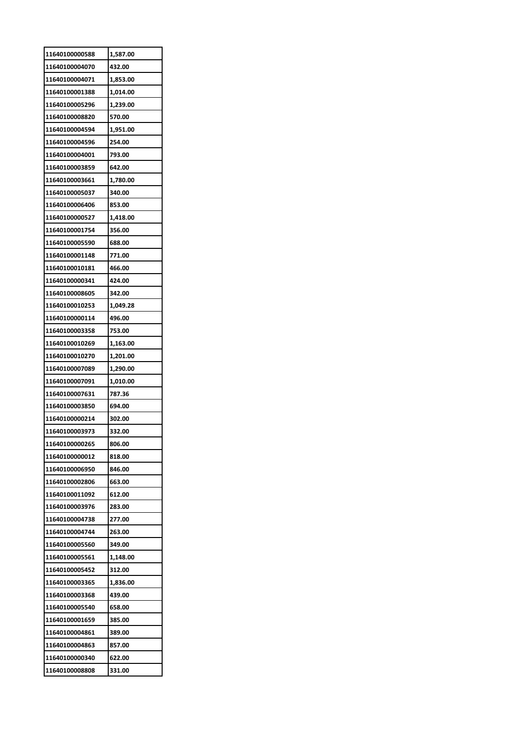| 11640100000588 | 1,587.00 |
|----------------|----------|
| 11640100004070 | 432.00   |
| 11640100004071 | 1,853.00 |
| 11640100001388 | 1,014.00 |
| 11640100005296 | 1,239.00 |
| 11640100008820 | 570.00   |
| 11640100004594 | 1,951.00 |
| 11640100004596 | 254.00   |
| 11640100004001 | 793.00   |
| 11640100003859 | 642.00   |
| 11640100003661 | 1,780.00 |
| 11640100005037 | 340.00   |
| 11640100006406 | 853.00   |
| 11640100000527 | 1,418.00 |
| 11640100001754 | 356.00   |
| 11640100005590 | 688.00   |
| 11640100001148 | 771.00   |
| 11640100010181 | 466.00   |
| 11640100000341 | 424.00   |
| 11640100008605 | 342.00   |
| 11640100010253 | 1,049.28 |
| 11640100000114 | 496.00   |
| 11640100003358 | 753.00   |
| 11640100010269 | 1,163.00 |
|                |          |
| 11640100010270 | 1,201.00 |
| 11640100007089 | 1,290.00 |
| 11640100007091 | 1,010.00 |
| 11640100007631 | 787.36   |
| 11640100003850 | 694.00   |
| 11640100000214 | 302.00   |
| 11640100003973 | 332.00   |
| 11640100000265 | 806.00   |
| 11640100000012 | 818.00   |
| 11640100006950 | 846.00   |
| 11640100002806 | 663.00   |
| 11640100011092 | 612.00   |
| 11640100003976 | 283.00   |
| 11640100004738 | 277.00   |
| 11640100004744 | 263.00   |
| 11640100005560 | 349.00   |
| 11640100005561 | 1,148.00 |
| 11640100005452 | 312.00   |
| 11640100003365 | 1,836.00 |
| 11640100003368 | 439.00   |
| 11640100005540 | 658.00   |
| 11640100001659 | 385.00   |
| 11640100004861 | 389.00   |
| 11640100004863 | 857.00   |
| 11640100000340 | 622.00   |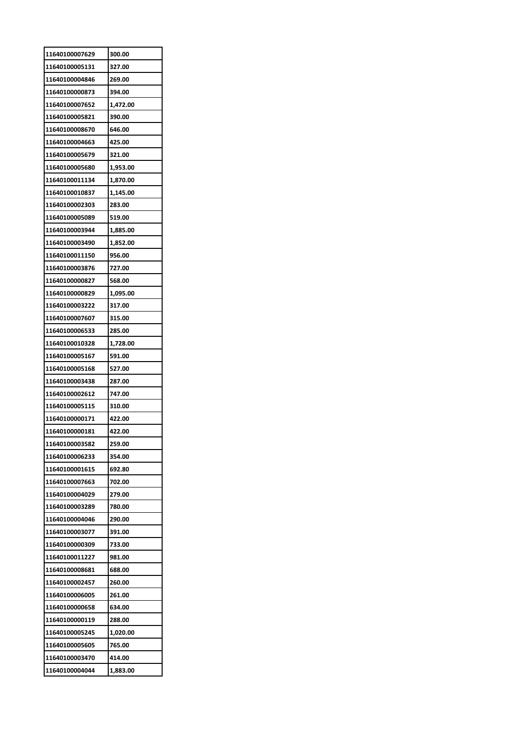| 300.00   |
|----------|
| 327.00   |
| 269.00   |
| 394.00   |
| 1,472.00 |
| 390.00   |
| 646.00   |
| 425.00   |
| 321.00   |
| 1,953.00 |
| 1,870.00 |
| 1,145.00 |
| 283.00   |
| 519.00   |
| 1,885.00 |
| 1,852.00 |
| 956.00   |
| 727.00   |
| 568.00   |
|          |
| 1,095.00 |
| 317.00   |
| 315.00   |
| 285.00   |
| 1,728.00 |
| 591.00   |
| 527.00   |
| 287.00   |
| 747.00   |
| 310.00   |
| 422.00   |
| 422.00   |
| 259.00   |
| 354.00   |
| 692.80   |
| 702.00   |
| 279.00   |
| 780.00   |
| 290.00   |
| 391.00   |
| 733.00   |
|          |
| 981.00   |
| 688.00   |
| 260.00   |
| 261.00   |
| 634.00   |
| 288.00   |
| 1,020.00 |
| 765.00   |
| 414.00   |
|          |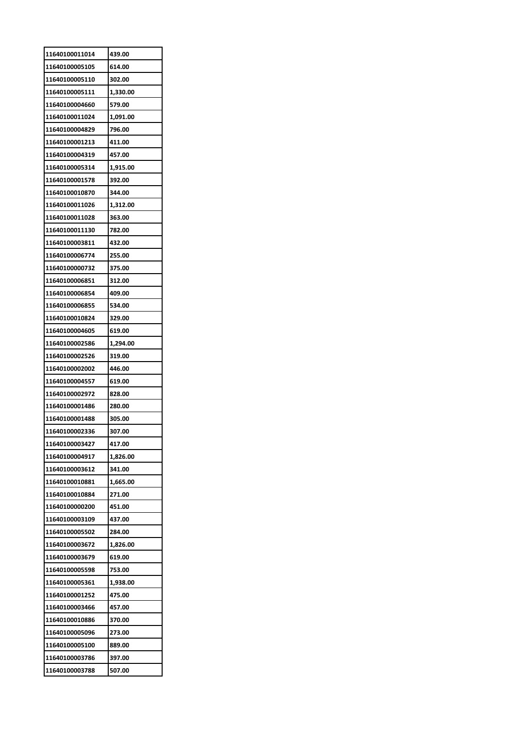| 11640100011014 | 439.00   |
|----------------|----------|
| 11640100005105 | 614.00   |
| 11640100005110 | 302.00   |
| 11640100005111 | 1,330.00 |
| 11640100004660 | 579.00   |
| 11640100011024 | 1,091.00 |
| 11640100004829 | 796.00   |
| 11640100001213 | 411.00   |
| 11640100004319 | 457.00   |
| 11640100005314 | 1,915.00 |
| 11640100001578 | 392.00   |
| 11640100010870 | 344.00   |
| 11640100011026 | 1,312.00 |
| 11640100011028 | 363.00   |
| 11640100011130 | 782.00   |
| 11640100003811 | 432.00   |
| 11640100006774 | 255.00   |
| 11640100000732 | 375.00   |
| 11640100006851 | 312.00   |
| 11640100006854 | 409.00   |
| 11640100006855 | 534.00   |
| 11640100010824 | 329.00   |
| 11640100004605 | 619.00   |
| 11640100002586 | 1,294.00 |
| 11640100002526 | 319.00   |
| 11640100002002 | 446.00   |
| 11640100004557 | 619.00   |
| 11640100002972 | 828.00   |
| 11640100001486 | 280.00   |
| 11640100001488 | 305.00   |
| 11640100002336 | 307.00   |
| 11640100003427 | 417.00   |
| 11640100004917 | 1,826.00 |
| 11640100003612 | 341.00   |
| 11640100010881 | 1,665.00 |
| 11640100010884 | 271.00   |
| 11640100000200 | 451.00   |
| 11640100003109 | 437.00   |
| 11640100005502 | 284.00   |
| 11640100003672 | 1,826.00 |
| 11640100003679 | 619.00   |
| 11640100005598 | 753.00   |
| 11640100005361 | 1,938.00 |
| 11640100001252 | 475.00   |
| 11640100003466 | 457.00   |
| 11640100010886 | 370.00   |
| 11640100005096 | 273.00   |
| 11640100005100 | 889.00   |
| 11640100003786 | 397.00   |
|                |          |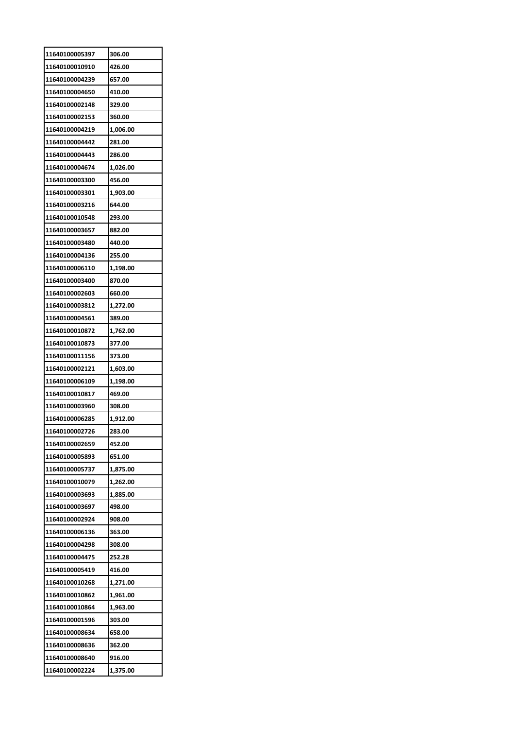| 11640100005397 | 306.00   |
|----------------|----------|
| 11640100010910 | 426.00   |
| 11640100004239 | 657.00   |
| 11640100004650 | 410.00   |
| 11640100002148 | 329.00   |
| 11640100002153 | 360.00   |
| 11640100004219 | 1,006.00 |
| 11640100004442 | 281.00   |
| 11640100004443 | 286.00   |
| 11640100004674 | 1,026.00 |
| 11640100003300 | 456.00   |
| 11640100003301 | 1,903.00 |
| 11640100003216 | 644.00   |
| 11640100010548 | 293.00   |
| 11640100003657 | 882.00   |
| 11640100003480 | 440.00   |
| 11640100004136 | 255.00   |
| 11640100006110 | 1,198.00 |
| 11640100003400 | 870.00   |
| 11640100002603 | 660.00   |
| 11640100003812 | 1,272.00 |
| 11640100004561 | 389.00   |
| 11640100010872 | 1,762.00 |
| 11640100010873 | 377.00   |
| 11640100011156 | 373.00   |
| 11640100002121 | 1,603.00 |
| 11640100006109 | 1,198.00 |
| 11640100010817 | 469.00   |
| 11640100003960 | 308.00   |
| 11640100006285 | 1,912.00 |
| 11640100002726 | 283.00   |
| 11640100002659 | 452.00   |
| 11640100005893 | 651.00   |
| 11640100005737 | 1,875.00 |
| 11640100010079 | 1,262.00 |
| 11640100003693 | 1,885.00 |
| 11640100003697 | 498.00   |
| 11640100002924 | 908.00   |
| 11640100006136 | 363.00   |
| 11640100004298 | 308.00   |
| 11640100004475 | 252.28   |
| 11640100005419 | 416.00   |
| 11640100010268 | 1,271.00 |
| 11640100010862 | 1,961.00 |
| 11640100010864 | 1,963.00 |
| 11640100001596 | 303.00   |
| 11640100008634 | 658.00   |
| 11640100008636 | 362.00   |
| 11640100008640 | 916.00   |
| 11640100002224 | 1,375.00 |
|                |          |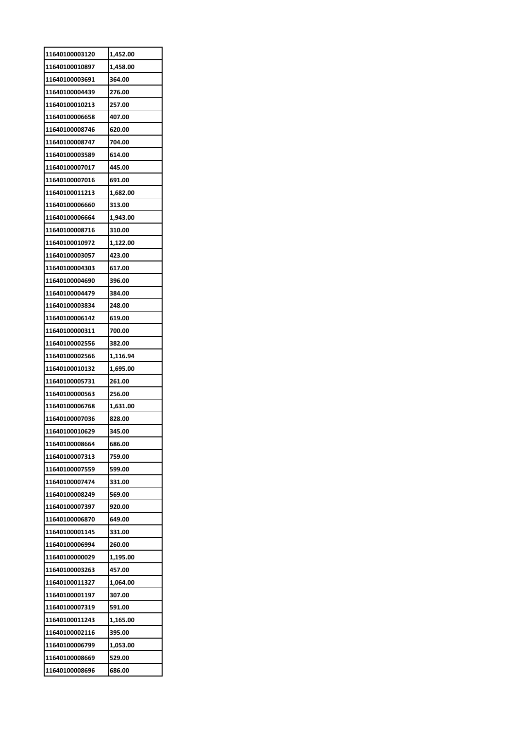| 11640100010897<br>1,458.00<br>11640100003691<br>364.00<br>11640100004439<br>276.00<br>11640100010213<br>257.00<br>11640100006658<br>407.00<br>11640100008746<br>620.00<br>11640100008747<br>704.00<br>11640100003589<br>614.00<br>445.00<br>11640100007017<br>11640100007016<br>691.00<br>11640100011213<br>1,682.00<br>313.00<br>11640100006660<br>11640100006664<br>1,943.00<br>11640100008716<br>310.00<br>11640100010972<br>1,122.00<br>11640100003057<br>423.00<br>11640100004303<br>617.00<br>11640100004690<br>396.00<br>11640100004479<br>384.00<br>11640100003834<br>248.00<br>11640100006142<br>619.00<br>11640100000311<br>700.00<br>11640100002556<br>382.00<br>11640100002566<br>1,116.94<br>11640100010132<br>1,695.00<br>11640100005731<br>261.00<br>11640100000563<br>256.00<br>1,631.00<br>11640100006768<br>11640100007036<br>828.00<br>345.00<br>11640100010629<br>11640100008664<br>686.00<br>11640100007313<br>759.00<br>11640100007559<br>599.00<br>331.00<br>569.00<br>11640100007397<br>920.00<br>11640100006870<br>649.00<br>11640100001145<br>331.00<br>11640100006994<br>260.00<br>11640100000029<br>1,195.00<br>11640100003263<br>457.00<br>1,064.00<br>11640100001197<br>307.00<br>11640100007319<br>591.00<br>11640100011243<br>1,165.00<br>11640100002116<br>395.00<br>1,053.00<br>529.00 | 11640100003120 | 1,452.00 |
|--------------------------------------------------------------------------------------------------------------------------------------------------------------------------------------------------------------------------------------------------------------------------------------------------------------------------------------------------------------------------------------------------------------------------------------------------------------------------------------------------------------------------------------------------------------------------------------------------------------------------------------------------------------------------------------------------------------------------------------------------------------------------------------------------------------------------------------------------------------------------------------------------------------------------------------------------------------------------------------------------------------------------------------------------------------------------------------------------------------------------------------------------------------------------------------------------------------------------------------------------------------------------------------------------------------------------|----------------|----------|
|                                                                                                                                                                                                                                                                                                                                                                                                                                                                                                                                                                                                                                                                                                                                                                                                                                                                                                                                                                                                                                                                                                                                                                                                                                                                                                                          |                |          |
|                                                                                                                                                                                                                                                                                                                                                                                                                                                                                                                                                                                                                                                                                                                                                                                                                                                                                                                                                                                                                                                                                                                                                                                                                                                                                                                          |                |          |
|                                                                                                                                                                                                                                                                                                                                                                                                                                                                                                                                                                                                                                                                                                                                                                                                                                                                                                                                                                                                                                                                                                                                                                                                                                                                                                                          |                |          |
|                                                                                                                                                                                                                                                                                                                                                                                                                                                                                                                                                                                                                                                                                                                                                                                                                                                                                                                                                                                                                                                                                                                                                                                                                                                                                                                          |                |          |
|                                                                                                                                                                                                                                                                                                                                                                                                                                                                                                                                                                                                                                                                                                                                                                                                                                                                                                                                                                                                                                                                                                                                                                                                                                                                                                                          |                |          |
|                                                                                                                                                                                                                                                                                                                                                                                                                                                                                                                                                                                                                                                                                                                                                                                                                                                                                                                                                                                                                                                                                                                                                                                                                                                                                                                          |                |          |
|                                                                                                                                                                                                                                                                                                                                                                                                                                                                                                                                                                                                                                                                                                                                                                                                                                                                                                                                                                                                                                                                                                                                                                                                                                                                                                                          |                |          |
|                                                                                                                                                                                                                                                                                                                                                                                                                                                                                                                                                                                                                                                                                                                                                                                                                                                                                                                                                                                                                                                                                                                                                                                                                                                                                                                          |                |          |
|                                                                                                                                                                                                                                                                                                                                                                                                                                                                                                                                                                                                                                                                                                                                                                                                                                                                                                                                                                                                                                                                                                                                                                                                                                                                                                                          |                |          |
|                                                                                                                                                                                                                                                                                                                                                                                                                                                                                                                                                                                                                                                                                                                                                                                                                                                                                                                                                                                                                                                                                                                                                                                                                                                                                                                          |                |          |
|                                                                                                                                                                                                                                                                                                                                                                                                                                                                                                                                                                                                                                                                                                                                                                                                                                                                                                                                                                                                                                                                                                                                                                                                                                                                                                                          |                |          |
|                                                                                                                                                                                                                                                                                                                                                                                                                                                                                                                                                                                                                                                                                                                                                                                                                                                                                                                                                                                                                                                                                                                                                                                                                                                                                                                          |                |          |
|                                                                                                                                                                                                                                                                                                                                                                                                                                                                                                                                                                                                                                                                                                                                                                                                                                                                                                                                                                                                                                                                                                                                                                                                                                                                                                                          |                |          |
|                                                                                                                                                                                                                                                                                                                                                                                                                                                                                                                                                                                                                                                                                                                                                                                                                                                                                                                                                                                                                                                                                                                                                                                                                                                                                                                          |                |          |
|                                                                                                                                                                                                                                                                                                                                                                                                                                                                                                                                                                                                                                                                                                                                                                                                                                                                                                                                                                                                                                                                                                                                                                                                                                                                                                                          |                |          |
|                                                                                                                                                                                                                                                                                                                                                                                                                                                                                                                                                                                                                                                                                                                                                                                                                                                                                                                                                                                                                                                                                                                                                                                                                                                                                                                          |                |          |
|                                                                                                                                                                                                                                                                                                                                                                                                                                                                                                                                                                                                                                                                                                                                                                                                                                                                                                                                                                                                                                                                                                                                                                                                                                                                                                                          |                |          |
|                                                                                                                                                                                                                                                                                                                                                                                                                                                                                                                                                                                                                                                                                                                                                                                                                                                                                                                                                                                                                                                                                                                                                                                                                                                                                                                          |                |          |
|                                                                                                                                                                                                                                                                                                                                                                                                                                                                                                                                                                                                                                                                                                                                                                                                                                                                                                                                                                                                                                                                                                                                                                                                                                                                                                                          |                |          |
|                                                                                                                                                                                                                                                                                                                                                                                                                                                                                                                                                                                                                                                                                                                                                                                                                                                                                                                                                                                                                                                                                                                                                                                                                                                                                                                          |                |          |
|                                                                                                                                                                                                                                                                                                                                                                                                                                                                                                                                                                                                                                                                                                                                                                                                                                                                                                                                                                                                                                                                                                                                                                                                                                                                                                                          |                |          |
|                                                                                                                                                                                                                                                                                                                                                                                                                                                                                                                                                                                                                                                                                                                                                                                                                                                                                                                                                                                                                                                                                                                                                                                                                                                                                                                          |                |          |
|                                                                                                                                                                                                                                                                                                                                                                                                                                                                                                                                                                                                                                                                                                                                                                                                                                                                                                                                                                                                                                                                                                                                                                                                                                                                                                                          |                |          |
|                                                                                                                                                                                                                                                                                                                                                                                                                                                                                                                                                                                                                                                                                                                                                                                                                                                                                                                                                                                                                                                                                                                                                                                                                                                                                                                          |                |          |
|                                                                                                                                                                                                                                                                                                                                                                                                                                                                                                                                                                                                                                                                                                                                                                                                                                                                                                                                                                                                                                                                                                                                                                                                                                                                                                                          |                |          |
|                                                                                                                                                                                                                                                                                                                                                                                                                                                                                                                                                                                                                                                                                                                                                                                                                                                                                                                                                                                                                                                                                                                                                                                                                                                                                                                          |                |          |
|                                                                                                                                                                                                                                                                                                                                                                                                                                                                                                                                                                                                                                                                                                                                                                                                                                                                                                                                                                                                                                                                                                                                                                                                                                                                                                                          |                |          |
|                                                                                                                                                                                                                                                                                                                                                                                                                                                                                                                                                                                                                                                                                                                                                                                                                                                                                                                                                                                                                                                                                                                                                                                                                                                                                                                          |                |          |
|                                                                                                                                                                                                                                                                                                                                                                                                                                                                                                                                                                                                                                                                                                                                                                                                                                                                                                                                                                                                                                                                                                                                                                                                                                                                                                                          |                |          |
|                                                                                                                                                                                                                                                                                                                                                                                                                                                                                                                                                                                                                                                                                                                                                                                                                                                                                                                                                                                                                                                                                                                                                                                                                                                                                                                          |                |          |
|                                                                                                                                                                                                                                                                                                                                                                                                                                                                                                                                                                                                                                                                                                                                                                                                                                                                                                                                                                                                                                                                                                                                                                                                                                                                                                                          |                |          |
|                                                                                                                                                                                                                                                                                                                                                                                                                                                                                                                                                                                                                                                                                                                                                                                                                                                                                                                                                                                                                                                                                                                                                                                                                                                                                                                          |                |          |
|                                                                                                                                                                                                                                                                                                                                                                                                                                                                                                                                                                                                                                                                                                                                                                                                                                                                                                                                                                                                                                                                                                                                                                                                                                                                                                                          |                |          |
|                                                                                                                                                                                                                                                                                                                                                                                                                                                                                                                                                                                                                                                                                                                                                                                                                                                                                                                                                                                                                                                                                                                                                                                                                                                                                                                          | 11640100007474 |          |
|                                                                                                                                                                                                                                                                                                                                                                                                                                                                                                                                                                                                                                                                                                                                                                                                                                                                                                                                                                                                                                                                                                                                                                                                                                                                                                                          | 11640100008249 |          |
|                                                                                                                                                                                                                                                                                                                                                                                                                                                                                                                                                                                                                                                                                                                                                                                                                                                                                                                                                                                                                                                                                                                                                                                                                                                                                                                          |                |          |
|                                                                                                                                                                                                                                                                                                                                                                                                                                                                                                                                                                                                                                                                                                                                                                                                                                                                                                                                                                                                                                                                                                                                                                                                                                                                                                                          |                |          |
|                                                                                                                                                                                                                                                                                                                                                                                                                                                                                                                                                                                                                                                                                                                                                                                                                                                                                                                                                                                                                                                                                                                                                                                                                                                                                                                          |                |          |
|                                                                                                                                                                                                                                                                                                                                                                                                                                                                                                                                                                                                                                                                                                                                                                                                                                                                                                                                                                                                                                                                                                                                                                                                                                                                                                                          |                |          |
|                                                                                                                                                                                                                                                                                                                                                                                                                                                                                                                                                                                                                                                                                                                                                                                                                                                                                                                                                                                                                                                                                                                                                                                                                                                                                                                          |                |          |
|                                                                                                                                                                                                                                                                                                                                                                                                                                                                                                                                                                                                                                                                                                                                                                                                                                                                                                                                                                                                                                                                                                                                                                                                                                                                                                                          |                |          |
|                                                                                                                                                                                                                                                                                                                                                                                                                                                                                                                                                                                                                                                                                                                                                                                                                                                                                                                                                                                                                                                                                                                                                                                                                                                                                                                          | 11640100011327 |          |
|                                                                                                                                                                                                                                                                                                                                                                                                                                                                                                                                                                                                                                                                                                                                                                                                                                                                                                                                                                                                                                                                                                                                                                                                                                                                                                                          |                |          |
|                                                                                                                                                                                                                                                                                                                                                                                                                                                                                                                                                                                                                                                                                                                                                                                                                                                                                                                                                                                                                                                                                                                                                                                                                                                                                                                          |                |          |
|                                                                                                                                                                                                                                                                                                                                                                                                                                                                                                                                                                                                                                                                                                                                                                                                                                                                                                                                                                                                                                                                                                                                                                                                                                                                                                                          |                |          |
|                                                                                                                                                                                                                                                                                                                                                                                                                                                                                                                                                                                                                                                                                                                                                                                                                                                                                                                                                                                                                                                                                                                                                                                                                                                                                                                          |                |          |
|                                                                                                                                                                                                                                                                                                                                                                                                                                                                                                                                                                                                                                                                                                                                                                                                                                                                                                                                                                                                                                                                                                                                                                                                                                                                                                                          | 11640100006799 |          |
|                                                                                                                                                                                                                                                                                                                                                                                                                                                                                                                                                                                                                                                                                                                                                                                                                                                                                                                                                                                                                                                                                                                                                                                                                                                                                                                          | 11640100008669 |          |
|                                                                                                                                                                                                                                                                                                                                                                                                                                                                                                                                                                                                                                                                                                                                                                                                                                                                                                                                                                                                                                                                                                                                                                                                                                                                                                                          | 11640100008696 | 686.00   |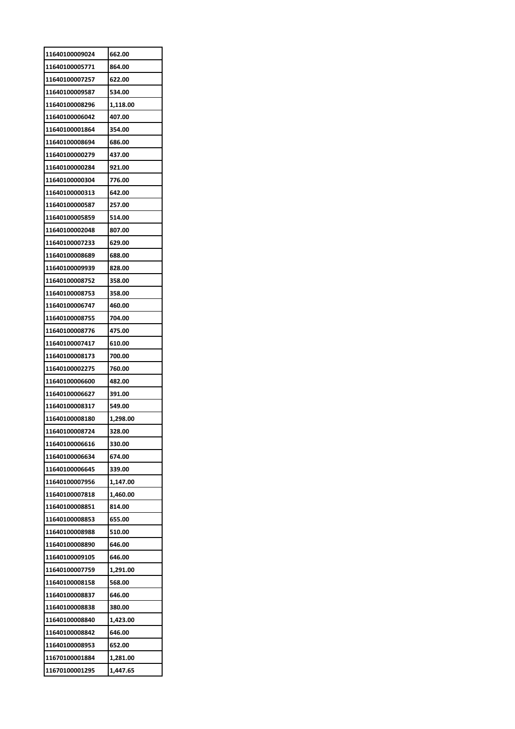| 11640100009024 | 662.00   |
|----------------|----------|
| 11640100005771 | 864.00   |
| 11640100007257 | 622.00   |
| 11640100009587 | 534.00   |
| 11640100008296 | 1,118.00 |
| 11640100006042 | 407.00   |
| 11640100001864 | 354.00   |
| 11640100008694 | 686.00   |
| 11640100000279 | 437.00   |
| 11640100000284 | 921.00   |
| 11640100000304 | 776.00   |
| 11640100000313 | 642.00   |
| 11640100000587 | 257.00   |
| 11640100005859 | 514.00   |
| 11640100002048 | 807.00   |
| 11640100007233 | 629.00   |
| 11640100008689 | 688.00   |
| 11640100009939 | 828.00   |
| 11640100008752 | 358.00   |
| 11640100008753 | 358.00   |
| 11640100006747 | 460.00   |
| 11640100008755 | 704.00   |
| 11640100008776 | 475.00   |
| 11640100007417 | 610.00   |
| 11640100008173 | 700.00   |
| 11640100002275 | 760.00   |
| 11640100006600 | 482.00   |
| 11640100006627 | 391.00   |
| 11640100008317 | 549.00   |
| 11640100008180 | 1,298.00 |
| 11640100008724 | 328.00   |
| 11640100006616 | 330.00   |
| 11640100006634 | 674.00   |
| 11640100006645 | 339.00   |
| 11640100007956 | 1,147.00 |
| 11640100007818 | 1,460.00 |
| 11640100008851 | 814.00   |
| 11640100008853 | 655.00   |
| 11640100008988 | 510.00   |
| 11640100008890 | 646.00   |
| 11640100009105 | 646.00   |
| 11640100007759 | 1,291.00 |
| 11640100008158 | 568.00   |
| 11640100008837 | 646.00   |
| 11640100008838 | 380.00   |
| 11640100008840 | 1,423.00 |
| 11640100008842 | 646.00   |
| 11640100008953 | 652.00   |
| 11670100001884 | 1,281.00 |
| 11670100001295 | 1,447.65 |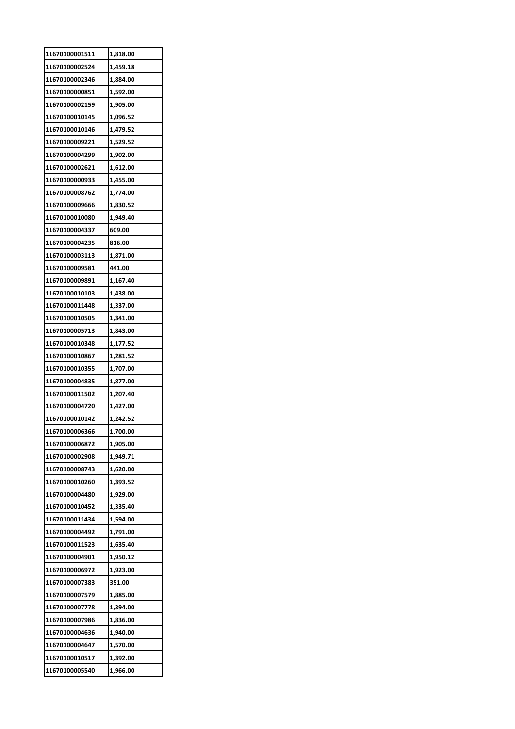| 11670100001511 | 1,818.00 |
|----------------|----------|
| 11670100002524 | 1,459.18 |
| 11670100002346 | 1,884.00 |
| 11670100000851 | 1,592.00 |
| 11670100002159 | 1,905.00 |
| 11670100010145 | 1,096.52 |
| 11670100010146 | 1,479.52 |
| 11670100009221 | 1,529.52 |
| 11670100004299 | 1,902.00 |
| 11670100002621 | 1,612.00 |
| 11670100000933 | 1,455.00 |
| 11670100008762 | 1,774.00 |
| 11670100009666 | 1,830.52 |
| 11670100010080 | 1,949.40 |
| 11670100004337 | 609.00   |
| 11670100004235 | 816.00   |
| 11670100003113 | 1,871.00 |
| 11670100009581 | 441.00   |
| 11670100009891 | 1,167.40 |
| 11670100010103 | 1,438.00 |
| 11670100011448 | 1,337.00 |
| 11670100010505 | 1,341.00 |
| 11670100005713 | 1,843.00 |
| 11670100010348 | 1,177.52 |
| 11670100010867 | 1,281.52 |
| 11670100010355 | 1,707.00 |
| 11670100004835 | 1,877.00 |
| 11670100011502 | 1,207.40 |
| 11670100004720 | 1,427.00 |
| 11670100010142 | 1,242.52 |
| 11670100006366 | 1,700.00 |
| 11670100006872 | 1,905.00 |
| 11670100002908 | 1,949.71 |
| 11670100008743 | 1,620.00 |
| 11670100010260 | 1,393.52 |
| 11670100004480 | 1,929.00 |
| 11670100010452 | 1,335.40 |
| 11670100011434 | 1,594.00 |
| 11670100004492 | 1,791.00 |
| 11670100011523 | 1,635.40 |
| 11670100004901 | 1,950.12 |
| 11670100006972 | 1,923.00 |
| 11670100007383 | 351.00   |
| 11670100007579 | 1,885.00 |
| 11670100007778 | 1,394.00 |
| 11670100007986 | 1,836.00 |
| 11670100004636 | 1,940.00 |
| 11670100004647 | 1,570.00 |
| 11670100010517 | 1,392.00 |
| 11670100005540 | 1,966.00 |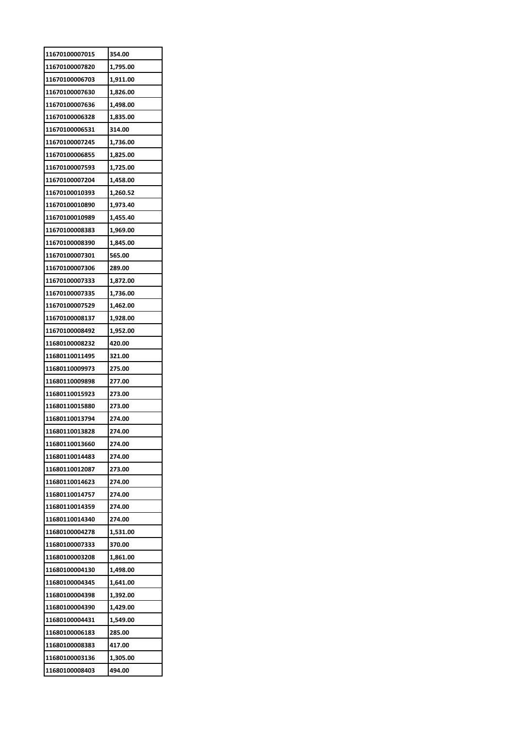| 11670100007015 | 354.00   |
|----------------|----------|
| 11670100007820 | 1,795.00 |
| 11670100006703 | 1,911.00 |
| 11670100007630 | 1,826.00 |
| 11670100007636 | 1,498.00 |
| 11670100006328 | 1,835.00 |
| 11670100006531 | 314.00   |
| 11670100007245 | 1,736.00 |
| 11670100006855 | 1,825.00 |
| 11670100007593 | 1,725.00 |
| 11670100007204 | 1,458.00 |
| 11670100010393 | 1,260.52 |
| 11670100010890 | 1,973.40 |
| 11670100010989 | 1,455.40 |
| 11670100008383 | 1,969.00 |
| 11670100008390 | 1,845.00 |
| 11670100007301 | 565.00   |
| 11670100007306 | 289.00   |
| 11670100007333 | 1,872.00 |
| 11670100007335 | 1,736.00 |
| 11670100007529 | 1,462.00 |
| 11670100008137 | 1,928.00 |
| 11670100008492 | 1,952.00 |
| 11680100008232 | 420.00   |
| 11680110011495 | 321.00   |
| 11680110009973 | 275.00   |
| 11680110009898 | 277.00   |
| 11680110015923 | 273.00   |
| 11680110015880 | 273.00   |
| 11680110013794 | 274.00   |
| 11680110013828 | 274.00   |
| 11680110013660 | 274.00   |
| 11680110014483 | 274.00   |
| 11680110012087 | 273.00   |
| 11680110014623 | 274.00   |
| 11680110014757 | 274.00   |
| 11680110014359 | 274.00   |
| 11680110014340 | 274.00   |
| 11680100004278 | 1,531.00 |
| 11680100007333 | 370.00   |
| 11680100003208 | 1,861.00 |
| 11680100004130 | 1,498.00 |
| 11680100004345 | 1,641.00 |
| 11680100004398 | 1,392.00 |
| 11680100004390 | 1,429.00 |
| 11680100004431 | 1,549.00 |
| 11680100006183 | 285.00   |
| 11680100008383 | 417.00   |
| 11680100003136 | 1,305.00 |
| 11680100008403 | 494.00   |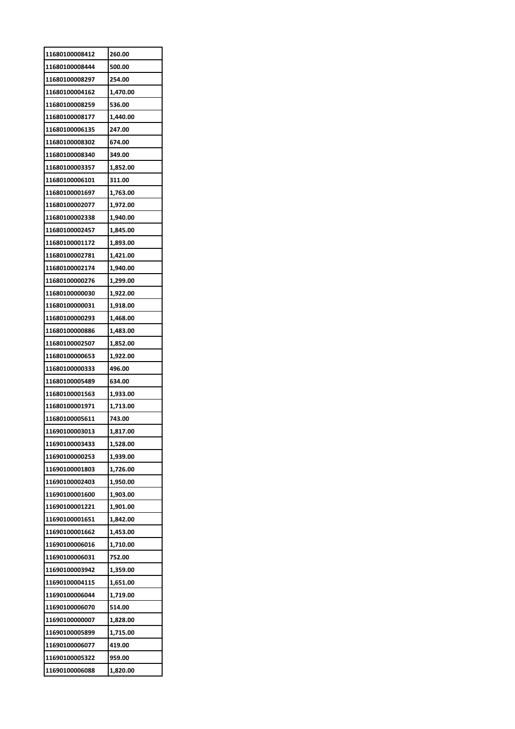|                                  | 260.00               |
|----------------------------------|----------------------|
| 11680100008444                   | 500.00               |
| 11680100008297                   | 254.00               |
| 11680100004162                   | 1,470.00             |
| 11680100008259                   | 536.00               |
| 11680100008177                   | 1,440.00             |
| 11680100006135                   | 247.00               |
| 11680100008302                   | 674.00               |
| 11680100008340                   | 349.00               |
| 11680100003357                   | 1,852.00             |
| 11680100006101                   | 311.00               |
| 11680100001697                   | 1,763.00             |
| 11680100002077                   | 1,972.00             |
| 11680100002338                   | 1,940.00             |
| 11680100002457                   | 1,845.00             |
| 11680100001172                   | 1,893.00             |
| 11680100002781                   | 1,421.00             |
| 11680100002174                   | 1,940.00             |
| 11680100000276                   | 1,299.00             |
| 11680100000030                   | 1,922.00             |
| 11680100000031                   | 1,918.00             |
| 11680100000293                   | 1,468.00             |
| 11680100000886                   | 1,483.00             |
| 11680100002507                   | 1,852.00             |
| 11680100000653                   | 1,922.00             |
| 11680100000333                   | 496.00               |
| 11680100005489                   | 634.00               |
|                                  |                      |
| 11680100001563                   |                      |
| 11680100001971                   | 1,933.00<br>1,713.00 |
| 11680100005611                   | 743.00               |
| 11690100003013                   | 1,817.00             |
| 11690100003433                   | 1,528.00             |
| 11690100000253                   | 1,939.00             |
| 11690100001803                   | 1,726.00             |
| 11690100002403                   | 1,950.00             |
| 11690100001600                   | 1,903.00             |
| 11690100001221                   | 1,901.00             |
| 11690100001651                   | 1,842.00             |
| 11690100001662                   | 1,453.00             |
| 11690100006016                   | 1,710.00             |
| 11690100006031                   | 752.00               |
| 11690100003942                   |                      |
| 11690100004115                   | 1,359.00<br>1,651.00 |
| 11690100006044                   |                      |
|                                  | 1,719.00             |
| 11690100006070                   | 514.00               |
| 11690100000007                   | 1,828.00             |
| 11690100005899                   | 1,715.00             |
| 11690100006077                   | 419.00               |
| 11690100005322<br>11690100006088 | 959.00<br>1,820.00   |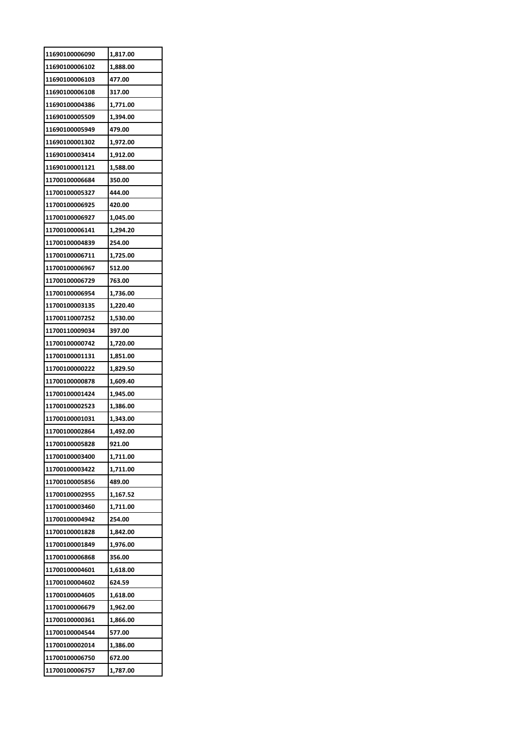| 11690100006090 | 1,817.00 |
|----------------|----------|
| 11690100006102 | 1,888.00 |
| 11690100006103 | 477.00   |
| 11690100006108 | 317.00   |
| 11690100004386 | 1,771.00 |
| 11690100005509 | 1,394.00 |
| 11690100005949 | 479.00   |
| 11690100001302 | 1,972.00 |
| 11690100003414 | 1,912.00 |
| 11690100001121 | 1,588.00 |
| 11700100006684 | 350.00   |
| 11700100005327 | 444.00   |
| 11700100006925 | 420.00   |
| 11700100006927 | 1,045.00 |
| 11700100006141 | 1,294.20 |
| 11700100004839 | 254.00   |
| 11700100006711 | 1,725.00 |
| 11700100006967 | 512.00   |
| 11700100006729 | 763.00   |
| 11700100006954 | 1,736.00 |
| 11700100003135 | 1,220.40 |
| 11700110007252 | 1,530.00 |
| 11700110009034 | 397.00   |
| 11700100000742 | 1,720.00 |
| 11700100001131 | 1,851.00 |
| 11700100000222 | 1,829.50 |
| 11700100000878 | 1,609.40 |
| 11700100001424 | 1,945.00 |
| 11700100002523 | 1,386.00 |
| 11700100001031 | 1,343.00 |
| 11700100002864 | 1,492.00 |
| 11700100005828 | 921.00   |
| 11700100003400 | 1,711.00 |
| 11700100003422 | 1,711.00 |
| 11700100005856 | 489.00   |
| 11700100002955 | 1,167.52 |
| 11700100003460 | 1,711.00 |
| 11700100004942 | 254.00   |
| 11700100001828 | 1,842.00 |
| 11700100001849 | 1,976.00 |
| 11700100006868 | 356.00   |
| 11700100004601 | 1,618.00 |
| 11700100004602 | 624.59   |
| 11700100004605 | 1,618.00 |
| 11700100006679 | 1,962.00 |
| 11700100000361 | 1,866.00 |
| 11700100004544 | 577.00   |
| 11700100002014 | 1,386.00 |
| 11700100006750 | 672.00   |
| 11700100006757 | 1,787.00 |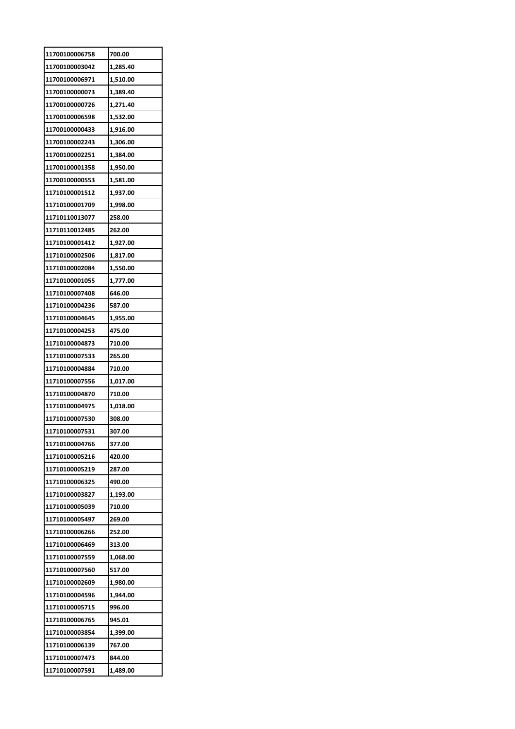| 11700100006758 | 700.00   |
|----------------|----------|
| 11700100003042 | 1,285.40 |
| 11700100006971 | 1,510.00 |
| 11700100000073 | 1,389.40 |
| 11700100000726 | 1,271.40 |
| 11700100006598 | 1,532.00 |
| 11700100000433 | 1,916.00 |
| 11700100002243 | 1,306.00 |
| 11700100002251 | 1,384.00 |
| 11700100001358 | 1,950.00 |
| 11700100000553 | 1,581.00 |
| 11710100001512 | 1,937.00 |
| 11710100001709 | 1,998.00 |
| 11710110013077 | 258.00   |
| 11710110012485 | 262.00   |
| 11710100001412 | 1,927.00 |
| 11710100002506 | 1,817.00 |
| 11710100002084 | 1,550.00 |
| 11710100001055 | 1,777.00 |
| 11710100007408 | 646.00   |
| 11710100004236 | 587.00   |
| 11710100004645 | 1,955.00 |
| 11710100004253 | 475.00   |
| 11710100004873 | 710.00   |
| 11710100007533 | 265.00   |
| 11710100004884 | 710.00   |
| 11710100007556 | 1,017.00 |
| 11710100004870 | 710.00   |
| 11710100004975 | 1,018.00 |
| 11710100007530 | 308.00   |
| 11710100007531 | 307.00   |
| 11710100004766 | 377.00   |
| 11710100005216 | 420.00   |
| 11710100005219 | 287.00   |
| 11710100006325 | 490.00   |
| 11710100003827 | 1,193.00 |
| 11710100005039 | 710.00   |
| 11710100005497 | 269.00   |
| 11710100006266 | 252.00   |
| 11710100006469 | 313.00   |
| 11710100007559 | 1,068.00 |
| 11710100007560 | 517.00   |
| 11710100002609 | 1,980.00 |
| 11710100004596 | 1,944.00 |
| 11710100005715 | 996.00   |
| 11710100006765 | 945.01   |
| 11710100003854 | 1,399.00 |
| 11710100006139 | 767.00   |
| 11710100007473 | 844.00   |
| 11710100007591 | 1,489.00 |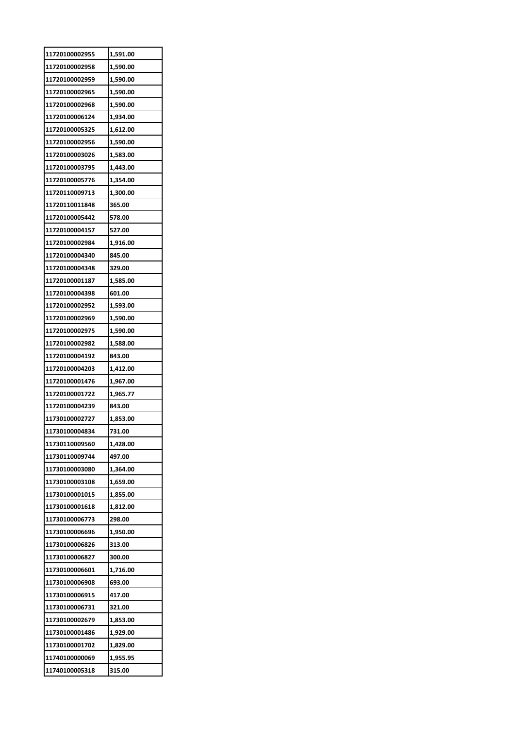| 11720100002955 | 1,591.00 |
|----------------|----------|
| 11720100002958 | 1,590.00 |
| 11720100002959 | 1,590.00 |
| 11720100002965 | 1,590.00 |
| 11720100002968 | 1,590.00 |
| 11720100006124 | 1,934.00 |
| 11720100005325 | 1,612.00 |
| 11720100002956 | 1,590.00 |
| 11720100003026 | 1,583.00 |
| 11720100003795 | 1,443.00 |
| 11720100005776 | 1,354.00 |
| 11720110009713 | 1,300.00 |
| 11720110011848 | 365.00   |
| 11720100005442 | 578.00   |
| 11720100004157 | 527.00   |
| 11720100002984 | 1,916.00 |
| 11720100004340 | 845.00   |
| 11720100004348 | 329.00   |
| 11720100001187 | 1,585.00 |
| 11720100004398 | 601.00   |
| 11720100002952 | 1,593.00 |
| 11720100002969 | 1,590.00 |
| 11720100002975 | 1,590.00 |
| 11720100002982 | 1,588.00 |
| 11720100004192 | 843.00   |
| 11720100004203 | 1,412.00 |
| 11720100001476 | 1,967.00 |
| 11720100001722 | 1,965.77 |
| 11720100004239 | 843.00   |
| 11730100002727 | 1,853.00 |
| 11730100004834 | 731.00   |
| 11730110009560 | 1,428.00 |
| 11730110009744 | 497.00   |
| 11730100003080 | 1,364.00 |
| 11730100003108 | 1,659.00 |
| 11730100001015 | 1,855.00 |
| 11730100001618 | 1,812.00 |
| 11730100006773 | 298.00   |
| 11730100006696 | 1,950.00 |
| 11730100006826 | 313.00   |
| 11730100006827 | 300.00   |
| 11730100006601 | 1,716.00 |
| 11730100006908 | 693.00   |
| 11730100006915 | 417.00   |
| 11730100006731 | 321.00   |
| 11730100002679 | 1,853.00 |
|                |          |
| 11730100001486 | 1,929.00 |
| 11730100001702 | 1,829.00 |
| 11740100000069 | 1,955.95 |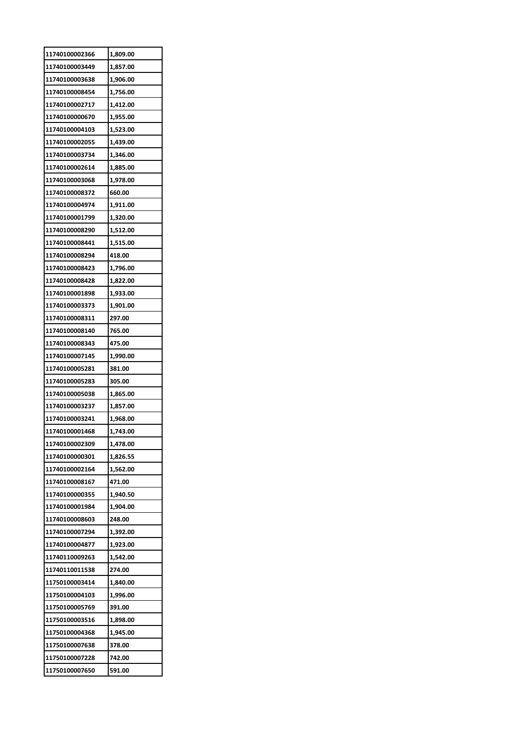| 11740100002366 | 1,809.00 |
|----------------|----------|
| 11740100003449 | 1,857.00 |
| 11740100003638 | 1,906.00 |
| 11740100008454 | 1,756.00 |
| 11740100002717 | 1,412.00 |
| 11740100000670 | 1,955.00 |
| 11740100004103 | 1,523.00 |
| 11740100002055 | 1,439.00 |
| 11740100003734 | 1,346.00 |
| 11740100002614 | 1,885.00 |
| 11740100003068 | 1,978.00 |
| 11740100008372 | 660.00   |
| 11740100004974 | 1,911.00 |
| 11740100001799 | 1,320.00 |
| 11740100008290 | 1,512.00 |
| 11740100008441 | 1,515.00 |
| 11740100008294 | 418.00   |
| 11740100008423 | 1,796.00 |
| 11740100008428 | 1,822.00 |
| 11740100001898 | 1,933.00 |
| 11740100003373 | 1,901.00 |
| 11740100008311 | 297.00   |
| 11740100008140 | 765.00   |
| 11740100008343 | 475.00   |
| 11740100007145 | 1,990.00 |
| 11740100005281 | 381.00   |
| 11740100005283 | 305.00   |
|                |          |
| 11740100005038 | 1,865.00 |
| 11740100003237 | 1,857.00 |
| 11740100003241 | 1,968.00 |
| 11740100001468 | 1,743.00 |
| 11740100002309 | 1,478.00 |
| 11740100000301 | 1,826.55 |
| 11740100002164 | 1,562.00 |
| 11740100008167 | 471.00   |
| 11740100000355 | 1,940.50 |
| 11740100001984 | 1,904.00 |
| 11740100008603 | 248.00   |
| 11740100007294 | 1,392.00 |
| 11740100004877 | 1,923.00 |
| 11740110009263 | 1,542.00 |
| 11740110011538 | 274.00   |
| 11750100003414 | 1,840.00 |
| 11750100004103 | 1,996.00 |
| 11750100005769 | 391.00   |
| 11750100003516 | 1,898.00 |
| 11750100004368 | 1,945.00 |
| 11750100007638 | 378.00   |
| 11750100007228 | 742.00   |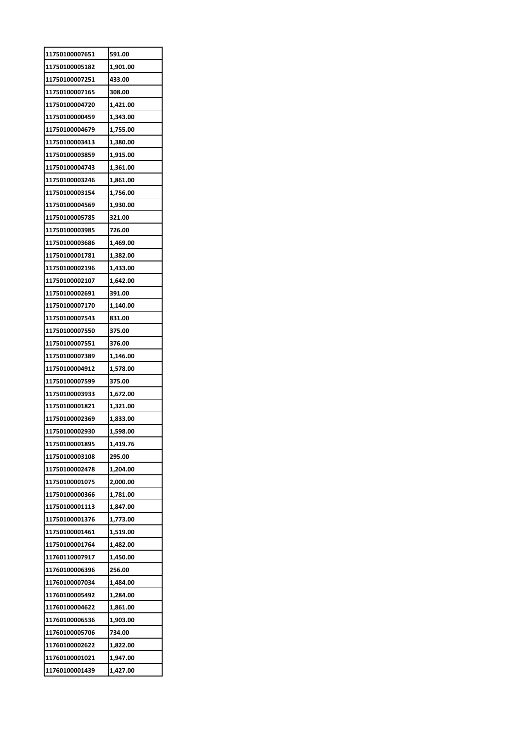| 11750100007651 | 591.00   |
|----------------|----------|
| 11750100005182 | 1,901.00 |
| 11750100007251 | 433.00   |
| 11750100007165 | 308.00   |
| 11750100004720 | 1,421.00 |
| 11750100000459 | 1,343.00 |
| 11750100004679 | 1,755.00 |
| 11750100003413 | 1,380.00 |
| 11750100003859 | 1,915.00 |
| 11750100004743 | 1,361.00 |
| 11750100003246 | 1,861.00 |
| 11750100003154 | 1,756.00 |
| 11750100004569 | 1,930.00 |
| 11750100005785 | 321.00   |
| 11750100003985 | 726.00   |
| 11750100003686 | 1,469.00 |
| 11750100001781 | 1,382.00 |
| 11750100002196 | 1,433.00 |
| 11750100002107 | 1,642.00 |
| 11750100002691 | 391.00   |
| 11750100007170 | 1,140.00 |
| 11750100007543 | 831.00   |
| 11750100007550 | 375.00   |
| 11750100007551 | 376.00   |
| 11750100007389 | 1,146.00 |
| 11750100004912 | 1,578.00 |
| 11750100007599 | 375.00   |
| 11750100003933 | 1,672.00 |
| 11750100001821 | 1,321.00 |
| 11750100002369 | 1,833.00 |
| 11750100002930 | 1,598.00 |
| 11750100001895 | 1,419.76 |
| 11750100003108 | 295.00   |
| 11750100002478 | 1,204.00 |
| 11750100001075 | 2,000.00 |
| 11750100000366 | 1,781.00 |
| 11750100001113 | 1,847.00 |
| 11750100001376 | 1,773.00 |
| 11750100001461 | 1,519.00 |
| 11750100001764 | 1,482.00 |
| 11760110007917 | 1,450.00 |
| 11760100006396 | 256.00   |
| 11760100007034 | 1,484.00 |
| 11760100005492 | 1,284.00 |
| 11760100004622 | 1,861.00 |
| 11760100006536 | 1,903.00 |
| 11760100005706 | 734.00   |
| 11760100002622 | 1,822.00 |
| 11760100001021 | 1,947.00 |
| 11760100001439 | 1,427.00 |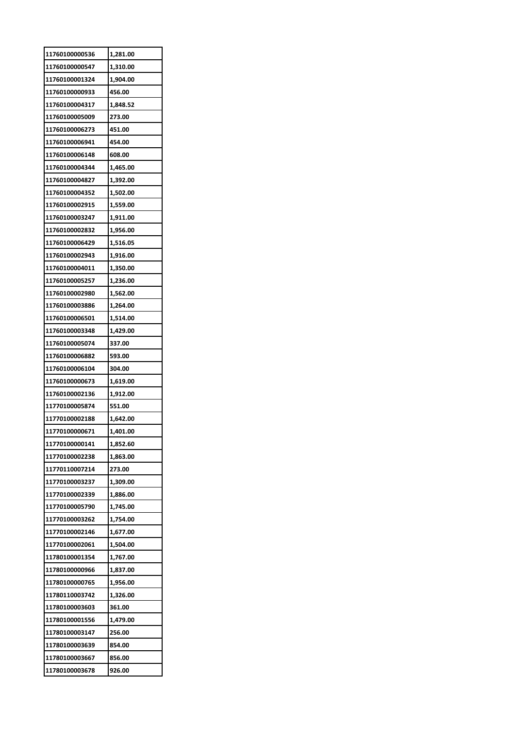| 11760100000536 | 1,281.00 |
|----------------|----------|
| 11760100000547 | 1,310.00 |
| 11760100001324 | 1,904.00 |
| 11760100000933 | 456.00   |
| 11760100004317 | 1,848.52 |
| 11760100005009 | 273.00   |
| 11760100006273 | 451.00   |
| 11760100006941 | 454.00   |
| 11760100006148 | 608.00   |
| 11760100004344 | 1,465.00 |
| 11760100004827 | 1,392.00 |
| 11760100004352 | 1,502.00 |
| 11760100002915 | 1,559.00 |
| 11760100003247 | 1,911.00 |
| 11760100002832 | 1,956.00 |
| 11760100006429 | 1,516.05 |
| 11760100002943 | 1,916.00 |
| 11760100004011 | 1,350.00 |
| 11760100005257 | 1,236.00 |
| 11760100002980 | 1,562.00 |
| 11760100003886 | 1,264.00 |
| 11760100006501 | 1,514.00 |
| 11760100003348 | 1,429.00 |
| 11760100005074 | 337.00   |
| 11760100006882 | 593.00   |
| 11760100006104 | 304.00   |
| 11760100000673 | 1,619.00 |
| 11760100002136 | 1,912.00 |
| 11770100005874 | 551.00   |
| 11770100002188 | 1,642.00 |
| 11770100000671 | 1,401.00 |
| 11770100000141 | 1,852.60 |
| 11770100002238 | 1,863.00 |
| 11770110007214 | 273.00   |
| 11770100003237 | 1,309.00 |
| 11770100002339 | 1,886.00 |
| 11770100005790 | 1,745.00 |
| 11770100003262 | 1,754.00 |
| 11770100002146 | 1,677.00 |
| 11770100002061 | 1,504.00 |
| 11780100001354 | 1,767.00 |
| 11780100000966 | 1,837.00 |
| 11780100000765 | 1,956.00 |
| 11780110003742 | 1,326.00 |
| 11780100003603 | 361.00   |
| 11780100001556 | 1,479.00 |
| 11780100003147 | 256.00   |
| 11780100003639 | 854.00   |
|                |          |
| 11780100003667 | 856.00   |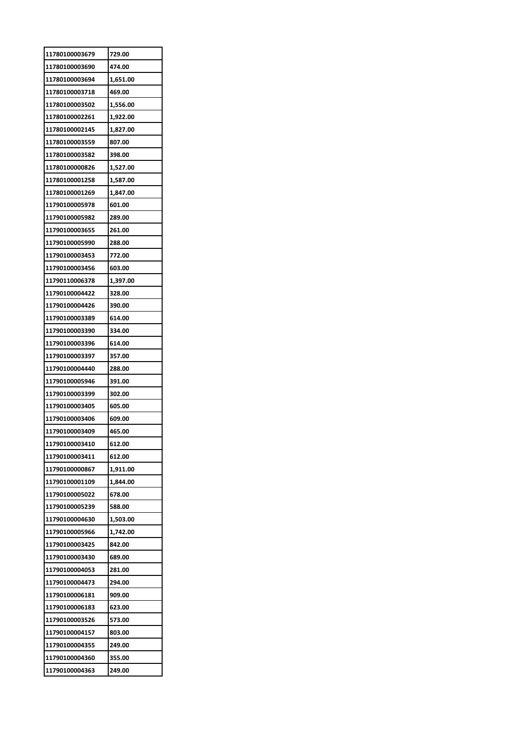| 11780100003679 | 729.00   |
|----------------|----------|
| 11780100003690 | 474.00   |
| 11780100003694 | 1,651.00 |
| 11780100003718 | 469.00   |
| 11780100003502 | 1,556.00 |
| 11780100002261 | 1,922.00 |
| 11780100002145 | 1,827.00 |
| 11780100003559 | 807.00   |
| 11780100003582 | 398.00   |
| 11780100000826 | 1,527.00 |
| 11780100001258 | 1,587.00 |
| 11780100001269 | 1,847.00 |
| 11790100005978 | 601.00   |
| 11790100005982 | 289.00   |
| 11790100003655 | 261.00   |
| 11790100005990 | 288.00   |
| 11790100003453 | 772.00   |
| 11790100003456 | 603.00   |
| 11790110006378 | 1,397.00 |
| 11790100004422 | 328.00   |
| 11790100004426 | 390.00   |
| 11790100003389 | 614.00   |
| 11790100003390 | 334.00   |
| 11790100003396 | 614.00   |
| 11790100003397 | 357.00   |
| 11790100004440 | 288.00   |
| 11790100005946 | 391.00   |
| 11790100003399 | 302.00   |
| 11790100003405 | 605.00   |
| 11790100003406 | 609.00   |
| 11790100003409 | 465.00   |
| 11790100003410 | 612.00   |
| 11790100003411 | 612.00   |
| 11790100000867 | 1,911.00 |
| 11790100001109 | 1,844.00 |
| 11790100005022 | 678.00   |
| 11790100005239 | 588.00   |
| 11790100004630 | 1,503.00 |
| 11790100005966 | 1,742.00 |
| 11790100003425 | 842.00   |
| 11790100003430 | 689.00   |
| 11790100004053 | 281.00   |
| 11790100004473 | 294.00   |
| 11790100006181 | 909.00   |
| 11790100006183 | 623.00   |
| 11790100003526 | 573.00   |
| 11790100004157 | 803.00   |
| 11790100004355 | 249.00   |
| 11790100004360 | 355.00   |
| 11790100004363 | 249.00   |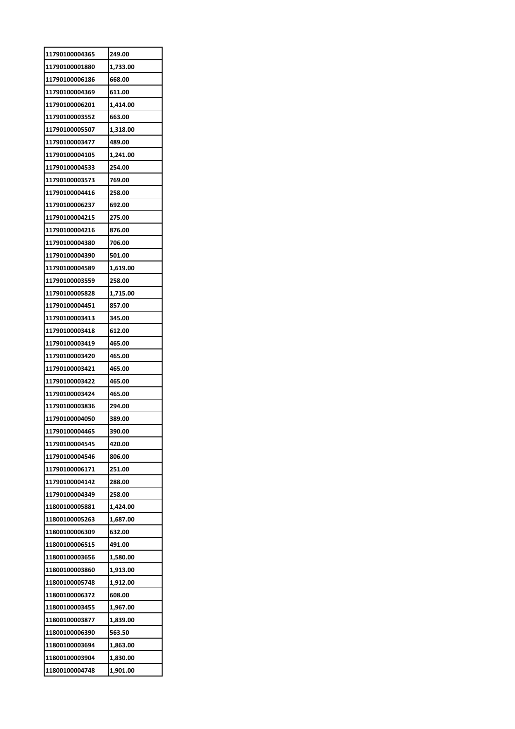| 11790100004365 | 249.00   |
|----------------|----------|
| 11790100001880 | 1,733.00 |
| 11790100006186 | 668.00   |
| 11790100004369 | 611.00   |
| 11790100006201 | 1,414.00 |
| 11790100003552 | 663.00   |
| 11790100005507 | 1,318.00 |
| 11790100003477 | 489.00   |
| 11790100004105 | 1,241.00 |
| 11790100004533 | 254.00   |
| 11790100003573 | 769.00   |
| 11790100004416 | 258.00   |
| 11790100006237 | 692.00   |
| 11790100004215 | 275.00   |
| 11790100004216 | 876.00   |
| 11790100004380 | 706.00   |
| 11790100004390 | 501.00   |
| 11790100004589 | 1,619.00 |
|                |          |
| 11790100003559 | 258.00   |
| 11790100005828 | 1,715.00 |
| 11790100004451 | 857.00   |
| 11790100003413 | 345.00   |
| 11790100003418 | 612.00   |
| 11790100003419 | 465.00   |
| 11790100003420 | 465.00   |
| 11790100003421 | 465.00   |
| 11790100003422 | 465.00   |
| 11790100003424 | 465.00   |
| 11790100003836 | 294.00   |
| 11790100004050 | 389.00   |
| 11790100004465 | 390.00   |
| 11790100004545 | 420.00   |
| 11790100004546 | 806.00   |
| 11790100006171 | 251.00   |
| 11790100004142 | 288.00   |
| 11790100004349 | 258.00   |
| 11800100005881 | 1,424.00 |
| 11800100005263 | 1,687.00 |
| 11800100006309 | 632.00   |
| 11800100006515 | 491.00   |
| 11800100003656 | 1,580.00 |
| 11800100003860 | 1,913.00 |
| 11800100005748 | 1,912.00 |
| 11800100006372 | 608.00   |
| 11800100003455 | 1,967.00 |
| 11800100003877 | 1,839.00 |
| 11800100006390 | 563.50   |
| 11800100003694 | 1,863.00 |
| 11800100003904 |          |
|                | 1,830.00 |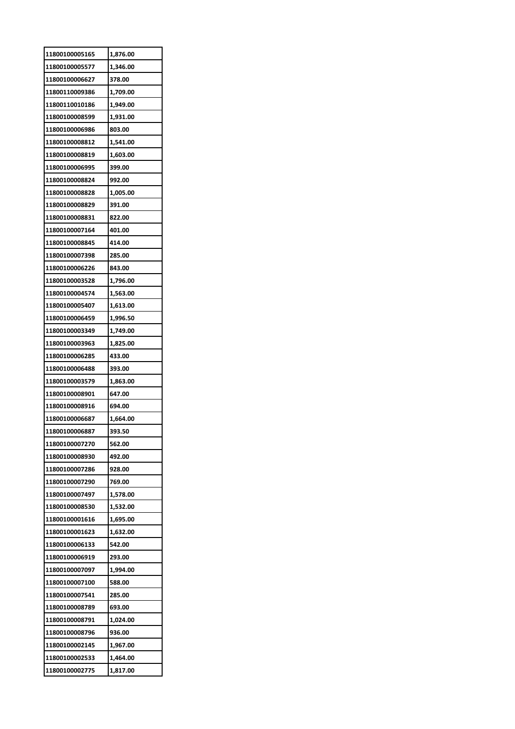| 11800100005165                   | 1,876.00             |
|----------------------------------|----------------------|
| 11800100005577                   | 1,346.00             |
| 11800100006627                   | 378.00               |
| 11800110009386                   | 1,709.00             |
| 11800110010186                   | 1,949.00             |
| 11800100008599                   | 1,931.00             |
| 11800100006986                   | 803.00               |
| 11800100008812                   | 1,541.00             |
| 11800100008819                   | 1,603.00             |
| 11800100006995                   | 399.00               |
| 11800100008824                   | 992.00               |
| 11800100008828                   | 1,005.00             |
| 11800100008829                   | 391.00               |
| 11800100008831                   | 822.00               |
| 11800100007164                   | 401.00               |
| 11800100008845                   | 414.00               |
| 11800100007398                   | 285.00               |
| 11800100006226                   | 843.00               |
| 11800100003528                   | 1,796.00             |
| 11800100004574                   |                      |
| 11800100005407                   | 1,563.00<br>1,613.00 |
| 11800100006459                   | 1,996.50             |
| 11800100003349                   | 1,749.00             |
|                                  |                      |
| 11800100003963<br>11800100006285 | 1,825.00             |
| 11800100006488                   | 433.00               |
|                                  | 393.00               |
| 11800100003579                   | 1,863.00             |
| 11800100008901                   | 647.00               |
| 11800100008916                   | 694.00               |
| 11800100006687                   | 1,664.00             |
| 11800100006887                   | 393.50               |
| 11800100007270                   | 562.00               |
| 11800100008930                   | 492.00               |
| 11800100007286                   | 928.00               |
| 11800100007290                   | 769.00               |
| 11800100007497                   | 1,578.00             |
| 11800100008530                   | 1,532.00             |
| 11800100001616                   | 1,695.00             |
| 11800100001623                   | 1,632.00             |
| 11800100006133                   | 542.00               |
| 11800100006919                   | 293.00               |
| 11800100007097                   | 1,994.00             |
| 11800100007100                   | 588.00               |
| 11800100007541                   | 285.00               |
| 11800100008789                   | 693.00               |
| 11800100008791                   | 1,024.00             |
| 11800100008796                   | 936.00               |
| 11800100002145                   | 1,967.00             |
| 11800100002533                   | 1,464.00             |
| 11800100002775                   | 1,817.00             |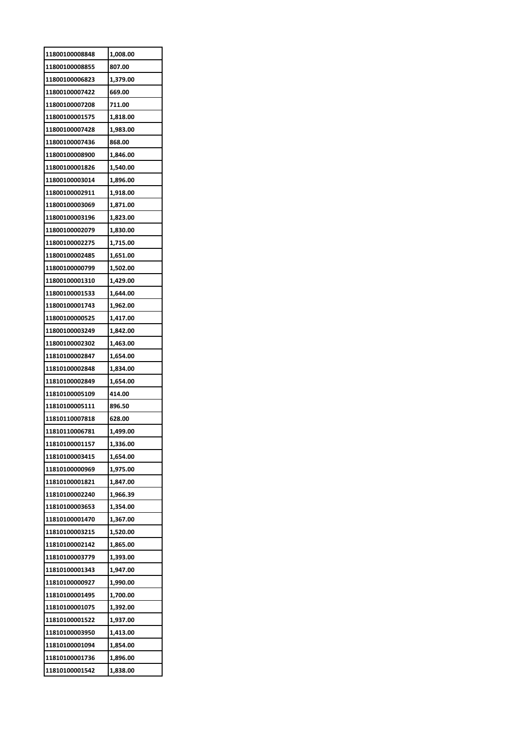| 11800100008848 | 1,008.00 |
|----------------|----------|
| 11800100008855 | 807.00   |
| 11800100006823 | 1,379.00 |
| 11800100007422 | 669.00   |
| 11800100007208 | 711.00   |
| 11800100001575 | 1,818.00 |
| 11800100007428 | 1,983.00 |
| 11800100007436 | 868.00   |
| 11800100008900 | 1,846.00 |
| 11800100001826 | 1,540.00 |
| 11800100003014 | 1,896.00 |
| 11800100002911 | 1,918.00 |
| 11800100003069 | 1,871.00 |
| 11800100003196 | 1,823.00 |
| 11800100002079 | 1,830.00 |
| 11800100002275 | 1,715.00 |
| 11800100002485 | 1,651.00 |
| 11800100000799 | 1,502.00 |
| 11800100001310 | 1,429.00 |
| 11800100001533 | 1,644.00 |
| 11800100001743 | 1,962.00 |
| 11800100000525 | 1,417.00 |
| 11800100003249 | 1,842.00 |
| 11800100002302 | 1,463.00 |
| 11810100002847 | 1,654.00 |
| 11810100002848 | 1,834.00 |
| 11810100002849 | 1,654.00 |
| 11810100005109 | 414.00   |
| 11810100005111 | 896.50   |
| 11810110007818 | 628.00   |
| 11810110006781 | 1,499.00 |
| 11810100001157 | 1,336.00 |
| 11810100003415 | 1,654.00 |
| 11810100000969 | 1,975.00 |
| 11810100001821 | 1,847.00 |
| 11810100002240 | 1,966.39 |
| 11810100003653 | 1,354.00 |
| 11810100001470 | 1,367.00 |
| 11810100003215 | 1,520.00 |
| 11810100002142 | 1,865.00 |
| 11810100003779 | 1,393.00 |
| 11810100001343 | 1,947.00 |
| 11810100000927 | 1,990.00 |
| 11810100001495 | 1,700.00 |
| 11810100001075 | 1,392.00 |
| 11810100001522 | 1,937.00 |
| 11810100003950 | 1,413.00 |
| 11810100001094 | 1,854.00 |
| 11810100001736 | 1,896.00 |
| 11810100001542 | 1,838.00 |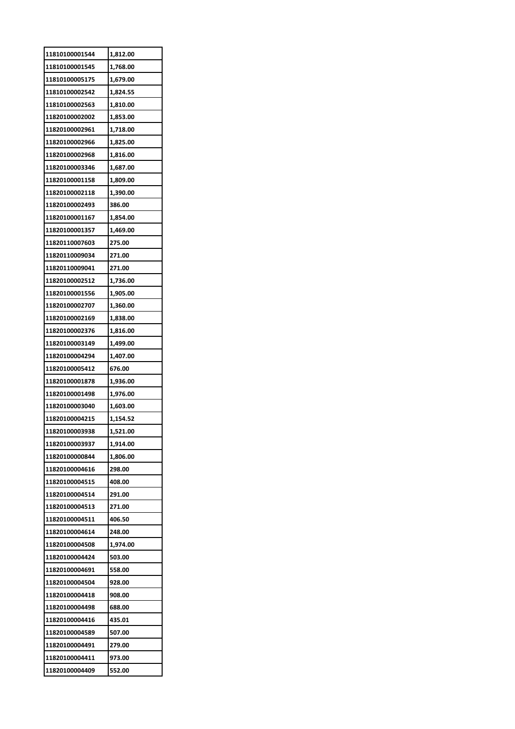| 11810100001544 | 1,812.00 |
|----------------|----------|
| 11810100001545 | 1,768.00 |
| 11810100005175 | 1,679.00 |
| 11810100002542 | 1,824.55 |
| 11810100002563 | 1,810.00 |
| 11820100002002 | 1,853.00 |
| 11820100002961 | 1,718.00 |
| 11820100002966 | 1,825.00 |
| 11820100002968 | 1,816.00 |
| 11820100003346 | 1,687.00 |
| 11820100001158 | 1,809.00 |
| 11820100002118 | 1,390.00 |
| 11820100002493 | 386.00   |
| 11820100001167 | 1,854.00 |
| 11820100001357 | 1,469.00 |
| 11820110007603 | 275.00   |
| 11820110009034 | 271.00   |
| 11820110009041 | 271.00   |
| 11820100002512 | 1,736.00 |
| 11820100001556 | 1,905.00 |
| 11820100002707 | 1,360.00 |
| 11820100002169 | 1,838.00 |
| 11820100002376 | 1,816.00 |
| 11820100003149 | 1,499.00 |
| 11820100004294 | 1,407.00 |
| 11820100005412 | 676.00   |
| 11820100001878 | 1,936.00 |
| 11820100001498 | 1,976.00 |
| 11820100003040 | 1,603.00 |
| 11820100004215 | 1,154.52 |
| 11820100003938 | 1,521.00 |
| 11820100003937 | 1,914.00 |
| 11820100000844 | 1,806.00 |
| 11820100004616 | 298.00   |
| 11820100004515 | 408.00   |
| 11820100004514 | 291.00   |
| 11820100004513 | 271.00   |
| 11820100004511 | 406.50   |
| 11820100004614 | 248.00   |
| 11820100004508 | 1,974.00 |
| 11820100004424 | 503.00   |
| 11820100004691 | 558.00   |
| 11820100004504 | 928.00   |
| 11820100004418 | 908.00   |
| 11820100004498 | 688.00   |
| 11820100004416 | 435.01   |
| 11820100004589 | 507.00   |
| 11820100004491 | 279.00   |
| 11820100004411 | 973.00   |
| 11820100004409 | 552.00   |
|                |          |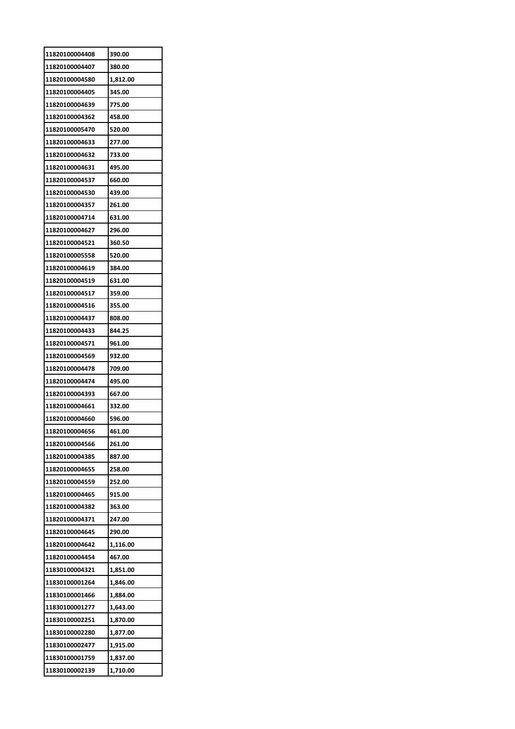| 11820100004408 | 390.00   |
|----------------|----------|
| 11820100004407 | 380.00   |
| 11820100004580 | 1,812.00 |
| 11820100004405 | 345.00   |
| 11820100004639 | 775.00   |
| 11820100004362 | 458.00   |
| 11820100005470 | 520.00   |
| 11820100004633 | 277.00   |
| 11820100004632 | 733.00   |
| 11820100004631 | 495.00   |
| 11820100004537 | 660.00   |
| 11820100004530 | 439.00   |
| 11820100004357 | 261.00   |
| 11820100004714 | 631.00   |
| 11820100004627 | 296.00   |
| 11820100004521 | 360.50   |
| 11820100005558 | 520.00   |
| 11820100004619 | 384.00   |
| 11820100004519 | 631.00   |
| 11820100004517 | 359.00   |
| 11820100004516 | 355.00   |
| 11820100004437 | 808.00   |
| 11820100004433 | 844.25   |
| 11820100004571 | 961.00   |
| 11820100004569 | 932.00   |
| 11820100004478 | 709.00   |
| 11820100004474 | 495.00   |
| 11820100004393 | 667.00   |
| 11820100004661 | 332.00   |
| 11820100004660 | 596.00   |
| 11820100004656 | 461.00   |
| 11820100004566 | 261.00   |
| 11820100004385 | 887.00   |
| 11820100004655 | 258.00   |
| 11820100004559 | 252.00   |
| 11820100004465 | 915.00   |
| 11820100004382 | 363.00   |
| 11820100004371 | 247.00   |
| 11820100004645 | 290.00   |
| 11820100004642 | 1,116.00 |
| 11820100004454 | 467.00   |
| 11830100004321 | 1,851.00 |
| 11830100001264 | 1,846.00 |
| 11830100001466 | 1,884.00 |
| 11830100001277 | 1,643.00 |
| 11830100002251 | 1,870.00 |
| 11830100002280 | 1,877.00 |
| 11830100002477 | 1,915.00 |
| 11830100001759 | 1,837.00 |
| 11830100002139 | 1,710.00 |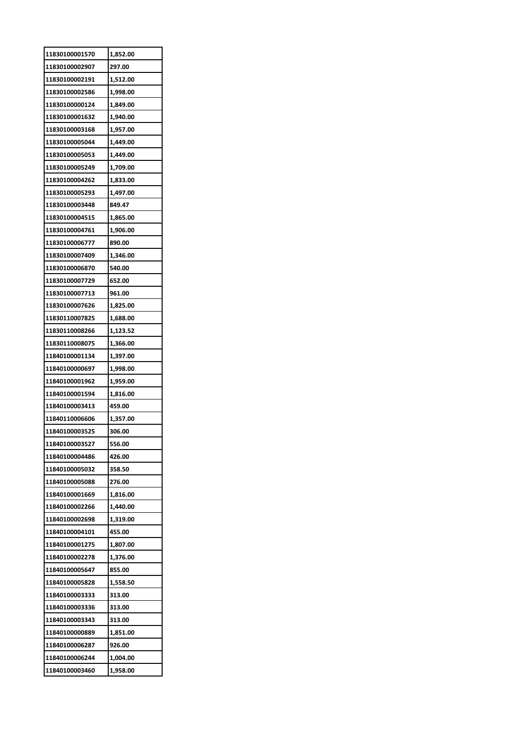| 11830100001570 | 1,852.00 |
|----------------|----------|
| 11830100002907 | 297.00   |
| 11830100002191 | 1,512.00 |
| 11830100002586 | 1,998.00 |
| 11830100000124 | 1,849.00 |
| 11830100001632 | 1,940.00 |
| 11830100003168 | 1,957.00 |
| 11830100005044 | 1,449.00 |
| 11830100005053 | 1,449.00 |
| 11830100005249 | 1,709.00 |
| 11830100004262 | 1,833.00 |
| 11830100005293 | 1,497.00 |
| 11830100003448 | 849.47   |
| 11830100004515 | 1,865.00 |
| 11830100004761 | 1,906.00 |
| 11830100006777 | 890.00   |
| 11830100007409 | 1,346.00 |
| 11830100006870 | 540.00   |
| 11830100007729 | 652.00   |
| 11830100007713 | 961.00   |
| 11830100007626 | 1,825.00 |
| 11830110007825 | 1,688.00 |
| 11830110008266 | 1,123.52 |
| 11830110008075 | 1,366.00 |
| 11840100001134 | 1,397.00 |
| 11840100000697 | 1,998.00 |
| 11840100001962 | 1,959.00 |
| 11840100001594 | 1,816.00 |
| 11840100003413 | 459.00   |
| 11840110006606 | 1,357.00 |
| 11840100003525 | 306.00   |
| 11840100003527 | 556.00   |
| 11840100004486 | 426.00   |
| 11840100005032 | 358.50   |
| 11840100005088 | 276.00   |
| 11840100001669 | 1,816.00 |
| 11840100002266 | 1,440.00 |
| 11840100002698 | 1,319.00 |
| 11840100004101 | 455.00   |
| 11840100001275 | 1,807.00 |
| 11840100002278 | 1,376.00 |
| 11840100005647 | 855.00   |
| 11840100005828 | 1,558.50 |
| 11840100003333 | 313.00   |
| 11840100003336 | 313.00   |
| 11840100003343 | 313.00   |
| 11840100000889 | 1,851.00 |
| 11840100006287 | 926.00   |
| 11840100006244 | 1,004.00 |
| 11840100003460 | 1,958.00 |
|                |          |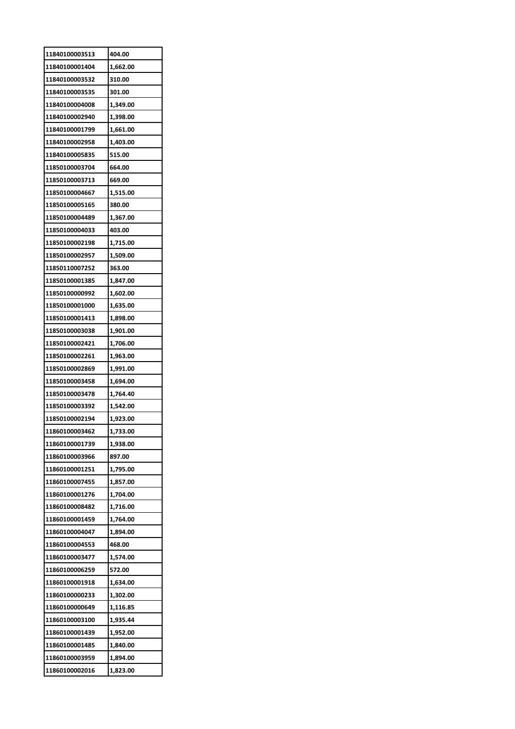| 11840100003513 | 404.00   |
|----------------|----------|
| 11840100001404 | 1,662.00 |
| 11840100003532 | 310.00   |
| 11840100003535 | 301.00   |
| 11840100004008 | 1,349.00 |
| 11840100002940 | 1,398.00 |
| 11840100001799 | 1,661.00 |
| 11840100002958 | 1,403.00 |
| 11840100005835 | 515.00   |
| 11850100003704 | 664.00   |
| 11850100003713 | 669.00   |
| 11850100004667 | 1,515.00 |
| 11850100005165 | 380.00   |
| 11850100004489 | 1,367.00 |
| 11850100004033 | 403.00   |
| 11850100002198 | 1,715.00 |
| 11850100002957 | 1,509.00 |
| 11850110007252 | 363.00   |
| 11850100001385 | 1,847.00 |
| 11850100000992 | 1,602.00 |
| 11850100001000 | 1,635.00 |
| 11850100001413 | 1,898.00 |
| 11850100003038 | 1,901.00 |
| 11850100002421 | 1,706.00 |
| 11850100002261 | 1,963.00 |
| 11850100002869 | 1,991.00 |
| 11850100003458 | 1,694.00 |
| 11850100003478 | 1,764.40 |
| 11850100003392 | 1,542.00 |
| 11850100002194 | 1,923.00 |
| 11860100003462 | 1,733.00 |
| 11860100001739 | 1,938.00 |
| 11860100003966 | 897.00   |
| 11860100001251 | 1,795.00 |
| 11860100007455 | 1,857.00 |
| 11860100001276 | 1,704.00 |
| 11860100008482 | 1,716.00 |
| 11860100001459 | 1,764.00 |
| 11860100004047 | 1,894.00 |
| 11860100004553 | 468.00   |
| 11860100003477 | 1,574.00 |
| 11860100006259 | 572.00   |
| 11860100001918 | 1,634.00 |
| 11860100000233 | 1,302.00 |
| 11860100000649 | 1,116.85 |
| 11860100003100 | 1,935.44 |
| 11860100001439 | 1,952.00 |
| 11860100001485 | 1,840.00 |
| 11860100003959 | 1,894.00 |
| 11860100002016 | 1,823.00 |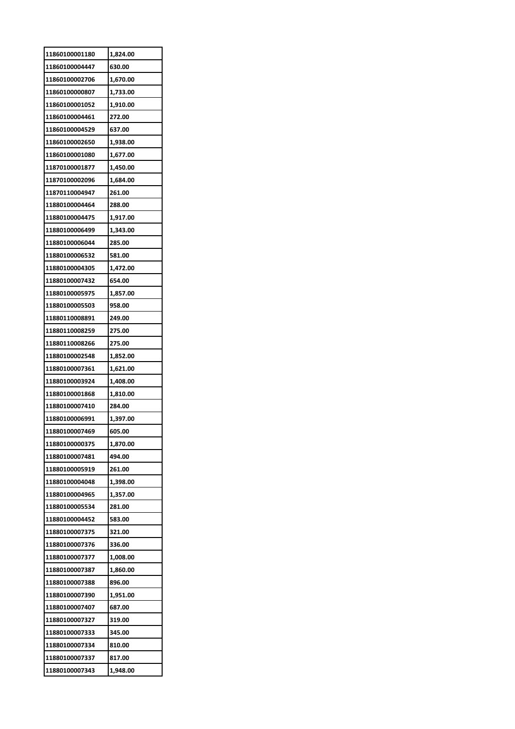| 11860100001180 | 1,824.00 |
|----------------|----------|
| 11860100004447 | 630.00   |
| 11860100002706 | 1,670.00 |
| 11860100000807 | 1,733.00 |
| 11860100001052 | 1,910.00 |
| 11860100004461 | 272.00   |
| 11860100004529 | 637.00   |
| 11860100002650 | 1,938.00 |
| 11860100001080 | 1,677.00 |
| 11870100001877 | 1,450.00 |
| 11870100002096 | 1,684.00 |
| 11870110004947 | 261.00   |
| 11880100004464 | 288.00   |
| 11880100004475 | 1,917.00 |
| 11880100006499 | 1,343.00 |
| 11880100006044 | 285.00   |
| 11880100006532 | 581.00   |
| 11880100004305 | 1,472.00 |
| 11880100007432 | 654.00   |
| 11880100005975 | 1,857.00 |
| 11880100005503 | 958.00   |
| 11880110008891 | 249.00   |
| 11880110008259 | 275.00   |
| 11880110008266 | 275.00   |
| 11880100002548 | 1,852.00 |
| 11880100007361 | 1,621.00 |
| 11880100003924 | 1,408.00 |
| 11880100001868 | 1,810.00 |
| 11880100007410 | 284.00   |
| 11880100006991 | 1,397.00 |
| 11880100007469 | 605.00   |
| 11880100000375 | 1,870.00 |
| 11880100007481 | 494.00   |
| 11880100005919 | 261.00   |
| 11880100004048 | 1,398.00 |
| 11880100004965 | 1,357.00 |
| 11880100005534 | 281.00   |
| 11880100004452 | 583.00   |
| 11880100007375 | 321.00   |
| 11880100007376 | 336.00   |
| 11880100007377 | 1,008.00 |
| 11880100007387 | 1,860.00 |
| 11880100007388 | 896.00   |
| 11880100007390 | 1,951.00 |
| 11880100007407 | 687.00   |
| 11880100007327 | 319.00   |
| 11880100007333 | 345.00   |
| 11880100007334 | 810.00   |
| 11880100007337 |          |
|                | 817.00   |
| 11880100007343 | 1,948.00 |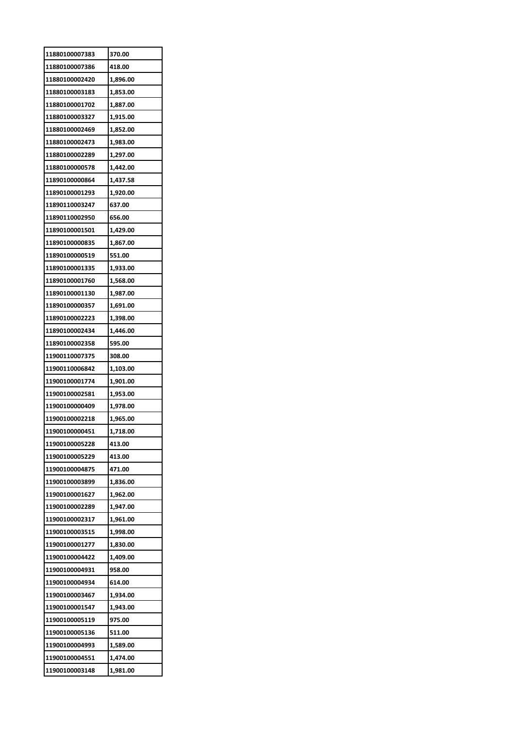| 11880100007383 | 370.00   |
|----------------|----------|
| 11880100007386 | 418.00   |
| 11880100002420 | 1,896.00 |
| 11880100003183 | 1,853.00 |
| 11880100001702 | 1,887.00 |
| 11880100003327 | 1,915.00 |
| 11880100002469 | 1,852.00 |
| 11880100002473 | 1,983.00 |
| 11880100002289 | 1,297.00 |
| 11880100000578 | 1,442.00 |
| 11890100000864 | 1,437.58 |
| 11890100001293 | 1,920.00 |
| 11890110003247 | 637.00   |
| 11890110002950 | 656.00   |
| 11890100001501 | 1,429.00 |
| 11890100000835 | 1,867.00 |
| 11890100000519 | 551.00   |
| 11890100001335 | 1,933.00 |
| 11890100001760 | 1,568.00 |
| 11890100001130 | 1,987.00 |
| 11890100000357 | 1,691.00 |
| 11890100002223 | 1,398.00 |
| 11890100002434 | 1,446.00 |
| 11890100002358 | 595.00   |
| 11900110007375 | 308.00   |
| 11900110006842 | 1,103.00 |
| 11900100001774 | 1,901.00 |
| 11900100002581 | 1,953.00 |
| 11900100000409 | 1,978.00 |
| 11900100002218 | 1,965.00 |
| 11900100000451 | 1,718.00 |
| 11900100005228 | 413.00   |
| 11900100005229 | 413.00   |
| 11900100004875 | 471.00   |
| 11900100003899 | 1,836.00 |
| 11900100001627 | 1,962.00 |
| 11900100002289 | 1,947.00 |
| 11900100002317 | 1,961.00 |
| 11900100003515 | 1,998.00 |
| 11900100001277 | 1,830.00 |
| 11900100004422 | 1,409.00 |
| 11900100004931 | 958.00   |
| 11900100004934 | 614.00   |
| 11900100003467 | 1,934.00 |
| 11900100001547 | 1,943.00 |
| 11900100005119 | 975.00   |
| 11900100005136 | 511.00   |
| 11900100004993 | 1,589.00 |
| 11900100004551 | 1,474.00 |
| 11900100003148 | 1,981.00 |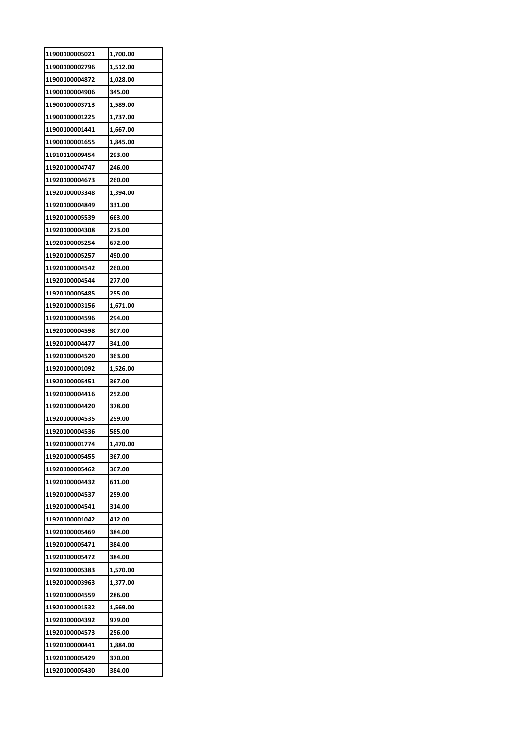| 11900100005021 | 1,700.00 |
|----------------|----------|
| 11900100002796 | 1,512.00 |
| 11900100004872 | 1,028.00 |
| 11900100004906 | 345.00   |
| 11900100003713 | 1,589.00 |
| 11900100001225 | 1,737.00 |
| 11900100001441 | 1,667.00 |
| 11900100001655 | 1,845.00 |
| 11910110009454 | 293.00   |
| 11920100004747 | 246.00   |
| 11920100004673 | 260.00   |
| 11920100003348 | 1,394.00 |
| 11920100004849 | 331.00   |
| 11920100005539 | 663.00   |
| 11920100004308 | 273.00   |
| 11920100005254 | 672.00   |
| 11920100005257 | 490.00   |
| 11920100004542 | 260.00   |
| 11920100004544 | 277.00   |
| 11920100005485 | 255.00   |
| 11920100003156 | 1,671.00 |
| 11920100004596 | 294.00   |
| 11920100004598 | 307.00   |
| 11920100004477 | 341.00   |
| 11920100004520 | 363.00   |
| 11920100001092 | 1,526.00 |
| 11920100005451 | 367.00   |
| 11920100004416 | 252.00   |
| 11920100004420 | 378.00   |
| 11920100004535 | 259.00   |
| 11920100004536 | 585.00   |
| 11920100001774 | 1,470.00 |
| 11920100005455 |          |
|                | 367.00   |
| 11920100005462 | 367.00   |
| 11920100004432 | 611.00   |
| 11920100004537 | 259.00   |
| 11920100004541 | 314.00   |
| 11920100001042 | 412.00   |
| 11920100005469 | 384.00   |
| 11920100005471 | 384.00   |
| 11920100005472 | 384.00   |
| 11920100005383 | 1,570.00 |
| 11920100003963 | 1,377.00 |
| 11920100004559 | 286.00   |
| 11920100001532 | 1,569.00 |
| 11920100004392 | 979.00   |
| 11920100004573 | 256.00   |
| 11920100000441 | 1,884.00 |
| 11920100005429 | 370.00   |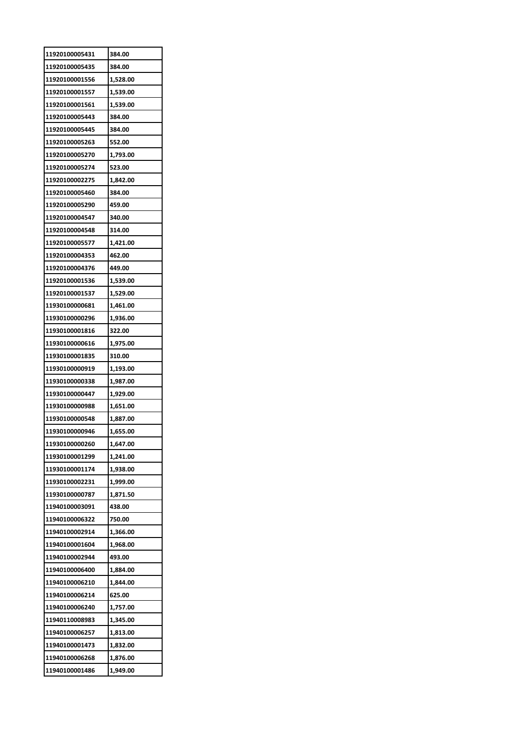| 11920100005431 | 384.00   |
|----------------|----------|
| 11920100005435 | 384.00   |
| 11920100001556 | 1,528.00 |
| 11920100001557 | 1,539.00 |
| 11920100001561 | 1,539.00 |
| 11920100005443 | 384.00   |
| 11920100005445 | 384.00   |
| 11920100005263 | 552.00   |
| 11920100005270 | 1,793.00 |
| 11920100005274 | 523.00   |
| 11920100002275 | 1,842.00 |
| 11920100005460 | 384.00   |
| 11920100005290 | 459.00   |
| 11920100004547 | 340.00   |
| 11920100004548 | 314.00   |
| 11920100005577 | 1,421.00 |
| 11920100004353 | 462.00   |
| 11920100004376 | 449.00   |
| 11920100001536 | 1,539.00 |
| 11920100001537 | 1,529.00 |
| 11930100000681 | 1,461.00 |
| 11930100000296 | 1,936.00 |
| 11930100001816 | 322.00   |
| 11930100000616 | 1,975.00 |
| 11930100001835 | 310.00   |
| 11930100000919 | 1,193.00 |
| 11930100000338 | 1,987.00 |
| 11930100000447 | 1,929.00 |
| 11930100000988 | 1,651.00 |
| 11930100000548 | 1,887.00 |
| 11930100000946 | 1,655.00 |
| 11930100000260 | 1,647.00 |
| 11930100001299 | 1,241.00 |
| 11930100001174 | 1,938.00 |
| 11930100002231 | 1,999.00 |
| 11930100000787 | 1,871.50 |
| 11940100003091 | 438.00   |
| 11940100006322 | 750.00   |
| 11940100002914 | 1,366.00 |
| 11940100001604 | 1,968.00 |
| 11940100002944 | 493.00   |
| 11940100006400 | 1,884.00 |
| 11940100006210 | 1,844.00 |
| 11940100006214 | 625.00   |
| 11940100006240 | 1,757.00 |
| 11940110008983 | 1,345.00 |
| 11940100006257 | 1,813.00 |
| 11940100001473 | 1,832.00 |
| 11940100006268 | 1,876.00 |
| 11940100001486 | 1,949.00 |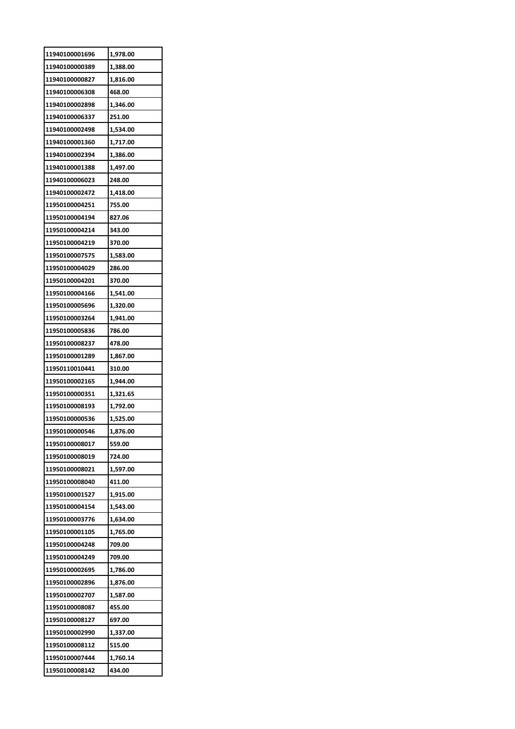| 11940100001696 | 1,978.00 |
|----------------|----------|
| 11940100000389 | 1,388.00 |
| 11940100000827 | 1,816.00 |
| 11940100006308 | 468.00   |
| 11940100002898 | 1,346.00 |
| 11940100006337 | 251.00   |
| 11940100002498 | 1,534.00 |
| 11940100001360 | 1,717.00 |
| 11940100002394 | 1,386.00 |
| 11940100001388 | 1,497.00 |
| 11940100006023 | 248.00   |
| 11940100002472 | 1,418.00 |
| 11950100004251 | 755.00   |
| 11950100004194 | 827.06   |
| 11950100004214 | 343.00   |
| 11950100004219 | 370.00   |
| 11950100007575 | 1,583.00 |
| 11950100004029 | 286.00   |
| 11950100004201 | 370.00   |
| 11950100004166 | 1,541.00 |
| 11950100005696 | 1,320.00 |
| 11950100003264 | 1,941.00 |
| 11950100005836 | 786.00   |
| 11950100008237 | 478.00   |
| 11950100001289 | 1,867.00 |
| 11950110010441 | 310.00   |
| 11950100002165 | 1,944.00 |
| 11950100000351 | 1,321.65 |
| 11950100008193 | 1,792.00 |
| 11950100000536 | 1,525.00 |
| 11950100000546 | 1,876.00 |
| 11950100008017 | 559.00   |
| 11950100008019 | 724.00   |
| 11950100008021 | 1,597.00 |
| 11950100008040 | 411.00   |
| 11950100001527 | 1,915.00 |
| 11950100004154 | 1,543.00 |
| 11950100003776 | 1,634.00 |
| 11950100001105 | 1,765.00 |
| 11950100004248 | 709.00   |
| 11950100004249 | 709.00   |
| 11950100002695 | 1,786.00 |
| 11950100002896 | 1,876.00 |
| 11950100002707 | 1,587.00 |
| 11950100008087 | 455.00   |
| 11950100008127 | 697.00   |
| 11950100002990 | 1,337.00 |
| 11950100008112 | 515.00   |
| 11950100007444 | 1,760.14 |
| 11950100008142 | 434.00   |
|                |          |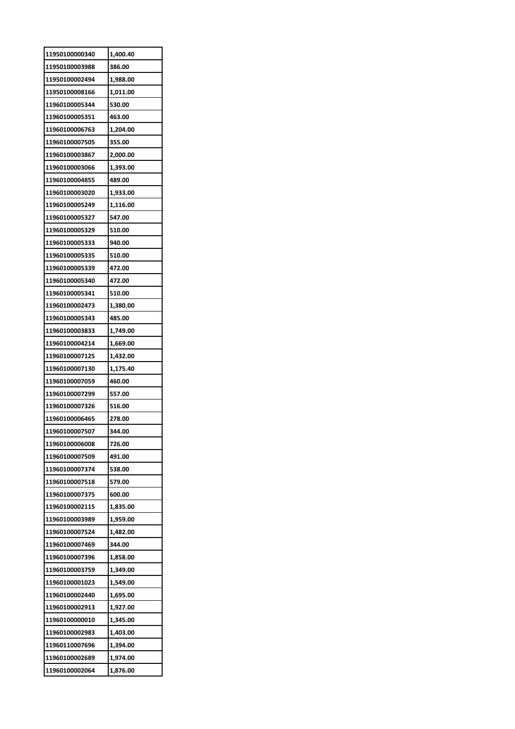| 11950100000340 | 1,400.40 |
|----------------|----------|
| 11950100003988 | 386.00   |
| 11950100002494 | 1,988.00 |
| 11950100008166 | 1,011.00 |
| 11960100005344 | 530.00   |
| 11960100005351 | 463.00   |
| 11960100006763 | 1,204.00 |
| 11960100007505 | 355.00   |
| 11960100003867 | 2,000.00 |
| 11960100003066 | 1,393.00 |
| 11960100004855 | 489.00   |
| 11960100003020 | 1,933.00 |
| 11960100005249 | 1,116.00 |
| 11960100005327 | 547.00   |
| 11960100005329 | 510.00   |
| 11960100005333 | 940.00   |
| 11960100005335 | 510.00   |
| 11960100005339 | 472.00   |
| 11960100005340 | 472.00   |
|                |          |
| 11960100005341 | 510.00   |
| 11960100002473 | 1,380.00 |
| 11960100005343 | 485.00   |
| 11960100003833 | 1,749.00 |
| 11960100004214 | 1,669.00 |
| 11960100007125 | 1,432.00 |
| 11960100007130 | 1,175.40 |
|                |          |
| 11960100007059 | 460.00   |
| 11960100007299 | 557.00   |
| 11960100007326 | 516.00   |
| 11960100006465 | 278.00   |
| 11960100007507 | 344.00   |
| 11960100006008 | 726.00   |
| 11960100007509 | 491.00   |
| 11960100007374 | 538.00   |
| 11960100007518 | 579.00   |
| 11960100007375 | 600.00   |
| 11960100002115 | 1,835.00 |
| 11960100003989 | 1,959.00 |
| 11960100007524 | 1,482.00 |
| 11960100007469 | 344.00   |
| 11960100007396 | 1,858.00 |
| 11960100003759 | 1,349.00 |
| 11960100001023 | 1,549.00 |
| 11960100002440 | 1,695.00 |
| 11960100002913 | 1,927.00 |
| 11960100000010 | 1,345.00 |
| 11960100002983 | 1,403.00 |
| 11960110007696 | 1,394.00 |
| 11960100002689 | 1,974.00 |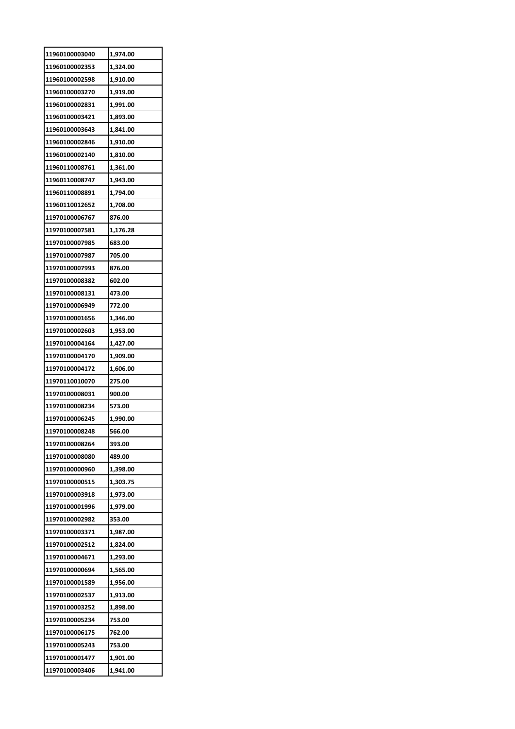| 11960100003040 | 1,974.00 |
|----------------|----------|
| 11960100002353 | 1,324.00 |
| 11960100002598 | 1,910.00 |
| 11960100003270 | 1,919.00 |
| 11960100002831 | 1,991.00 |
| 11960100003421 | 1,893.00 |
| 11960100003643 | 1,841.00 |
| 11960100002846 | 1,910.00 |
| 11960100002140 | 1,810.00 |
| 11960110008761 | 1,361.00 |
| 11960110008747 | 1,943.00 |
| 11960110008891 | 1,794.00 |
| 11960110012652 | 1,708.00 |
| 11970100006767 | 876.00   |
| 11970100007581 | 1,176.28 |
| 11970100007985 | 683.00   |
| 11970100007987 | 705.00   |
| 11970100007993 | 876.00   |
| 11970100008382 | 602.00   |
| 11970100008131 | 473.00   |
| 11970100006949 | 772.00   |
| 11970100001656 | 1,346.00 |
| 11970100002603 | 1,953.00 |
| 11970100004164 | 1,427.00 |
| 11970100004170 | 1,909.00 |
| 11970100004172 | 1,606.00 |
| 11970110010070 | 275.00   |
| 11970100008031 | 900.00   |
| 11970100008234 | 573.00   |
| 11970100006245 | 1,990.00 |
| 11970100008248 | 566.00   |
| 11970100008264 | 393.00   |
| 11970100008080 | 489.00   |
| 11970100000960 | 1,398.00 |
| 11970100000515 | 1,303.75 |
| 11970100003918 | 1,973.00 |
| 11970100001996 | 1,979.00 |
| 11970100002982 | 353.00   |
| 11970100003371 | 1,987.00 |
| 11970100002512 | 1,824.00 |
| 11970100004671 | 1,293.00 |
| 11970100000694 | 1,565.00 |
| 11970100001589 | 1,956.00 |
| 11970100002537 | 1,913.00 |
| 11970100003252 | 1,898.00 |
| 11970100005234 | 753.00   |
| 11970100006175 | 762.00   |
| 11970100005243 | 753.00   |
| 11970100001477 | 1,901.00 |
| 11970100003406 | 1,941.00 |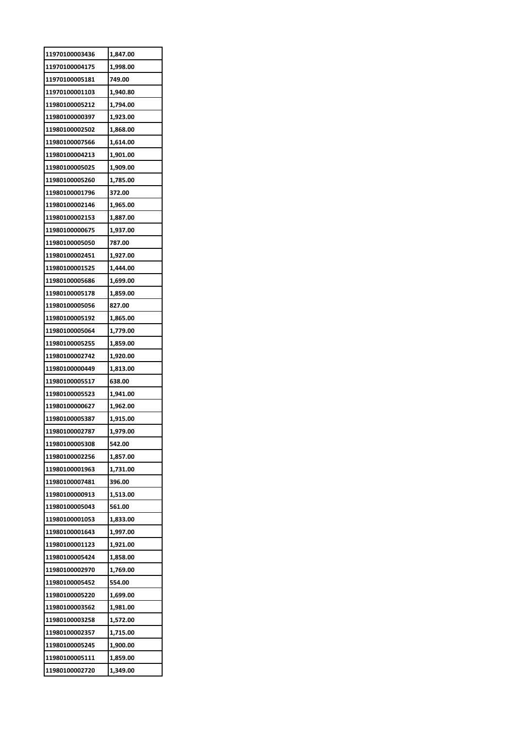| 11970100003436 | 1,847.00 |
|----------------|----------|
| 11970100004175 | 1,998.00 |
| 11970100005181 | 749.00   |
| 11970100001103 | 1,940.80 |
| 11980100005212 | 1,794.00 |
| 11980100000397 | 1,923.00 |
| 11980100002502 | 1,868.00 |
| 11980100007566 | 1,614.00 |
| 11980100004213 | 1,901.00 |
| 11980100005025 | 1,909.00 |
| 11980100005260 | 1,785.00 |
| 11980100001796 | 372.00   |
| 11980100002146 | 1,965.00 |
| 11980100002153 | 1,887.00 |
| 11980100000675 | 1,937.00 |
| 11980100005050 | 787.00   |
| 11980100002451 | 1,927.00 |
| 11980100001525 | 1,444.00 |
| 11980100005686 | 1,699.00 |
| 11980100005178 | 1,859.00 |
| 11980100005056 | 827.00   |
| 11980100005192 | 1,865.00 |
| 11980100005064 | 1,779.00 |
| 11980100005255 | 1,859.00 |
|                |          |
| 11980100002742 | 1,920.00 |
| 11980100000449 | 1,813.00 |
| 11980100005517 | 638.00   |
| 11980100005523 | 1,941.00 |
| 11980100000627 | 1,962.00 |
| 11980100005387 | 1,915.00 |
| 11980100002787 | 1,979.00 |
| 11980100005308 | 542.00   |
| 11980100002256 | 1,857.00 |
| 11980100001963 | 1,731.00 |
| 11980100007481 | 396.00   |
| 11980100000913 | 1,513.00 |
| 11980100005043 | 561.00   |
| 11980100001053 | 1,833.00 |
| 11980100001643 | 1,997.00 |
| 11980100001123 | 1,921.00 |
| 11980100005424 | 1,858.00 |
| 11980100002970 | 1,769.00 |
| 11980100005452 | 554.00   |
| 11980100005220 | 1,699.00 |
| 11980100003562 | 1,981.00 |
| 11980100003258 | 1,572.00 |
| 11980100002357 | 1,715.00 |
| 11980100005245 | 1,900.00 |
| 11980100005111 | 1,859.00 |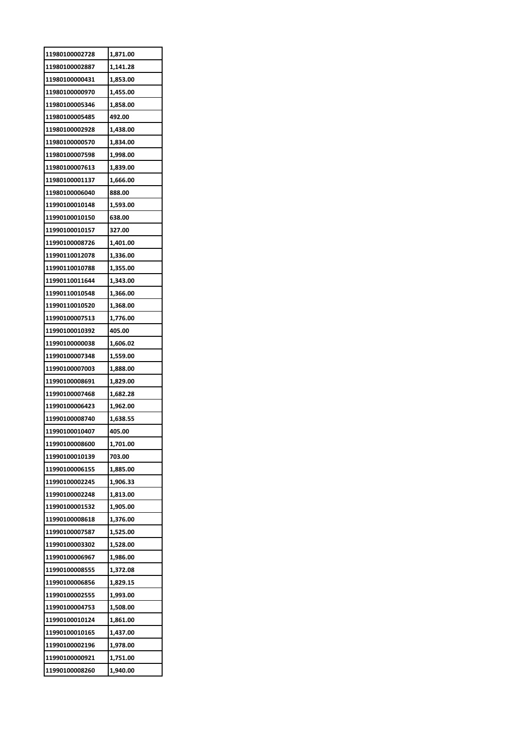| 11980100002728 | 1,871.00 |
|----------------|----------|
| 11980100002887 | 1,141.28 |
| 11980100000431 | 1,853.00 |
| 11980100000970 | 1,455.00 |
| 11980100005346 | 1,858.00 |
| 11980100005485 | 492.00   |
| 11980100002928 | 1,438.00 |
| 11980100000570 | 1,834.00 |
| 11980100007598 | 1,998.00 |
| 11980100007613 | 1,839.00 |
| 11980100001137 | 1,666.00 |
| 11980100006040 | 888.00   |
| 11990100010148 | 1,593.00 |
| 11990100010150 | 638.00   |
| 11990100010157 | 327.00   |
| 11990100008726 | 1,401.00 |
| 11990110012078 | 1,336.00 |
| 11990110010788 | 1,355.00 |
| 11990110011644 | 1,343.00 |
| 11990110010548 | 1,366.00 |
| 11990110010520 | 1,368.00 |
| 11990100007513 | 1,776.00 |
| 11990100010392 | 405.00   |
| 11990100000038 | 1,606.02 |
| 11990100007348 | 1,559.00 |
| 11990100007003 | 1,888.00 |
| 11990100008691 | 1,829.00 |
| 11990100007468 | 1,682.28 |
| 11990100006423 | 1,962.00 |
| 11990100008740 | 1,638.55 |
| 11990100010407 | 405.00   |
| 11990100008600 | 1,701.00 |
| 11990100010139 | 703.00   |
| 11990100006155 | 1,885.00 |
| 11990100002245 | 1,906.33 |
| 11990100002248 | 1,813.00 |
| 11990100001532 | 1,905.00 |
| 11990100008618 | 1,376.00 |
| 11990100007587 | 1,525.00 |
| 11990100003302 | 1,528.00 |
| 11990100006967 | 1,986.00 |
| 11990100008555 | 1,372.08 |
| 11990100006856 | 1,829.15 |
| 11990100002555 | 1,993.00 |
| 11990100004753 | 1,508.00 |
| 11990100010124 | 1,861.00 |
| 11990100010165 | 1,437.00 |
| 11990100002196 | 1,978.00 |
| 11990100000921 | 1,751.00 |
| 11990100008260 | 1,940.00 |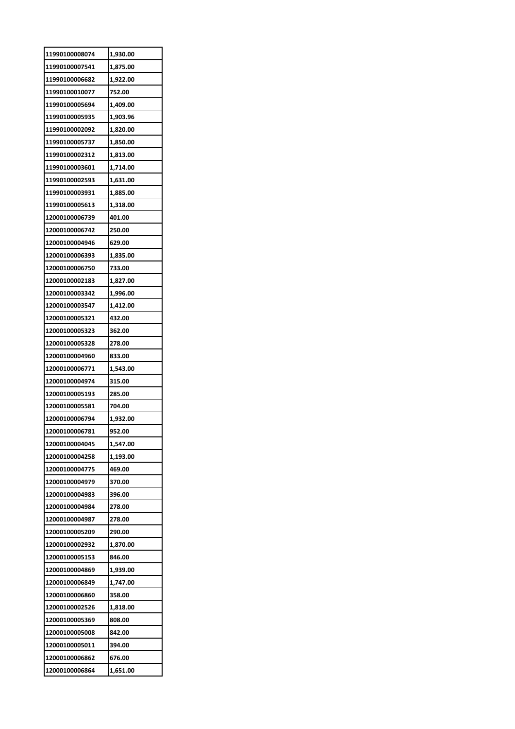| 11990100008074 | 1,930.00 |
|----------------|----------|
| 11990100007541 | 1,875.00 |
| 11990100006682 | 1,922.00 |
| 11990100010077 | 752.00   |
| 11990100005694 | 1,409.00 |
| 11990100005935 | 1,903.96 |
| 11990100002092 | 1,820.00 |
| 11990100005737 | 1,850.00 |
| 11990100002312 | 1,813.00 |
| 11990100003601 | 1,714.00 |
| 11990100002593 | 1,631.00 |
| 11990100003931 | 1,885.00 |
| 11990100005613 | 1,318.00 |
| 12000100006739 | 401.00   |
| 12000100006742 | 250.00   |
| 12000100004946 | 629.00   |
| 12000100006393 | 1,835.00 |
| 12000100006750 | 733.00   |
| 12000100002183 | 1,827.00 |
| 12000100003342 | 1,996.00 |
| 12000100003547 | 1,412.00 |
| 12000100005321 | 432.00   |
| 12000100005323 | 362.00   |
| 12000100005328 | 278.00   |
| 12000100004960 | 833.00   |
| 12000100006771 | 1,543.00 |
| 12000100004974 | 315.00   |
| 12000100005193 | 285.00   |
| 12000100005581 | 704.00   |
|                |          |
| 12000100006794 | 1,932.00 |
| 12000100006781 | 952.00   |
| 12000100004045 | 1,547.00 |
| 12000100004258 | 1,193.00 |
| 12000100004775 | 469.00   |
| 12000100004979 | 370.00   |
| 12000100004983 | 396.00   |
| 12000100004984 | 278.00   |
| 12000100004987 | 278.00   |
| 12000100005209 | 290.00   |
| 12000100002932 | 1,870.00 |
| 12000100005153 | 846.00   |
| 12000100004869 | 1,939.00 |
| 12000100006849 | 1,747.00 |
| 12000100006860 | 358.00   |
| 12000100002526 | 1,818.00 |
| 12000100005369 | 808.00   |
| 12000100005008 | 842.00   |
| 12000100005011 | 394.00   |
| 12000100006862 | 676.00   |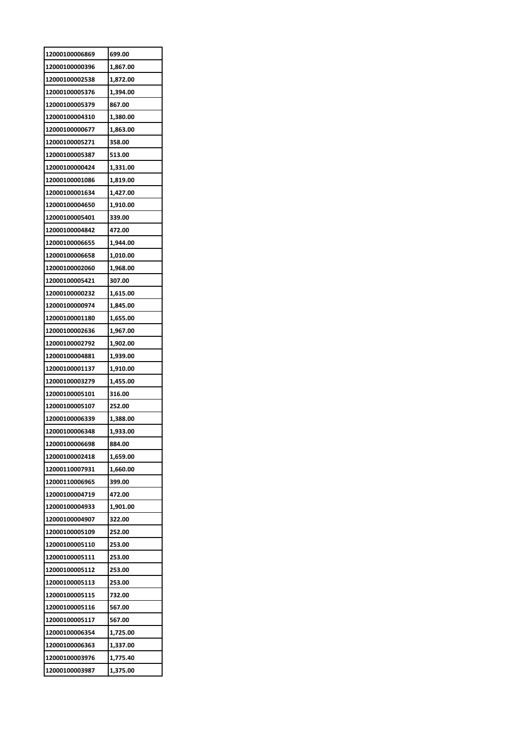| 12000100006869 | 699.00   |
|----------------|----------|
| 12000100000396 | 1,867.00 |
| 12000100002538 | 1,872.00 |
| 12000100005376 | 1,394.00 |
| 12000100005379 | 867.00   |
| 12000100004310 | 1,380.00 |
| 12000100000677 | 1,863.00 |
| 12000100005271 | 358.00   |
| 12000100005387 | 513.00   |
| 12000100000424 | 1,331.00 |
| 12000100001086 | 1,819.00 |
| 12000100001634 | 1,427.00 |
| 12000100004650 | 1,910.00 |
| 12000100005401 | 339.00   |
| 12000100004842 | 472.00   |
| 12000100006655 | 1,944.00 |
| 12000100006658 | 1,010.00 |
| 12000100002060 | 1,968.00 |
| 12000100005421 | 307.00   |
| 12000100000232 | 1,615.00 |
| 12000100000974 | 1,845.00 |
| 12000100001180 | 1,655.00 |
| 12000100002636 | 1,967.00 |
| 12000100002792 | 1,902.00 |
| 12000100004881 | 1,939.00 |
| 12000100001137 | 1,910.00 |
| 12000100003279 | 1,455.00 |
| 12000100005101 | 316.00   |
| 12000100005107 | 252.00   |
| 12000100006339 | 1,388.00 |
| 12000100006348 | 1.933.00 |
| 12000100006698 | 884.00   |
| 12000100002418 | 1,659.00 |
| 12000110007931 | 1,660.00 |
| 12000110006965 | 399.00   |
| 12000100004719 | 472.00   |
| 12000100004933 | 1,901.00 |
| 12000100004907 | 322.00   |
| 12000100005109 | 252.00   |
| 12000100005110 | 253.00   |
| 12000100005111 | 253.00   |
| 12000100005112 | 253.00   |
| 12000100005113 | 253.00   |
| 12000100005115 | 732.00   |
| 12000100005116 | 567.00   |
| 12000100005117 | 567.00   |
| 12000100006354 | 1,725.00 |
| 12000100006363 | 1,337.00 |
| 12000100003976 | 1,775.40 |
| 12000100003987 | 1,375.00 |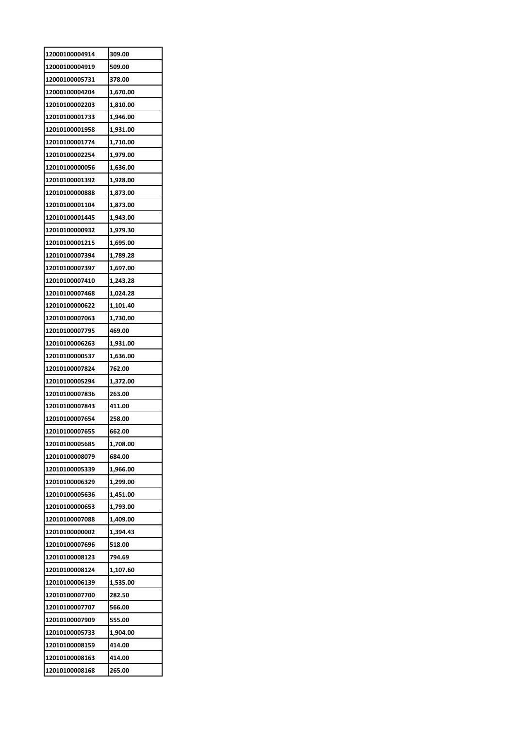| 12000100004914 | 309.00   |
|----------------|----------|
| 12000100004919 | 509.00   |
| 12000100005731 | 378.00   |
| 12000100004204 | 1,670.00 |
| 12010100002203 | 1,810.00 |
| 12010100001733 | 1,946.00 |
| 12010100001958 | 1,931.00 |
| 12010100001774 | 1,710.00 |
| 12010100002254 | 1,979.00 |
| 12010100000056 | 1,636.00 |
| 12010100001392 | 1,928.00 |
| 12010100000888 | 1,873.00 |
| 12010100001104 | 1,873.00 |
| 12010100001445 | 1,943.00 |
| 12010100000932 | 1,979.30 |
| 12010100001215 | 1,695.00 |
| 12010100007394 | 1,789.28 |
| 12010100007397 | 1,697.00 |
| 12010100007410 | 1,243.28 |
| 12010100007468 | 1,024.28 |
| 12010100000622 | 1,101.40 |
| 12010100007063 | 1,730.00 |
| 12010100007795 | 469.00   |
| 12010100006263 | 1,931.00 |
| 12010100000537 | 1,636.00 |
| 12010100007824 | 762.00   |
| 12010100005294 | 1,372.00 |
| 12010100007836 | 263.00   |
| 12010100007843 | 411.00   |
| 12010100007654 | 258.00   |
| 12010100007655 | 662.00   |
| 12010100005685 | 1,708.00 |
| 12010100008079 | 684.00   |
| 12010100005339 | 1,966.00 |
| 12010100006329 | 1,299.00 |
| 12010100005636 | 1,451.00 |
| 12010100000653 | 1,793.00 |
| 12010100007088 | 1,409.00 |
| 12010100000002 | 1,394.43 |
| 12010100007696 | 518.00   |
| 12010100008123 | 794.69   |
| 12010100008124 | 1,107.60 |
| 12010100006139 | 1,535.00 |
| 12010100007700 | 282.50   |
| 12010100007707 | 566.00   |
| 12010100007909 |          |
|                | 555.00   |
| 12010100005733 | 1,904.00 |
| 12010100008159 | 414.00   |
| 12010100008163 | 414.00   |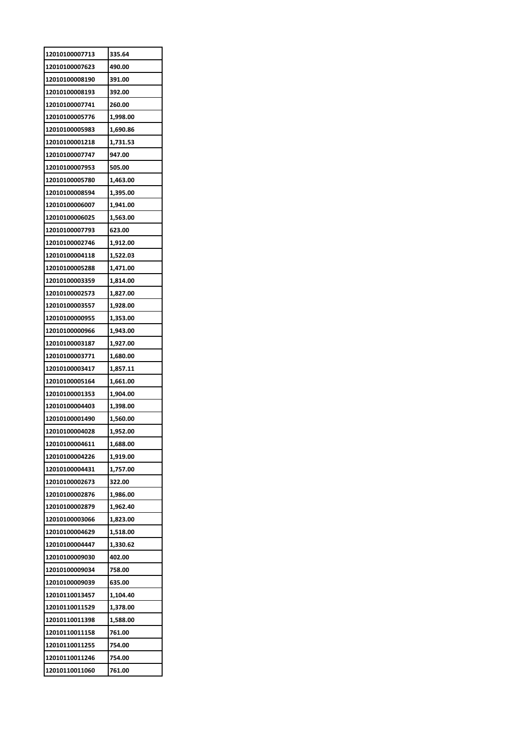| 12010100007713 | 335.64   |
|----------------|----------|
| 12010100007623 | 490.00   |
| 12010100008190 | 391.00   |
| 12010100008193 | 392.00   |
| 12010100007741 | 260.00   |
| 12010100005776 | 1,998.00 |
| 12010100005983 | 1,690.86 |
| 12010100001218 | 1,731.53 |
| 12010100007747 | 947.00   |
| 12010100007953 | 505.00   |
| 12010100005780 | 1,463.00 |
| 12010100008594 | 1,395.00 |
| 12010100006007 | 1,941.00 |
| 12010100006025 | 1,563.00 |
| 12010100007793 | 623.00   |
| 12010100002746 | 1,912.00 |
| 12010100004118 | 1,522.03 |
| 12010100005288 | 1,471.00 |
| 12010100003359 | 1,814.00 |
| 12010100002573 | 1,827.00 |
| 12010100003557 | 1,928.00 |
| 12010100000955 | 1,353.00 |
| 12010100000966 | 1,943.00 |
| 12010100003187 | 1,927.00 |
| 12010100003771 | 1,680.00 |
| 12010100003417 | 1,857.11 |
| 12010100005164 | 1,661.00 |
| 12010100001353 | 1,904.00 |
| 12010100004403 | 1,398.00 |
| 12010100001490 | 1,560.00 |
| 12010100004028 | 1,952.00 |
| 12010100004611 | 1,688.00 |
| 12010100004226 | 1,919.00 |
| 12010100004431 | 1,757.00 |
| 12010100002673 | 322.00   |
| 12010100002876 | 1,986.00 |
| 12010100002879 | 1,962.40 |
| 12010100003066 | 1,823.00 |
| 12010100004629 | 1,518.00 |
| 12010100004447 | 1,330.62 |
| 12010100009030 | 402.00   |
| 12010100009034 | 758.00   |
| 12010100009039 | 635.00   |
| 12010110013457 | 1,104.40 |
| 12010110011529 | 1,378.00 |
| 12010110011398 | 1,588.00 |
| 12010110011158 | 761.00   |
| 12010110011255 | 754.00   |
| 12010110011246 | 754.00   |
| 12010110011060 | 761.00   |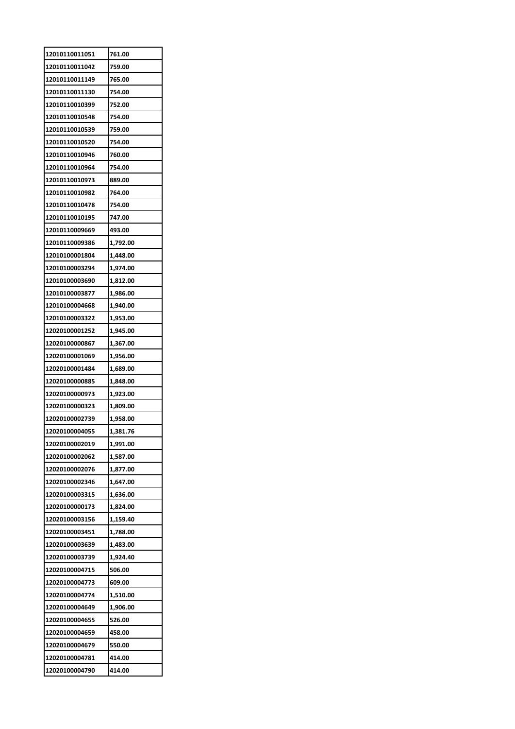| 12010110011051 | 761.00   |
|----------------|----------|
| 12010110011042 | 759.00   |
| 12010110011149 | 765.00   |
| 12010110011130 | 754.00   |
| 12010110010399 | 752.00   |
| 12010110010548 | 754.00   |
| 12010110010539 | 759.00   |
| 12010110010520 | 754.00   |
| 12010110010946 | 760.00   |
| 12010110010964 | 754.00   |
| 12010110010973 | 889.00   |
| 12010110010982 | 764.00   |
| 12010110010478 | 754.00   |
| 12010110010195 | 747.00   |
| 12010110009669 | 493.00   |
| 12010110009386 | 1,792.00 |
| 12010100001804 | 1,448.00 |
| 12010100003294 | 1,974.00 |
| 12010100003690 | 1,812.00 |
| 12010100003877 | 1,986.00 |
| 12010100004668 | 1,940.00 |
| 12010100003322 | 1,953.00 |
| 12020100001252 | 1,945.00 |
| 12020100000867 | 1,367.00 |
| 12020100001069 | 1,956.00 |
| 12020100001484 | 1,689.00 |
| 12020100000885 | 1,848.00 |
| 12020100000973 | 1,923.00 |
| 12020100000323 | 1,809.00 |
| 12020100002739 | 1,958.00 |
| 12020100004055 | 1.381.76 |
| 12020100002019 | 1,991.00 |
| 12020100002062 | 1,587.00 |
| 12020100002076 | 1,877.00 |
| 12020100002346 | 1,647.00 |
| 12020100003315 | 1,636.00 |
| 12020100000173 | 1,824.00 |
| 12020100003156 | 1,159.40 |
| 12020100003451 | 1,788.00 |
| 12020100003639 | 1,483.00 |
| 12020100003739 | 1,924.40 |
| 12020100004715 | 506.00   |
| 12020100004773 | 609.00   |
| 12020100004774 | 1,510.00 |
| 12020100004649 | 1,906.00 |
| 12020100004655 | 526.00   |
| 12020100004659 | 458.00   |
| 12020100004679 | 550.00   |
| 12020100004781 | 414.00   |
| 12020100004790 | 414.00   |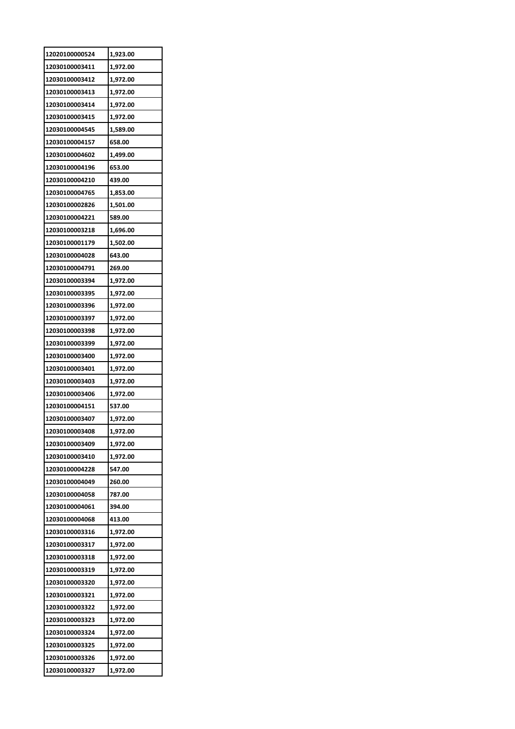| 12020100000524 | 1,923.00 |
|----------------|----------|
| 12030100003411 | 1,972.00 |
| 12030100003412 | 1,972.00 |
| 12030100003413 | 1,972.00 |
| 12030100003414 | 1,972.00 |
| 12030100003415 | 1,972.00 |
| 12030100004545 | 1,589.00 |
| 12030100004157 | 658.00   |
| 12030100004602 | 1,499.00 |
| 12030100004196 | 653.00   |
| 12030100004210 | 439.00   |
| 12030100004765 | 1,853.00 |
| 12030100002826 | 1,501.00 |
| 12030100004221 | 589.00   |
| 12030100003218 | 1,696.00 |
| 12030100001179 | 1,502.00 |
| 12030100004028 | 643.00   |
| 12030100004791 | 269.00   |
| 12030100003394 | 1,972.00 |
| 12030100003395 | 1,972.00 |
| 12030100003396 | 1,972.00 |
| 12030100003397 | 1,972.00 |
| 12030100003398 | 1,972.00 |
| 12030100003399 | 1,972.00 |
| 12030100003400 | 1,972.00 |
| 12030100003401 | 1,972.00 |
| 12030100003403 | 1,972.00 |
| 12030100003406 | 1,972.00 |
| 12030100004151 | 537.00   |
| 12030100003407 | 1,972.00 |
| 12030100003408 | 1.972.00 |
| 12030100003409 | 1,972.00 |
| 12030100003410 | 1,972.00 |
| 12030100004228 | 547.00   |
| 12030100004049 | 260.00   |
| 12030100004058 | 787.00   |
| 12030100004061 | 394.00   |
| 12030100004068 | 413.00   |
| 12030100003316 | 1,972.00 |
| 12030100003317 | 1,972.00 |
| 12030100003318 | 1,972.00 |
| 12030100003319 | 1,972.00 |
| 12030100003320 | 1,972.00 |
| 12030100003321 | 1,972.00 |
| 12030100003322 |          |
|                | 1,972.00 |
| 12030100003323 | 1,972.00 |
| 12030100003324 | 1,972.00 |
| 12030100003325 | 1,972.00 |
| 12030100003326 | 1,972.00 |
| 12030100003327 | 1,972.00 |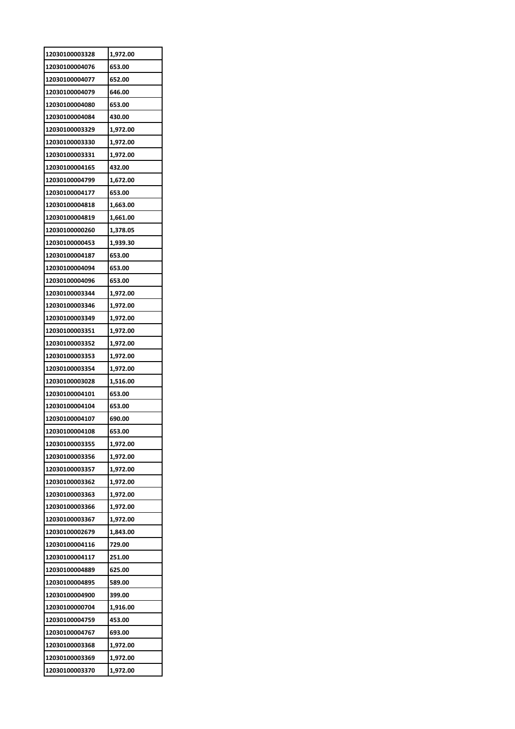| 12030100004076<br>653.00<br>12030100004077<br>652.00<br>12030100004079<br>646.00<br>12030100004080<br>653.00<br>12030100004084<br>430.00<br>12030100003329<br>1,972.00<br>12030100003330<br>1,972.00<br>12030100003331<br>1,972.00<br>432.00<br>12030100004165<br>12030100004799<br>1,672.00<br>12030100004177<br>653.00<br>12030100004818<br>1,663.00<br>12030100004819<br>1,661.00<br>12030100000260<br>1,378.05<br>12030100000453<br>1,939.30<br>12030100004187<br>653.00<br>12030100004094<br>653.00<br>12030100004096<br>653.00<br>12030100003344<br>1,972.00<br>12030100003346<br>1,972.00<br>12030100003349<br>1,972.00 |
|--------------------------------------------------------------------------------------------------------------------------------------------------------------------------------------------------------------------------------------------------------------------------------------------------------------------------------------------------------------------------------------------------------------------------------------------------------------------------------------------------------------------------------------------------------------------------------------------------------------------------------|
|                                                                                                                                                                                                                                                                                                                                                                                                                                                                                                                                                                                                                                |
|                                                                                                                                                                                                                                                                                                                                                                                                                                                                                                                                                                                                                                |
|                                                                                                                                                                                                                                                                                                                                                                                                                                                                                                                                                                                                                                |
|                                                                                                                                                                                                                                                                                                                                                                                                                                                                                                                                                                                                                                |
|                                                                                                                                                                                                                                                                                                                                                                                                                                                                                                                                                                                                                                |
|                                                                                                                                                                                                                                                                                                                                                                                                                                                                                                                                                                                                                                |
|                                                                                                                                                                                                                                                                                                                                                                                                                                                                                                                                                                                                                                |
|                                                                                                                                                                                                                                                                                                                                                                                                                                                                                                                                                                                                                                |
|                                                                                                                                                                                                                                                                                                                                                                                                                                                                                                                                                                                                                                |
|                                                                                                                                                                                                                                                                                                                                                                                                                                                                                                                                                                                                                                |
|                                                                                                                                                                                                                                                                                                                                                                                                                                                                                                                                                                                                                                |
|                                                                                                                                                                                                                                                                                                                                                                                                                                                                                                                                                                                                                                |
|                                                                                                                                                                                                                                                                                                                                                                                                                                                                                                                                                                                                                                |
|                                                                                                                                                                                                                                                                                                                                                                                                                                                                                                                                                                                                                                |
|                                                                                                                                                                                                                                                                                                                                                                                                                                                                                                                                                                                                                                |
|                                                                                                                                                                                                                                                                                                                                                                                                                                                                                                                                                                                                                                |
|                                                                                                                                                                                                                                                                                                                                                                                                                                                                                                                                                                                                                                |
|                                                                                                                                                                                                                                                                                                                                                                                                                                                                                                                                                                                                                                |
|                                                                                                                                                                                                                                                                                                                                                                                                                                                                                                                                                                                                                                |
|                                                                                                                                                                                                                                                                                                                                                                                                                                                                                                                                                                                                                                |
|                                                                                                                                                                                                                                                                                                                                                                                                                                                                                                                                                                                                                                |
| 12030100003351<br>1,972.00                                                                                                                                                                                                                                                                                                                                                                                                                                                                                                                                                                                                     |
| 12030100003352<br>1,972.00                                                                                                                                                                                                                                                                                                                                                                                                                                                                                                                                                                                                     |
| 12030100003353<br>1,972.00                                                                                                                                                                                                                                                                                                                                                                                                                                                                                                                                                                                                     |
| 12030100003354<br>1,972.00                                                                                                                                                                                                                                                                                                                                                                                                                                                                                                                                                                                                     |
| 1,516.00<br>12030100003028                                                                                                                                                                                                                                                                                                                                                                                                                                                                                                                                                                                                     |
| 12030100004101<br>653.00                                                                                                                                                                                                                                                                                                                                                                                                                                                                                                                                                                                                       |
| 12030100004104<br>653.00                                                                                                                                                                                                                                                                                                                                                                                                                                                                                                                                                                                                       |
| 12030100004107<br>690.00                                                                                                                                                                                                                                                                                                                                                                                                                                                                                                                                                                                                       |
| 12030100004108<br>653.00                                                                                                                                                                                                                                                                                                                                                                                                                                                                                                                                                                                                       |
| 12030100003355<br>1,972.00                                                                                                                                                                                                                                                                                                                                                                                                                                                                                                                                                                                                     |
| 12030100003356<br>1,972.00                                                                                                                                                                                                                                                                                                                                                                                                                                                                                                                                                                                                     |
| 12030100003357<br>1,972.00                                                                                                                                                                                                                                                                                                                                                                                                                                                                                                                                                                                                     |
| 12030100003362<br>1,972.00                                                                                                                                                                                                                                                                                                                                                                                                                                                                                                                                                                                                     |
| 12030100003363<br>1,972.00                                                                                                                                                                                                                                                                                                                                                                                                                                                                                                                                                                                                     |
| 12030100003366<br>1,972.00                                                                                                                                                                                                                                                                                                                                                                                                                                                                                                                                                                                                     |
|                                                                                                                                                                                                                                                                                                                                                                                                                                                                                                                                                                                                                                |
| 12030100003367<br>1,972.00                                                                                                                                                                                                                                                                                                                                                                                                                                                                                                                                                                                                     |
| 12030100002679<br>1,843.00                                                                                                                                                                                                                                                                                                                                                                                                                                                                                                                                                                                                     |
| 12030100004116<br>729.00                                                                                                                                                                                                                                                                                                                                                                                                                                                                                                                                                                                                       |
| 12030100004117<br>251.00                                                                                                                                                                                                                                                                                                                                                                                                                                                                                                                                                                                                       |
| 12030100004889<br>625.00                                                                                                                                                                                                                                                                                                                                                                                                                                                                                                                                                                                                       |
| 589.00<br>12030100004895                                                                                                                                                                                                                                                                                                                                                                                                                                                                                                                                                                                                       |
| 12030100004900<br>399.00                                                                                                                                                                                                                                                                                                                                                                                                                                                                                                                                                                                                       |
| 12030100000704<br>1,916.00                                                                                                                                                                                                                                                                                                                                                                                                                                                                                                                                                                                                     |
| 12030100004759<br>453.00                                                                                                                                                                                                                                                                                                                                                                                                                                                                                                                                                                                                       |
| 12030100004767<br>693.00                                                                                                                                                                                                                                                                                                                                                                                                                                                                                                                                                                                                       |
| 12030100003368<br>1,972.00                                                                                                                                                                                                                                                                                                                                                                                                                                                                                                                                                                                                     |
| 12030100003369<br>1,972.00                                                                                                                                                                                                                                                                                                                                                                                                                                                                                                                                                                                                     |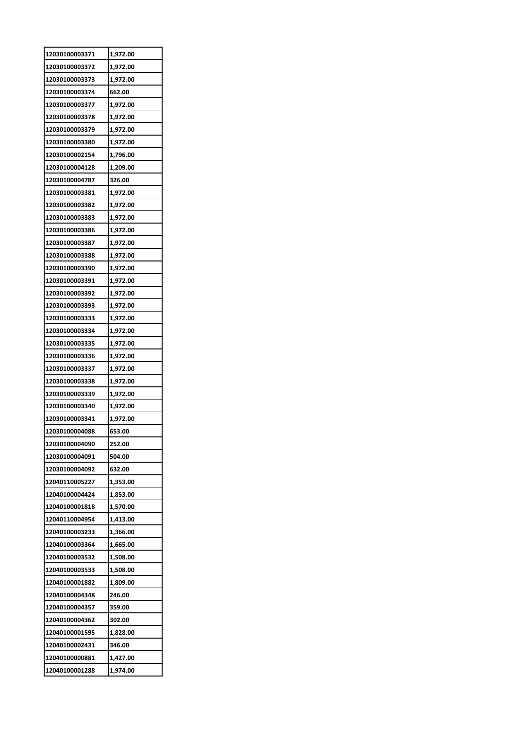| 12030100003371 | 1,972.00 |
|----------------|----------|
| 12030100003372 | 1,972.00 |
| 12030100003373 | 1,972.00 |
| 12030100003374 | 662.00   |
| 12030100003377 | 1,972.00 |
| 12030100003378 | 1,972.00 |
| 12030100003379 | 1,972.00 |
| 12030100003380 | 1,972.00 |
| 12030100002154 | 1,796.00 |
| 12030100004128 | 1,209.00 |
| 12030100004787 | 326.00   |
| 12030100003381 | 1,972.00 |
| 12030100003382 | 1,972.00 |
| 12030100003383 | 1,972.00 |
| 12030100003386 | 1,972.00 |
| 12030100003387 | 1,972.00 |
| 12030100003388 | 1,972.00 |
| 12030100003390 | 1,972.00 |
| 12030100003391 | 1,972.00 |
| 12030100003392 | 1,972.00 |
| 12030100003393 | 1,972.00 |
| 12030100003333 | 1,972.00 |
| 12030100003334 | 1,972.00 |
| 12030100003335 | 1,972.00 |
| 12030100003336 | 1,972.00 |
| 12030100003337 | 1,972.00 |
| 12030100003338 | 1,972.00 |
| 12030100003339 | 1,972.00 |
| 12030100003340 | 1,972.00 |
| 12030100003341 | 1,972.00 |
| 12030100004088 | 653.00   |
| 12030100004090 | 252.00   |
| 12030100004091 | 504.00   |
| 12030100004092 | 632.00   |
| 12040110005227 | 1,353.00 |
| 12040100004424 | 1,853.00 |
| 12040100001818 | 1,570.00 |
| 12040110004954 | 1,413.00 |
| 12040100003233 | 1,366.00 |
| 12040100003364 | 1,665.00 |
| 12040100003532 | 1,508.00 |
| 12040100003533 | 1,508.00 |
| 12040100001882 | 1,809.00 |
| 12040100004348 | 246.00   |
| 12040100004357 | 359.00   |
| 12040100004362 | 302.00   |
| 12040100001595 | 1,828.00 |
| 12040100002431 | 346.00   |
| 12040100000881 | 1,427.00 |
| 12040100001288 | 1,974.00 |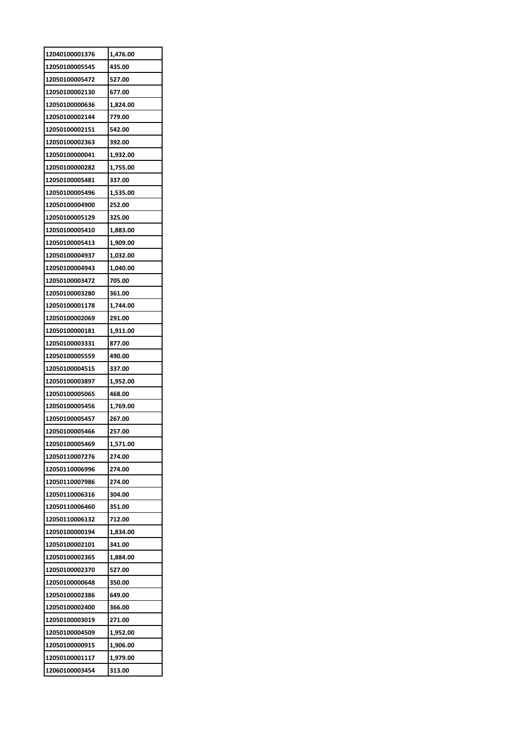| 12040100001376 | 1,476.00 |
|----------------|----------|
| 12050100005545 | 435.00   |
| 12050100005472 | 527.00   |
| 12050100002130 | 677.00   |
| 12050100000636 | 1,824.00 |
| 12050100002144 | 779.00   |
| 12050100002151 | 542.00   |
| 12050100002363 | 392.00   |
| 12050100000041 | 1,932.00 |
| 12050100000282 | 1,755.00 |
| 12050100005481 | 337.00   |
| 12050100005496 | 1,535.00 |
| 12050100004900 | 252.00   |
| 12050100005129 | 325.00   |
| 12050100005410 | 1,883.00 |
| 12050100005413 | 1,909.00 |
| 12050100004937 | 1,032.00 |
| 12050100004943 | 1,040.00 |
| 12050100003472 | 705.00   |
| 12050100003280 | 361.00   |
| 12050100001178 | 1,744.00 |
| 12050100002069 | 291.00   |
| 12050100000181 | 1,911.00 |
| 12050100003331 | 877.00   |
| 12050100005559 | 490.00   |
| 12050100004515 | 337.00   |
| 12050100003897 | 1,952.00 |
| 12050100005065 | 468.00   |
| 12050100005456 | 1,769.00 |
| 12050100005457 | 267.00   |
| 12050100005466 | 257.00   |
| 12050100005469 | 1,571.00 |
| 12050110007276 | 274.00   |
| 12050110006996 | 274.00   |
| 12050110007986 | 274.00   |
| 12050110006316 | 304.00   |
| 12050110006460 | 351.00   |
| 12050110006132 | 712.00   |
| 12050100000194 | 1,834.00 |
| 12050100002101 | 341.00   |
| 12050100002365 | 1,884.00 |
| 12050100002370 | 527.00   |
| 12050100000648 | 350.00   |
| 12050100002386 | 649.00   |
| 12050100002400 | 366.00   |
| 12050100003019 | 271.00   |
| 12050100004509 | 1,952.00 |
| 12050100000915 | 1,906.00 |
| 12050100001117 | 1,979.00 |
| 12060100003454 | 313.00   |
|                |          |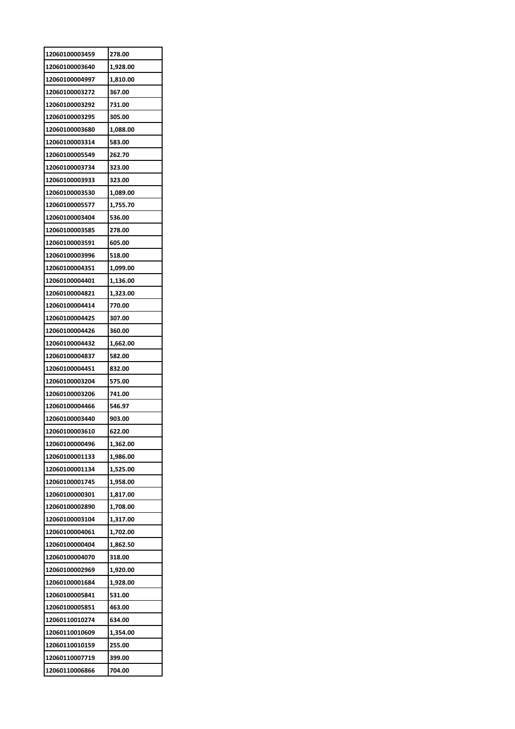| 12060100003459 | 278.00   |
|----------------|----------|
| 12060100003640 | 1,928.00 |
| 12060100004997 | 1,810.00 |
| 12060100003272 | 367.00   |
| 12060100003292 | 731.00   |
| 12060100003295 | 305.00   |
| 12060100003680 | 1,088.00 |
| 12060100003314 | 583.00   |
| 12060100005549 | 262.70   |
| 12060100003734 | 323.00   |
| 12060100003933 | 323.00   |
| 12060100003530 | 1,089.00 |
| 12060100005577 | 1,755.70 |
| 12060100003404 | 536.00   |
| 12060100003585 | 278.00   |
| 12060100003591 | 605.00   |
| 12060100003996 | 518.00   |
| 12060100004351 | 1,099.00 |
| 12060100004401 | 1,136.00 |
| 12060100004821 | 1,323.00 |
| 12060100004414 | 770.00   |
| 12060100004425 | 307.00   |
| 12060100004426 | 360.00   |
| 12060100004432 | 1,662.00 |
| 12060100004837 | 582.00   |
| 12060100004451 | 832.00   |
| 12060100003204 | 575.00   |
| 12060100003206 | 741.00   |
| 12060100004466 | 546.97   |
| 12060100003440 | 903.00   |
| 12060100003610 | 622.00   |
| 12060100000496 | 1,362.00 |
| 12060100001133 | 1,986.00 |
| 12060100001134 | 1,525.00 |
| 12060100001745 | 1,958.00 |
| 12060100000301 | 1,817.00 |
| 12060100002890 | 1,708.00 |
| 12060100003104 | 1,317.00 |
| 12060100004061 | 1,702.00 |
| 12060100000404 | 1,862.50 |
| 12060100004070 | 318.00   |
| 12060100002969 | 1,920.00 |
| 12060100001684 | 1,928.00 |
| 12060100005841 | 531.00   |
| 12060100005851 | 463.00   |
| 12060110010274 | 634.00   |
| 12060110010609 | 1,354.00 |
| 12060110010159 | 255.00   |
| 12060110007719 | 399.00   |
|                |          |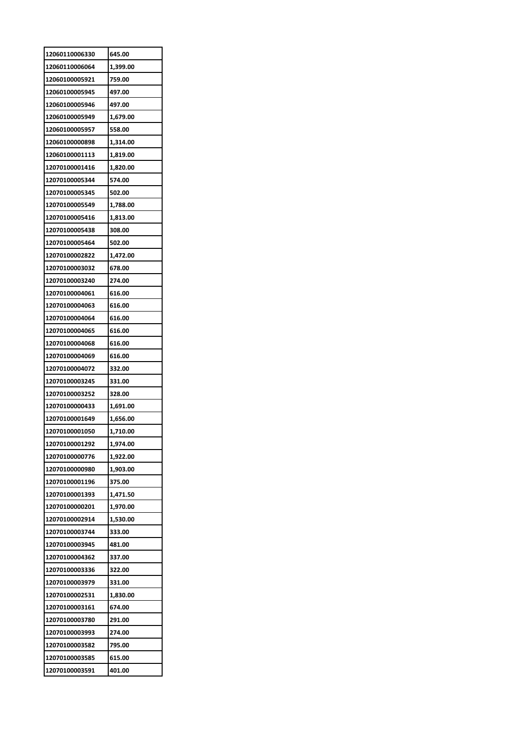| 12060110006330 | 645.00   |
|----------------|----------|
| 12060110006064 | 1,399.00 |
| 12060100005921 | 759.00   |
| 12060100005945 | 497.00   |
| 12060100005946 | 497.00   |
| 12060100005949 | 1,679.00 |
| 12060100005957 | 558.00   |
| 12060100000898 | 1,314.00 |
| 12060100001113 | 1,819.00 |
| 12070100001416 | 1,820.00 |
| 12070100005344 | 574.00   |
| 12070100005345 | 502.00   |
| 12070100005549 | 1,788.00 |
| 12070100005416 | 1,813.00 |
| 12070100005438 | 308.00   |
| 12070100005464 | 502.00   |
| 12070100002822 | 1,472.00 |
| 12070100003032 | 678.00   |
| 12070100003240 | 274.00   |
| 12070100004061 |          |
| 12070100004063 | 616.00   |
|                | 616.00   |
| 12070100004064 | 616.00   |
| 12070100004065 | 616.00   |
| 12070100004068 | 616.00   |
| 12070100004069 | 616.00   |
| 12070100004072 | 332.00   |
| 12070100003245 | 331.00   |
| 12070100003252 | 328.00   |
| 12070100000433 | 1,691.00 |
| 12070100001649 | 1,656.00 |
| 12070100001050 | 1,710.00 |
| 12070100001292 | 1,974.00 |
| 12070100000776 | 1,922.00 |
| 12070100000980 | 1,903.00 |
| 12070100001196 | 375.00   |
| 12070100001393 | 1,471.50 |
| 12070100000201 | 1,970.00 |
| 12070100002914 | 1,530.00 |
| 12070100003744 | 333.00   |
| 12070100003945 | 481.00   |
| 12070100004362 | 337.00   |
| 12070100003336 | 322.00   |
| 12070100003979 | 331.00   |
| 12070100002531 | 1,830.00 |
| 12070100003161 | 674.00   |
| 12070100003780 | 291.00   |
| 12070100003993 | 274.00   |
| 12070100003582 | 795.00   |
| 12070100003585 | 615.00   |
|                | 401.00   |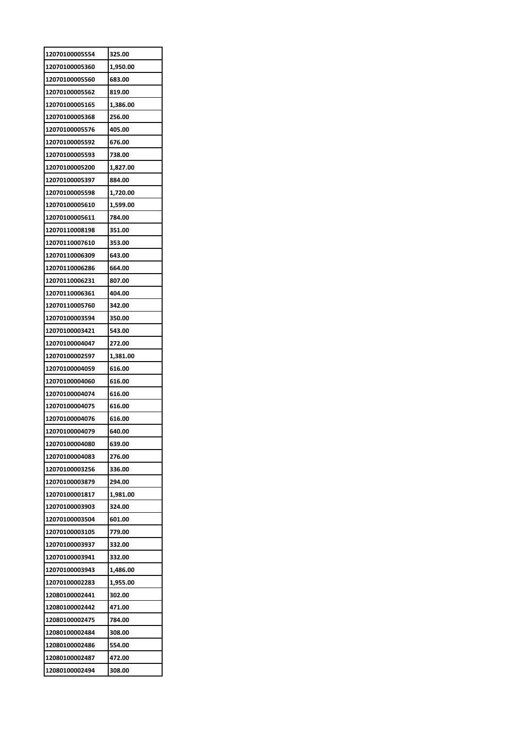| 12070100005554 | 325.00   |
|----------------|----------|
| 12070100005360 | 1,950.00 |
| 12070100005560 | 683.00   |
| 12070100005562 | 819.00   |
| 12070100005165 | 1,386.00 |
| 12070100005368 | 256.00   |
| 12070100005576 | 405.00   |
| 12070100005592 | 676.00   |
| 12070100005593 | 738.00   |
| 12070100005200 | 1,827.00 |
| 12070100005397 | 884.00   |
| 12070100005598 | 1,720.00 |
| 12070100005610 | 1,599.00 |
| 12070100005611 | 784.00   |
| 12070110008198 | 351.00   |
| 12070110007610 | 353.00   |
| 12070110006309 | 643.00   |
| 12070110006286 | 664.00   |
| 12070110006231 | 807.00   |
| 12070110006361 | 404.00   |
| 12070110005760 | 342.00   |
| 12070100003594 | 350.00   |
| 12070100003421 | 543.00   |
| 12070100004047 | 272.00   |
| 12070100002597 | 1,381.00 |
| 12070100004059 | 616.00   |
| 12070100004060 | 616.00   |
| 12070100004074 | 616.00   |
| 12070100004075 | 616.00   |
| 12070100004076 | 616.00   |
| 12070100004079 | 640.00   |
| 12070100004080 | 639.00   |
| 12070100004083 | 276.00   |
| 12070100003256 | 336.00   |
| 12070100003879 | 294.00   |
| 12070100001817 | 1,981.00 |
| 12070100003903 | 324.00   |
| 12070100003504 | 601.00   |
| 12070100003105 | 779.00   |
| 12070100003937 | 332.00   |
| 12070100003941 | 332.00   |
| 12070100003943 | 1,486.00 |
| 12070100002283 | 1,955.00 |
| 12080100002441 | 302.00   |
| 12080100002442 | 471.00   |
| 12080100002475 | 784.00   |
| 12080100002484 | 308.00   |
| 12080100002486 | 554.00   |
| 12080100002487 | 472.00   |
| 12080100002494 | 308.00   |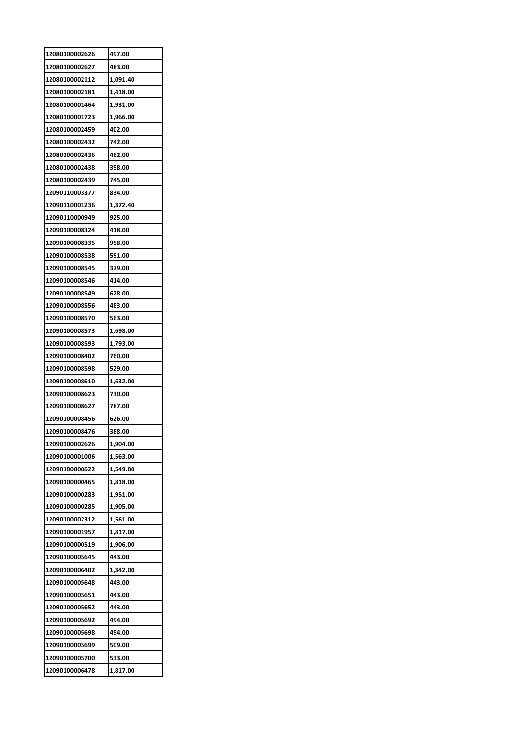| 12080100002626 | 497.00   |
|----------------|----------|
| 12080100002627 | 483.00   |
| 12080100002112 | 1,091.40 |
| 12080100002181 | 1,418.00 |
| 12080100001464 | 1,931.00 |
| 12080100001723 | 1,966.00 |
| 12080100002459 | 402.00   |
| 12080100002432 | 742.00   |
| 12080100002436 | 462.00   |
| 12080100002438 | 398.00   |
| 12080100002439 | 745.00   |
| 12090110003377 | 834.00   |
| 12090110001236 | 1,372.40 |
| 12090110000949 | 925.00   |
| 12090100008324 | 418.00   |
| 12090100008335 | 958.00   |
| 12090100008538 | 591.00   |
| 12090100008545 | 379.00   |
| 12090100008546 | 414.00   |
| 12090100008549 | 628.00   |
| 12090100008556 | 483.00   |
| 12090100008570 | 563.00   |
| 12090100008573 | 1,698.00 |
| 12090100008593 | 1,793.00 |
| 12090100008402 | 760.00   |
| 12090100008598 | 529.00   |
| 12090100008610 | 1,632.00 |
| 12090100008623 | 730.00   |
| 12090100008627 | 787.00   |
| 12090100008456 | 626.00   |
| 12090100008476 | 388.00   |
| 12090100002626 | 1,904.00 |
| 12090100001006 | 1,563.00 |
| 12090100000622 | 1,549.00 |
| 12090100000465 | 1,818.00 |
| 12090100000283 | 1,951.00 |
| 12090100000285 | 1,905.00 |
| 12090100002312 | 1,561.00 |
| 12090100001957 | 1,817.00 |
| 12090100000519 | 1,906.00 |
| 12090100005645 | 443.00   |
| 12090100006402 | 1,342.00 |
| 12090100005648 | 443.00   |
| 12090100005651 | 443.00   |
| 12090100005652 | 443.00   |
| 12090100005692 | 494.00   |
| 12090100005698 | 494.00   |
| 12090100005699 | 509.00   |
| 12090100005700 | 533.00   |
| 12090100006478 | 1,817.00 |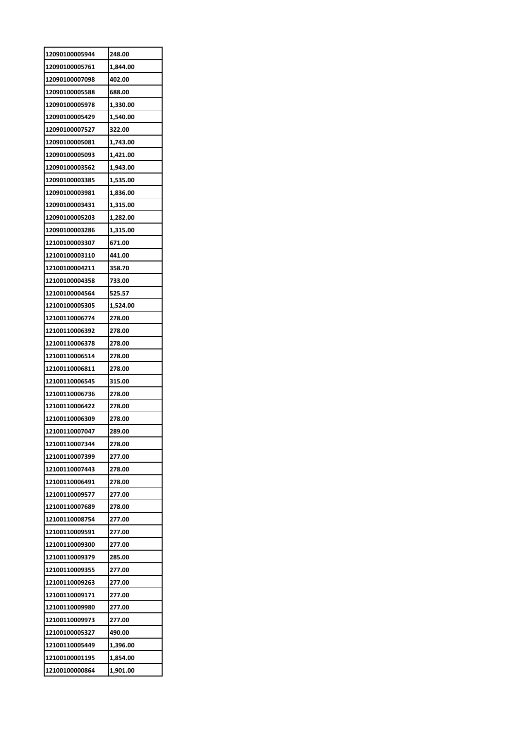| 12090100005944 | 248.00   |
|----------------|----------|
| 12090100005761 | 1,844.00 |
| 12090100007098 | 402.00   |
| 12090100005588 | 688.00   |
| 12090100005978 | 1,330.00 |
| 12090100005429 | 1,540.00 |
| 12090100007527 | 322.00   |
| 12090100005081 | 1,743.00 |
| 12090100005093 | 1,421.00 |
| 12090100003562 | 1,943.00 |
| 12090100003385 | 1,535.00 |
| 12090100003981 | 1,836.00 |
| 12090100003431 | 1,315.00 |
| 12090100005203 | 1,282.00 |
| 12090100003286 | 1,315.00 |
| 12100100003307 | 671.00   |
| 12100100003110 | 441.00   |
| 12100100004211 | 358.70   |
| 12100100004358 | 733.00   |
| 12100100004564 | 525.57   |
| 12100100005305 | 1,524.00 |
| 12100110006774 | 278.00   |
| 12100110006392 | 278.00   |
| 12100110006378 | 278.00   |
| 12100110006514 | 278.00   |
| 12100110006811 | 278.00   |
| 12100110006545 | 315.00   |
| 12100110006736 | 278.00   |
| 12100110006422 | 278.00   |
| 12100110006309 | 278.00   |
| 12100110007047 | 289.00   |
| 12100110007344 | 278.00   |
| 12100110007399 | 277.00   |
| 12100110007443 | 278.00   |
| 12100110006491 | 278.00   |
| 12100110009577 | 277.00   |
| 12100110007689 | 278.00   |
| 12100110008754 | 277.00   |
| 12100110009591 | 277.00   |
| 12100110009300 | 277.00   |
| 12100110009379 | 285.00   |
| 12100110009355 | 277.00   |
| 12100110009263 | 277.00   |
| 12100110009171 | 277.00   |
| 12100110009980 | 277.00   |
| 12100110009973 | 277.00   |
| 12100100005327 | 490.00   |
| 12100110005449 | 1,396.00 |
| 12100100001195 | 1,854.00 |
| 12100100000864 | 1,901.00 |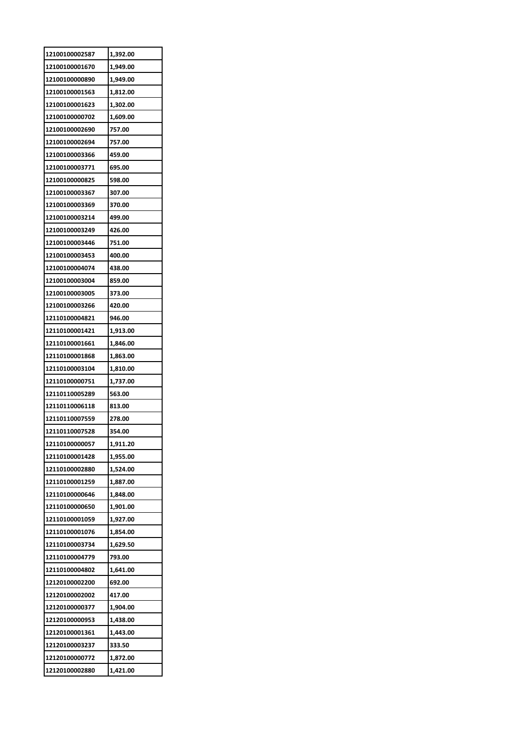| 12100100002587 | 1,392.00 |
|----------------|----------|
| 12100100001670 | 1,949.00 |
| 12100100000890 | 1,949.00 |
| 12100100001563 | 1,812.00 |
| 12100100001623 | 1,302.00 |
| 12100100000702 | 1,609.00 |
| 12100100002690 | 757.00   |
| 12100100002694 | 757.00   |
| 12100100003366 | 459.00   |
| 12100100003771 | 695.00   |
| 12100100000825 | 598.00   |
| 12100100003367 | 307.00   |
| 12100100003369 | 370.00   |
| 12100100003214 | 499.00   |
| 12100100003249 | 426.00   |
| 12100100003446 | 751.00   |
| 12100100003453 | 400.00   |
| 12100100004074 | 438.00   |
| 12100100003004 | 859.00   |
| 12100100003005 | 373.00   |
| 12100100003266 | 420.00   |
| 12110100004821 | 946.00   |
| 12110100001421 | 1,913.00 |
| 12110100001661 | 1,846.00 |
| 12110100001868 | 1,863.00 |
| 12110100003104 | 1,810.00 |
| 12110100000751 | 1,737.00 |
| 12110110005289 | 563.00   |
| 12110110006118 | 813.00   |
| 12110110007559 | 278.00   |
| 12110110007528 | 354.00   |
| 12110100000057 | 1,911.20 |
| 12110100001428 | 1,955.00 |
| 12110100002880 | 1,524.00 |
| 12110100001259 | 1,887.00 |
| 12110100000646 | 1,848.00 |
| 12110100000650 | 1,901.00 |
| 12110100001059 | 1,927.00 |
| 12110100001076 | 1,854.00 |
| 12110100003734 | 1,629.50 |
| 12110100004779 | 793.00   |
| 12110100004802 | 1,641.00 |
| 12120100002200 | 692.00   |
| 12120100002002 | 417.00   |
| 12120100000377 | 1,904.00 |
| 12120100000953 | 1,438.00 |
| 12120100001361 | 1,443.00 |
| 12120100003237 | 333.50   |
| 12120100000772 | 1,872.00 |
| 12120100002880 | 1,421.00 |
|                |          |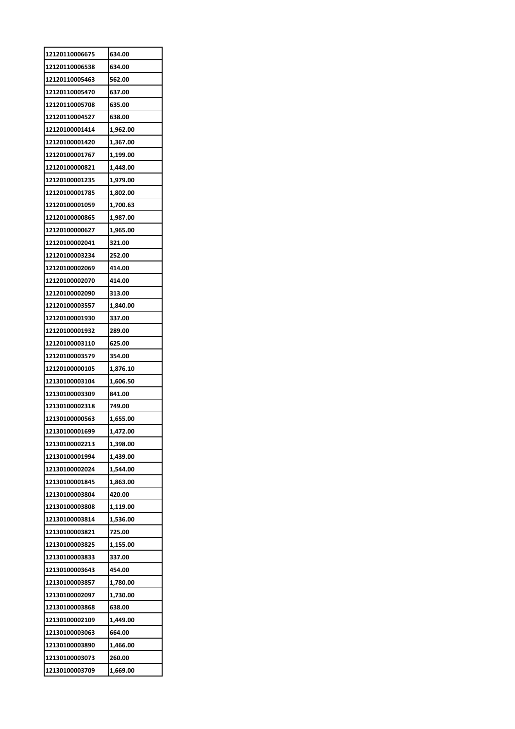| 12120110006675 | 634.00   |
|----------------|----------|
| 12120110006538 | 634.00   |
| 12120110005463 | 562.00   |
| 12120110005470 | 637.00   |
| 12120110005708 | 635.00   |
| 12120110004527 | 638.00   |
| 12120100001414 | 1,962.00 |
| 12120100001420 | 1,367.00 |
| 12120100001767 | 1,199.00 |
| 12120100000821 | 1,448.00 |
| 12120100001235 | 1,979.00 |
| 12120100001785 | 1,802.00 |
| 12120100001059 | 1,700.63 |
| 12120100000865 | 1,987.00 |
| 12120100000627 | 1,965.00 |
| 12120100002041 | 321.00   |
| 12120100003234 | 252.00   |
| 12120100002069 | 414.00   |
| 12120100002070 | 414.00   |
|                |          |
| 12120100002090 | 313.00   |
| 12120100003557 | 1,840.00 |
| 12120100001930 | 337.00   |
| 12120100001932 | 289.00   |
| 12120100003110 | 625.00   |
| 12120100003579 | 354.00   |
| 12120100000105 | 1,876.10 |
| 12130100003104 | 1,606.50 |
| 12130100003309 | 841.00   |
| 12130100002318 | 749.00   |
| 12130100000563 | 1,655.00 |
| 12130100001699 | 1,472.00 |
| 12130100002213 | 1,398.00 |
| 12130100001994 | 1,439.00 |
| 12130100002024 | 1,544.00 |
| 12130100001845 | 1,863.00 |
| 12130100003804 | 420.00   |
| 12130100003808 | 1,119.00 |
| 12130100003814 | 1,536.00 |
| 12130100003821 | 725.00   |
| 12130100003825 | 1,155.00 |
| 12130100003833 | 337.00   |
| 12130100003643 | 454.00   |
| 12130100003857 | 1,780.00 |
| 12130100002097 | 1,730.00 |
| 12130100003868 | 638.00   |
| 12130100002109 | 1,449.00 |
| 12130100003063 | 664.00   |
| 12130100003890 | 1,466.00 |
| 12130100003073 | 260.00   |
| 12130100003709 | 1,669.00 |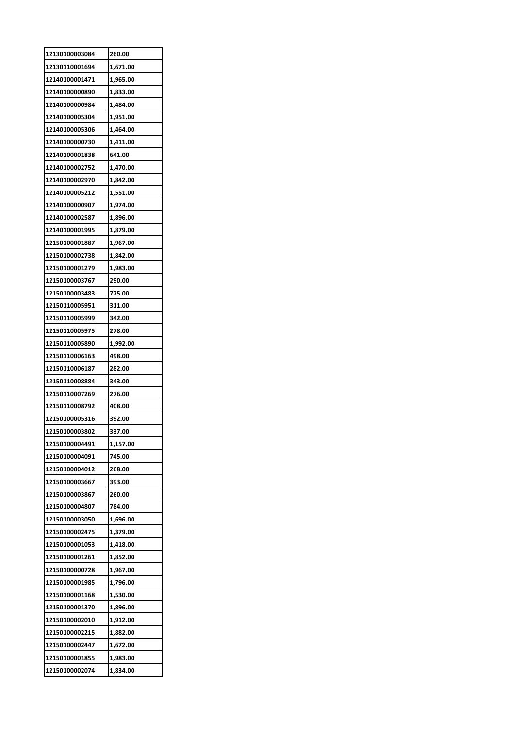| 12130100003084 | 260.00   |
|----------------|----------|
| 12130110001694 | 1,671.00 |
| 12140100001471 | 1,965.00 |
| 12140100000890 | 1,833.00 |
| 12140100000984 | 1,484.00 |
| 12140100005304 | 1,951.00 |
| 12140100005306 | 1,464.00 |
| 12140100000730 | 1,411.00 |
| 12140100001838 | 641.00   |
| 12140100002752 | 1,470.00 |
| 12140100002970 | 1,842.00 |
| 12140100005212 | 1,551.00 |
| 12140100000907 | 1,974.00 |
| 12140100002587 | 1,896.00 |
| 12140100001995 | 1,879.00 |
| 12150100001887 | 1,967.00 |
| 12150100002738 | 1,842.00 |
| 12150100001279 | 1,983.00 |
| 12150100003767 | 290.00   |
| 12150100003483 | 775.00   |
| 12150110005951 | 311.00   |
| 12150110005999 | 342.00   |
| 12150110005975 | 278.00   |
| 12150110005890 | 1,992.00 |
| 12150110006163 | 498.00   |
| 12150110006187 | 282.00   |
| 12150110008884 | 343.00   |
| 12150110007269 | 276.00   |
| 12150110008792 | 408.00   |
| 12150100005316 | 392.00   |
| 12150100003802 | 337.00   |
| 12150100004491 | 1,157.00 |
| 12150100004091 | 745.00   |
| 12150100004012 | 268.00   |
| 12150100003667 | 393.00   |
| 12150100003867 | 260.00   |
| 12150100004807 | 784.00   |
| 12150100003050 | 1,696.00 |
| 12150100002475 | 1,379.00 |
| 12150100001053 | 1,418.00 |
| 12150100001261 | 1,852.00 |
| 12150100000728 | 1,967.00 |
| 12150100001985 | 1,796.00 |
| 12150100001168 | 1,530.00 |
| 12150100001370 | 1,896.00 |
| 12150100002010 | 1,912.00 |
| 12150100002215 | 1,882.00 |
| 12150100002447 | 1,672.00 |
| 12150100001855 | 1,983.00 |
| 12150100002074 | 1,834.00 |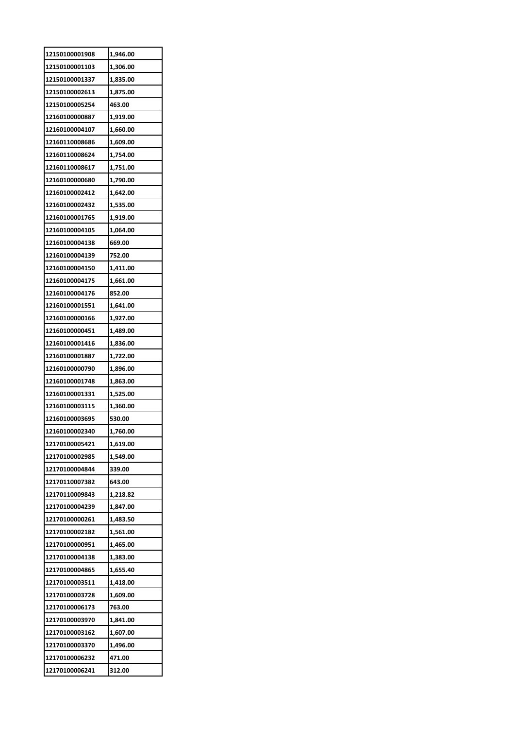| 12150100001908 | 1,946.00 |
|----------------|----------|
| 12150100001103 | 1,306.00 |
| 12150100001337 | 1,835.00 |
| 12150100002613 | 1,875.00 |
| 12150100005254 | 463.00   |
| 12160100000887 | 1,919.00 |
| 12160100004107 | 1,660.00 |
| 12160110008686 | 1,609.00 |
| 12160110008624 | 1,754.00 |
| 12160110008617 | 1,751.00 |
| 12160100000680 | 1,790.00 |
| 12160100002412 | 1,642.00 |
| 12160100002432 | 1,535.00 |
| 12160100001765 | 1,919.00 |
| 12160100004105 | 1,064.00 |
| 12160100004138 | 669.00   |
| 12160100004139 | 752.00   |
| 12160100004150 | 1,411.00 |
| 12160100004175 | 1,661.00 |
| 12160100004176 | 852.00   |
| 12160100001551 | 1,641.00 |
| 12160100000166 | 1,927.00 |
| 12160100000451 | 1,489.00 |
| 12160100001416 | 1,836.00 |
| 12160100001887 | 1,722.00 |
| 12160100000790 | 1,896.00 |
| 12160100001748 | 1,863.00 |
| 12160100001331 | 1,525.00 |
| 12160100003115 | 1,360.00 |
| 12160100003695 | 530.00   |
| 12160100002340 | 1,760.00 |
| 12170100005421 | 1,619.00 |
| 12170100002985 | 1,549.00 |
| 12170100004844 | 339.00   |
| 12170110007382 | 643.00   |
| 12170110009843 | 1,218.82 |
| 12170100004239 | 1,847.00 |
| 12170100000261 | 1,483.50 |
| 12170100002182 | 1,561.00 |
| 12170100000951 | 1,465.00 |
| 12170100004138 | 1,383.00 |
| 12170100004865 | 1,655.40 |
| 12170100003511 | 1,418.00 |
| 12170100003728 | 1,609.00 |
| 12170100006173 | 763.00   |
| 12170100003970 | 1,841.00 |
| 12170100003162 | 1,607.00 |
| 12170100003370 | 1,496.00 |
| 12170100006232 | 471.00   |
| 12170100006241 | 312.00   |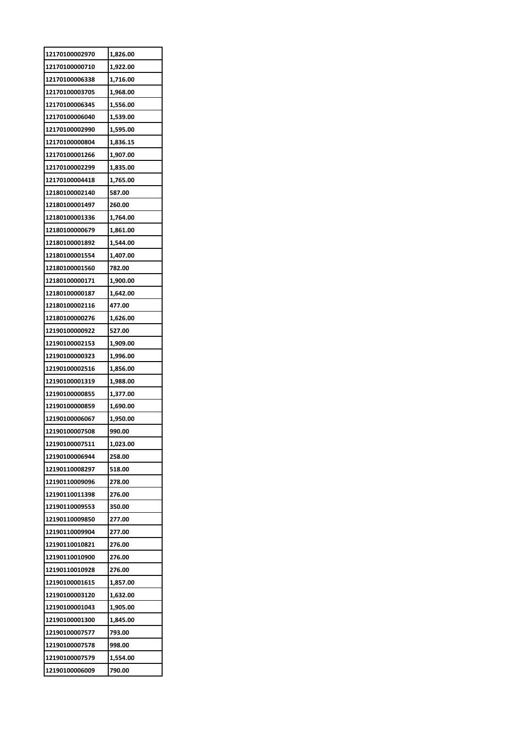| 12170100002970 | 1,826.00 |
|----------------|----------|
| 12170100000710 | 1,922.00 |
| 12170100006338 | 1,716.00 |
| 12170100003705 | 1,968.00 |
| 12170100006345 | 1,556.00 |
| 12170100006040 | 1,539.00 |
| 12170100002990 | 1,595.00 |
| 12170100000804 | 1,836.15 |
| 12170100001266 | 1,907.00 |
| 12170100002299 | 1,835.00 |
| 12170100004418 | 1,765.00 |
| 12180100002140 | 587.00   |
| 12180100001497 | 260.00   |
| 12180100001336 | 1,764.00 |
| 12180100000679 | 1,861.00 |
| 12180100001892 | 1,544.00 |
| 12180100001554 | 1,407.00 |
| 12180100001560 | 782.00   |
| 12180100000171 | 1,900.00 |
| 12180100000187 | 1,642.00 |
| 12180100002116 | 477.00   |
| 12180100000276 | 1,626.00 |
| 12190100000922 | 527.00   |
| 12190100002153 | 1,909.00 |
| 12190100000323 |          |
|                | 1,996.00 |
| 12190100002516 | 1,856.00 |
| 12190100001319 | 1,988.00 |
| 12190100000855 | 1,377.00 |
| 12190100000859 | 1,690.00 |
| 12190100006067 | 1,950.00 |
| 12190100007508 | 990.00   |
| 12190100007511 | 1,023.00 |
| 12190100006944 | 258.00   |
| 12190110008297 | 518.00   |
| 12190110009096 | 278.00   |
| 12190110011398 | 276.00   |
| 12190110009553 | 350.00   |
| 12190110009850 | 277.00   |
| 12190110009904 | 277.00   |
| 12190110010821 | 276.00   |
| 12190110010900 | 276.00   |
| 12190110010928 | 276.00   |
| 12190100001615 | 1,857.00 |
| 12190100003120 | 1,632.00 |
| 12190100001043 | 1,905.00 |
| 12190100001300 | 1,845.00 |
| 12190100007577 | 793.00   |
| 12190100007578 | 998.00   |
| 12190100007579 | 1,554.00 |
| 12190100006009 | 790.00   |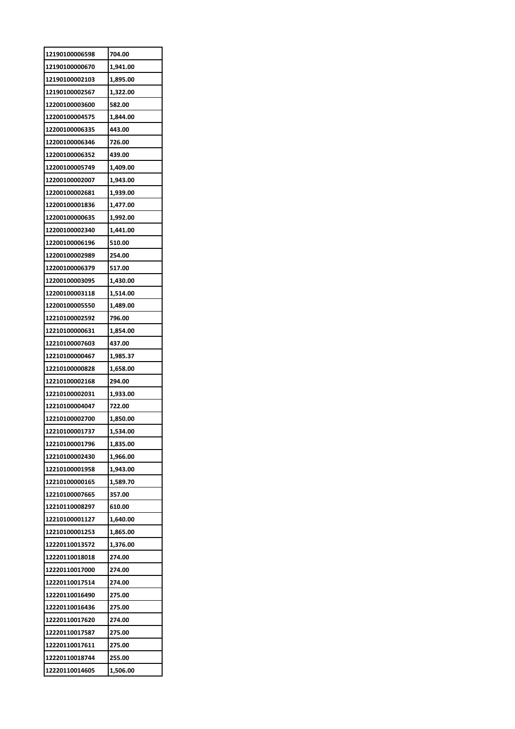| 12190100006598                   | 704.00             |
|----------------------------------|--------------------|
| 12190100000670                   | 1,941.00           |
| 12190100002103                   | 1,895.00           |
| 12190100002567                   | 1,322.00           |
| 12200100003600                   | 582.00             |
| 12200100004575                   | 1,844.00           |
| 12200100006335                   | 443.00             |
| 12200100006346                   | 726.00             |
| 12200100006352                   | 439.00             |
| 12200100005749                   | 1,409.00           |
| 12200100002007                   | 1,943.00           |
| 12200100002681                   | 1,939.00           |
| 12200100001836                   | 1,477.00           |
| 12200100000635                   | 1,992.00           |
| 12200100002340                   | 1,441.00           |
| 12200100006196                   | 510.00             |
| 12200100002989                   | 254.00             |
| 12200100006379                   | 517.00             |
| 12200100003095                   | 1,430.00           |
| 12200100003118                   | 1,514.00           |
| 12200100005550                   | 1,489.00           |
| 12210100002592                   | 796.00             |
| 12210100000631                   | 1,854.00           |
| 12210100007603                   | 437.00             |
| 12210100000467                   | 1,985.37           |
| 12210100000828                   |                    |
| 12210100002168                   | 1,658.00<br>294.00 |
| 12210100002031                   | 1,933.00           |
| 12210100004047                   | 722.00             |
| 12210100002700                   | 1,850.00           |
|                                  | 1.534.00           |
| 12210100001737<br>12210100001796 | 1,835.00           |
|                                  |                    |
| 12210100002430                   | 1,966.00           |
| 12210100001958                   | 1,943.00           |
| 12210100000165                   | 1,589.70           |
| 12210100007665                   | 357.00             |
| 12210110008297                   | 610.00             |
| 12210100001127                   | 1,640.00           |
| 12210100001253                   | 1,865.00           |
| 12220110013572                   | 1,376.00           |
| 12220110018018                   | 274.00             |
| 12220110017000                   | 274.00             |
| 12220110017514                   | 274.00             |
| 12220110016490                   | 275.00             |
| 12220110016436                   | 275.00             |
| 12220110017620                   | 274.00             |
| 12220110017587                   | 275.00             |
| 12220110017611                   | 275.00             |
| 12220110018744                   | 255.00             |
| 12220110014605                   | 1,506.00           |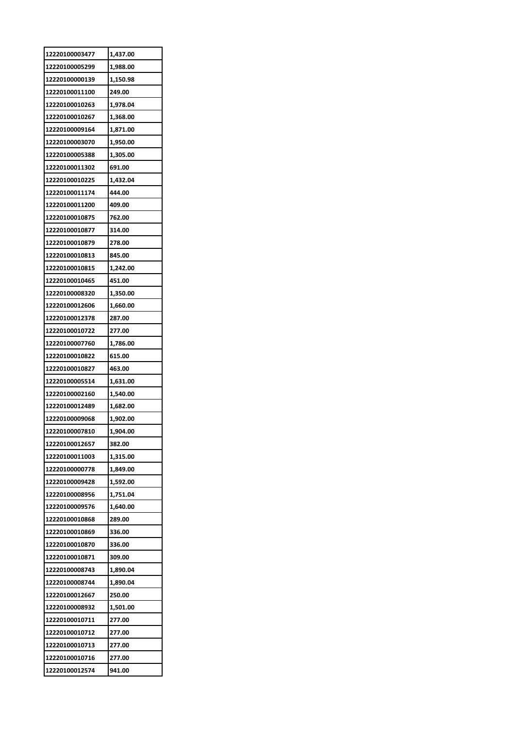| 12220100003477 | 1,437.00 |
|----------------|----------|
| 12220100005299 | 1,988.00 |
| 12220100000139 | 1,150.98 |
| 12220100011100 | 249.00   |
| 12220100010263 | 1,978.04 |
| 12220100010267 | 1,368.00 |
| 12220100009164 | 1,871.00 |
| 12220100003070 | 1,950.00 |
| 12220100005388 | 1,305.00 |
| 12220100011302 | 691.00   |
| 12220100010225 | 1,432.04 |
| 12220100011174 | 444.00   |
| 12220100011200 | 409.00   |
| 12220100010875 | 762.00   |
| 12220100010877 | 314.00   |
| 12220100010879 | 278.00   |
| 12220100010813 | 845.00   |
| 12220100010815 | 1,242.00 |
| 12220100010465 | 451.00   |
| 12220100008320 | 1,350.00 |
| 12220100012606 | 1,660.00 |
| 12220100012378 | 287.00   |
| 12220100010722 | 277.00   |
| 12220100007760 | 1,786.00 |
| 12220100010822 | 615.00   |
| 12220100010827 | 463.00   |
| 12220100005514 | 1,631.00 |
| 12220100002160 | 1,540.00 |
| 12220100012489 | 1,682.00 |
| 12220100009068 | 1,902.00 |
| 12220100007810 | 1,904.00 |
| 12220100012657 | 382.00   |
| 12220100011003 | 1,315.00 |
| 12220100000778 |          |
|                | 1,849.00 |
| 12220100009428 | 1,592.00 |
| 12220100008956 | 1,751.04 |
| 12220100009576 | 1,640.00 |
| 12220100010868 | 289.00   |
| 12220100010869 | 336.00   |
| 12220100010870 | 336.00   |
| 12220100010871 | 309.00   |
| 12220100008743 | 1,890.04 |
| 12220100008744 | 1,890.04 |
| 12220100012667 | 250.00   |
| 12220100008932 | 1,501.00 |
| 12220100010711 | 277.00   |
| 12220100010712 | 277.00   |
| 12220100010713 | 277.00   |
| 12220100010716 | 277.00   |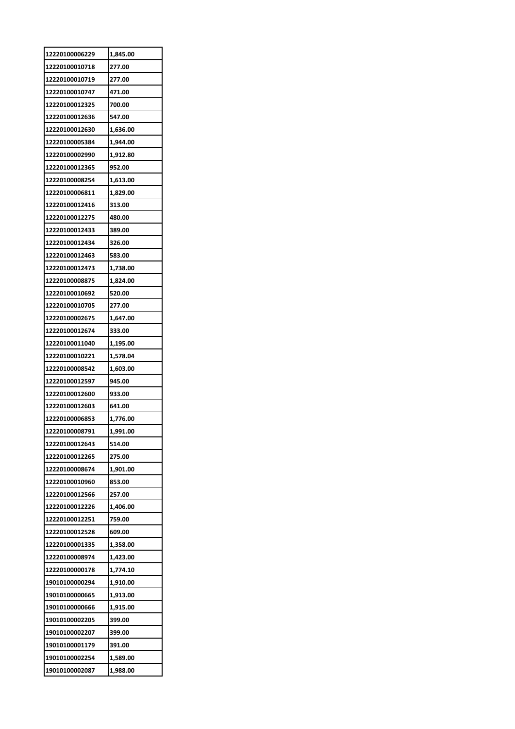| 1,845.00 |
|----------|
| 277.00   |
| 277.00   |
| 471.00   |
| 700.00   |
| 547.00   |
| 1,636.00 |
| 1,944.00 |
| 1,912.80 |
| 952.00   |
| 1,613.00 |
| 1,829.00 |
| 313.00   |
| 480.00   |
| 389.00   |
| 326.00   |
| 583.00   |
| 1,738.00 |
|          |
| 1,824.00 |
| 520.00   |
| 277.00   |
| 1,647.00 |
| 333.00   |
| 1,195.00 |
| 1,578.04 |
| 1,603.00 |
| 945.00   |
| 933.00   |
| 641.00   |
| 1,776.00 |
| 1.991.00 |
| 514.00   |
| 275.00   |
| 1,901.00 |
| 853.00   |
| 257.00   |
| 1,406.00 |
|          |
| 759.00   |
| 609.00   |
| 1,358.00 |
| 1,423.00 |
| 1,774.10 |
| 1,910.00 |
| 1,913.00 |
| 1,915.00 |
| 399.00   |
| 399.00   |
| 391.00   |
| 1,589.00 |
|          |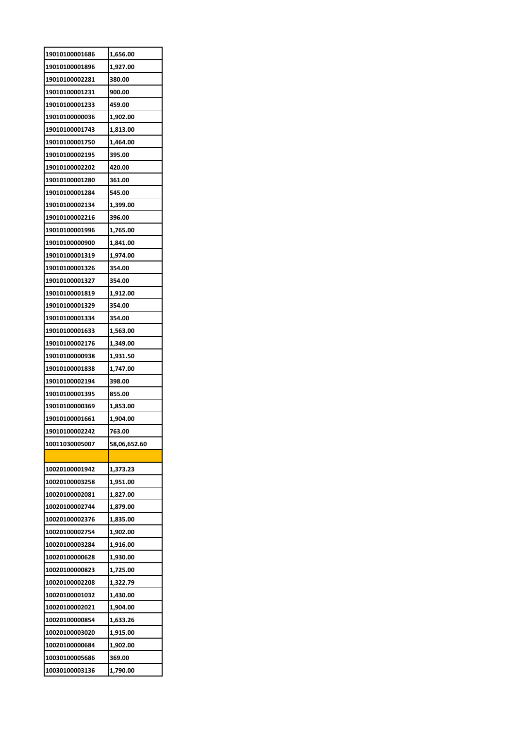| 19010100001686 | 1,656.00     |
|----------------|--------------|
| 19010100001896 | 1,927.00     |
| 19010100002281 | 380.00       |
| 19010100001231 | 900.00       |
| 19010100001233 | 459.00       |
| 19010100000036 | 1,902.00     |
| 19010100001743 | 1,813.00     |
| 19010100001750 | 1,464.00     |
| 19010100002195 | 395.00       |
| 19010100002202 | 420.00       |
| 19010100001280 | 361.00       |
| 19010100001284 | 545.00       |
| 19010100002134 | 1,399.00     |
| 19010100002216 | 396.00       |
| 19010100001996 | 1,765.00     |
| 19010100000900 | 1,841.00     |
| 19010100001319 | 1,974.00     |
| 19010100001326 | 354.00       |
| 19010100001327 | 354.00       |
| 19010100001819 | 1,912.00     |
| 19010100001329 | 354.00       |
| 19010100001334 | 354.00       |
| 19010100001633 | 1,563.00     |
| 19010100002176 | 1,349.00     |
| 19010100000938 | 1,931.50     |
|                |              |
| 19010100001838 | 1,747.00     |
| 19010100002194 | 398.00       |
| 19010100001395 | 855.00       |
| 19010100000369 | 1,853.00     |
| 19010100001661 | 1,904.00     |
| 19010100002242 | 763.00       |
| 10011030005007 | 58,06,652.60 |
|                |              |
| 10020100001942 | 1,373.23     |
| 10020100003258 | 1,951.00     |
| 10020100002081 | 1,827.00     |
| 10020100002744 | 1,879.00     |
| 10020100002376 | 1,835.00     |
| 10020100002754 | 1,902.00     |
| 10020100003284 | 1,916.00     |
| 10020100000628 | 1,930.00     |
| 10020100000823 | 1,725.00     |
| 10020100002208 | 1,322.79     |
| 10020100001032 | 1,430.00     |
| 10020100002021 | 1,904.00     |
| 10020100000854 | 1,633.26     |
| 10020100003020 | 1,915.00     |
| 10020100000684 | 1,902.00     |
| 10030100005686 | 369.00       |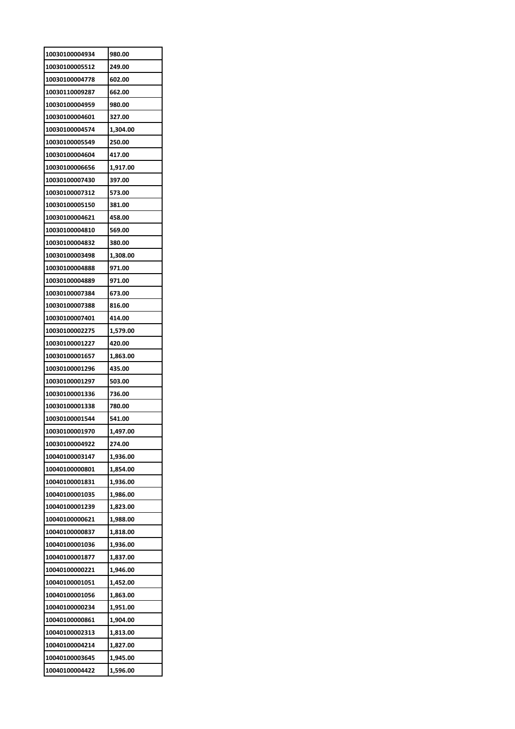| 10030100004934 | 980.00   |
|----------------|----------|
| 10030100005512 | 249.00   |
| 10030100004778 | 602.00   |
| 10030110009287 | 662.00   |
| 10030100004959 | 980.00   |
| 10030100004601 | 327.00   |
| 10030100004574 | 1,304.00 |
| 10030100005549 | 250.00   |
| 10030100004604 | 417.00   |
| 10030100006656 | 1,917.00 |
| 10030100007430 | 397.00   |
| 10030100007312 | 573.00   |
| 10030100005150 | 381.00   |
| 10030100004621 | 458.00   |
| 10030100004810 | 569.00   |
| 10030100004832 | 380.00   |
| 10030100003498 | 1,308.00 |
| 10030100004888 | 971.00   |
| 10030100004889 | 971.00   |
| 10030100007384 | 673.00   |
| 10030100007388 | 816.00   |
| 10030100007401 | 414.00   |
| 10030100002275 |          |
|                | 1,579.00 |
| 10030100001227 | 420.00   |
| 10030100001657 | 1,863.00 |
| 10030100001296 | 435.00   |
| 10030100001297 | 503.00   |
| 10030100001336 | 736.00   |
| 10030100001338 | 780.00   |
| 10030100001544 | 541.00   |
| 10030100001970 | 1,497.00 |
| 10030100004922 | 274.00   |
| 10040100003147 | 1,936.00 |
| 10040100000801 | 1,854.00 |
| 10040100001831 | 1,936.00 |
| 10040100001035 | 1,986.00 |
| 10040100001239 | 1,823.00 |
| 10040100000621 | 1,988.00 |
| 10040100000837 | 1,818.00 |
| 10040100001036 | 1,936.00 |
| 10040100001877 | 1,837.00 |
| 10040100000221 | 1,946.00 |
| 10040100001051 | 1,452.00 |
| 10040100001056 | 1,863.00 |
| 10040100000234 | 1,951.00 |
| 10040100000861 | 1,904.00 |
| 10040100002313 | 1,813.00 |
| 10040100004214 | 1,827.00 |
| 10040100003645 | 1,945.00 |
| 10040100004422 | 1,596.00 |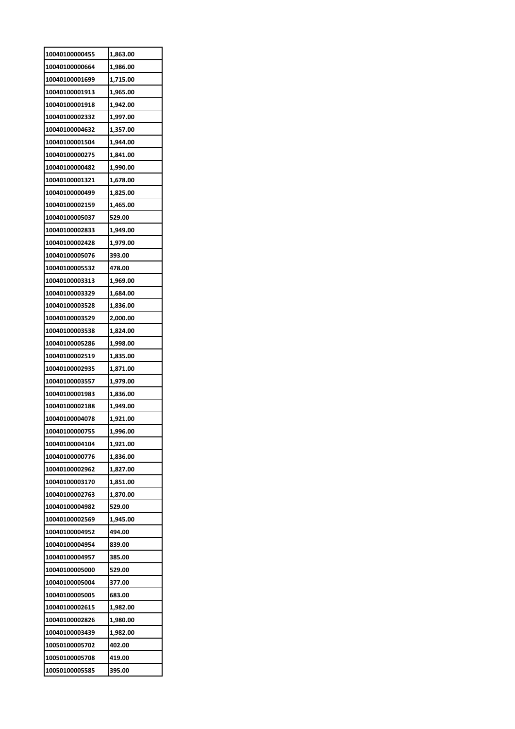| 10040100000455 | 1,863.00 |
|----------------|----------|
| 10040100000664 | 1,986.00 |
| 10040100001699 | 1,715.00 |
| 10040100001913 | 1,965.00 |
| 10040100001918 | 1,942.00 |
| 10040100002332 | 1,997.00 |
| 10040100004632 | 1,357.00 |
| 10040100001504 | 1,944.00 |
| 10040100000275 | 1,841.00 |
| 10040100000482 | 1,990.00 |
| 10040100001321 | 1,678.00 |
| 10040100000499 | 1,825.00 |
| 10040100002159 | 1,465.00 |
| 10040100005037 | 529.00   |
| 10040100002833 | 1,949.00 |
| 10040100002428 | 1,979.00 |
| 10040100005076 | 393.00   |
| 10040100005532 | 478.00   |
| 10040100003313 | 1,969.00 |
|                |          |
| 10040100003329 | 1,684.00 |
| 10040100003528 | 1,836.00 |
| 10040100003529 | 2,000.00 |
| 10040100003538 | 1,824.00 |
| 10040100005286 | 1,998.00 |
| 10040100002519 | 1,835.00 |
| 10040100002935 | 1,871.00 |
| 10040100003557 | 1,979.00 |
| 10040100001983 | 1,836.00 |
| 10040100002188 | 1,949.00 |
| 10040100004078 | 1,921.00 |
| 10040100000755 | 1,996.00 |
| 10040100004104 | 1,921.00 |
| 10040100000776 | 1,836.00 |
| 10040100002962 | 1,827.00 |
| 10040100003170 | 1,851.00 |
| 10040100002763 | 1,870.00 |
| 10040100004982 | 529.00   |
| 10040100002569 | 1,945.00 |
| 10040100004952 | 494.00   |
| 10040100004954 | 839.00   |
| 10040100004957 | 385.00   |
| 10040100005000 | 529.00   |
| 10040100005004 | 377.00   |
| 10040100005005 | 683.00   |
| 10040100002615 | 1,982.00 |
| 10040100002826 | 1,980.00 |
| 10040100003439 | 1,982.00 |
| 10050100005702 | 402.00   |
| 10050100005708 | 419.00   |
| 10050100005585 | 395.00   |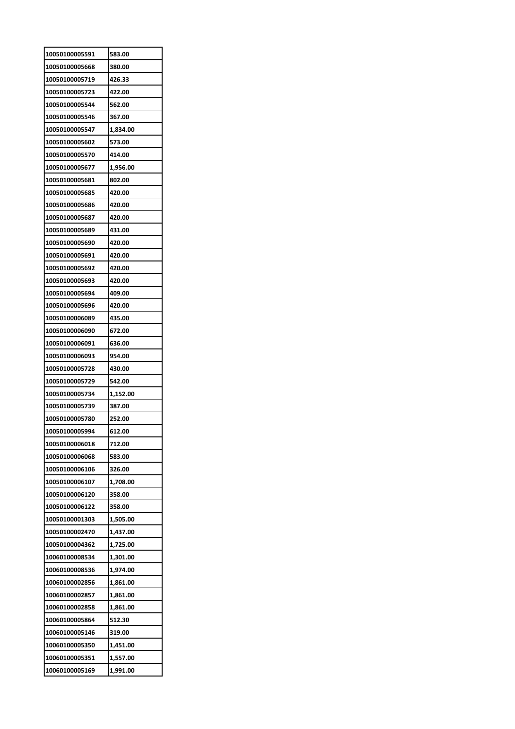| 10050100005591 | 583.00   |
|----------------|----------|
| 10050100005668 | 380.00   |
| 10050100005719 | 426.33   |
| 10050100005723 | 422.00   |
| 10050100005544 | 562.00   |
| 10050100005546 | 367.00   |
| 10050100005547 | 1,834.00 |
| 10050100005602 | 573.00   |
| 10050100005570 | 414.00   |
| 10050100005677 | 1,956.00 |
| 10050100005681 | 802.00   |
| 10050100005685 | 420.00   |
| 10050100005686 | 420.00   |
| 10050100005687 | 420.00   |
| 10050100005689 | 431.00   |
| 10050100005690 | 420.00   |
| 10050100005691 | 420.00   |
| 10050100005692 | 420.00   |
| 10050100005693 | 420.00   |
| 10050100005694 | 409.00   |
| 10050100005696 | 420.00   |
| 10050100006089 | 435.00   |
| 10050100006090 | 672.00   |
| 10050100006091 | 636.00   |
| 10050100006093 | 954.00   |
| 10050100005728 | 430.00   |
| 10050100005729 | 542.00   |
| 10050100005734 | 1,152.00 |
| 10050100005739 | 387.00   |
| 10050100005780 | 252.00   |
| 10050100005994 | 612.00   |
| 10050100006018 | 712.00   |
| 10050100006068 | 583.00   |
| 10050100006106 | 326.00   |
| 10050100006107 | 1,708.00 |
| 10050100006120 | 358.00   |
| 10050100006122 | 358.00   |
| 10050100001303 | 1,505.00 |
| 10050100002470 | 1,437.00 |
| 10050100004362 | 1,725.00 |
| 10060100008534 | 1,301.00 |
| 10060100008536 | 1,974.00 |
| 10060100002856 | 1,861.00 |
| 10060100002857 | 1,861.00 |
| 10060100002858 | 1,861.00 |
| 10060100005864 | 512.30   |
| 10060100005146 | 319.00   |
| 10060100005350 | 1,451.00 |
| 10060100005351 | 1,557.00 |
| 10060100005169 | 1,991.00 |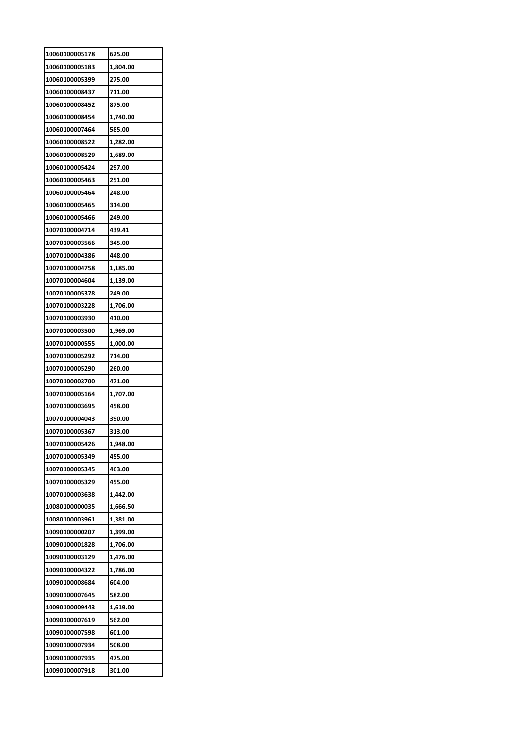| 10060100005178 | 625.00   |
|----------------|----------|
| 10060100005183 | 1,804.00 |
| 10060100005399 | 275.00   |
| 10060100008437 | 711.00   |
| 10060100008452 | 875.00   |
| 10060100008454 | 1,740.00 |
| 10060100007464 | 585.00   |
| 10060100008522 | 1,282.00 |
| 10060100008529 | 1,689.00 |
| 10060100005424 | 297.00   |
| 10060100005463 | 251.00   |
| 10060100005464 | 248.00   |
| 10060100005465 | 314.00   |
| 10060100005466 | 249.00   |
| 10070100004714 | 439.41   |
| 10070100003566 | 345.00   |
| 10070100004386 | 448.00   |
| 10070100004758 | 1,185.00 |
| 10070100004604 | 1,139.00 |
| 10070100005378 | 249.00   |
| 10070100003228 | 1,706.00 |
| 10070100003930 | 410.00   |
| 10070100003500 |          |
|                | 1,969.00 |
| 10070100000555 | 1,000.00 |
| 10070100005292 | 714.00   |
| 10070100005290 | 260.00   |
| 10070100003700 | 471.00   |
| 10070100005164 | 1,707.00 |
| 10070100003695 | 458.00   |
| 10070100004043 | 390.00   |
| 10070100005367 | 313.00   |
| 10070100005426 | 1,948.00 |
| 10070100005349 | 455.00   |
| 10070100005345 | 463.00   |
|                |          |
| 10070100005329 | 455.00   |
| 10070100003638 | 1,442.00 |
| 10080100000035 | 1,666.50 |
| 10080100003961 | 1,381.00 |
| 10090100000207 | 1,399.00 |
| 10090100001828 | 1,706.00 |
| 10090100003129 | 1,476.00 |
| 10090100004322 | 1,786.00 |
| 10090100008684 | 604.00   |
| 10090100007645 | 582.00   |
| 10090100009443 | 1,619.00 |
| 10090100007619 | 562.00   |
| 10090100007598 | 601.00   |
| 10090100007934 | 508.00   |
| 10090100007935 | 475.00   |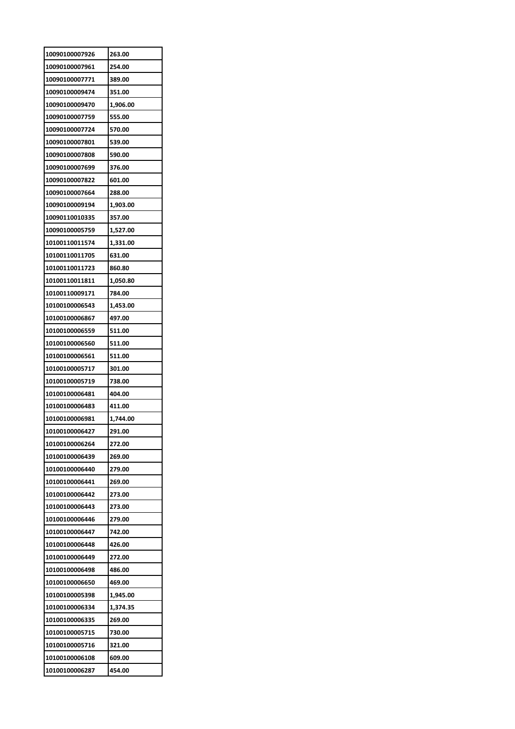| 10090100007926 | 263.00   |
|----------------|----------|
| 10090100007961 | 254.00   |
| 10090100007771 | 389.00   |
| 10090100009474 | 351.00   |
| 10090100009470 | 1,906.00 |
| 10090100007759 | 555.00   |
| 10090100007724 | 570.00   |
| 10090100007801 | 539.00   |
| 10090100007808 | 590.00   |
| 10090100007699 | 376.00   |
| 10090100007822 | 601.00   |
| 10090100007664 | 288.00   |
| 10090100009194 | 1,903.00 |
| 10090110010335 | 357.00   |
| 10090100005759 | 1,527.00 |
| 10100110011574 | 1,331.00 |
| 10100110011705 | 631.00   |
| 10100110011723 | 860.80   |
| 10100110011811 | 1,050.80 |
|                |          |
| 10100110009171 | 784.00   |
| 10100100006543 | 1,453.00 |
| 10100100006867 | 497.00   |
| 10100100006559 | 511.00   |
| 10100100006560 | 511.00   |
| 10100100006561 | 511.00   |
| 10100100005717 | 301.00   |
| 10100100005719 | 738.00   |
| 10100100006481 | 404.00   |
| 10100100006483 | 411.00   |
| 10100100006981 | 1,744.00 |
| 10100100006427 | 291.00   |
| 10100100006264 | 272.00   |
| 10100100006439 | 269.00   |
| 10100100006440 | 279.00   |
| 10100100006441 | 269.00   |
| 10100100006442 | 273.00   |
| 10100100006443 | 273.00   |
| 10100100006446 | 279.00   |
| 10100100006447 | 742.00   |
| 10100100006448 | 426.00   |
| 10100100006449 | 272.00   |
| 10100100006498 | 486.00   |
| 10100100006650 | 469.00   |
| 10100100005398 | 1,945.00 |
| 10100100006334 | 1,374.35 |
| 10100100006335 | 269.00   |
| 10100100005715 | 730.00   |
| 10100100005716 | 321.00   |
| 10100100006108 | 609.00   |
| 10100100006287 | 454.00   |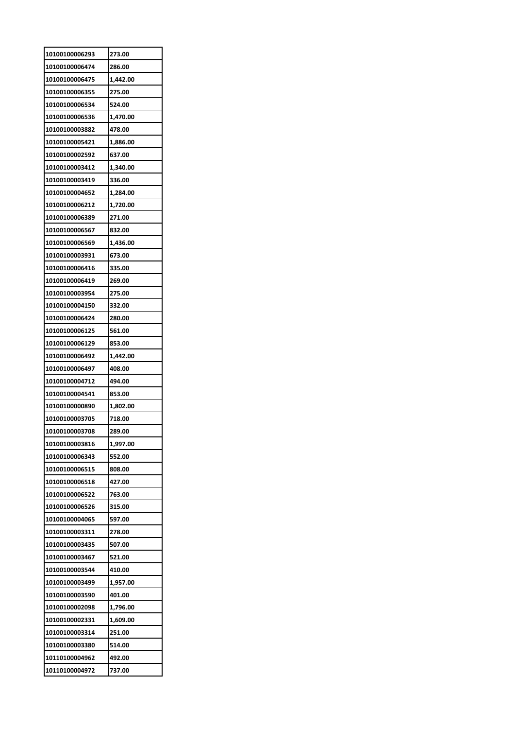| 10100100006293 | 273.00   |
|----------------|----------|
| 10100100006474 | 286.00   |
| 10100100006475 | 1,442.00 |
| 10100100006355 | 275.00   |
| 10100100006534 | 524.00   |
| 10100100006536 | 1,470.00 |
| 10100100003882 | 478.00   |
| 10100100005421 | 1,886.00 |
| 10100100002592 | 637.00   |
| 10100100003412 | 1,340.00 |
| 10100100003419 | 336.00   |
| 10100100004652 | 1,284.00 |
| 10100100006212 | 1,720.00 |
| 10100100006389 | 271.00   |
| 10100100006567 | 832.00   |
| 10100100006569 | 1,436.00 |
| 10100100003931 | 673.00   |
| 10100100006416 | 335.00   |
| 10100100006419 | 269.00   |
| 10100100003954 | 275.00   |
| 10100100004150 | 332.00   |
| 10100100006424 | 280.00   |
| 10100100006125 | 561.00   |
| 10100100006129 | 853.00   |
| 10100100006492 | 1,442.00 |
| 10100100006497 | 408.00   |
| 10100100004712 | 494.00   |
| 10100100004541 | 853.00   |
| 10100100000890 | 1,802.00 |
| 10100100003705 | 718.00   |
| 10100100003708 | 289.00   |
| 10100100003816 | 1,997.00 |
| 10100100006343 | 552.00   |
| 10100100006515 | 808.00   |
| 10100100006518 | 427.00   |
| 10100100006522 | 763.00   |
| 10100100006526 | 315.00   |
| 10100100004065 | 597.00   |
| 10100100003311 | 278.00   |
| 10100100003435 | 507.00   |
| 10100100003467 | 521.00   |
| 10100100003544 | 410.00   |
| 10100100003499 | 1,957.00 |
| 10100100003590 | 401.00   |
| 10100100002098 | 1,796.00 |
| 10100100002331 | 1,609.00 |
| 10100100003314 | 251.00   |
| 10100100003380 | 514.00   |
| 10110100004962 | 492.00   |
| 10110100004972 | 737.00   |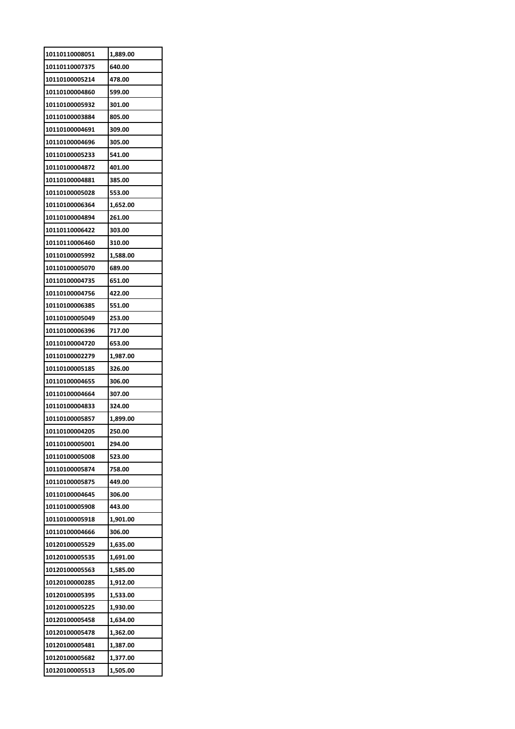| 10110110008051 | 1,889.00 |
|----------------|----------|
| 10110110007375 | 640.00   |
| 10110100005214 | 478.00   |
| 10110100004860 | 599.00   |
| 10110100005932 | 301.00   |
| 10110100003884 | 805.00   |
| 10110100004691 | 309.00   |
| 10110100004696 | 305.00   |
| 10110100005233 | 541.00   |
| 10110100004872 | 401.00   |
| 10110100004881 | 385.00   |
| 10110100005028 | 553.00   |
| 10110100006364 | 1,652.00 |
| 10110100004894 | 261.00   |
| 10110110006422 | 303.00   |
| 10110110006460 | 310.00   |
| 10110100005992 | 1,588.00 |
| 10110100005070 | 689.00   |
| 10110100004735 |          |
|                | 651.00   |
| 10110100004756 | 422.00   |
| 10110100006385 | 551.00   |
| 10110100005049 | 253.00   |
| 10110100006396 | 717.00   |
| 10110100004720 | 653.00   |
| 10110100002279 | 1,987.00 |
| 10110100005185 | 326.00   |
| 10110100004655 | 306.00   |
| 10110100004664 | 307.00   |
| 10110100004833 | 324.00   |
| 10110100005857 | 1,899.00 |
| 10110100004205 | 250.00   |
| 10110100005001 | 294.00   |
| 10110100005008 | 523.00   |
| 10110100005874 | 758.00   |
| 10110100005875 | 449.00   |
| 10110100004645 | 306.00   |
| 10110100005908 | 443.00   |
| 10110100005918 | 1,901.00 |
| 10110100004666 | 306.00   |
| 10120100005529 | 1,635.00 |
| 10120100005535 | 1,691.00 |
| 10120100005563 | 1,585.00 |
| 10120100000285 | 1,912.00 |
| 10120100005395 | 1,533.00 |
| 10120100005225 | 1,930.00 |
| 10120100005458 | 1,634.00 |
| 10120100005478 | 1,362.00 |
| 10120100005481 | 1,387.00 |
| 10120100005682 | 1,377.00 |
| 10120100005513 | 1,505.00 |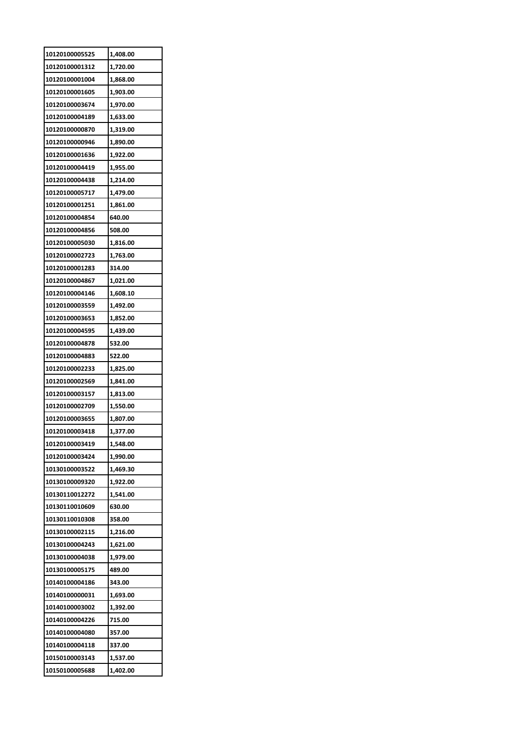| 10120100005525 | 1,408.00 |
|----------------|----------|
| 10120100001312 | 1,720.00 |
| 10120100001004 | 1,868.00 |
| 10120100001605 | 1,903.00 |
| 10120100003674 | 1,970.00 |
| 10120100004189 | 1,633.00 |
| 10120100000870 | 1,319.00 |
| 10120100000946 | 1,890.00 |
| 10120100001636 | 1,922.00 |
| 10120100004419 | 1,955.00 |
| 10120100004438 | 1,214.00 |
| 10120100005717 | 1,479.00 |
| 10120100001251 | 1,861.00 |
| 10120100004854 | 640.00   |
| 10120100004856 | 508.00   |
| 10120100005030 | 1,816.00 |
| 10120100002723 | 1,763.00 |
| 10120100001283 | 314.00   |
| 10120100004867 | 1,021.00 |
| 10120100004146 | 1,608.10 |
| 10120100003559 | 1,492.00 |
| 10120100003653 | 1,852.00 |
| 10120100004595 | 1,439.00 |
| 10120100004878 | 532.00   |
| 10120100004883 | 522.00   |
| 10120100002233 | 1,825.00 |
| 10120100002569 | 1,841.00 |
| 10120100003157 | 1,813.00 |
| 10120100002709 | 1,550.00 |
| 10120100003655 | 1,807.00 |
| 10120100003418 | 1,377.00 |
| 10120100003419 | 1,548.00 |
| 10120100003424 | 1,990.00 |
| 10130100003522 | 1,469.30 |
| 10130100009320 | 1,922.00 |
| 10130110012272 | 1,541.00 |
| 10130110010609 | 630.00   |
| 10130110010308 | 358.00   |
| 10130100002115 | 1,216.00 |
| 10130100004243 | 1,621.00 |
| 10130100004038 | 1,979.00 |
| 10130100005175 | 489.00   |
| 10140100004186 | 343.00   |
| 10140100000031 | 1,693.00 |
| 10140100003002 | 1,392.00 |
| 10140100004226 | 715.00   |
| 10140100004080 | 357.00   |
| 10140100004118 | 337.00   |
| 10150100003143 | 1,537.00 |
| 10150100005688 | 1,402.00 |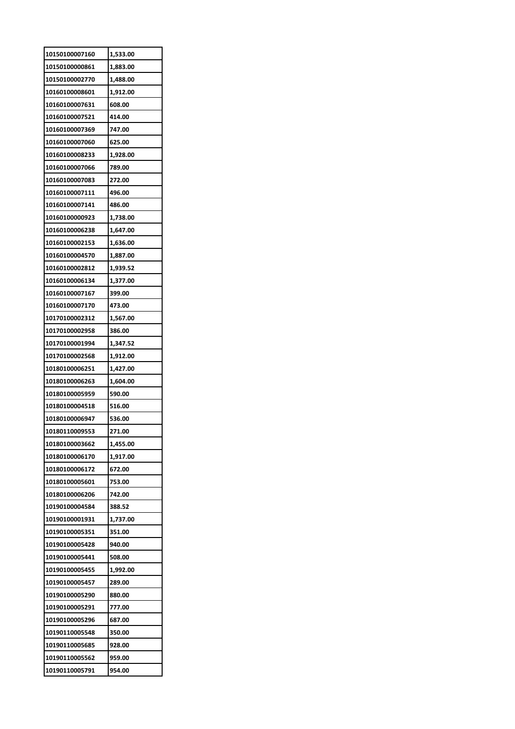| 10150100007160                   | 1,533.00         |
|----------------------------------|------------------|
| 10150100000861                   | 1,883.00         |
| 10150100002770                   | 1,488.00         |
| 10160100008601                   | 1,912.00         |
| 10160100007631                   | 608.00           |
| 10160100007521                   | 414.00           |
| 10160100007369                   | 747.00           |
| 10160100007060                   | 625.00           |
| 10160100008233                   | 1,928.00         |
| 10160100007066                   | 789.00           |
| 10160100007083                   | 272.00           |
| 10160100007111                   | 496.00           |
| 10160100007141                   | 486.00           |
| 10160100000923                   | 1,738.00         |
| 10160100006238                   | 1,647.00         |
| 10160100002153                   | 1,636.00         |
| 10160100004570                   | 1,887.00         |
| 10160100002812                   | 1,939.52         |
| 10160100006134                   | 1,377.00         |
|                                  |                  |
| 10160100007167<br>10160100007170 | 399.00<br>473.00 |
|                                  |                  |
| 10170100002312                   | 1,567.00         |
| 10170100002958                   | 386.00           |
| 10170100001994                   | 1,347.52         |
|                                  |                  |
| 10170100002568                   | 1,912.00         |
| 10180100006251                   | 1,427.00         |
| 10180100006263                   | 1,604.00         |
| 10180100005959                   | 590.00           |
| 10180100004518                   | 516.00           |
| 10180100006947                   | 536.00           |
| 10180110009553                   | 271.00           |
| 10180100003662                   | 1,455.00         |
| 10180100006170                   | 1,917.00         |
| 10180100006172                   | 672.00           |
| 10180100005601                   | 753.00           |
| 10180100006206                   | 742.00           |
| 10190100004584                   | 388.52           |
| 10190100001931                   | 1,737.00         |
| 10190100005351                   | 351.00           |
| 10190100005428                   | 940.00           |
| 10190100005441                   | 508.00           |
| 10190100005455                   | 1,992.00         |
| 10190100005457                   | 289.00           |
| 10190100005290                   | 880.00           |
| 10190100005291                   | 777.00           |
| 10190100005296                   | 687.00           |
| 10190110005548                   | 350.00           |
| 10190110005685                   | 928.00           |
| 10190110005562                   | 959.00           |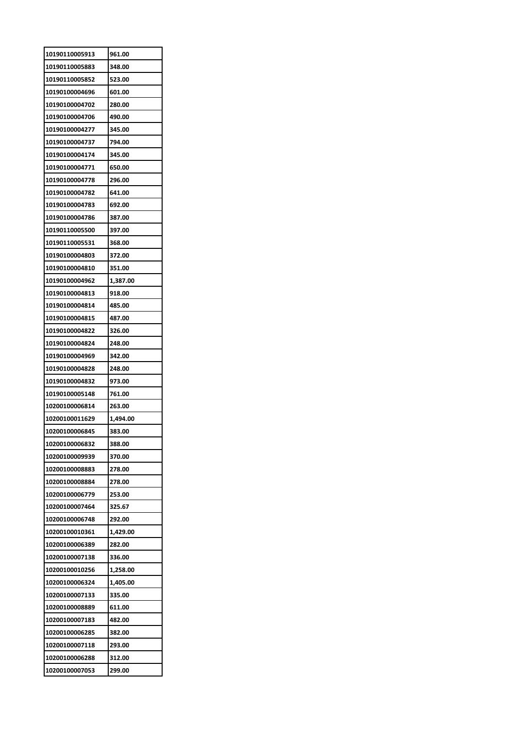| 10190110005913 | 961.00   |
|----------------|----------|
| 10190110005883 | 348.00   |
| 10190110005852 | 523.00   |
| 10190100004696 | 601.00   |
| 10190100004702 | 280.00   |
| 10190100004706 | 490.00   |
| 10190100004277 | 345.00   |
| 10190100004737 | 794.00   |
| 10190100004174 | 345.00   |
| 10190100004771 | 650.00   |
| 10190100004778 | 296.00   |
| 10190100004782 | 641.00   |
| 10190100004783 | 692.00   |
| 10190100004786 | 387.00   |
| 10190110005500 | 397.00   |
| 10190110005531 | 368.00   |
| 10190100004803 | 372.00   |
| 10190100004810 | 351.00   |
| 10190100004962 | 1,387.00 |
| 10190100004813 | 918.00   |
| 10190100004814 | 485.00   |
| 10190100004815 | 487.00   |
| 10190100004822 | 326.00   |
| 10190100004824 | 248.00   |
| 10190100004969 | 342.00   |
| 10190100004828 | 248.00   |
| 10190100004832 | 973.00   |
| 10190100005148 | 761.00   |
| 10200100006814 | 263.00   |
| 10200100011629 | 1,494.00 |
| 10200100006845 | 383.00   |
| 10200100006832 | 388.00   |
| 10200100009939 | 370.00   |
| 10200100008883 | 278.00   |
| 10200100008884 | 278.00   |
| 10200100006779 | 253.00   |
| 10200100007464 | 325.67   |
| 10200100006748 | 292.00   |
| 10200100010361 | 1,429.00 |
| 10200100006389 | 282.00   |
| 10200100007138 | 336.00   |
| 10200100010256 | 1,258.00 |
| 10200100006324 | 1,405.00 |
| 10200100007133 | 335.00   |
| 10200100008889 | 611.00   |
| 10200100007183 | 482.00   |
| 10200100006285 | 382.00   |
| 10200100007118 | 293.00   |
|                |          |
| 10200100006288 | 312.00   |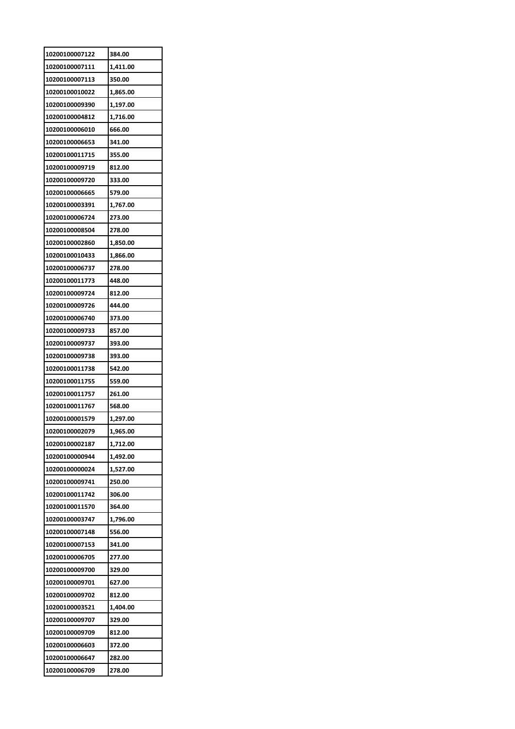| 10200100007122                   | 384.00               |
|----------------------------------|----------------------|
| 10200100007111                   | 1,411.00             |
| 10200100007113                   | 350.00               |
| 10200100010022                   | 1,865.00             |
| 10200100009390                   | 1,197.00             |
| 10200100004812                   | 1,716.00             |
| 10200100006010                   | 666.00               |
| 10200100006653                   | 341.00               |
| 10200100011715                   | 355.00               |
| 10200100009719                   | 812.00               |
| 10200100009720                   | 333.00               |
| 10200100006665                   | 579.00               |
| 10200100003391                   | 1,767.00             |
| 10200100006724                   | 273.00               |
| 10200100008504                   | 278.00               |
| 10200100002860                   | 1,850.00             |
| 10200100010433                   | 1,866.00             |
| 10200100006737                   | 278.00               |
| 10200100011773                   | 448.00               |
| 10200100009724                   | 812.00               |
| 10200100009726                   | 444.00               |
| 10200100006740                   | 373.00               |
| 10200100009733                   | 857.00               |
| 10200100009737                   | 393.00               |
| 10200100009738                   | 393.00               |
| 10200100011738                   | 542.00               |
| 10200100011755                   | 559.00               |
| 10200100011757                   |                      |
| 10200100011767                   | 261.00<br>568.00     |
|                                  |                      |
| 10200100001579<br>10200100002079 | 1,297.00<br>1,965.00 |
| 10200100002187                   |                      |
|                                  | 1,712.00             |
| 10200100000944                   | 1,492.00             |
| 10200100000024                   | 1,527.00             |
| 10200100009741                   | 250.00               |
| 10200100011742                   | 306.00               |
| 10200100011570                   | 364.00               |
| 10200100003747                   | 1,796.00             |
| 10200100007148                   | 556.00               |
| 10200100007153                   | 341.00               |
| 10200100006705                   | 277.00               |
| 10200100009700                   | 329.00               |
| 10200100009701                   | 627.00               |
| 10200100009702                   | 812.00               |
| 10200100003521                   | 1,404.00             |
| 10200100009707                   | 329.00               |
| 10200100009709                   | 812.00               |
| 10200100006603                   | 372.00               |
| 10200100006647                   | 282.00               |
| 10200100006709                   | 278.00               |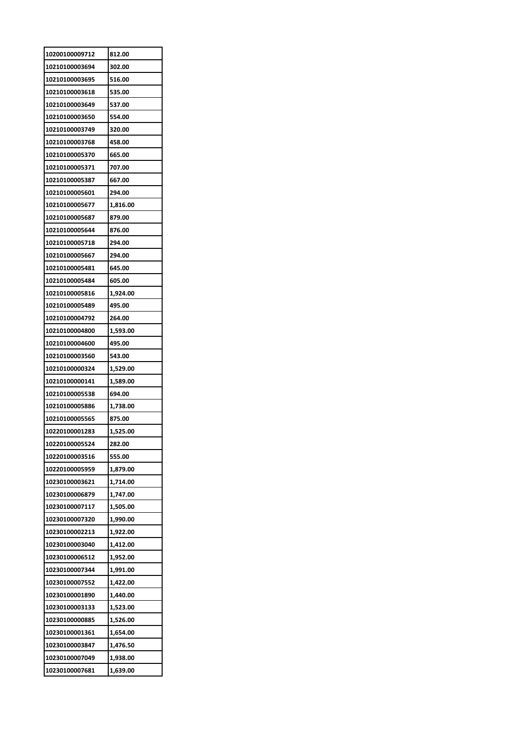| 10200100009712 | 812.00   |
|----------------|----------|
| 10210100003694 | 302.00   |
| 10210100003695 | 516.00   |
| 10210100003618 | 535.00   |
| 10210100003649 | 537.00   |
| 10210100003650 | 554.00   |
| 10210100003749 | 320.00   |
| 10210100003768 | 458.00   |
| 10210100005370 | 665.00   |
| 10210100005371 | 707.00   |
| 10210100005387 | 667.00   |
| 10210100005601 | 294.00   |
| 10210100005677 | 1,816.00 |
| 10210100005687 | 879.00   |
| 10210100005644 | 876.00   |
| 10210100005718 | 294.00   |
| 10210100005667 | 294.00   |
| 10210100005481 | 645.00   |
| 10210100005484 | 605.00   |
| 10210100005816 | 1,924.00 |
| 10210100005489 | 495.00   |
| 10210100004792 | 264.00   |
| 10210100004800 | 1,593.00 |
| 10210100004600 | 495.00   |
| 10210100003560 | 543.00   |
| 10210100000324 | 1,529.00 |
| 10210100000141 | 1,589.00 |
| 10210100005538 | 694.00   |
| 10210100005886 | 1,738.00 |
| 10210100005565 | 875.00   |
| 10220100001283 | 1,525.00 |
| 10220100005524 | 282.00   |
| 10220100003516 | 555.00   |
| 10220100005959 | 1,879.00 |
| 10230100003621 | 1,714.00 |
| 10230100006879 | 1,747.00 |
| 10230100007117 | 1,505.00 |
| 10230100007320 | 1,990.00 |
| 10230100002213 | 1,922.00 |
| 10230100003040 | 1,412.00 |
| 10230100006512 | 1,952.00 |
| 10230100007344 | 1,991.00 |
| 10230100007552 | 1,422.00 |
| 10230100001890 | 1,440.00 |
| 10230100003133 | 1,523.00 |
| 10230100000885 | 1,526.00 |
| 10230100001361 | 1,654.00 |
| 10230100003847 | 1,476.50 |
| 10230100007049 | 1,938.00 |
| 10230100007681 | 1,639.00 |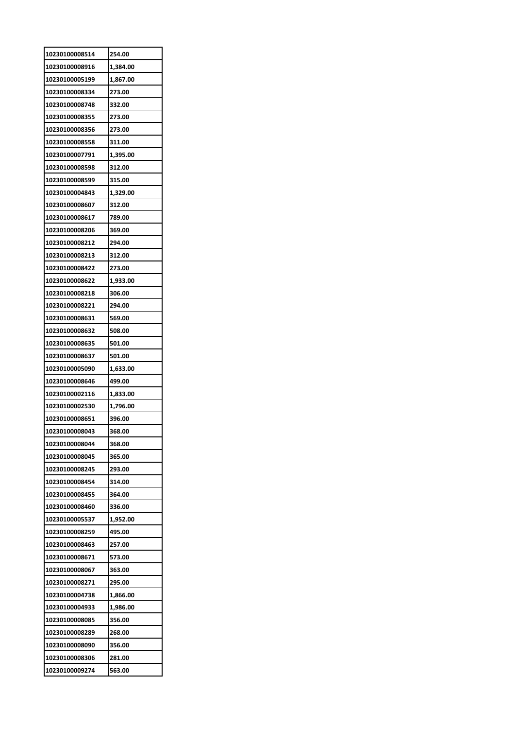| 10230100008514 | 254.00   |
|----------------|----------|
| 10230100008916 | 1,384.00 |
| 10230100005199 | 1,867.00 |
| 10230100008334 | 273.00   |
| 10230100008748 | 332.00   |
| 10230100008355 | 273.00   |
| 10230100008356 | 273.00   |
| 10230100008558 | 311.00   |
| 10230100007791 | 1,395.00 |
| 10230100008598 | 312.00   |
| 10230100008599 | 315.00   |
| 10230100004843 | 1,329.00 |
| 10230100008607 | 312.00   |
| 10230100008617 | 789.00   |
| 10230100008206 | 369.00   |
| 10230100008212 | 294.00   |
| 10230100008213 | 312.00   |
| 10230100008422 | 273.00   |
| 10230100008622 |          |
|                | 1,933.00 |
| 10230100008218 | 306.00   |
| 10230100008221 | 294.00   |
| 10230100008631 | 569.00   |
| 10230100008632 | 508.00   |
| 10230100008635 | 501.00   |
| 10230100008637 | 501.00   |
| 10230100005090 | 1,633.00 |
| 10230100008646 | 499.00   |
| 10230100002116 | 1,833.00 |
| 10230100002530 | 1,796.00 |
| 10230100008651 | 396.00   |
| 10230100008043 | 368.00   |
| 10230100008044 | 368.00   |
| 10230100008045 | 365.00   |
| 10230100008245 | 293.00   |
| 10230100008454 | 314.00   |
| 10230100008455 | 364.00   |
| 10230100008460 | 336.00   |
| 10230100005537 | 1,952.00 |
| 10230100008259 | 495.00   |
| 10230100008463 | 257.00   |
| 10230100008671 | 573.00   |
| 10230100008067 | 363.00   |
| 10230100008271 | 295.00   |
| 10230100004738 | 1,866.00 |
| 10230100004933 | 1,986.00 |
| 10230100008085 | 356.00   |
| 10230100008289 | 268.00   |
| 10230100008090 | 356.00   |
| 10230100008306 | 281.00   |
|                | 563.00   |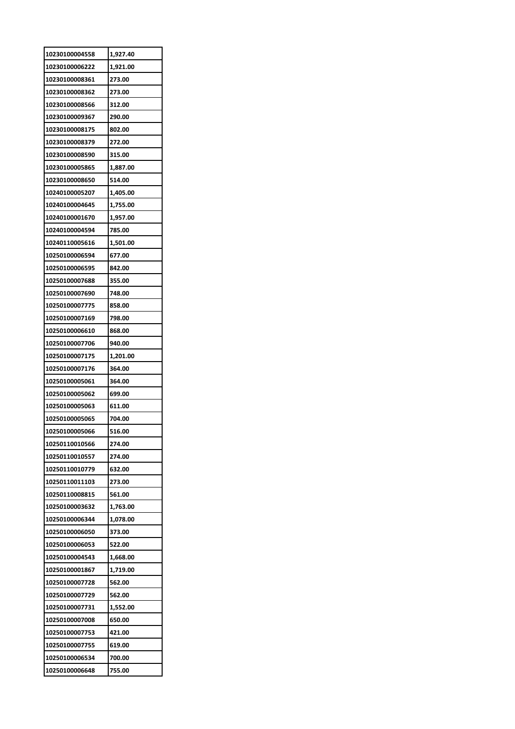| 10230100004558 | 1,927.40 |
|----------------|----------|
| 10230100006222 | 1,921.00 |
| 10230100008361 | 273.00   |
| 10230100008362 | 273.00   |
| 10230100008566 | 312.00   |
| 10230100009367 | 290.00   |
| 10230100008175 | 802.00   |
| 10230100008379 | 272.00   |
| 10230100008590 | 315.00   |
| 10230100005865 | 1,887.00 |
| 10230100008650 | 514.00   |
| 10240100005207 | 1,405.00 |
| 10240100004645 | 1,755.00 |
| 10240100001670 | 1,957.00 |
| 10240100004594 | 785.00   |
| 10240110005616 | 1,501.00 |
| 10250100006594 | 677.00   |
| 10250100006595 | 842.00   |
| 10250100007688 | 355.00   |
| 10250100007690 | 748.00   |
| 10250100007775 | 858.00   |
| 10250100007169 | 798.00   |
| 10250100006610 | 868.00   |
| 10250100007706 | 940.00   |
| 10250100007175 | 1,201.00 |
| 10250100007176 | 364.00   |
| 10250100005061 | 364.00   |
| 10250100005062 | 699.00   |
| 10250100005063 | 611.00   |
| 10250100005065 | 704.00   |
| 10250100005066 | 516.00   |
| 10250110010566 | 274.00   |
| 10250110010557 | 274.00   |
| 10250110010779 | 632.00   |
| 10250110011103 | 273.00   |
| 10250110008815 | 561.00   |
| 10250100003632 | 1,763.00 |
| 10250100006344 | 1,078.00 |
| 10250100006050 | 373.00   |
| 10250100006053 | 522.00   |
| 10250100004543 | 1,668.00 |
| 10250100001867 | 1,719.00 |
| 10250100007728 | 562.00   |
| 10250100007729 | 562.00   |
| 10250100007731 | 1,552.00 |
| 10250100007008 | 650.00   |
| 10250100007753 | 421.00   |
|                |          |
| 10250100007755 | 619.00   |
| 10250100006534 | 700.00   |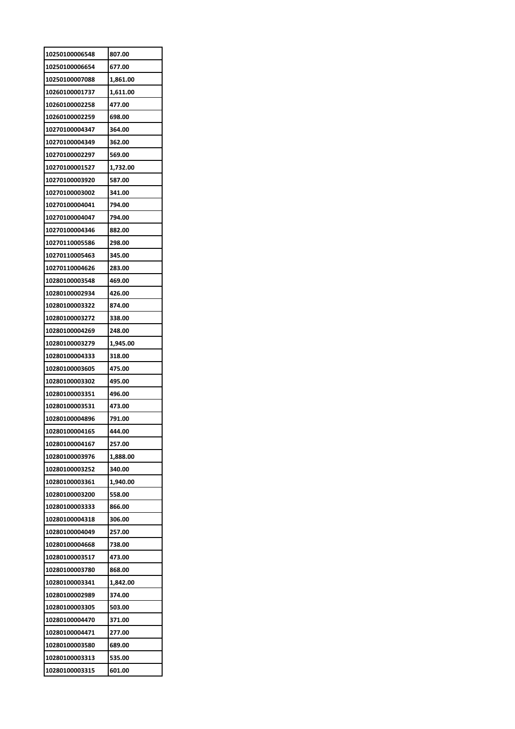| 10250100006548 | 807.00   |
|----------------|----------|
| 10250100006654 | 677.00   |
| 10250100007088 | 1,861.00 |
| 10260100001737 | 1,611.00 |
| 10260100002258 | 477.00   |
| 10260100002259 | 698.00   |
| 10270100004347 | 364.00   |
| 10270100004349 | 362.00   |
| 10270100002297 | 569.00   |
| 10270100001527 | 1,732.00 |
| 10270100003920 | 587.00   |
| 10270100003002 | 341.00   |
| 10270100004041 | 794.00   |
| 10270100004047 | 794.00   |
| 10270100004346 | 882.00   |
| 10270110005586 | 298.00   |
| 10270110005463 | 345.00   |
| 10270110004626 | 283.00   |
| 10280100003548 | 469.00   |
| 10280100002934 | 426.00   |
| 10280100003322 | 874.00   |
| 10280100003272 | 338.00   |
| 10280100004269 | 248.00   |
| 10280100003279 | 1,945.00 |
| 10280100004333 | 318.00   |
| 10280100003605 | 475.00   |
| 10280100003302 | 495.00   |
| 10280100003351 | 496.00   |
| 10280100003531 | 473.00   |
| 10280100004896 | 791.00   |
| 10280100004165 | 444.00   |
| 10280100004167 | 257.00   |
| 10280100003976 | 1,888.00 |
| 10280100003252 | 340.00   |
| 10280100003361 | 1,940.00 |
| 10280100003200 | 558.00   |
| 10280100003333 | 866.00   |
| 10280100004318 | 306.00   |
| 10280100004049 | 257.00   |
| 10280100004668 | 738.00   |
| 10280100003517 | 473.00   |
| 10280100003780 | 868.00   |
| 10280100003341 | 1,842.00 |
| 10280100002989 | 374.00   |
| 10280100003305 | 503.00   |
| 10280100004470 | 371.00   |
| 10280100004471 | 277.00   |
| 10280100003580 | 689.00   |
| 10280100003313 | 535.00   |
| 10280100003315 | 601.00   |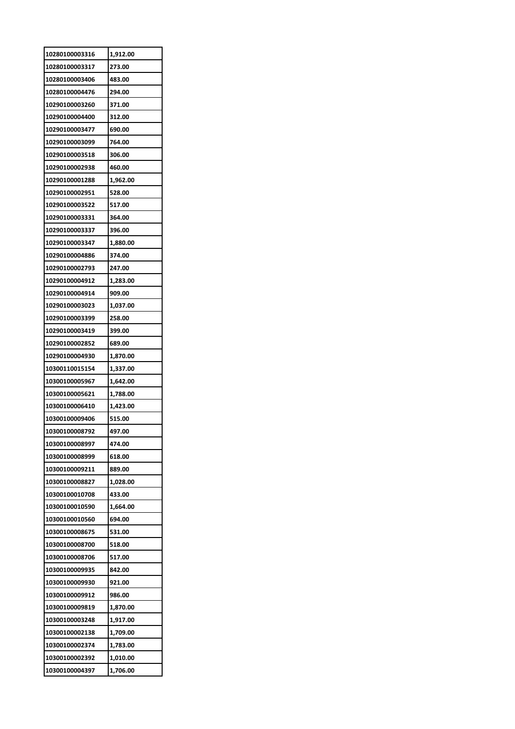| 10280100003316 | 1,912.00 |
|----------------|----------|
| 10280100003317 | 273.00   |
| 10280100003406 | 483.00   |
| 10280100004476 | 294.00   |
| 10290100003260 | 371.00   |
| 10290100004400 | 312.00   |
| 10290100003477 | 690.00   |
| 10290100003099 | 764.00   |
| 10290100003518 | 306.00   |
| 10290100002938 | 460.00   |
| 10290100001288 | 1,962.00 |
| 10290100002951 | 528.00   |
| 10290100003522 | 517.00   |
| 10290100003331 | 364.00   |
| 10290100003337 | 396.00   |
| 10290100003347 | 1,880.00 |
| 10290100004886 | 374.00   |
| 10290100002793 | 247.00   |
| 10290100004912 | 1,283.00 |
| 10290100004914 | 909.00   |
| 10290100003023 | 1,037.00 |
| 10290100003399 | 258.00   |
| 10290100003419 | 399.00   |
| 10290100002852 | 689.00   |
|                |          |
| 10290100004930 | 1,870.00 |
| 10300110015154 | 1,337.00 |
| 10300100005967 | 1,642.00 |
| 10300100005621 | 1,788.00 |
| 10300100006410 | 1,423.00 |
| 10300100009406 | 515.00   |
| 10300100008792 | 497.00   |
| 10300100008997 | 474.00   |
| 10300100008999 | 618.00   |
| 10300100009211 | 889.00   |
| 10300100008827 | 1,028.00 |
| 10300100010708 | 433.00   |
| 10300100010590 | 1,664.00 |
| 10300100010560 | 694.00   |
| 10300100008675 | 531.00   |
| 10300100008700 | 518.00   |
| 10300100008706 | 517.00   |
| 10300100009935 | 842.00   |
| 10300100009930 | 921.00   |
| 10300100009912 | 986.00   |
| 10300100009819 | 1,870.00 |
| 10300100003248 | 1,917.00 |
| 10300100002138 | 1,709.00 |
| 10300100002374 | 1,783.00 |
| 10300100002392 | 1,010.00 |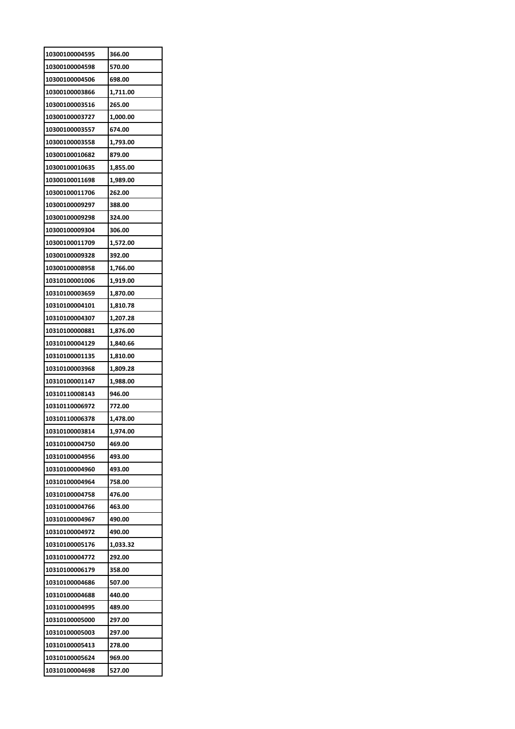| 10300100004595 | 366.00   |
|----------------|----------|
| 10300100004598 | 570.00   |
| 10300100004506 | 698.00   |
| 10300100003866 | 1,711.00 |
| 10300100003516 | 265.00   |
| 10300100003727 | 1,000.00 |
| 10300100003557 | 674.00   |
| 10300100003558 | 1,793.00 |
| 10300100010682 | 879.00   |
| 10300100010635 | 1,855.00 |
| 10300100011698 | 1,989.00 |
| 10300100011706 | 262.00   |
| 10300100009297 | 388.00   |
| 10300100009298 | 324.00   |
| 10300100009304 | 306.00   |
| 10300100011709 | 1,572.00 |
| 10300100009328 | 392.00   |
| 10300100008958 | 1,766.00 |
| 10310100001006 | 1,919.00 |
| 10310100003659 | 1,870.00 |
| 10310100004101 | 1,810.78 |
| 10310100004307 | 1,207.28 |
| 10310100000881 | 1,876.00 |
| 10310100004129 | 1,840.66 |
| 10310100001135 | 1,810.00 |
| 10310100003968 | 1,809.28 |
| 10310100001147 | 1,988.00 |
| 10310110008143 | 946.00   |
| 10310110006972 | 772.00   |
| 10310110006378 | 1,478.00 |
| 10310100003814 | 1.974.00 |
| 10310100004750 | 469.00   |
| 10310100004956 | 493.00   |
| 10310100004960 | 493.00   |
| 10310100004964 | 758.00   |
| 10310100004758 | 476.00   |
| 10310100004766 | 463.00   |
| 10310100004967 | 490.00   |
| 10310100004972 | 490.00   |
| 10310100005176 | 1,033.32 |
| 10310100004772 | 292.00   |
| 10310100006179 | 358.00   |
| 10310100004686 | 507.00   |
| 10310100004688 | 440.00   |
| 10310100004995 | 489.00   |
| 10310100005000 | 297.00   |
| 10310100005003 | 297.00   |
| 10310100005413 | 278.00   |
| 10310100005624 | 969.00   |
| 10310100004698 | 527.00   |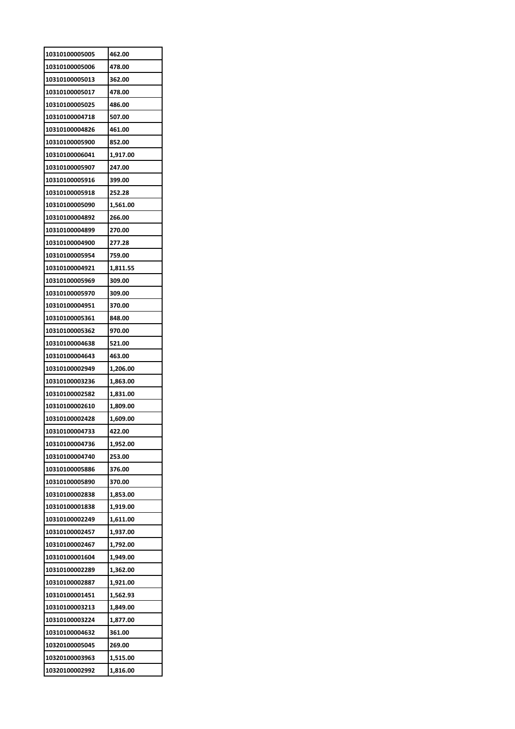| 10310100005005                   | 462.00               |
|----------------------------------|----------------------|
| 10310100005006                   | 478.00               |
| 10310100005013                   | 362.00               |
| 10310100005017                   | 478.00               |
| 10310100005025                   | 486.00               |
| 10310100004718                   | 507.00               |
| 10310100004826                   | 461.00               |
| 10310100005900                   | 852.00               |
| 10310100006041                   | 1,917.00             |
| 10310100005907                   | 247.00               |
| 10310100005916                   | 399.00               |
| 10310100005918                   | 252.28               |
| 10310100005090                   | 1,561.00             |
| 10310100004892                   | 266.00               |
| 10310100004899                   | 270.00               |
| 10310100004900                   | 277.28               |
| 10310100005954                   | 759.00               |
| 10310100004921                   | 1,811.55             |
| 10310100005969                   | 309.00               |
| 10310100005970                   | 309.00               |
| 10310100004951                   | 370.00               |
| 10310100005361                   | 848.00               |
| 10310100005362                   | 970.00               |
| 10310100004638                   | 521.00               |
| 10310100004643                   | 463.00               |
| 10310100002949                   | 1,206.00             |
| 10310100003236                   |                      |
| 10310100002582                   | 1,863.00             |
| 10310100002610                   | 1,831.00<br>1,809.00 |
|                                  |                      |
| 10310100002428<br>10310100004733 | 1,609.00<br>422.00   |
|                                  |                      |
| 10310100004736                   | 1,952.00             |
| 10310100004740                   | 253.00               |
| 10310100005886                   | 376.00               |
| 10310100005890                   | 370.00               |
| 10310100002838                   | 1,853.00             |
| 10310100001838                   | 1,919.00             |
| 10310100002249                   | 1,611.00             |
| 10310100002457                   | 1,937.00             |
| 10310100002467                   | 1,792.00             |
| 10310100001604                   | 1,949.00             |
| 10310100002289                   | 1,362.00             |
| 10310100002887                   | 1,921.00             |
| 10310100001451                   | 1,562.93             |
| 10310100003213                   | 1,849.00             |
| 10310100003224                   | 1,877.00             |
| 10310100004632                   | 361.00               |
| 10320100005045                   | 269.00               |
| 10320100003963                   | 1,515.00             |
| 10320100002992                   | 1,816.00             |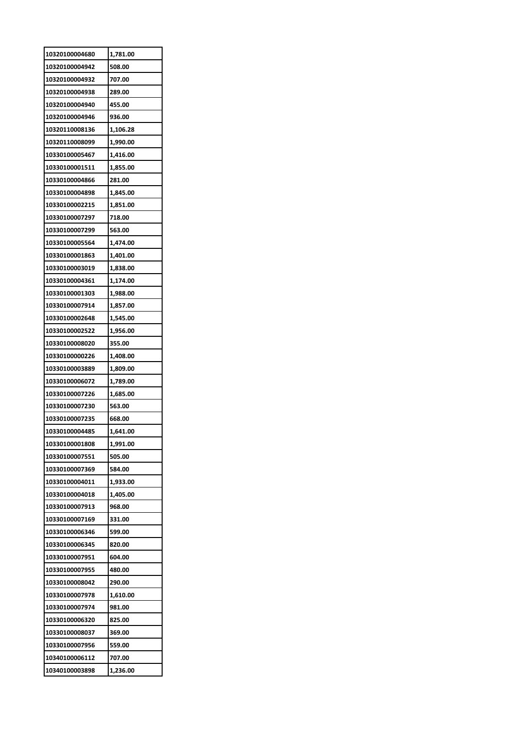| 10320100004680 | 1,781.00             |
|----------------|----------------------|
| 10320100004942 | 508.00               |
| 10320100004932 | 707.00               |
| 10320100004938 | 289.00               |
| 10320100004940 | 455.00               |
| 10320100004946 | 936.00               |
| 10320110008136 | 1,106.28             |
| 10320110008099 | 1,990.00             |
| 10330100005467 | 1,416.00             |
| 10330100001511 | 1,855.00             |
| 10330100004866 | 281.00               |
| 10330100004898 | 1,845.00             |
| 10330100002215 | 1,851.00             |
| 10330100007297 | 718.00               |
| 10330100007299 | 563.00               |
| 10330100005564 | 1,474.00             |
| 10330100001863 | 1,401.00             |
| 10330100003019 | 1,838.00             |
| 10330100004361 | 1,174.00             |
| 10330100001303 |                      |
| 10330100007914 | 1,988.00<br>1,857.00 |
|                |                      |
| 10330100002648 | 1,545.00             |
| 10330100002522 | 1,956.00             |
| 10330100008020 | 355.00               |
| 10330100000226 | 1,408.00             |
| 10330100003889 | 1,809.00             |
| 10330100006072 | 1,789.00             |
| 10330100007226 | 1,685.00             |
| 10330100007230 | 563.00               |
| 10330100007235 | 668.00               |
| 10330100004485 | 1.641.00             |
| 10330100001808 | 1,991.00             |
| 10330100007551 | 505.00               |
| 10330100007369 | 584.00               |
| 10330100004011 | 1,933.00             |
| 10330100004018 | 1,405.00             |
| 10330100007913 | 968.00               |
| 10330100007169 | 331.00               |
| 10330100006346 | 599.00               |
| 10330100006345 | 820.00               |
| 10330100007951 | 604.00               |
| 10330100007955 | 480.00               |
| 10330100008042 | 290.00               |
| 10330100007978 | 1,610.00             |
| 10330100007974 | 981.00               |
| 10330100006320 | 825.00               |
| 10330100008037 | 369.00               |
| 10330100007956 | 559.00               |
| 10340100006112 | 707.00               |
| 10340100003898 | 1,236.00             |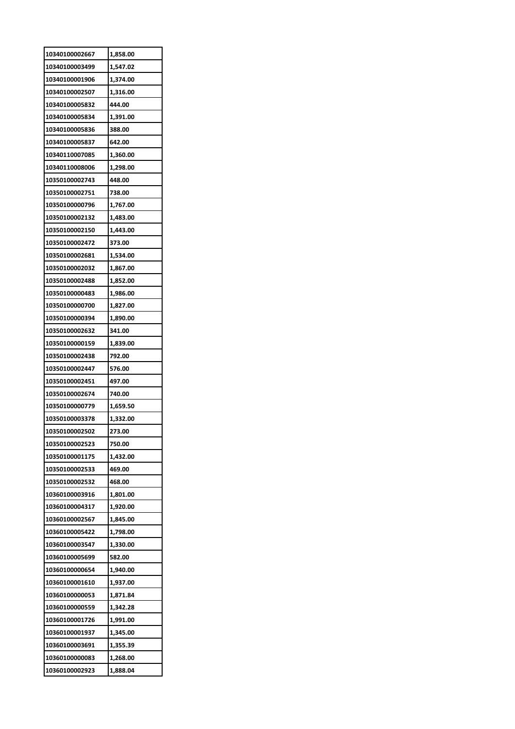| 10340100002667 | 1,858.00 |
|----------------|----------|
| 10340100003499 | 1,547.02 |
| 10340100001906 | 1,374.00 |
| 10340100002507 | 1,316.00 |
| 10340100005832 | 444.00   |
| 10340100005834 | 1,391.00 |
| 10340100005836 | 388.00   |
| 10340100005837 | 642.00   |
| 10340110007085 | 1,360.00 |
| 10340110008006 | 1,298.00 |
| 10350100002743 | 448.00   |
| 10350100002751 | 738.00   |
| 10350100000796 | 1,767.00 |
| 10350100002132 | 1,483.00 |
| 10350100002150 | 1,443.00 |
| 10350100002472 | 373.00   |
| 10350100002681 | 1,534.00 |
| 10350100002032 | 1,867.00 |
| 10350100002488 | 1,852.00 |
| 10350100000483 | 1,986.00 |
| 10350100000700 | 1,827.00 |
| 10350100000394 | 1,890.00 |
| 10350100002632 | 341.00   |
| 10350100000159 | 1,839.00 |
| 10350100002438 | 792.00   |
| 10350100002447 | 576.00   |
| 10350100002451 | 497.00   |
| 10350100002674 | 740.00   |
| 10350100000779 | 1,659.50 |
| 10350100003378 | 1,332.00 |
| 10350100002502 | 273.00   |
| 10350100002523 | 750.00   |
| 10350100001175 | 1,432.00 |
| 10350100002533 | 469.00   |
| 10350100002532 | 468.00   |
| 10360100003916 | 1,801.00 |
| 10360100004317 | 1,920.00 |
| 10360100002567 | 1,845.00 |
| 10360100005422 | 1,798.00 |
| 10360100003547 | 1,330.00 |
| 10360100005699 | 582.00   |
| 10360100000654 | 1,940.00 |
| 10360100001610 | 1,937.00 |
| 10360100000053 | 1,871.84 |
| 10360100000559 | 1,342.28 |
| 10360100001726 |          |
|                | 1,991.00 |
| 10360100001937 | 1,345.00 |
| 10360100003691 | 1,355.39 |
| 10360100000083 | 1,268.00 |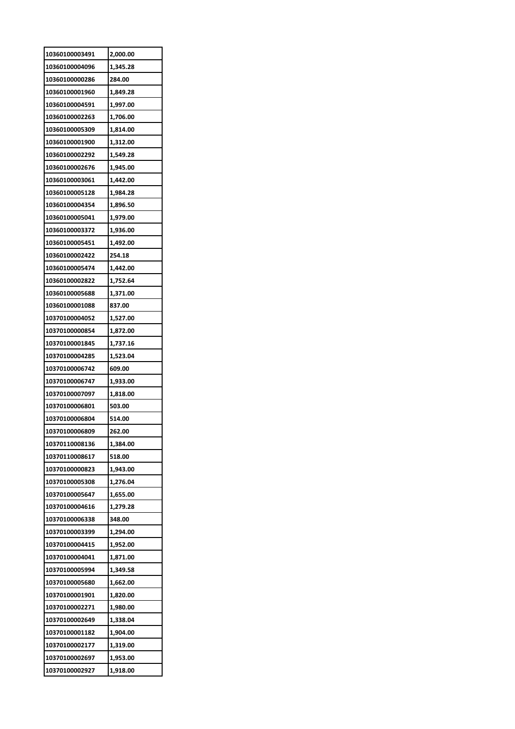| 10360100003491 | 2,000.00 |
|----------------|----------|
| 10360100004096 | 1,345.28 |
| 10360100000286 | 284.00   |
| 10360100001960 | 1,849.28 |
| 10360100004591 | 1,997.00 |
| 10360100002263 | 1,706.00 |
| 10360100005309 | 1,814.00 |
| 10360100001900 | 1,312.00 |
| 10360100002292 | 1,549.28 |
| 10360100002676 | 1,945.00 |
| 10360100003061 | 1,442.00 |
| 10360100005128 | 1,984.28 |
| 10360100004354 | 1,896.50 |
| 10360100005041 | 1,979.00 |
| 10360100003372 | 1,936.00 |
| 10360100005451 | 1,492.00 |
| 10360100002422 | 254.18   |
| 10360100005474 | 1,442.00 |
| 10360100002822 | 1,752.64 |
| 10360100005688 | 1,371.00 |
| 10360100001088 | 837.00   |
| 10370100004052 | 1,527.00 |
| 10370100000854 |          |
|                | 1,872.00 |
| 10370100001845 | 1,737.16 |
| 10370100004285 | 1,523.04 |
|                |          |
| 10370100006742 | 609.00   |
| 10370100006747 | 1,933.00 |
| 10370100007097 | 1,818.00 |
| 10370100006801 | 503.00   |
| 10370100006804 | 514.00   |
| 10370100006809 | 262.00   |
| 10370110008136 | 1,384.00 |
| 10370110008617 | 518.00   |
| 10370100000823 | 1,943.00 |
| 10370100005308 | 1,276.04 |
| 10370100005647 | 1,655.00 |
| 10370100004616 | 1,279.28 |
| 10370100006338 | 348.00   |
| 10370100003399 | 1,294.00 |
| 10370100004415 | 1,952.00 |
| 10370100004041 | 1,871.00 |
| 10370100005994 | 1,349.58 |
| 10370100005680 | 1,662.00 |
| 10370100001901 | 1,820.00 |
| 10370100002271 | 1,980.00 |
| 10370100002649 | 1,338.04 |
| 10370100001182 | 1,904.00 |
| 10370100002177 | 1,319.00 |
| 10370100002697 | 1,953.00 |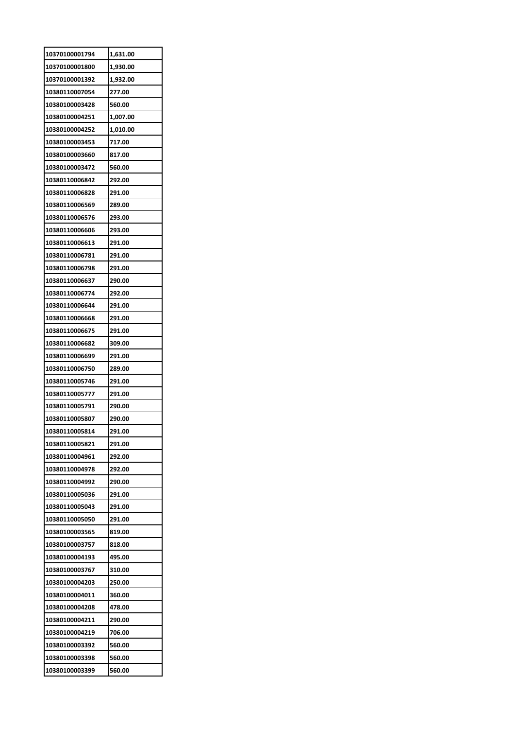| 10370100001794 | 1,631.00 |
|----------------|----------|
| 10370100001800 | 1,930.00 |
| 10370100001392 | 1,932.00 |
| 10380110007054 | 277.00   |
| 10380100003428 | 560.00   |
| 10380100004251 | 1,007.00 |
| 10380100004252 | 1,010.00 |
| 10380100003453 | 717.00   |
| 10380100003660 | 817.00   |
| 10380100003472 | 560.00   |
| 10380110006842 | 292.00   |
| 10380110006828 | 291.00   |
| 10380110006569 | 289.00   |
| 10380110006576 | 293.00   |
| 10380110006606 | 293.00   |
| 10380110006613 | 291.00   |
| 10380110006781 | 291.00   |
| 10380110006798 | 291.00   |
| 10380110006637 | 290.00   |
| 10380110006774 | 292.00   |
| 10380110006644 | 291.00   |
| 10380110006668 | 291.00   |
| 10380110006675 | 291.00   |
| 10380110006682 | 309.00   |
| 10380110006699 | 291.00   |
|                |          |
| 10380110006750 | 289.00   |
| 10380110005746 | 291.00   |
| 10380110005777 | 291.00   |
| 10380110005791 | 290.00   |
| 10380110005807 | 290.00   |
| 10380110005814 | 291.00   |
| 10380110005821 | 291.00   |
| 10380110004961 | 292.00   |
| 10380110004978 | 292.00   |
| 10380110004992 | 290.00   |
| 10380110005036 | 291.00   |
| 10380110005043 | 291.00   |
| 10380110005050 | 291.00   |
| 10380100003565 | 819.00   |
| 10380100003757 | 818.00   |
| 10380100004193 | 495.00   |
| 10380100003767 | 310.00   |
| 10380100004203 | 250.00   |
| 10380100004011 | 360.00   |
| 10380100004208 | 478.00   |
| 10380100004211 | 290.00   |
| 10380100004219 | 706.00   |
| 10380100003392 | 560.00   |
| 10380100003398 | 560.00   |
| 10380100003399 | 560.00   |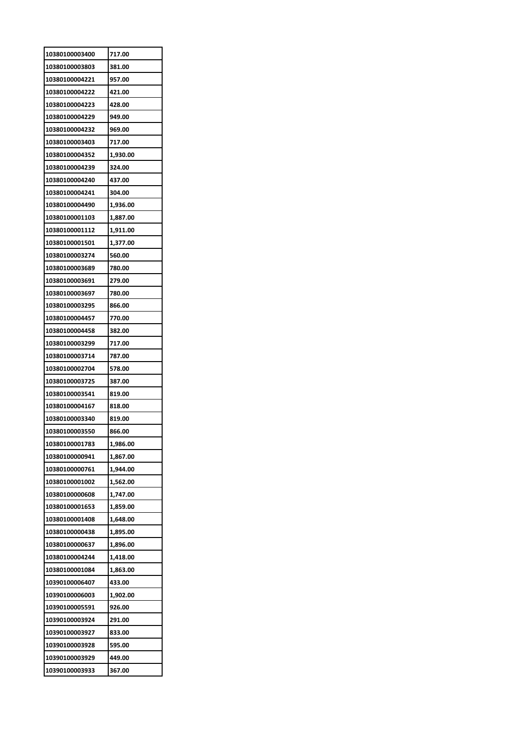| 10380100003400 | 717.00   |
|----------------|----------|
| 10380100003803 | 381.00   |
| 10380100004221 | 957.00   |
| 10380100004222 | 421.00   |
| 10380100004223 | 428.00   |
| 10380100004229 | 949.00   |
| 10380100004232 | 969.00   |
| 10380100003403 | 717.00   |
| 10380100004352 | 1,930.00 |
| 10380100004239 | 324.00   |
| 10380100004240 | 437.00   |
| 10380100004241 | 304.00   |
| 10380100004490 | 1,936.00 |
| 10380100001103 | 1,887.00 |
| 10380100001112 | 1,911.00 |
| 10380100001501 | 1,377.00 |
| 10380100003274 | 560.00   |
| 10380100003689 | 780.00   |
| 10380100003691 | 279.00   |
| 10380100003697 | 780.00   |
| 10380100003295 | 866.00   |
| 10380100004457 | 770.00   |
| 10380100004458 | 382.00   |
| 10380100003299 | 717.00   |
| 10380100003714 | 787.00   |
| 10380100002704 | 578.00   |
| 10380100003725 | 387.00   |
| 10380100003541 | 819.00   |
| 10380100004167 | 818.00   |
| 10380100003340 | 819.00   |
| 10380100003550 | 866.00   |
| 10380100001783 | 1,986.00 |
| 10380100000941 | 1,867.00 |
| 10380100000761 | 1,944.00 |
| 10380100001002 | 1,562.00 |
| 10380100000608 | 1,747.00 |
| 10380100001653 | 1,859.00 |
| 10380100001408 | 1,648.00 |
| 10380100000438 | 1,895.00 |
| 10380100000637 | 1,896.00 |
| 10380100004244 | 1,418.00 |
| 10380100001084 | 1,863.00 |
| 10390100006407 | 433.00   |
| 10390100006003 | 1,902.00 |
| 10390100005591 | 926.00   |
| 10390100003924 | 291.00   |
| 10390100003927 | 833.00   |
| 10390100003928 | 595.00   |
| 10390100003929 | 449.00   |
| 10390100003933 | 367.00   |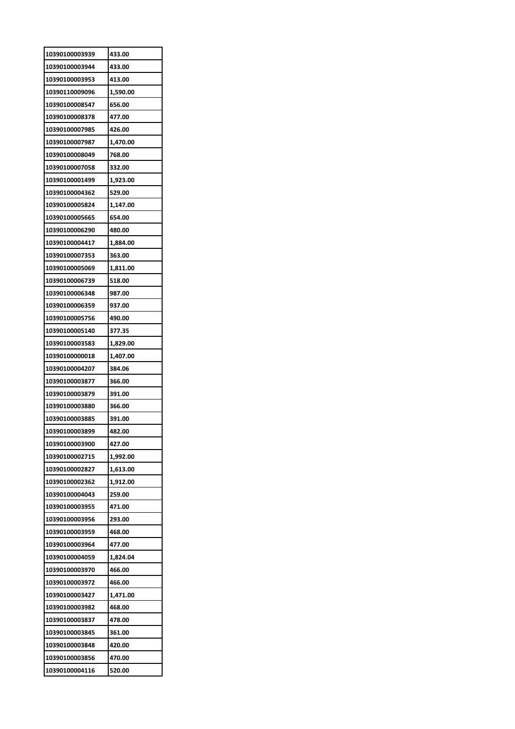| 10390100003939 | 433.00   |
|----------------|----------|
| 10390100003944 | 433.00   |
| 10390100003953 | 413.00   |
| 10390110009096 | 1,590.00 |
| 10390100008547 | 656.00   |
| 10390100008378 | 477.00   |
| 10390100007985 | 426.00   |
| 10390100007987 | 1.470.00 |
| 10390100008049 | 768.00   |
| 10390100007058 | 332.00   |
| 10390100001499 | 1,923.00 |
| 10390100004362 | 529.00   |
| 10390100005824 | 1,147.00 |
| 10390100005665 | 654.00   |
| 10390100006290 | 480.00   |
| 10390100004417 | 1,884.00 |
| 10390100007353 | 363.00   |
| 10390100005069 | 1,811.00 |
| 10390100006739 | 518.00   |
| 10390100006348 | 987.00   |
| 10390100006359 | 937.00   |
| 10390100005756 | 490.00   |
| 10390100005140 | 377.35   |
| 10390100003583 | 1,829.00 |
| 10390100000018 | 1,407.00 |
| 10390100004207 | 384.06   |
| 10390100003877 | 366.00   |
| 10390100003879 | 391.00   |
| 10390100003880 | 366.00   |
| 10390100003885 | 391.00   |
| 10390100003899 | 482.00   |
| 10390100003900 | 427.00   |
| 10390100002715 | 1,992.00 |
| 10390100002827 | 1,613.00 |
| 10390100002362 | 1,912.00 |
| 10390100004043 | 259.00   |
| 10390100003955 | 471.00   |
| 10390100003956 | 293.00   |
| 10390100003959 | 468.00   |
| 10390100003964 | 477.00   |
| 10390100004059 | 1,824.04 |
| 10390100003970 | 466.00   |
| 10390100003972 | 466.00   |
| 10390100003427 | 1,471.00 |
| 10390100003982 | 468.00   |
| 10390100003837 | 478.00   |
| 10390100003845 | 361.00   |
| 10390100003848 | 420.00   |
| 10390100003856 | 470.00   |
| 10390100004116 | 520.00   |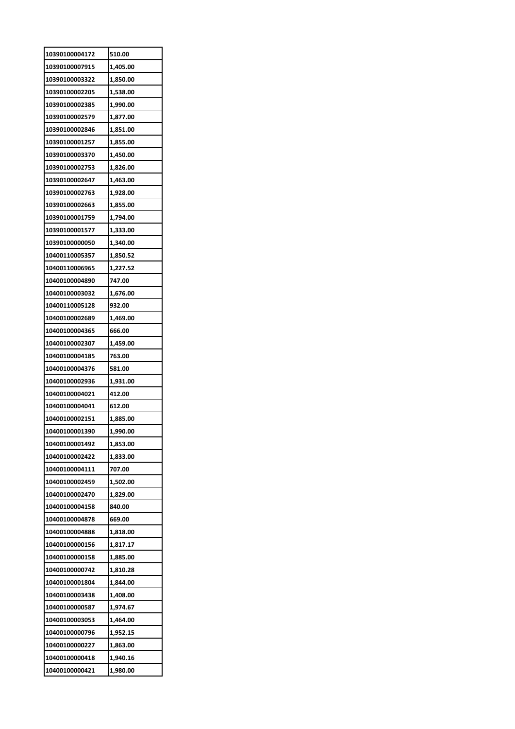| 10390100004172 | 510.00   |
|----------------|----------|
| 10390100007915 | 1,405.00 |
| 10390100003322 | 1,850.00 |
| 10390100002205 | 1,538.00 |
| 10390100002385 | 1,990.00 |
| 10390100002579 | 1,877.00 |
| 10390100002846 | 1,851.00 |
| 10390100001257 | 1,855.00 |
| 10390100003370 | 1,450.00 |
| 10390100002753 | 1,826.00 |
| 10390100002647 | 1,463.00 |
| 10390100002763 | 1,928.00 |
| 10390100002663 | 1,855.00 |
| 10390100001759 | 1,794.00 |
| 10390100001577 | 1,333.00 |
| 10390100000050 | 1,340.00 |
| 10400110005357 | 1,850.52 |
| 10400110006965 | 1,227.52 |
| 10400100004890 | 747.00   |
| 10400100003032 | 1,676.00 |
| 10400110005128 | 932.00   |
| 10400100002689 | 1,469.00 |
| 10400100004365 | 666.00   |
| 10400100002307 | 1,459.00 |
| 10400100004185 | 763.00   |
| 10400100004376 | 581.00   |
| 10400100002936 | 1,931.00 |
| 10400100004021 | 412.00   |
| 10400100004041 | 612.00   |
| 10400100002151 | 1,885.00 |
| 10400100001390 | 1,990.00 |
| 10400100001492 | 1,853.00 |
| 10400100002422 | 1,833.00 |
| 10400100004111 | 707.00   |
| 10400100002459 | 1,502.00 |
| 10400100002470 | 1,829.00 |
| 10400100004158 | 840.00   |
| 10400100004878 | 669.00   |
| 10400100004888 | 1,818.00 |
| 10400100000156 | 1,817.17 |
| 10400100000158 | 1,885.00 |
| 10400100000742 | 1,810.28 |
| 10400100001804 | 1,844.00 |
| 10400100003438 | 1,408.00 |
| 10400100000587 | 1,974.67 |
| 10400100003053 | 1,464.00 |
| 10400100000796 | 1,952.15 |
| 10400100000227 | 1,863.00 |
| 10400100000418 | 1,940.16 |
| 10400100000421 | 1,980.00 |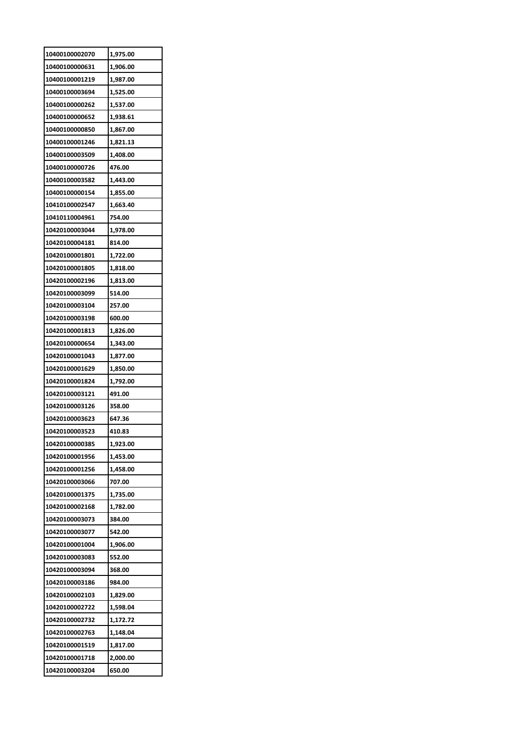| 10400100002070 | 1,975.00 |
|----------------|----------|
| 10400100000631 | 1,906.00 |
| 10400100001219 | 1,987.00 |
| 10400100003694 | 1,525.00 |
| 10400100000262 | 1,537.00 |
| 10400100000652 | 1,938.61 |
| 10400100000850 | 1,867.00 |
| 10400100001246 | 1,821.13 |
| 10400100003509 | 1,408.00 |
| 10400100000726 | 476.00   |
| 10400100003582 | 1,443.00 |
| 10400100000154 | 1,855.00 |
| 10410100002547 | 1,663.40 |
| 10410110004961 | 754.00   |
| 10420100003044 | 1,978.00 |
| 10420100004181 | 814.00   |
| 10420100001801 | 1,722.00 |
| 10420100001805 | 1,818.00 |
| 10420100002196 | 1,813.00 |
| 10420100003099 | 514.00   |
| 10420100003104 | 257.00   |
| 10420100003198 | 600.00   |
| 10420100001813 | 1,826.00 |
| 10420100000654 | 1,343.00 |
| 10420100001043 |          |
|                | 1,877.00 |
| 10420100001629 | 1,850.00 |
| 10420100001824 | 1,792.00 |
| 10420100003121 | 491.00   |
| 10420100003126 | 358.00   |
| 10420100003623 | 647.36   |
| 10420100003523 | 410.83   |
| 10420100000385 | 1,923.00 |
| 10420100001956 | 1,453.00 |
| 10420100001256 | 1,458.00 |
| 10420100003066 | 707.00   |
| 10420100001375 | 1,735.00 |
| 10420100002168 | 1,782.00 |
| 10420100003073 | 384.00   |
| 10420100003077 | 542.00   |
| 10420100001004 | 1,906.00 |
| 10420100003083 | 552.00   |
| 10420100003094 | 368.00   |
| 10420100003186 | 984.00   |
| 10420100002103 | 1,829.00 |
| 10420100002722 | 1,598.04 |
| 10420100002732 | 1,172.72 |
| 10420100002763 | 1,148.04 |
| 10420100001519 | 1,817.00 |
| 10420100001718 | 2,000.00 |
| 10420100003204 | 650.00   |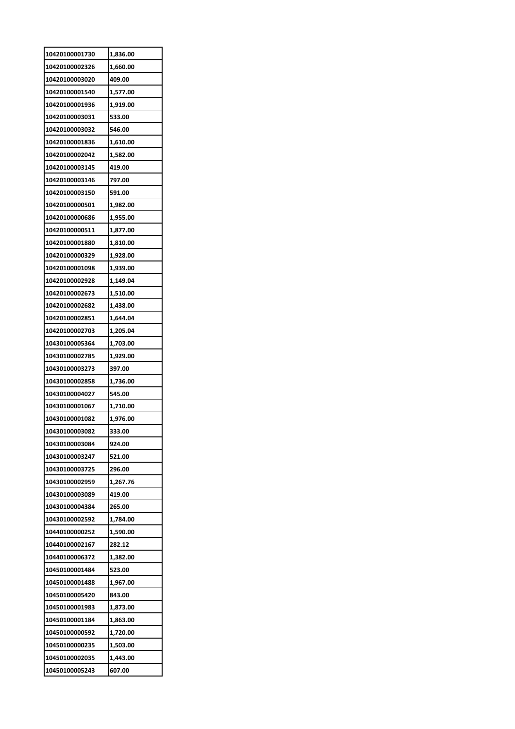| 10420100001730 | 1,836.00 |
|----------------|----------|
| 10420100002326 | 1,660.00 |
| 10420100003020 | 409.00   |
| 10420100001540 | 1,577.00 |
| 10420100001936 | 1,919.00 |
| 10420100003031 | 533.00   |
| 10420100003032 | 546.00   |
| 10420100001836 | 1,610.00 |
| 10420100002042 | 1,582.00 |
| 10420100003145 | 419.00   |
| 10420100003146 | 797.00   |
| 10420100003150 | 591.00   |
| 10420100000501 | 1,982.00 |
| 10420100000686 | 1,955.00 |
| 10420100000511 | 1,877.00 |
| 10420100001880 | 1,810.00 |
| 10420100000329 | 1,928.00 |
| 10420100001098 | 1,939.00 |
| 10420100002928 | 1,149.04 |
| 10420100002673 | 1,510.00 |
| 10420100002682 | 1,438.00 |
| 10420100002851 | 1,644.04 |
| 10420100002703 | 1,205.04 |
| 10430100005364 | 1,703.00 |
| 10430100002785 | 1,929.00 |
| 10430100003273 | 397.00   |
| 10430100002858 | 1,736.00 |
| 10430100004027 | 545.00   |
| 10430100001067 | 1,710.00 |
| 10430100001082 | 1,976.00 |
| 10430100003082 |          |
|                | 333.00   |
| 10430100003084 | 924.00   |
| 10430100003247 | 521.00   |
| 10430100003725 | 296.00   |
| 10430100002959 | 1,267.76 |
| 10430100003089 | 419.00   |
| 10430100004384 | 265.00   |
| 10430100002592 | 1,784.00 |
| 10440100000252 | 1,590.00 |
| 10440100002167 | 282.12   |
| 10440100006372 | 1,382.00 |
| 10450100001484 | 523.00   |
| 10450100001488 | 1,967.00 |
| 10450100005420 | 843.00   |
| 10450100001983 | 1,873.00 |
| 10450100001184 | 1,863.00 |
| 10450100000592 | 1,720.00 |
| 10450100000235 | 1,503.00 |
| 10450100002035 | 1,443.00 |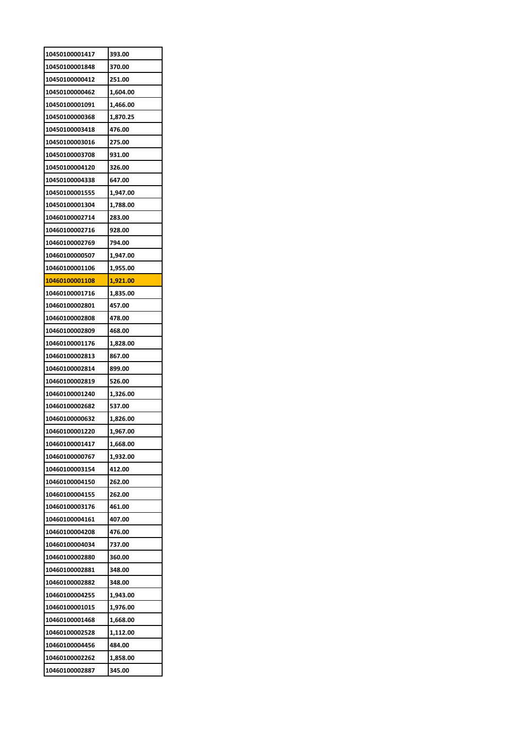| 10450100001417 | 393.00   |
|----------------|----------|
| 10450100001848 | 370.00   |
| 10450100000412 | 251.00   |
| 10450100000462 | 1,604.00 |
| 10450100001091 | 1,466.00 |
| 10450100000368 | 1,870.25 |
| 10450100003418 | 476.00   |
| 10450100003016 | 275.00   |
| 10450100003708 | 931.00   |
| 10450100004120 | 326.00   |
| 10450100004338 | 647.00   |
| 10450100001555 | 1,947.00 |
| 10450100001304 | 1,788.00 |
| 10460100002714 | 283.00   |
| 10460100002716 | 928.00   |
| 10460100002769 | 794.00   |
| 10460100000507 | 1,947.00 |
| 10460100001106 | 1,955.00 |
| 10460100001108 | 1,921.00 |
| 10460100001716 | 1,835.00 |
| 10460100002801 | 457.00   |
| 10460100002808 | 478.00   |
| 10460100002809 | 468.00   |
| 10460100001176 | 1,828.00 |
| 10460100002813 | 867.00   |
| 10460100002814 | 899.00   |
| 10460100002819 | 526.00   |
| 10460100001240 | 1,326.00 |
| 10460100002682 | 537.00   |
| 10460100000632 | 1,826.00 |
| 10460100001220 | 1.967.00 |
| 10460100001417 | 1,668.00 |
| 10460100000767 | 1,932.00 |
|                |          |
| 10460100003154 | 412.00   |
| 10460100004150 | 262.00   |
| 10460100004155 | 262.00   |
| 10460100003176 | 461.00   |
| 10460100004161 | 407.00   |
| 10460100004208 | 476.00   |
| 10460100004034 | 737.00   |
| 10460100002880 | 360.00   |
| 10460100002881 | 348.00   |
| 10460100002882 | 348.00   |
| 10460100004255 | 1,943.00 |
| 10460100001015 | 1,976.00 |
| 10460100001468 | 1,668.00 |
| 10460100002528 | 1,112.00 |
| 10460100004456 | 484.00   |
| 10460100002262 | 1,858.00 |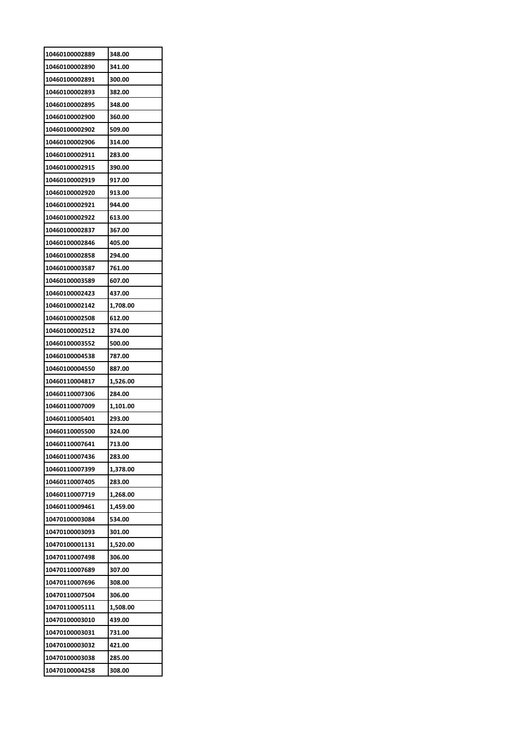| 10460100002889 | 348.00   |
|----------------|----------|
| 10460100002890 | 341.00   |
| 10460100002891 | 300.00   |
| 10460100002893 | 382.00   |
| 10460100002895 | 348.00   |
| 10460100002900 | 360.00   |
| 10460100002902 | 509.00   |
| 10460100002906 | 314.00   |
| 10460100002911 | 283.00   |
| 10460100002915 | 390.00   |
| 10460100002919 | 917.00   |
| 10460100002920 | 913.00   |
| 10460100002921 | 944.00   |
| 10460100002922 | 613.00   |
| 10460100002837 | 367.00   |
| 10460100002846 | 405.00   |
| 10460100002858 | 294.00   |
| 10460100003587 | 761.00   |
| 10460100003589 | 607.00   |
| 10460100002423 | 437.00   |
| 10460100002142 | 1,708.00 |
| 10460100002508 | 612.00   |
| 10460100002512 | 374.00   |
| 10460100003552 | 500.00   |
| 10460100004538 | 787.00   |
| 10460100004550 | 887.00   |
| 10460110004817 | 1,526.00 |
| 10460110007306 | 284.00   |
| 10460110007009 | 1,101.00 |
| 10460110005401 | 293.00   |
| 10460110005500 | 324.00   |
| 10460110007641 | 713.00   |
| 10460110007436 | 283.00   |
| 10460110007399 | 1,378.00 |
| 10460110007405 | 283.00   |
|                |          |
| 10460110007719 | 1,268.00 |
| 10460110009461 | 1,459.00 |
| 10470100003084 | 534.00   |
| 10470100003093 | 301.00   |
| 10470100001131 | 1,520.00 |
| 10470110007498 | 306.00   |
| 10470110007689 | 307.00   |
| 10470110007696 | 308.00   |
| 10470110007504 | 306.00   |
| 10470110005111 | 1,508.00 |
| 10470100003010 | 439.00   |
| 10470100003031 | 731.00   |
| 10470100003032 | 421.00   |
| 10470100003038 | 285.00   |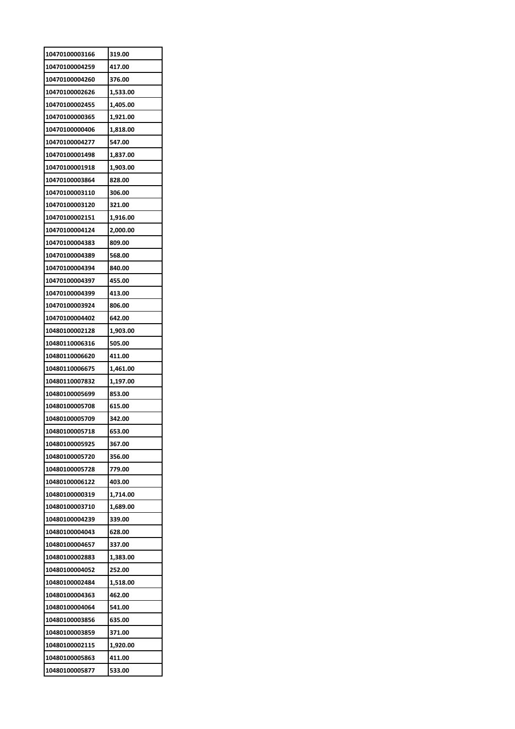| 10470100003166                   | 319.00           |
|----------------------------------|------------------|
| 10470100004259                   | 417.00           |
| 10470100004260                   | 376.00           |
| 10470100002626                   | 1,533.00         |
| 10470100002455                   | 1,405.00         |
| 10470100000365                   | 1,921.00         |
| 10470100000406                   | 1,818.00         |
| 10470100004277                   | 547.00           |
| 10470100001498                   | 1,837.00         |
| 10470100001918                   | 1,903.00         |
| 10470100003864                   | 828.00           |
| 10470100003110                   | 306.00           |
| 10470100003120                   | 321.00           |
| 10470100002151                   | 1,916.00         |
| 10470100004124                   | 2,000.00         |
| 10470100004383                   | 809.00           |
| 10470100004389                   | 568.00           |
| 10470100004394                   | 840.00           |
| 10470100004397                   | 455.00           |
| 10470100004399                   | 413.00           |
| 10470100003924                   | 806.00           |
| 10470100004402                   | 642.00           |
| 10480100002128                   | 1,903.00         |
| 10480110006316                   | 505.00           |
| 10480110006620                   | 411.00           |
| 10480110006675                   | 1,461.00         |
| 10480110007832                   | 1,197.00         |
| 10480100005699                   | 853.00           |
| 10480100005708                   | 615.00           |
| 10480100005709                   | 342.00           |
| 10480100005718                   | 653.00           |
| 10480100005925                   |                  |
|                                  |                  |
|                                  | 367.00           |
| 10480100005720                   | 356.00           |
| 10480100005728                   | 779.00           |
| 10480100006122                   | 403.00           |
| 10480100000319                   | 1,714.00         |
| 10480100003710                   | 1,689.00         |
| 10480100004239                   | 339.00           |
| 10480100004043                   | 628.00           |
| 10480100004657                   | 337.00           |
| 10480100002883                   | 1,383.00         |
| 10480100004052                   | 252.00           |
| 10480100002484                   | 1,518.00         |
| 10480100004363                   | 462.00           |
| 10480100004064                   | 541.00           |
| 10480100003856                   | 635.00           |
| 10480100003859                   | 371.00           |
| 10480100002115                   | 1,920.00         |
| 10480100005863<br>10480100005877 | 411.00<br>533.00 |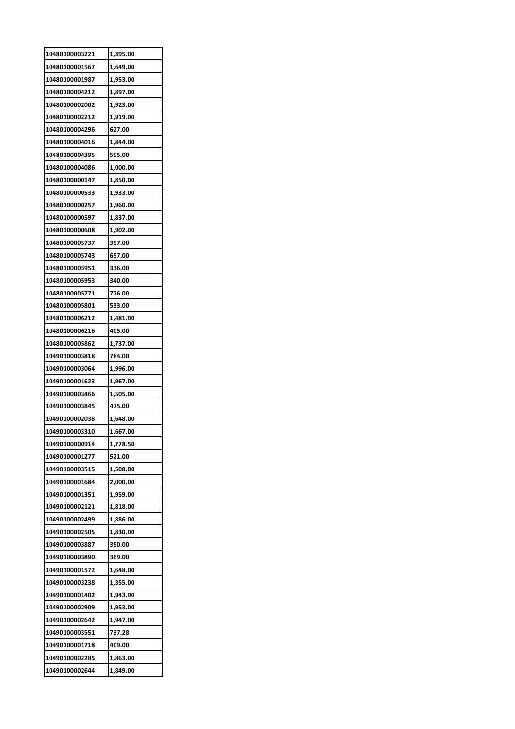| 10480100003221 | 1,395.00 |
|----------------|----------|
| 10480100001567 | 1,649.00 |
| 10480100001987 | 1,953.00 |
| 10480100004212 | 1,897.00 |
| 10480100002002 | 1,923.00 |
| 10480100002212 | 1,919.00 |
| 10480100004296 | 627.00   |
| 10480100004016 | 1,844.00 |
| 10480100004395 | 595.00   |
| 10480100004086 | 1,000.00 |
| 10480100000147 | 1,850.00 |
| 10480100000533 | 1,933.00 |
| 10480100000257 | 1,960.00 |
| 10480100000597 | 1,837.00 |
| 10480100000608 | 1,902.00 |
| 10480100005737 | 357.00   |
| 10480100005743 | 657.00   |
| 10480100005951 | 336.00   |
| 10480100005953 | 340.00   |
| 10480100005771 | 776.00   |
| 10480100005801 | 533.00   |
| 10480100006212 | 1,481.00 |
| 10480100006216 | 405.00   |
| 10480100005862 | 1,737.00 |
| 10490100003818 | 784.00   |
| 10490100003064 | 1,996.00 |
| 10490100001623 | 1,967.00 |
| 10490100003466 | 1,505.00 |
| 10490100003845 | 475.00   |
| 10490100002038 | 1,648.00 |
| 10490100003310 | 1,667.00 |
| 10490100000914 | 1,778.50 |
| 10490100001277 | 521.00   |
| 10490100003515 | 1,508.00 |
| 10490100001684 | 2,000.00 |
| 10490100001351 | 1,959.00 |
| 10490100002121 | 1,818.00 |
| 10490100002499 | 1,886.00 |
|                |          |
| 10490100002505 | 1,830.00 |
| 10490100003887 | 390.00   |
| 10490100003890 | 369.00   |
| 10490100001572 | 1,648.00 |
| 10490100003238 | 1,355.00 |
| 10490100001402 | 1,943.00 |
| 10490100002909 | 1,953.00 |
| 10490100002642 | 1,947.00 |
| 10490100003551 | 737.28   |
| 10490100001718 | 409.00   |
| 10490100002285 | 1,863.00 |
| 10490100002644 | 1,849.00 |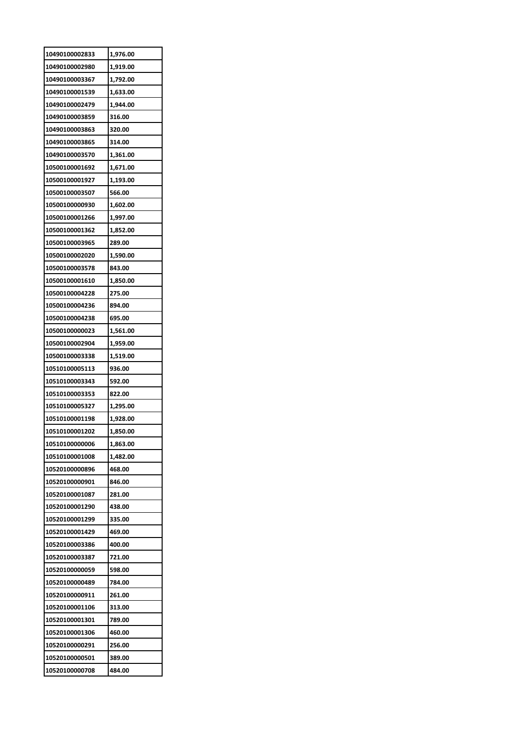| 10490100002833 | 1,976.00 |
|----------------|----------|
| 10490100002980 | 1,919.00 |
| 10490100003367 | 1,792.00 |
| 10490100001539 | 1,633.00 |
| 10490100002479 | 1,944.00 |
| 10490100003859 | 316.00   |
| 10490100003863 | 320.00   |
| 10490100003865 | 314.00   |
| 10490100003570 | 1,361.00 |
| 10500100001692 | 1,671.00 |
| 10500100001927 | 1,193.00 |
| 10500100003507 | 566.00   |
| 10500100000930 | 1,602.00 |
| 10500100001266 | 1,997.00 |
| 10500100001362 | 1,852.00 |
| 10500100003965 | 289.00   |
| 10500100002020 | 1,590.00 |
| 10500100003578 | 843.00   |
| 10500100001610 | 1,850.00 |
| 10500100004228 | 275.00   |
| 10500100004236 | 894.00   |
| 10500100004238 | 695.00   |
| 10500100000023 | 1,561.00 |
| 10500100002904 | 1,959.00 |
| 10500100003338 | 1,519.00 |
| 10510100005113 | 936.00   |
| 10510100003343 | 592.00   |
| 10510100003353 | 822.00   |
| 10510100005327 | 1,295.00 |
| 10510100001198 | 1,928.00 |
| 10510100001202 | 1,850.00 |
| 10510100000006 | 1,863.00 |
| 10510100001008 | 1,482.00 |
| 10520100000896 | 468.00   |
| 10520100000901 | 846.00   |
| 10520100001087 | 281.00   |
| 10520100001290 | 438.00   |
| 10520100001299 | 335.00   |
| 10520100001429 | 469.00   |
| 10520100003386 | 400.00   |
| 10520100003387 | 721.00   |
| 10520100000059 | 598.00   |
| 10520100000489 | 784.00   |
| 10520100000911 | 261.00   |
| 10520100001106 | 313.00   |
| 10520100001301 | 789.00   |
| 10520100001306 | 460.00   |
| 10520100000291 | 256.00   |
| 10520100000501 | 389.00   |
| 10520100000708 | 484.00   |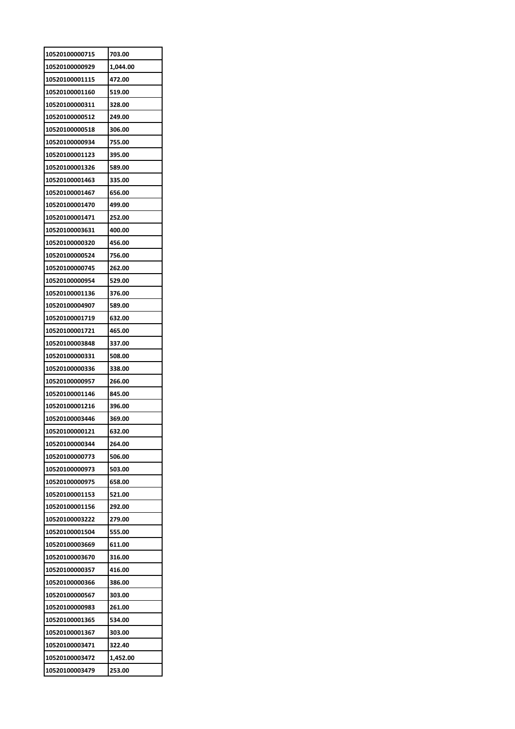| 10520100000715 | 703.00   |
|----------------|----------|
| 10520100000929 | 1,044.00 |
| 10520100001115 | 472.00   |
| 10520100001160 | 519.00   |
| 10520100000311 | 328.00   |
| 10520100000512 | 249.00   |
| 10520100000518 | 306.00   |
| 10520100000934 | 755.00   |
| 10520100001123 | 395.00   |
| 10520100001326 | 589.00   |
| 10520100001463 | 335.00   |
| 10520100001467 | 656.00   |
| 10520100001470 | 499.00   |
| 10520100001471 | 252.00   |
| 10520100003631 | 400.00   |
| 10520100000320 | 456.00   |
| 10520100000524 | 756.00   |
| 10520100000745 | 262.00   |
| 10520100000954 | 529.00   |
| 10520100001136 | 376.00   |
| 10520100004907 | 589.00   |
| 10520100001719 | 632.00   |
|                |          |
| 10520100001721 | 465.00   |
| 10520100003848 | 337.00   |
| 10520100000331 | 508.00   |
| 10520100000336 | 338.00   |
| 10520100000957 | 266.00   |
| 10520100001146 | 845.00   |
| 10520100001216 | 396.00   |
| 10520100003446 | 369.00   |
| 10520100000121 | 632.00   |
| 10520100000344 | 264.00   |
| 10520100000773 | 506.00   |
| 10520100000973 | 503.00   |
| 10520100000975 | 658.00   |
| 10520100001153 | 521.00   |
| 10520100001156 | 292.00   |
| 10520100003222 | 279.00   |
| 10520100001504 | 555.00   |
| 10520100003669 | 611.00   |
| 10520100003670 | 316.00   |
| 10520100000357 | 416.00   |
| 10520100000366 | 386.00   |
| 10520100000567 | 303.00   |
| 10520100000983 | 261.00   |
| 10520100001365 | 534.00   |
| 10520100001367 | 303.00   |
| 10520100003471 | 322.40   |
| 10520100003472 | 1,452.00 |
| 10520100003479 | 253.00   |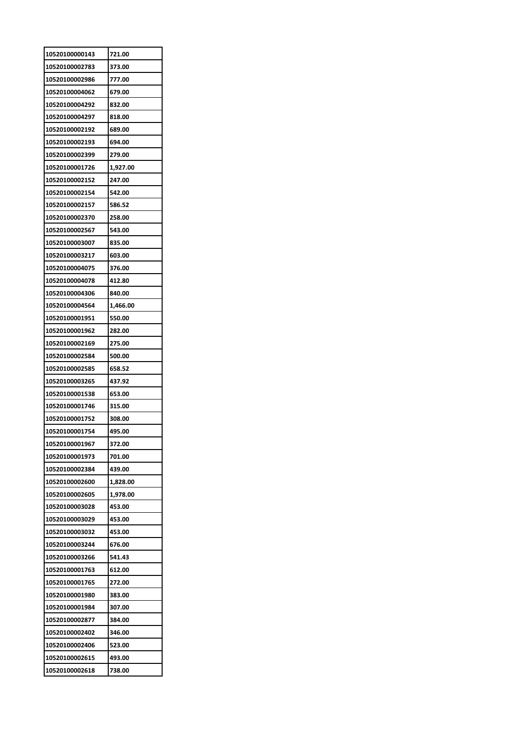| 10520100000143 | 721.00   |
|----------------|----------|
| 10520100002783 | 373.00   |
| 10520100002986 | 777.00   |
| 10520100004062 | 679.00   |
| 10520100004292 | 832.00   |
| 10520100004297 | 818.00   |
| 10520100002192 | 689.00   |
| 10520100002193 | 694.00   |
| 10520100002399 | 279.00   |
| 10520100001726 | 1,927.00 |
| 10520100002152 | 247.00   |
| 10520100002154 | 542.00   |
| 10520100002157 | 586.52   |
| 10520100002370 | 258.00   |
| 10520100002567 | 543.00   |
| 10520100003007 | 835.00   |
| 10520100003217 | 603.00   |
| 10520100004075 | 376.00   |
| 10520100004078 | 412.80   |
| 10520100004306 | 840.00   |
| 10520100004564 | 1,466.00 |
| 10520100001951 | 550.00   |
| 10520100001962 | 282.00   |
| 10520100002169 | 275.00   |
| 10520100002584 | 500.00   |
| 10520100002585 | 658.52   |
| 10520100003265 | 437.92   |
| 10520100001538 | 653.00   |
| 10520100001746 | 315.00   |
| 10520100001752 | 308.00   |
| 10520100001754 | 495.00   |
| 10520100001967 | 372.00   |
| 10520100001973 | 701.00   |
| 10520100002384 | 439.00   |
| 10520100002600 | 1,828.00 |
| 10520100002605 | 1,978.00 |
| 10520100003028 | 453.00   |
| 10520100003029 | 453.00   |
| 10520100003032 | 453.00   |
| 10520100003244 | 676.00   |
| 10520100003266 | 541.43   |
| 10520100001763 | 612.00   |
| 10520100001765 | 272.00   |
| 10520100001980 | 383.00   |
| 10520100001984 | 307.00   |
| 10520100002877 | 384.00   |
| 10520100002402 | 346.00   |
| 10520100002406 | 523.00   |
| 10520100002615 | 493.00   |
| 10520100002618 | 738.00   |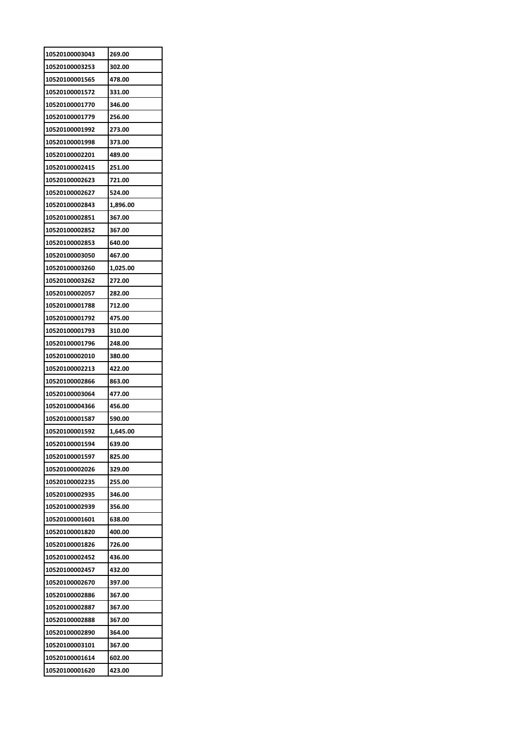| 10520100003043 | 269.00   |
|----------------|----------|
| 10520100003253 | 302.00   |
| 10520100001565 | 478.00   |
| 10520100001572 | 331.00   |
| 10520100001770 | 346.00   |
| 10520100001779 | 256.00   |
| 10520100001992 | 273.00   |
| 10520100001998 | 373.00   |
| 10520100002201 | 489.00   |
| 10520100002415 | 251.00   |
| 10520100002623 | 721.00   |
| 10520100002627 | 524.00   |
| 10520100002843 | 1,896.00 |
| 10520100002851 | 367.00   |
| 10520100002852 | 367.00   |
| 10520100002853 | 640.00   |
| 10520100003050 | 467.00   |
| 10520100003260 | 1,025.00 |
| 10520100003262 | 272.00   |
| 10520100002057 | 282.00   |
| 10520100001788 | 712.00   |
| 10520100001792 | 475.00   |
| 10520100001793 | 310.00   |
| 10520100001796 | 248.00   |
| 10520100002010 | 380.00   |
| 10520100002213 | 422.00   |
| 10520100002866 | 863.00   |
| 10520100003064 | 477.00   |
| 10520100004366 | 456.00   |
| 10520100001587 | 590.00   |
| 10520100001592 | 1,645.00 |
| 10520100001594 | 639.00   |
| 10520100001597 | 825.00   |
| 10520100002026 | 329.00   |
| 10520100002235 | 255.00   |
| 10520100002935 | 346.00   |
| 10520100002939 | 356.00   |
| 10520100001601 | 638.00   |
| 10520100001820 | 400.00   |
| 10520100001826 | 726.00   |
| 10520100002452 | 436.00   |
| 10520100002457 | 432.00   |
| 10520100002670 | 397.00   |
| 10520100002886 | 367.00   |
| 10520100002887 | 367.00   |
| 10520100002888 | 367.00   |
| 10520100002890 | 364.00   |
|                |          |
| 10520100003101 | 367.00   |
| 10520100001614 | 602.00   |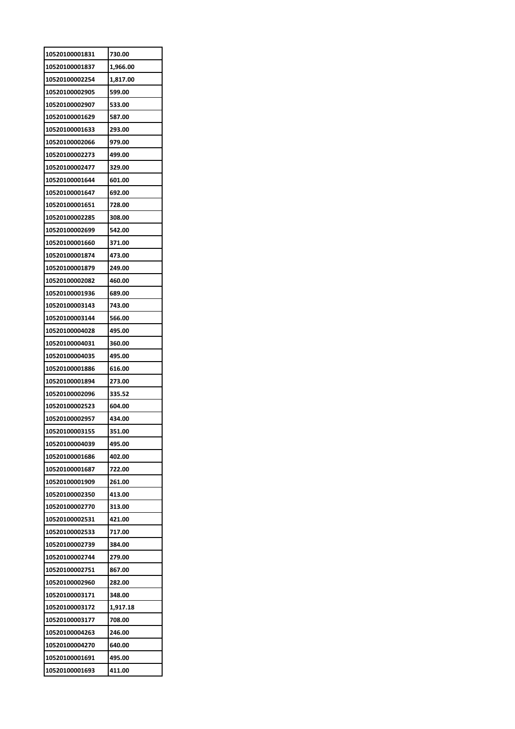| 10520100001831 | 730.00   |
|----------------|----------|
| 10520100001837 | 1,966.00 |
| 10520100002254 | 1,817.00 |
| 10520100002905 | 599.00   |
| 10520100002907 | 533.00   |
| 10520100001629 | 587.00   |
| 10520100001633 | 293.00   |
| 10520100002066 | 979.00   |
| 10520100002273 | 499.00   |
| 10520100002477 | 329.00   |
| 10520100001644 | 601.00   |
| 10520100001647 | 692.00   |
| 10520100001651 | 728.00   |
| 10520100002285 | 308.00   |
| 10520100002699 | 542.00   |
| 10520100001660 | 371.00   |
| 10520100001874 | 473.00   |
| 10520100001879 | 249.00   |
| 10520100002082 | 460.00   |
| 10520100001936 | 689.00   |
| 10520100003143 | 743.00   |
| 10520100003144 | 566.00   |
| 10520100004028 | 495.00   |
| 10520100004031 | 360.00   |
| 10520100004035 | 495.00   |
| 10520100001886 | 616.00   |
| 10520100001894 | 273.00   |
| 10520100002096 | 335.52   |
| 10520100002523 | 604.00   |
| 10520100002957 | 434.00   |
| 10520100003155 | 351.00   |
| 10520100004039 | 495.00   |
| 10520100001686 | 402.00   |
| 10520100001687 | 722.00   |
| 10520100001909 | 261.00   |
| 10520100002350 | 413.00   |
| 10520100002770 | 313.00   |
| 10520100002531 | 421.00   |
| 10520100002533 | 717.00   |
| 10520100002739 | 384.00   |
| 10520100002744 | 279.00   |
| 10520100002751 | 867.00   |
| 10520100002960 | 282.00   |
| 10520100003171 | 348.00   |
| 10520100003172 | 1,917.18 |
| 10520100003177 | 708.00   |
| 10520100004263 | 246.00   |
| 10520100004270 | 640.00   |
| 10520100001691 | 495.00   |
| 10520100001693 | 411.00   |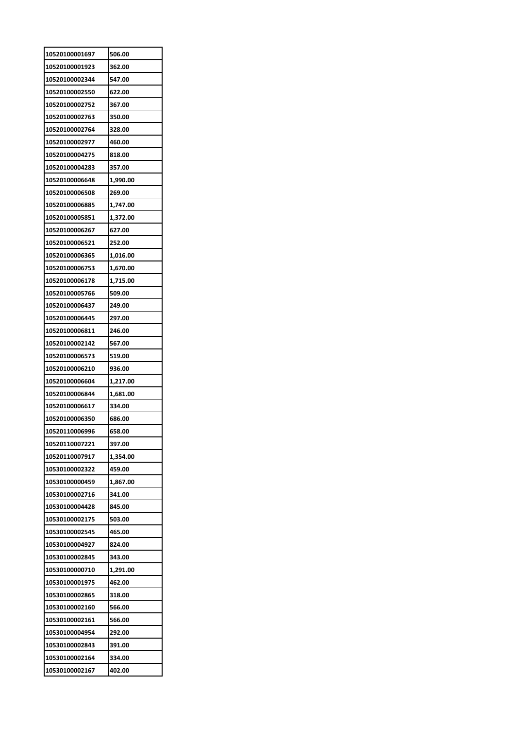| 10520100001697 | 506.00   |
|----------------|----------|
| 10520100001923 | 362.00   |
| 10520100002344 | 547.00   |
| 10520100002550 | 622.00   |
| 10520100002752 | 367.00   |
| 10520100002763 | 350.00   |
| 10520100002764 | 328.00   |
| 10520100002977 | 460.00   |
| 10520100004275 | 818.00   |
| 10520100004283 | 357.00   |
| 10520100006648 | 1,990.00 |
| 10520100006508 | 269.00   |
| 10520100006885 | 1,747.00 |
| 10520100005851 | 1,372.00 |
| 10520100006267 | 627.00   |
| 10520100006521 | 252.00   |
| 10520100006365 | 1,016.00 |
| 10520100006753 | 1,670.00 |
| 10520100006178 | 1,715.00 |
| 10520100005766 | 509.00   |
| 10520100006437 | 249.00   |
| 10520100006445 | 297.00   |
| 10520100006811 | 246.00   |
| 10520100002142 | 567.00   |
| 10520100006573 | 519.00   |
| 10520100006210 | 936.00   |
| 10520100006604 | 1,217.00 |
| 10520100006844 | 1,681.00 |
| 10520100006617 | 334.00   |
| 10520100006350 | 686.00   |
| 10520110006996 | 658.00   |
| 10520110007221 | 397.00   |
| 10520110007917 | 1,354.00 |
| 10530100002322 | 459.00   |
| 10530100000459 | 1,867.00 |
| 10530100002716 | 341.00   |
| 10530100004428 | 845.00   |
| 10530100002175 | 503.00   |
| 10530100002545 | 465.00   |
| 10530100004927 | 824.00   |
| 10530100002845 | 343.00   |
| 10530100000710 | 1,291.00 |
| 10530100001975 | 462.00   |
| 10530100002865 | 318.00   |
| 10530100002160 | 566.00   |
| 10530100002161 | 566.00   |
| 10530100004954 | 292.00   |
| 10530100002843 | 391.00   |
| 10530100002164 | 334.00   |
| 10530100002167 | 402.00   |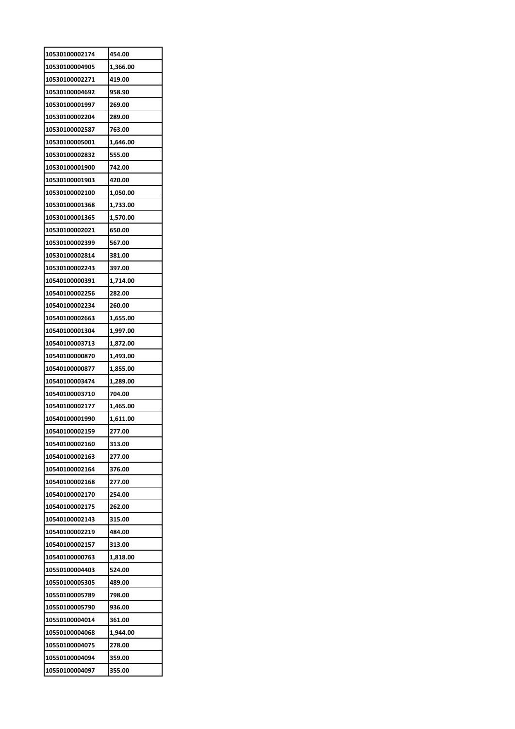| 454.00   |
|----------|
| 1,366.00 |
| 419.00   |
| 958.90   |
| 269.00   |
| 289.00   |
| 763.00   |
| 1,646.00 |
| 555.00   |
| 742.00   |
| 420.00   |
| 1,050.00 |
| 1,733.00 |
| 1,570.00 |
| 650.00   |
| 567.00   |
| 381.00   |
| 397.00   |
| 1,714.00 |
|          |
| 282.00   |
| 260.00   |
| 1,655.00 |
| 1,997.00 |
| 1,872.00 |
| 1,493.00 |
| 1,855.00 |
| 1,289.00 |
| 704.00   |
| 1,465.00 |
| 1,611.00 |
| 277.00   |
| 313.00   |
| 277.00   |
| 376.00   |
| 277.00   |
| 254.00   |
| 262.00   |
| 315.00   |
| 484.00   |
| 313.00   |
| 1,818.00 |
| 524.00   |
| 489.00   |
| 798.00   |
| 936.00   |
| 361.00   |
| 1,944.00 |
|          |
| 278.00   |
| 359.00   |
|          |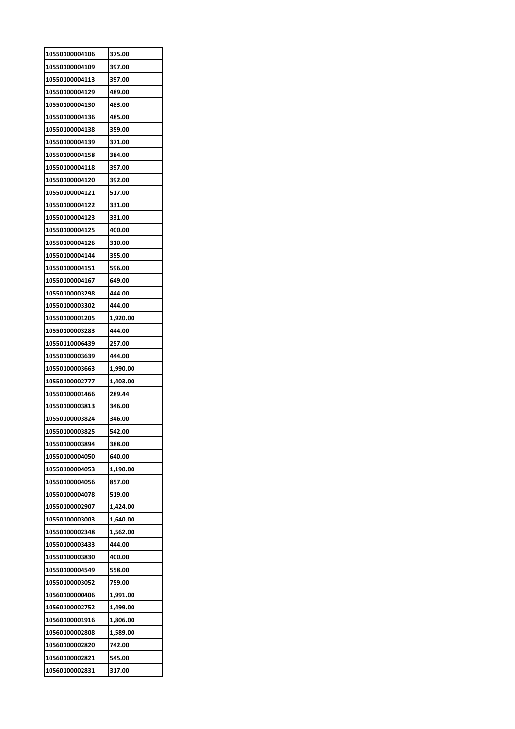| 10550100004106 | 375.00   |
|----------------|----------|
| 10550100004109 | 397.00   |
| 10550100004113 | 397.00   |
| 10550100004129 | 489.00   |
| 10550100004130 | 483.00   |
| 10550100004136 | 485.00   |
| 10550100004138 | 359.00   |
| 10550100004139 | 371.00   |
| 10550100004158 | 384.00   |
| 10550100004118 | 397.00   |
| 10550100004120 | 392.00   |
| 10550100004121 | 517.00   |
| 10550100004122 | 331.00   |
| 10550100004123 | 331.00   |
| 10550100004125 | 400.00   |
| 10550100004126 | 310.00   |
| 10550100004144 | 355.00   |
| 10550100004151 | 596.00   |
| 10550100004167 | 649.00   |
| 10550100003298 | 444.00   |
| 10550100003302 | 444.00   |
| 10550100001205 | 1,920.00 |
| 10550100003283 | 444.00   |
| 10550110006439 | 257.00   |
| 10550100003639 | 444.00   |
| 10550100003663 | 1,990.00 |
| 10550100002777 | 1,403.00 |
| 10550100001466 | 289.44   |
|                |          |
| 10550100003813 | 346.00   |
| 10550100003824 | 346.00   |
| 10550100003825 | 542.00   |
| 10550100003894 | 388.00   |
| 10550100004050 | 640.00   |
| 10550100004053 | 1,190.00 |
| 10550100004056 | 857.00   |
| 10550100004078 | 519.00   |
| 10550100002907 | 1,424.00 |
| 10550100003003 | 1,640.00 |
| 10550100002348 | 1,562.00 |
| 10550100003433 | 444.00   |
| 10550100003830 | 400.00   |
| 10550100004549 | 558.00   |
| 10550100003052 | 759.00   |
| 10560100000406 | 1,991.00 |
| 10560100002752 | 1,499.00 |
| 10560100001916 | 1,806.00 |
| 10560100002808 | 1,589.00 |
| 10560100002820 | 742.00   |
| 10560100002821 | 545.00   |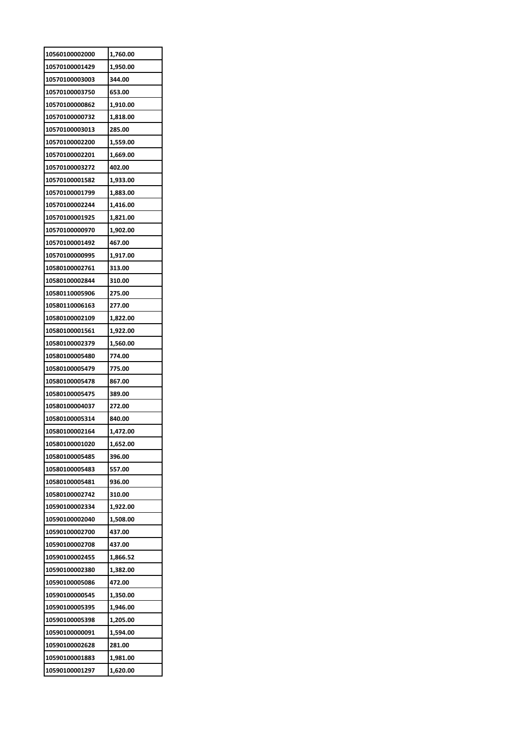| 10560100002000                   | 1,760.00 |
|----------------------------------|----------|
| 10570100001429                   | 1,950.00 |
| 10570100003003                   | 344.00   |
| 10570100003750                   | 653.00   |
| 10570100000862                   | 1,910.00 |
| 10570100000732                   | 1,818.00 |
| 10570100003013                   | 285.00   |
| 10570100002200                   | 1,559.00 |
| 10570100002201                   | 1,669.00 |
| 10570100003272                   | 402.00   |
| 10570100001582                   | 1,933.00 |
| 10570100001799                   | 1,883.00 |
| 10570100002244                   | 1,416.00 |
| 10570100001925                   | 1,821.00 |
| 10570100000970                   | 1,902.00 |
| 10570100001492                   | 467.00   |
| 10570100000995                   | 1,917.00 |
| 10580100002761                   | 313.00   |
| 10580100002844                   | 310.00   |
| 10580110005906                   | 275.00   |
| 10580110006163                   | 277.00   |
| 10580100002109                   | 1,822.00 |
| 10580100001561                   | 1,922.00 |
| 10580100002379                   | 1,560.00 |
| 10580100005480                   | 774.00   |
| 10580100005479                   | 775.00   |
| 10580100005478                   | 867.00   |
| 10580100005475                   | 389.00   |
| 10580100004037                   | 272.00   |
| 10580100005314                   | 840.00   |
| 10580100002164                   | 1,472.00 |
| 10580100001020                   | 1,652.00 |
| 10580100005485                   | 396.00   |
|                                  |          |
| 10580100005483                   | 557.00   |
| 10580100005481<br>10580100002742 | 936.00   |
|                                  | 310.00   |
| 10590100002334                   | 1,922.00 |
| 10590100002040                   | 1,508.00 |
| 10590100002700                   | 437.00   |
| 10590100002708                   | 437.00   |
| 10590100002455                   | 1,866.52 |
| 10590100002380                   | 1,382.00 |
| 10590100005086                   | 472.00   |
| 10590100000545                   | 1,350.00 |
| 10590100005395                   | 1,946.00 |
| 10590100005398                   | 1,205.00 |
| 10590100000091                   | 1,594.00 |
| 10590100002628                   | 281.00   |
| 10590100001883                   | 1,981.00 |
| 10590100001297                   | 1,620.00 |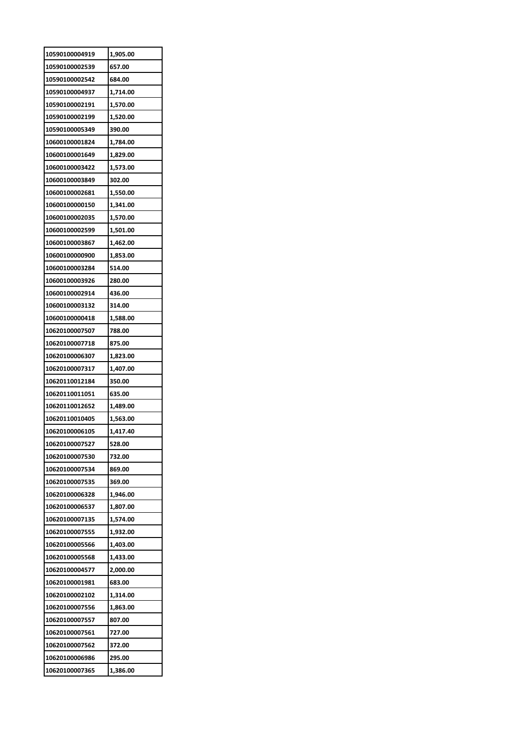| 10590100004919 | 1,905.00 |
|----------------|----------|
| 10590100002539 | 657.00   |
| 10590100002542 | 684.00   |
| 10590100004937 | 1,714.00 |
| 10590100002191 | 1,570.00 |
| 10590100002199 | 1,520.00 |
| 10590100005349 | 390.00   |
| 10600100001824 | 1,784.00 |
| 10600100001649 | 1,829.00 |
| 10600100003422 | 1,573.00 |
| 10600100003849 | 302.00   |
| 10600100002681 | 1,550.00 |
| 10600100000150 | 1,341.00 |
| 10600100002035 | 1,570.00 |
| 10600100002599 | 1,501.00 |
| 10600100003867 | 1,462.00 |
| 10600100000900 | 1,853.00 |
| 10600100003284 | 514.00   |
| 10600100003926 | 280.00   |
| 10600100002914 | 436.00   |
| 10600100003132 | 314.00   |
| 10600100000418 | 1,588.00 |
| 10620100007507 | 788.00   |
| 10620100007718 | 875.00   |
| 10620100006307 |          |
|                | 1,823.00 |
|                |          |
| 10620100007317 | 1,407.00 |
| 10620110012184 | 350.00   |
| 10620110011051 | 635.00   |
| 10620110012652 | 1,489.00 |
| 10620110010405 | 1,563.00 |
| 10620100006105 | 1,417.40 |
| 10620100007527 | 528.00   |
| 10620100007530 | 732.00   |
| 10620100007534 | 869.00   |
| 10620100007535 | 369.00   |
| 10620100006328 | 1,946.00 |
| 10620100006537 | 1,807.00 |
| 10620100007135 | 1,574.00 |
| 10620100007555 | 1,932.00 |
| 10620100005566 | 1,403.00 |
| 10620100005568 | 1,433.00 |
| 10620100004577 | 2,000.00 |
| 10620100001981 | 683.00   |
| 10620100002102 | 1,314.00 |
| 10620100007556 | 1,863.00 |
| 10620100007557 | 807.00   |
| 10620100007561 | 727.00   |
| 10620100007562 | 372.00   |
| 10620100006986 | 295.00   |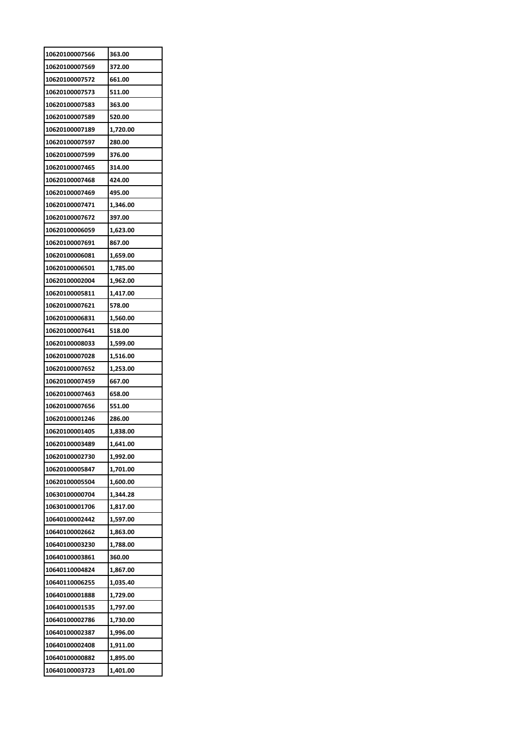| 10620100007566                   | 363.00               |
|----------------------------------|----------------------|
| 10620100007569                   | 372.00               |
| 10620100007572                   | 661.00               |
| 10620100007573                   | 511.00               |
| 10620100007583                   | 363.00               |
| 10620100007589                   | 520.00               |
| 10620100007189                   | 1,720.00             |
| 10620100007597                   | 280.00               |
| 10620100007599                   | 376.00               |
| 10620100007465                   | 314.00               |
| 10620100007468                   | 424.00               |
| 10620100007469                   | 495.00               |
| 10620100007471                   | 1,346.00             |
| 10620100007672                   | 397.00               |
| 10620100006059                   | 1,623.00             |
| 10620100007691                   | 867.00               |
| 10620100006081                   | 1,659.00             |
| 10620100006501                   | 1,785.00             |
| 10620100002004                   | 1,962.00             |
| 10620100005811                   | 1,417.00             |
| 10620100007621                   | 578.00               |
| 10620100006831                   | 1,560.00             |
| 10620100007641                   | 518.00               |
| 10620100008033                   | 1,599.00             |
| 10620100007028                   | 1,516.00             |
| 10620100007652                   | 1,253.00             |
| 10620100007459                   | 667.00               |
| 10620100007463                   | 658.00               |
| 10620100007656                   | 551.00               |
| 10620100001246                   | 286.00               |
| 10620100001405                   | 1.838.00             |
| 10620100003489                   | 1,641.00             |
| 10620100002730                   | 1,992.00             |
| 10620100005847                   | 1,701.00             |
| 10620100005504                   | 1,600.00             |
| 10630100000704                   | 1,344.28             |
| 10630100001706                   | 1,817.00             |
| 10640100002442                   | 1,597.00             |
| 10640100002662                   | 1,863.00             |
| 10640100003230                   | 1,788.00             |
| 10640100003861                   | 360.00               |
| 10640110004824                   |                      |
|                                  | 1,867.00<br>1,035.40 |
| 10640110006255<br>10640100001888 |                      |
|                                  | 1,729.00             |
| 10640100001535                   | 1,797.00             |
| 10640100002786                   | 1,730.00             |
| 10640100002387                   | 1,996.00             |
| 10640100002408                   | 1,911.00             |
| 10640100000882                   | 1,895.00             |
| 10640100003723                   | 1,401.00             |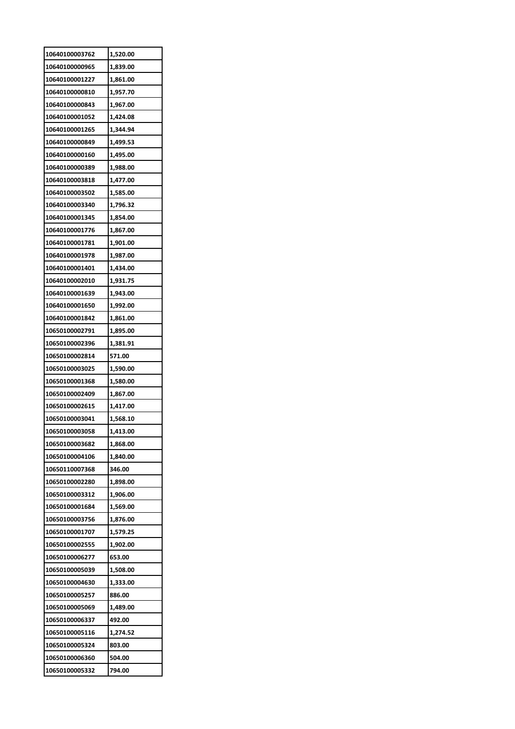| 10640100003762 | 1,520.00 |
|----------------|----------|
| 10640100000965 | 1,839.00 |
| 10640100001227 | 1,861.00 |
| 10640100000810 | 1,957.70 |
| 10640100000843 | 1,967.00 |
| 10640100001052 | 1,424.08 |
| 10640100001265 | 1,344.94 |
| 10640100000849 | 1,499.53 |
| 10640100000160 | 1,495.00 |
| 10640100000389 | 1,988.00 |
| 10640100003818 | 1,477.00 |
| 10640100003502 | 1,585.00 |
| 10640100003340 | 1,796.32 |
| 10640100001345 | 1,854.00 |
| 10640100001776 | 1,867.00 |
| 10640100001781 | 1,901.00 |
| 10640100001978 | 1,987.00 |
| 10640100001401 | 1,434.00 |
| 10640100002010 | 1,931.75 |
| 10640100001639 | 1,943.00 |
| 10640100001650 | 1,992.00 |
| 10640100001842 | 1,861.00 |
| 10650100002791 | 1,895.00 |
| 10650100002396 | 1,381.91 |
| 10650100002814 | 571.00   |
| 10650100003025 | 1,590.00 |
| 10650100001368 | 1,580.00 |
| 10650100002409 | 1,867.00 |
| 10650100002615 | 1,417.00 |
| 10650100003041 | 1,568.10 |
| 10650100003058 | 1,413.00 |
| 10650100003682 | 1,868.00 |
| 10650100004106 | 1,840.00 |
| 10650110007368 | 346.00   |
| 10650100002280 | 1,898.00 |
| 10650100003312 | 1,906.00 |
| 10650100001684 | 1,569.00 |
| 10650100003756 | 1,876.00 |
| 10650100001707 | 1,579.25 |
| 10650100002555 | 1,902.00 |
| 10650100006277 | 653.00   |
| 10650100005039 | 1,508.00 |
| 10650100004630 | 1,333.00 |
| 10650100005257 | 886.00   |
| 10650100005069 | 1,489.00 |
| 10650100006337 | 492.00   |
| 10650100005116 | 1,274.52 |
| 10650100005324 | 803.00   |
| 10650100006360 | 504.00   |
| 10650100005332 | 794.00   |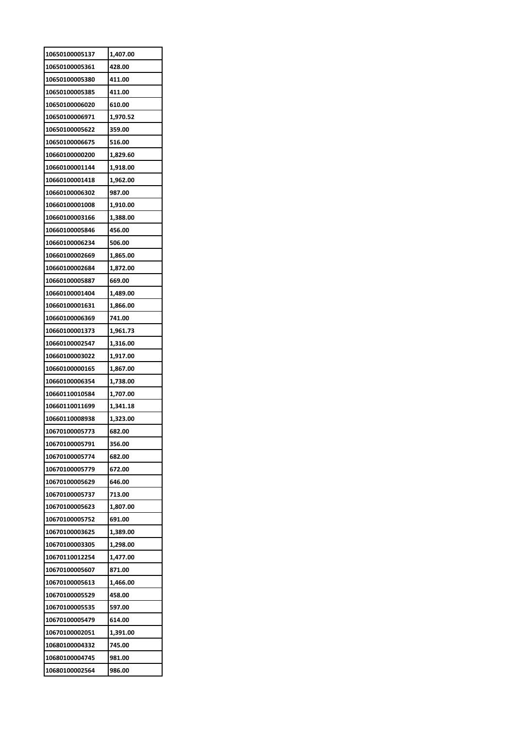| 10650100005137 | 1,407.00 |
|----------------|----------|
| 10650100005361 | 428.00   |
| 10650100005380 | 411.00   |
| 10650100005385 | 411.00   |
| 10650100006020 | 610.00   |
| 10650100006971 | 1,970.52 |
| 10650100005622 | 359.00   |
| 10650100006675 | 516.00   |
| 10660100000200 | 1,829.60 |
| 10660100001144 | 1,918.00 |
| 10660100001418 | 1,962.00 |
| 10660100006302 | 987.00   |
| 10660100001008 | 1,910.00 |
| 10660100003166 | 1,388.00 |
| 10660100005846 | 456.00   |
| 10660100006234 | 506.00   |
| 10660100002669 | 1,865.00 |
| 10660100002684 | 1,872.00 |
| 10660100005887 | 669.00   |
| 10660100001404 | 1,489.00 |
| 10660100001631 | 1,866.00 |
| 10660100006369 | 741.00   |
| 10660100001373 | 1,961.73 |
| 10660100002547 | 1,316.00 |
| 10660100003022 | 1,917.00 |
| 10660100000165 | 1,867.00 |
| 10660100006354 | 1,738.00 |
| 10660110010584 | 1,707.00 |
| 10660110011699 | 1,341.18 |
| 10660110008938 | 1,323.00 |
| 10670100005773 | 682.00   |
| 10670100005791 | 356.00   |
| 10670100005774 | 682.00   |
| 10670100005779 | 672.00   |
| 10670100005629 | 646.00   |
| 10670100005737 | 713.00   |
| 10670100005623 | 1,807.00 |
| 10670100005752 | 691.00   |
| 10670100003625 | 1,389.00 |
| 10670100003305 | 1,298.00 |
| 10670110012254 | 1,477.00 |
| 10670100005607 | 871.00   |
| 10670100005613 | 1,466.00 |
| 10670100005529 | 458.00   |
| 10670100005535 | 597.00   |
| 10670100005479 | 614.00   |
| 10670100002051 | 1,391.00 |
| 10680100004332 |          |
|                | 745.00   |
| 10680100004745 | 981.00   |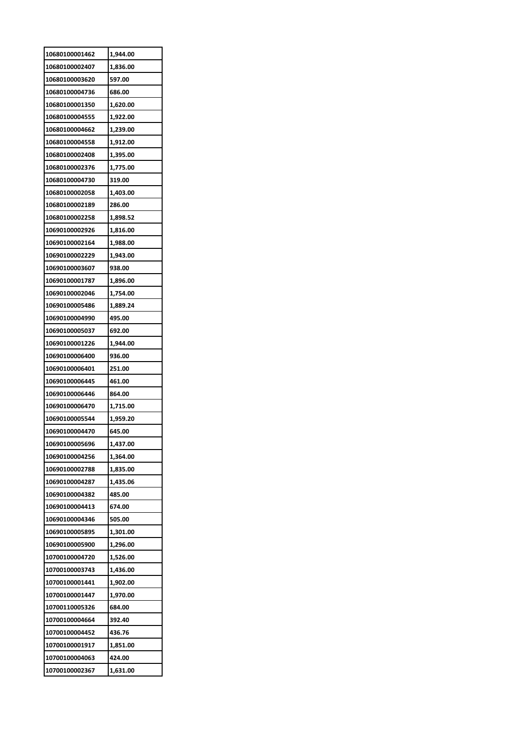| 10680100001462 | 1,944.00 |
|----------------|----------|
| 10680100002407 | 1,836.00 |
| 10680100003620 | 597.00   |
| 10680100004736 | 686.00   |
| 10680100001350 | 1,620.00 |
| 10680100004555 | 1,922.00 |
| 10680100004662 | 1,239.00 |
| 10680100004558 | 1,912.00 |
| 10680100002408 | 1,395.00 |
| 10680100002376 | 1,775.00 |
| 10680100004730 | 319.00   |
| 10680100002058 | 1,403.00 |
| 10680100002189 | 286.00   |
| 10680100002258 | 1,898.52 |
| 10690100002926 | 1,816.00 |
| 10690100002164 | 1,988.00 |
| 10690100002229 | 1,943.00 |
| 10690100003607 | 938.00   |
| 10690100001787 | 1,896.00 |
| 10690100002046 | 1,754.00 |
| 10690100005486 | 1,889.24 |
| 10690100004990 | 495.00   |
| 10690100005037 | 692.00   |
| 10690100001226 | 1,944.00 |
| 10690100006400 | 936.00   |
|                |          |
| 10690100006401 | 251.00   |
| 10690100006445 | 461.00   |
| 10690100006446 | 864.00   |
| 10690100006470 | 1,715.00 |
| 10690100005544 | 1,959.20 |
| 10690100004470 | 645.00   |
| 10690100005696 | 1,437.00 |
| 10690100004256 | 1,364.00 |
| 10690100002788 | 1,835.00 |
| 10690100004287 | 1,435.06 |
| 10690100004382 | 485.00   |
| 10690100004413 | 674.00   |
| 10690100004346 | 505.00   |
| 10690100005895 | 1,301.00 |
| 10690100005900 | 1,296.00 |
| 10700100004720 | 1,526.00 |
| 10700100003743 | 1,436.00 |
| 10700100001441 | 1,902.00 |
| 10700100001447 | 1,970.00 |
| 10700110005326 | 684.00   |
| 10700100004664 | 392.40   |
| 10700100004452 | 436.76   |
| 10700100001917 | 1,851.00 |
| 10700100004063 | 424.00   |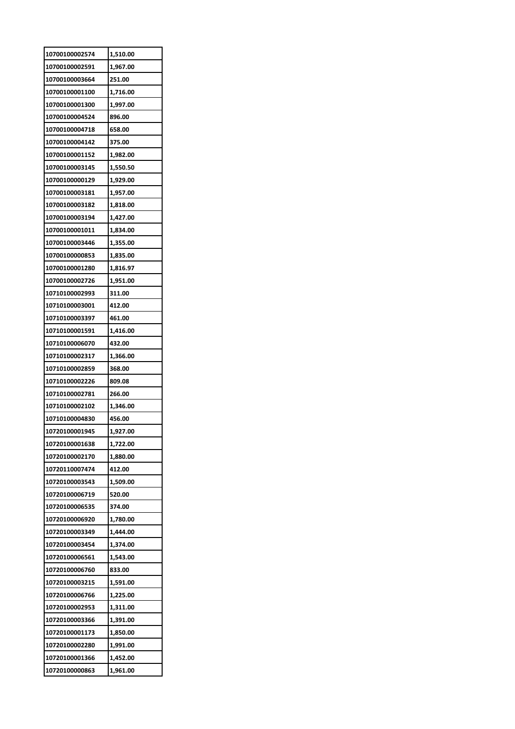| 10700100002574 | 1,510.00 |
|----------------|----------|
| 10700100002591 | 1,967.00 |
| 10700100003664 | 251.00   |
| 10700100001100 | 1,716.00 |
| 10700100001300 | 1,997.00 |
| 10700100004524 | 896.00   |
| 10700100004718 | 658.00   |
| 10700100004142 | 375.00   |
| 10700100001152 | 1,982.00 |
| 10700100003145 | 1,550.50 |
| 10700100000129 | 1,929.00 |
| 10700100003181 | 1,957.00 |
| 10700100003182 | 1,818.00 |
| 10700100003194 | 1,427.00 |
| 10700100001011 | 1,834.00 |
| 10700100003446 | 1,355.00 |
| 10700100000853 | 1,835.00 |
| 10700100001280 | 1,816.97 |
| 10700100002726 | 1,951.00 |
| 10710100002993 | 311.00   |
| 10710100003001 | 412.00   |
| 10710100003397 | 461.00   |
| 10710100001591 | 1,416.00 |
| 10710100006070 | 432.00   |
| 10710100002317 | 1,366.00 |
| 10710100002859 | 368.00   |
| 10710100002226 | 809.08   |
| 10710100002781 | 266.00   |
| 10710100002102 | 1,346.00 |
| 10710100004830 | 456.00   |
| 10720100001945 | 1.927.00 |
| 10720100001638 | 1,722.00 |
| 10720100002170 | 1,880.00 |
| 10720110007474 | 412.00   |
| 10720100003543 | 1,509.00 |
| 10720100006719 | 520.00   |
| 10720100006535 | 374.00   |
| 10720100006920 | 1,780.00 |
| 10720100003349 | 1,444.00 |
| 10720100003454 | 1,374.00 |
| 10720100006561 | 1,543.00 |
| 10720100006760 | 833.00   |
| 10720100003215 | 1,591.00 |
| 10720100006766 | 1,225.00 |
| 10720100002953 | 1,311.00 |
| 10720100003366 | 1,391.00 |
|                |          |
| 10720100001173 | 1,850.00 |
| 10720100002280 | 1,991.00 |
| 10720100001366 | 1,452.00 |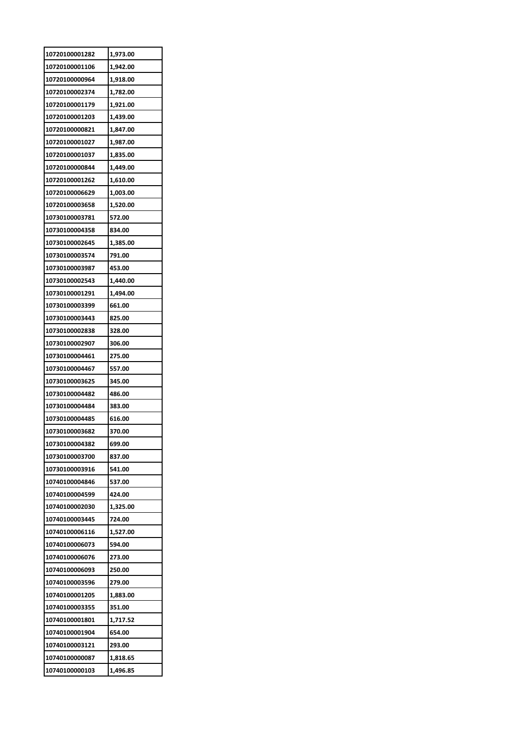| 10720100001282 | 1,973.00 |
|----------------|----------|
| 10720100001106 | 1,942.00 |
| 10720100000964 | 1,918.00 |
| 10720100002374 | 1,782.00 |
| 10720100001179 | 1,921.00 |
| 10720100001203 | 1,439.00 |
| 10720100000821 | 1,847.00 |
| 10720100001027 | 1,987.00 |
| 10720100001037 | 1,835.00 |
| 10720100000844 | 1,449.00 |
| 10720100001262 | 1,610.00 |
| 10720100006629 | 1,003.00 |
| 10720100003658 | 1,520.00 |
| 10730100003781 | 572.00   |
| 10730100004358 | 834.00   |
| 10730100002645 | 1,385.00 |
| 10730100003574 | 791.00   |
| 10730100003987 | 453.00   |
| 10730100002543 | 1,440.00 |
| 10730100001291 | 1,494.00 |
| 10730100003399 |          |
|                | 661.00   |
| 10730100003443 | 825.00   |
| 10730100002838 | 328.00   |
| 10730100002907 | 306.00   |
| 10730100004461 | 275.00   |
| 10730100004467 | 557.00   |
| 10730100003625 | 345.00   |
| 10730100004482 | 486.00   |
| 10730100004484 | 383.00   |
| 10730100004485 | 616.00   |
| 10730100003682 | 370.00   |
| 10730100004382 | 699.00   |
| 10730100003700 | 837.00   |
| 10730100003916 | 541.00   |
| 10740100004846 | 537.00   |
| 10740100004599 | 424.00   |
| 10740100002030 | 1,325.00 |
| 10740100003445 | 724.00   |
| 10740100006116 | 1,527.00 |
| 10740100006073 | 594.00   |
| 10740100006076 | 273.00   |
| 10740100006093 | 250.00   |
| 10740100003596 | 279.00   |
| 10740100001205 | 1,883.00 |
| 10740100003355 | 351.00   |
| 10740100001801 | 1,717.52 |
| 10740100001904 | 654.00   |
| 10740100003121 | 293.00   |
| 10740100000087 | 1,818.65 |
| 10740100000103 | 1,496.85 |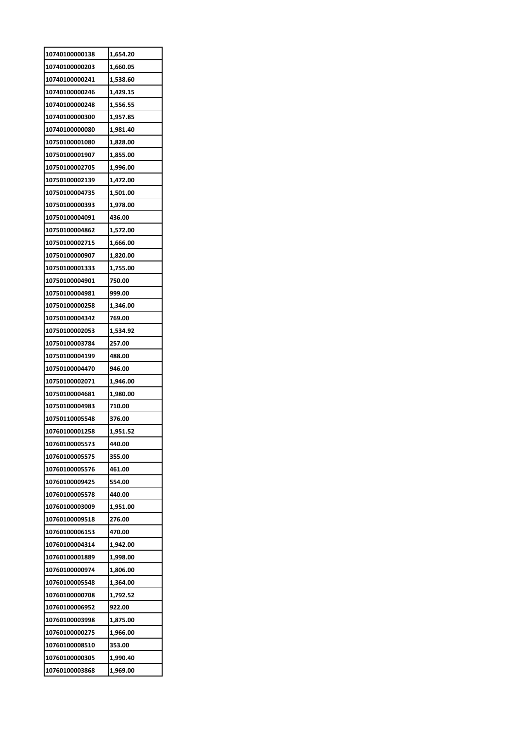| 10740100000138 | 1,654.20 |
|----------------|----------|
| 10740100000203 | 1,660.05 |
| 10740100000241 | 1,538.60 |
| 10740100000246 | 1,429.15 |
| 10740100000248 | 1,556.55 |
| 10740100000300 | 1,957.85 |
| 10740100000080 | 1,981.40 |
| 10750100001080 | 1,828.00 |
| 10750100001907 | 1,855.00 |
| 10750100002705 | 1,996.00 |
| 10750100002139 | 1,472.00 |
| 10750100004735 | 1,501.00 |
| 10750100000393 | 1,978.00 |
| 10750100004091 | 436.00   |
| 10750100004862 | 1,572.00 |
| 10750100002715 | 1,666.00 |
| 10750100000907 | 1,820.00 |
| 10750100001333 | 1,755.00 |
| 10750100004901 | 750.00   |
|                |          |
| 10750100004981 | 999.00   |
| 10750100000258 | 1,346.00 |
| 10750100004342 | 769.00   |
| 10750100002053 | 1,534.92 |
| 10750100003784 | 257.00   |
| 10750100004199 | 488.00   |
|                |          |
| 10750100004470 | 946.00   |
| 10750100002071 | 1,946.00 |
| 10750100004681 | 1,980.00 |
| 10750100004983 | 710.00   |
| 10750110005548 | 376.00   |
| 10760100001258 | 1.951.52 |
| 10760100005573 | 440.00   |
| 10760100005575 | 355.00   |
| 10760100005576 | 461.00   |
| 10760100009425 | 554.00   |
| 10760100005578 | 440.00   |
| 10760100003009 | 1,951.00 |
| 10760100009518 | 276.00   |
| 10760100006153 | 470.00   |
| 10760100004314 | 1,942.00 |
| 10760100001889 | 1,998.00 |
| 10760100000974 | 1,806.00 |
| 10760100005548 | 1,364.00 |
| 10760100000708 | 1,792.52 |
| 10760100006952 | 922.00   |
| 10760100003998 | 1,875.00 |
| 10760100000275 | 1,966.00 |
| 10760100008510 | 353.00   |
| 10760100000305 | 1,990.40 |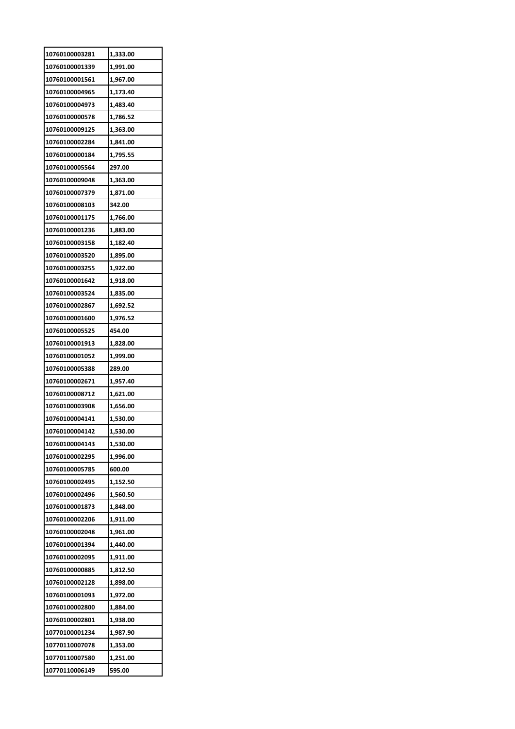| 10760100003281 | 1,333.00 |
|----------------|----------|
| 10760100001339 | 1,991.00 |
| 10760100001561 | 1,967.00 |
| 10760100004965 | 1,173.40 |
| 10760100004973 | 1,483.40 |
| 10760100000578 | 1,786.52 |
| 10760100009125 | 1,363.00 |
| 10760100002284 | 1,841.00 |
| 10760100000184 | 1,795.55 |
| 10760100005564 | 297.00   |
| 10760100009048 | 1,363.00 |
| 10760100007379 | 1,871.00 |
| 10760100008103 | 342.00   |
| 10760100001175 | 1,766.00 |
| 10760100001236 | 1,883.00 |
| 10760100003158 | 1,182.40 |
| 10760100003520 | 1,895.00 |
| 10760100003255 | 1,922.00 |
| 10760100001642 | 1,918.00 |
| 10760100003524 | 1,835.00 |
| 10760100002867 | 1,692.52 |
| 10760100001600 | 1,976.52 |
| 10760100005525 | 454.00   |
| 10760100001913 | 1,828.00 |
| 10760100001052 | 1,999.00 |
| 10760100005388 | 289.00   |
| 10760100002671 | 1,957.40 |
| 10760100008712 | 1,621.00 |
| 10760100003908 | 1,656.00 |
| 10760100004141 | 1,530.00 |
| 10760100004142 | 1,530.00 |
| 10760100004143 | 1,530.00 |
| 10760100002295 | 1,996.00 |
| 10760100005785 | 600.00   |
| 10760100002495 | 1,152.50 |
| 10760100002496 | 1,560.50 |
| 10760100001873 | 1,848.00 |
| 10760100002206 | 1,911.00 |
| 10760100002048 | 1,961.00 |
| 10760100001394 | 1,440.00 |
| 10760100002095 | 1,911.00 |
| 10760100000885 | 1,812.50 |
| 10760100002128 | 1,898.00 |
| 10760100001093 | 1,972.00 |
| 10760100002800 | 1,884.00 |
| 10760100002801 |          |
|                | 1,938.00 |
| 10770100001234 | 1,987.90 |
| 10770110007078 | 1,353.00 |
| 10770110007580 | 1,251.00 |
| 10770110006149 | 595.00   |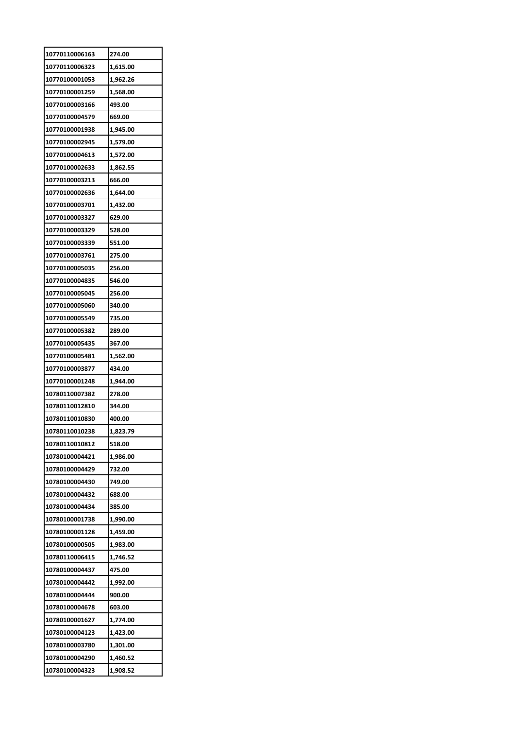| 10770110006163 | 274.00   |
|----------------|----------|
| 10770110006323 | 1,615.00 |
| 10770100001053 | 1,962.26 |
| 10770100001259 | 1,568.00 |
| 10770100003166 | 493.00   |
| 10770100004579 | 669.00   |
| 10770100001938 | 1,945.00 |
| 10770100002945 | 1,579.00 |
| 10770100004613 | 1,572.00 |
| 10770100002633 | 1,862.55 |
| 10770100003213 | 666.00   |
| 10770100002636 | 1,644.00 |
| 10770100003701 | 1,432.00 |
| 10770100003327 | 629.00   |
| 10770100003329 | 528.00   |
| 10770100003339 | 551.00   |
| 10770100003761 | 275.00   |
| 10770100005035 | 256.00   |
| 10770100004835 | 546.00   |
| 10770100005045 | 256.00   |
| 10770100005060 | 340.00   |
| 10770100005549 | 735.00   |
| 10770100005382 | 289.00   |
| 10770100005435 | 367.00   |
| 10770100005481 | 1,562.00 |
| 10770100003877 | 434.00   |
| 10770100001248 | 1,944.00 |
| 10780110007382 | 278.00   |
| 10780110012810 | 344.00   |
| 10780110010830 | 400.00   |
| 10780110010238 | 1,823.79 |
| 10780110010812 | 518.00   |
| 10780100004421 | 1,986.00 |
| 10780100004429 | 732.00   |
| 10780100004430 | 749.00   |
| 10780100004432 | 688.00   |
| 10780100004434 | 385.00   |
| 10780100001738 | 1,990.00 |
| 10780100001128 | 1,459.00 |
| 10780100000505 | 1,983.00 |
| 10780110006415 | 1,746.52 |
| 10780100004437 | 475.00   |
| 10780100004442 | 1,992.00 |
| 10780100004444 | 900.00   |
| 10780100004678 | 603.00   |
| 10780100001627 | 1,774.00 |
| 10780100004123 | 1,423.00 |
| 10780100003780 | 1,301.00 |
| 10780100004290 | 1,460.52 |
| 10780100004323 | 1,908.52 |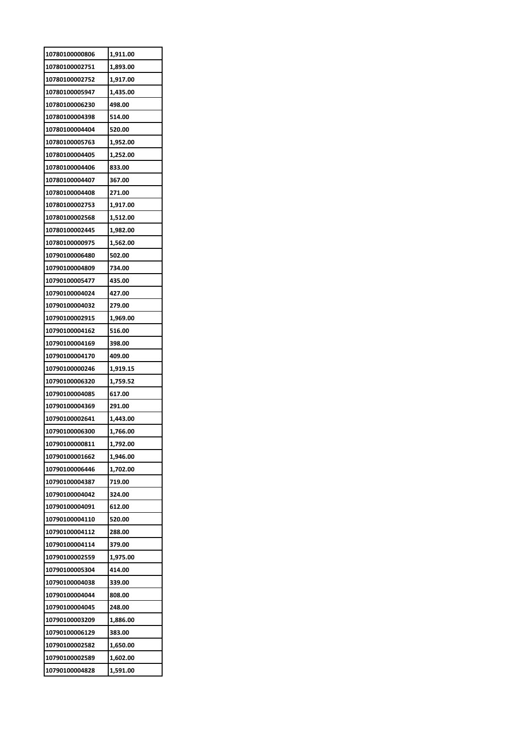| 10780100000806 | 1,911.00 |
|----------------|----------|
| 10780100002751 | 1,893.00 |
| 10780100002752 | 1,917.00 |
| 10780100005947 | 1,435.00 |
| 10780100006230 | 498.00   |
| 10780100004398 | 514.00   |
| 10780100004404 | 520.00   |
| 10780100005763 | 1,952.00 |
| 10780100004405 | 1,252.00 |
| 10780100004406 | 833.00   |
| 10780100004407 | 367.00   |
| 10780100004408 | 271.00   |
| 10780100002753 | 1,917.00 |
| 10780100002568 | 1,512.00 |
| 10780100002445 | 1,982.00 |
| 10780100000975 | 1,562.00 |
| 10790100006480 | 502.00   |
| 10790100004809 | 734.00   |
| 10790100005477 | 435.00   |
| 10790100004024 | 427.00   |
| 10790100004032 | 279.00   |
|                |          |
| 10790100002915 | 1,969.00 |
| 10790100004162 | 516.00   |
| 10790100004169 | 398.00   |
| 10790100004170 | 409.00   |
| 10790100000246 | 1,919.15 |
| 10790100006320 | 1,759.52 |
| 10790100004085 | 617.00   |
| 10790100004369 | 291.00   |
| 10790100002641 | 1,443.00 |
| 10790100006300 | 1,766.00 |
| 10790100000811 | 1,792.00 |
| 10790100001662 | 1,946.00 |
| 10790100006446 | 1,702.00 |
| 10790100004387 | 719.00   |
| 10790100004042 | 324.00   |
| 10790100004091 | 612.00   |
| 10790100004110 | 520.00   |
| 10790100004112 | 288.00   |
| 10790100004114 | 379.00   |
| 10790100002559 | 1,975.00 |
| 10790100005304 | 414.00   |
| 10790100004038 | 339.00   |
| 10790100004044 | 808.00   |
| 10790100004045 | 248.00   |
| 10790100003209 | 1,886.00 |
| 10790100006129 | 383.00   |
| 10790100002582 | 1,650.00 |
| 10790100002589 | 1,602.00 |
| 10790100004828 | 1,591.00 |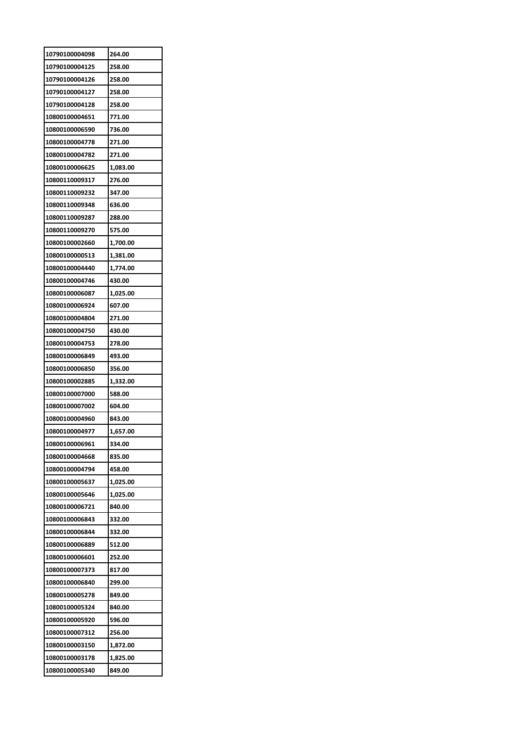| 10790100004098 | 264.00   |
|----------------|----------|
| 10790100004125 | 258.00   |
| 10790100004126 | 258.00   |
| 10790100004127 | 258.00   |
| 10790100004128 | 258.00   |
| 10800100004651 | 771.00   |
| 10800100006590 | 736.00   |
| 10800100004778 | 271.00   |
| 10800100004782 | 271.00   |
| 10800100006625 | 1,083.00 |
| 10800110009317 | 276.00   |
| 10800110009232 | 347.00   |
| 10800110009348 | 636.00   |
| 10800110009287 | 288.00   |
| 10800110009270 | 575.00   |
| 10800100002660 | 1,700.00 |
| 10800100000513 | 1,381.00 |
| 10800100004440 | 1,774.00 |
| 10800100004746 | 430.00   |
| 10800100006087 | 1,025.00 |
| 10800100006924 | 607.00   |
| 10800100004804 | 271.00   |
| 10800100004750 | 430.00   |
| 10800100004753 | 278.00   |
| 10800100006849 | 493.00   |
| 10800100006850 | 356.00   |
| 10800100002885 | 1,332.00 |
| 10800100007000 | 588.00   |
| 10800100007002 | 604.00   |
| 10800100004960 | 843.00   |
| 10800100004977 | 1,657.00 |
| 10800100006961 | 334.00   |
| 10800100004668 | 835.00   |
| 10800100004794 | 458.00   |
| 10800100005637 | 1,025.00 |
| 10800100005646 | 1,025.00 |
| 10800100006721 | 840.00   |
| 10800100006843 | 332.00   |
| 10800100006844 | 332.00   |
| 10800100006889 | 512.00   |
| 10800100006601 | 252.00   |
| 10800100007373 | 817.00   |
| 10800100006840 | 299.00   |
| 10800100005278 | 849.00   |
| 10800100005324 | 840.00   |
| 10800100005920 | 596.00   |
| 10800100007312 | 256.00   |
| 10800100003150 | 1,872.00 |
| 10800100003178 | 1,825.00 |
| 10800100005340 | 849.00   |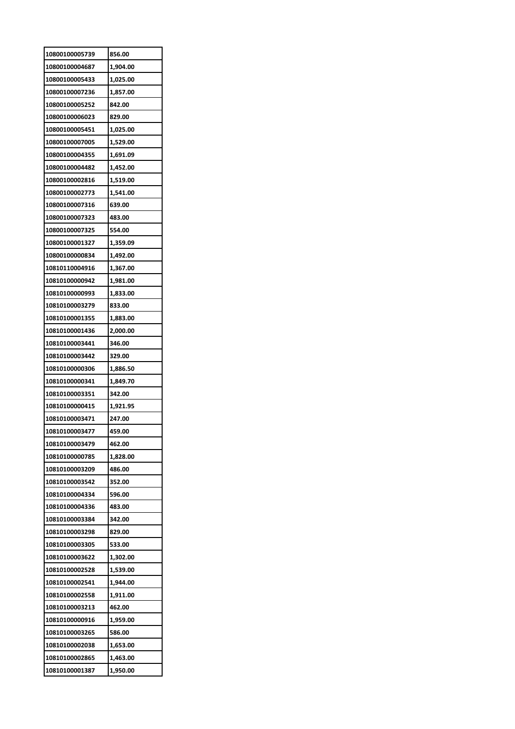| 10800100005739 | 856.00   |
|----------------|----------|
| 10800100004687 | 1,904.00 |
| 10800100005433 | 1,025.00 |
| 10800100007236 | 1,857.00 |
| 10800100005252 | 842.00   |
| 10800100006023 | 829.00   |
| 10800100005451 | 1,025.00 |
| 10800100007005 | 1,529.00 |
| 10800100004355 | 1,691.09 |
| 10800100004482 | 1,452.00 |
| 10800100002816 | 1,519.00 |
| 10800100002773 | 1,541.00 |
| 10800100007316 | 639.00   |
| 10800100007323 | 483.00   |
| 10800100007325 | 554.00   |
| 10800100001327 | 1,359.09 |
| 10800100000834 | 1,492.00 |
| 10810110004916 | 1,367.00 |
| 10810100000942 | 1,981.00 |
| 10810100000993 | 1,833.00 |
| 10810100003279 | 833.00   |
| 10810100001355 | 1,883.00 |
| 10810100001436 | 2,000.00 |
| 10810100003441 | 346.00   |
| 10810100003442 | 329.00   |
| 10810100000306 | 1,886.50 |
| 10810100000341 | 1,849.70 |
| 10810100003351 | 342.00   |
| 10810100000415 | 1,921.95 |
| 10810100003471 | 247.00   |
| 10810100003477 | 459.00   |
| 10810100003479 | 462.00   |
|                |          |
| 10810100000785 | 1,828.00 |
| 10810100003209 | 486.00   |
| 10810100003542 | 352.00   |
| 10810100004334 | 596.00   |
| 10810100004336 | 483.00   |
| 10810100003384 | 342.00   |
| 10810100003298 | 829.00   |
| 10810100003305 | 533.00   |
| 10810100003622 | 1,302.00 |
| 10810100002528 | 1,539.00 |
| 10810100002541 | 1,944.00 |
| 10810100002558 | 1,911.00 |
| 10810100003213 | 462.00   |
| 10810100000916 | 1,959.00 |
| 10810100003265 | 586.00   |
| 10810100002038 | 1,653.00 |
| 10810100002865 | 1,463.00 |
| 10810100001387 | 1,950.00 |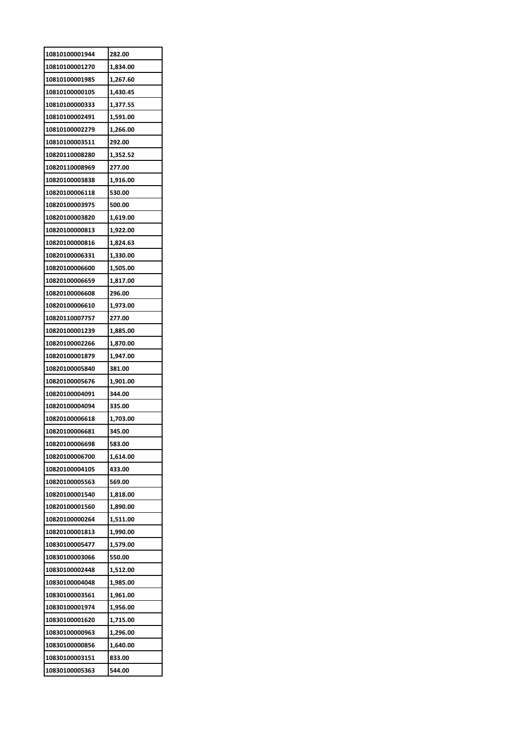| 10810100001944 | 282.00   |
|----------------|----------|
| 10810100001270 | 1,834.00 |
| 10810100001985 | 1,267.60 |
| 10810100000105 | 1,430.45 |
| 10810100000333 | 1,377.55 |
| 10810100002491 | 1,591.00 |
| 10810100002279 | 1,266.00 |
| 10810100003511 | 292.00   |
| 10820110008280 | 1,352.52 |
| 10820110008969 | 277.00   |
| 10820100003838 | 1,916.00 |
| 10820100006118 | 530.00   |
| 10820100003975 | 500.00   |
| 10820100003820 | 1,619.00 |
| 10820100000813 | 1,922.00 |
| 10820100000816 | 1,824.63 |
| 10820100006331 | 1,330.00 |
| 10820100006600 | 1,505.00 |
| 10820100006659 | 1,817.00 |
| 10820100006608 | 296.00   |
| 10820100006610 | 1,973.00 |
| 10820110007757 | 277.00   |
| 10820100001239 | 1,885.00 |
| 10820100002266 | 1,870.00 |
| 10820100001879 | 1,947.00 |
| 10820100005840 | 381.00   |
| 10820100005676 | 1,901.00 |
| 10820100004091 | 344.00   |
| 10820100004094 | 335.00   |
| 10820100006618 | 1,703.00 |
| 10820100006681 | 345.00   |
| 10820100006698 | 583.00   |
| 10820100006700 | 1,614.00 |
| 10820100004105 | 433.00   |
| 10820100005563 | 569.00   |
| 10820100001540 | 1,818.00 |
| 10820100001560 | 1,890.00 |
| 10820100000264 | 1,511.00 |
| 10820100001813 | 1,990.00 |
| 10830100005477 | 1,579.00 |
| 10830100003066 | 550.00   |
| 10830100002448 | 1,512.00 |
| 10830100004048 | 1,985.00 |
| 10830100003561 | 1,961.00 |
| 10830100001974 | 1,956.00 |
| 10830100001620 | 1,715.00 |
| 10830100000963 | 1,296.00 |
| 10830100000856 | 1,640.00 |
| 10830100003151 | 833.00   |
| 10830100005363 | 544.00   |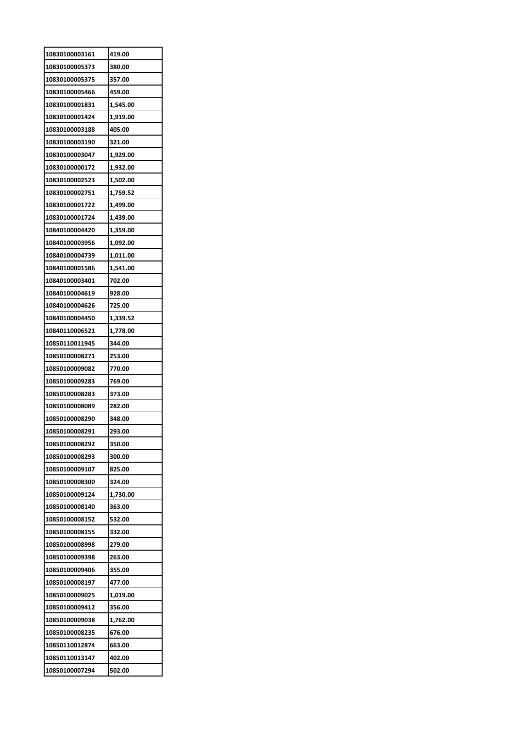| 10830100003161 | 419.00   |
|----------------|----------|
| 10830100005373 | 380.00   |
| 10830100005375 | 357.00   |
| 10830100005466 | 459.00   |
| 10830100001831 | 1,545.00 |
| 10830100001424 | 1,919.00 |
| 10830100003188 | 405.00   |
| 10830100003190 | 321.00   |
| 10830100003047 | 1,929.00 |
| 10830100000172 | 1,932.00 |
| 10830100002523 | 1,502.00 |
| 10830100002751 | 1,759.52 |
| 10830100001722 | 1,499.00 |
| 10830100001724 | 1,439.00 |
| 10840100004420 | 1,359.00 |
| 10840100003956 | 1,092.00 |
| 10840100004739 | 1,011.00 |
| 10840100001586 | 1,541.00 |
| 10840100003401 | 702.00   |
| 10840100004619 | 928.00   |
| 10840100004626 | 725.00   |
| 10840100004450 | 1,339.52 |
| 10840110006521 | 1,778.00 |
| 10850110011945 | 344.00   |
| 10850100008271 | 253.00   |
| 10850100009082 | 770.00   |
| 10850100009283 | 769.00   |
| 10850100008283 | 373.00   |
| 10850100008089 | 282.00   |
| 10850100008290 | 348.00   |
| 10850100008291 | 293.00   |
| 10850100008292 | 350.00   |
| 10850100008293 | 300.00   |
| 10850100009107 | 825.00   |
| 10850100008300 | 324.00   |
| 10850100009124 | 1,730.00 |
| 10850100008140 | 363.00   |
| 10850100008152 | 532.00   |
| 10850100008155 | 332.00   |
| 10850100008998 | 279.00   |
| 10850100009398 | 263.00   |
| 10850100009406 | 355.00   |
| 10850100008197 | 477.00   |
| 10850100009025 | 1,019.00 |
| 10850100009412 | 356.00   |
| 10850100009038 | 1,762.00 |
| 10850100008235 | 676.00   |
| 10850110012874 | 663.00   |
| 10850110013147 | 402.00   |
| 10850100007294 | 502.00   |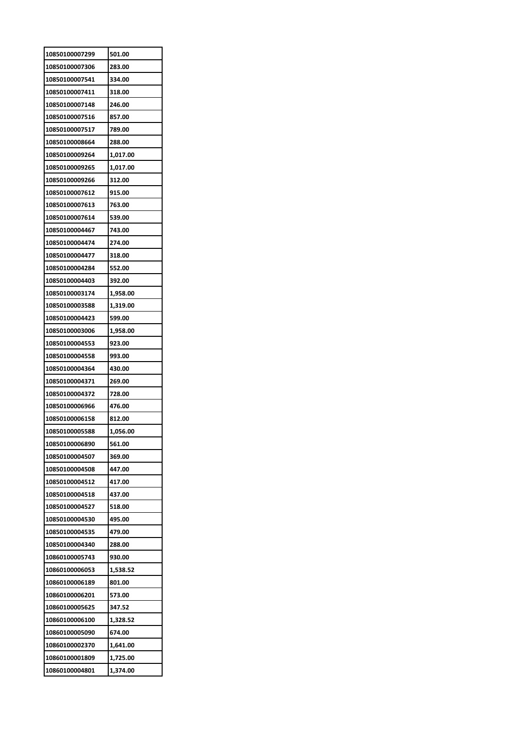| 10850100007299 | 501.00   |
|----------------|----------|
| 10850100007306 | 283.00   |
| 10850100007541 | 334.00   |
| 10850100007411 | 318.00   |
| 10850100007148 | 246.00   |
| 10850100007516 | 857.00   |
| 10850100007517 | 789.00   |
| 10850100008664 | 288.00   |
| 10850100009264 | 1,017.00 |
| 10850100009265 | 1,017.00 |
| 10850100009266 | 312.00   |
| 10850100007612 | 915.00   |
| 10850100007613 | 763.00   |
| 10850100007614 | 539.00   |
| 10850100004467 | 743.00   |
| 10850100004474 | 274.00   |
| 10850100004477 | 318.00   |
| 10850100004284 | 552.00   |
| 10850100004403 | 392.00   |
| 10850100003174 | 1,958.00 |
| 10850100003588 | 1,319.00 |
| 10850100004423 | 599.00   |
| 10850100003006 | 1,958.00 |
| 10850100004553 | 923.00   |
| 10850100004558 | 993.00   |
| 10850100004364 | 430.00   |
| 10850100004371 | 269.00   |
| 10850100004372 | 728.00   |
| 10850100006966 | 476.00   |
| 10850100006158 | 812.00   |
| 10850100005588 | 1.056.00 |
| 10850100006890 | 561.00   |
| 10850100004507 | 369.00   |
| 10850100004508 | 447.00   |
| 10850100004512 | 417.00   |
| 10850100004518 | 437.00   |
| 10850100004527 | 518.00   |
| 10850100004530 | 495.00   |
| 10850100004535 | 479.00   |
| 10850100004340 | 288.00   |
| 10860100005743 | 930.00   |
| 10860100006053 | 1,538.52 |
| 10860100006189 | 801.00   |
| 10860100006201 | 573.00   |
| 10860100005625 | 347.52   |
| 10860100006100 | 1,328.52 |
| 10860100005090 | 674.00   |
| 10860100002370 | 1,641.00 |
| 10860100001809 | 1,725.00 |
|                | 1,374.00 |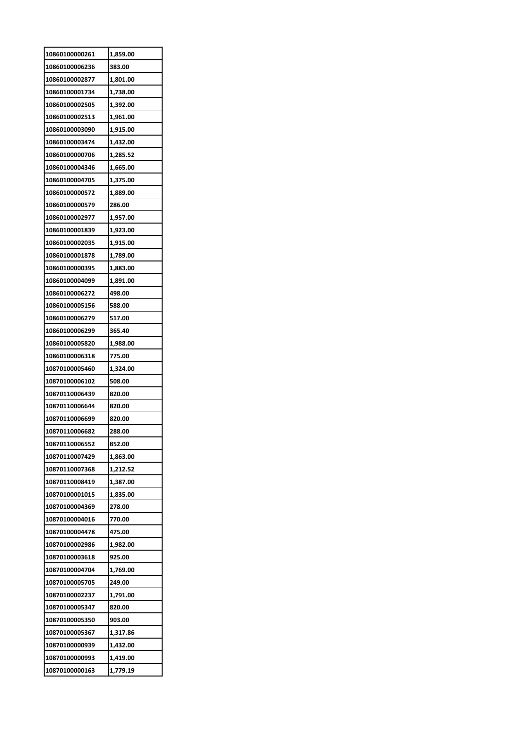| 10860100000261 | 1,859.00 |
|----------------|----------|
| 10860100006236 | 383.00   |
| 10860100002877 | 1,801.00 |
| 10860100001734 | 1,738.00 |
| 10860100002505 | 1,392.00 |
| 10860100002513 | 1,961.00 |
| 10860100003090 | 1,915.00 |
| 10860100003474 | 1,432.00 |
| 10860100000706 | 1,285.52 |
| 10860100004346 | 1,665.00 |
| 10860100004705 | 1,375.00 |
| 10860100000572 | 1,889.00 |
| 10860100000579 | 286.00   |
| 10860100002977 | 1,957.00 |
| 10860100001839 | 1,923.00 |
| 10860100002035 | 1,915.00 |
| 10860100001878 | 1,789.00 |
| 10860100000395 | 1,883.00 |
| 10860100004099 | 1,891.00 |
| 10860100006272 | 498.00   |
| 10860100005156 | 588.00   |
| 10860100006279 | 517.00   |
| 10860100006299 | 365.40   |
| 10860100005820 | 1,988.00 |
| 10860100006318 | 775.00   |
|                |          |
| 10870100005460 | 1,324.00 |
| 10870100006102 | 508.00   |
| 10870110006439 | 820.00   |
| 10870110006644 | 820.00   |
| 10870110006699 | 820.00   |
| 10870110006682 | 288.00   |
| 10870110006552 | 852.00   |
| 10870110007429 | 1,863.00 |
| 10870110007368 | 1,212.52 |
| 10870110008419 | 1,387.00 |
| 10870100001015 | 1,835.00 |
| 10870100004369 | 278.00   |
| 10870100004016 | 770.00   |
| 10870100004478 | 475.00   |
| 10870100002986 | 1,982.00 |
| 10870100003618 | 925.00   |
| 10870100004704 | 1,769.00 |
| 10870100005705 | 249.00   |
| 10870100002237 | 1,791.00 |
| 10870100005347 | 820.00   |
| 10870100005350 | 903.00   |
| 10870100005367 | 1,317.86 |
| 10870100000939 | 1,432.00 |
| 10870100000993 | 1,419.00 |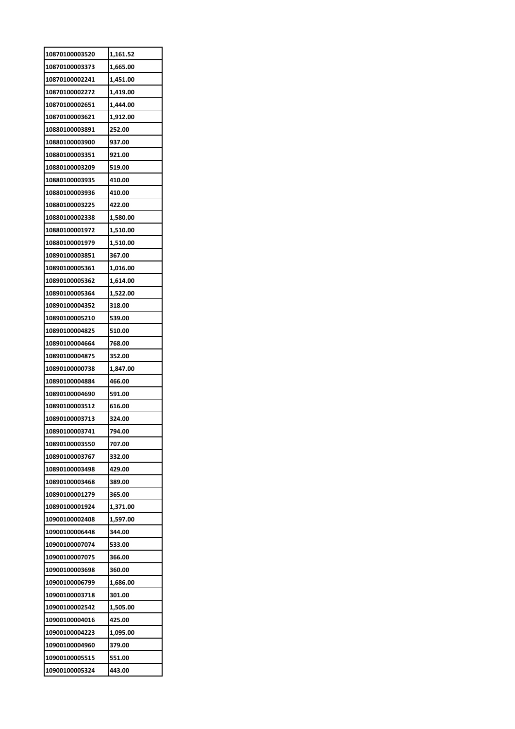| 10870100003520 | 1,161.52 |
|----------------|----------|
| 10870100003373 | 1,665.00 |
| 10870100002241 | 1,451.00 |
| 10870100002272 | 1,419.00 |
| 10870100002651 | 1,444.00 |
| 10870100003621 | 1,912.00 |
| 10880100003891 | 252.00   |
| 10880100003900 | 937.00   |
| 10880100003351 | 921.00   |
| 10880100003209 | 519.00   |
| 10880100003935 | 410.00   |
| 10880100003936 | 410.00   |
| 10880100003225 | 422.00   |
| 10880100002338 | 1,580.00 |
| 10880100001972 | 1,510.00 |
| 10880100001979 | 1,510.00 |
| 10890100003851 | 367.00   |
| 10890100005361 | 1,016.00 |
| 10890100005362 | 1,614.00 |
| 10890100005364 | 1,522.00 |
|                |          |
| 10890100004352 | 318.00   |
| 10890100005210 | 539.00   |
| 10890100004825 | 510.00   |
| 10890100004664 | 768.00   |
| 10890100004875 | 352.00   |
|                |          |
| 10890100000738 | 1,847.00 |
| 10890100004884 | 466.00   |
| 10890100004690 | 591.00   |
| 10890100003512 | 616.00   |
| 10890100003713 | 324.00   |
| 10890100003741 | 794.00   |
| 10890100003550 | 707.00   |
| 10890100003767 | 332.00   |
| 10890100003498 | 429.00   |
| 10890100003468 | 389.00   |
| 10890100001279 | 365.00   |
| 10890100001924 | 1,371.00 |
| 10900100002408 | 1,597.00 |
| 10900100006448 | 344.00   |
| 10900100007074 | 533.00   |
| 10900100007075 | 366.00   |
| 10900100003698 | 360.00   |
| 10900100006799 | 1,686.00 |
| 10900100003718 | 301.00   |
| 10900100002542 | 1,505.00 |
| 10900100004016 | 425.00   |
| 10900100004223 | 1,095.00 |
| 10900100004960 | 379.00   |
| 10900100005515 | 551.00   |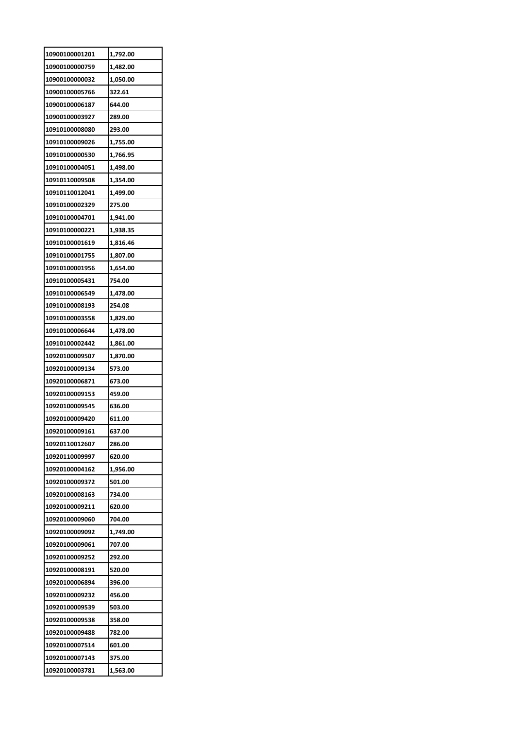| 10900100001201 | 1,792.00 |
|----------------|----------|
| 10900100000759 | 1,482.00 |
| 10900100000032 | 1,050.00 |
| 10900100005766 | 322.61   |
| 10900100006187 | 644.00   |
| 10900100003927 | 289.00   |
| 10910100008080 | 293.00   |
| 10910100009026 | 1,755.00 |
| 10910100000530 | 1,766.95 |
| 10910100004051 | 1,498.00 |
| 10910110009508 | 1,354.00 |
| 10910110012041 | 1,499.00 |
| 10910100002329 | 275.00   |
| 10910100004701 | 1,941.00 |
| 10910100000221 | 1,938.35 |
| 10910100001619 | 1,816.46 |
| 10910100001755 | 1,807.00 |
| 10910100001956 | 1,654.00 |
| 10910100005431 | 754.00   |
| 10910100006549 | 1,478.00 |
| 10910100008193 | 254.08   |
|                |          |
| 10910100003558 | 1,829.00 |
| 10910100006644 | 1,478.00 |
| 10910100002442 | 1,861.00 |
| 10920100009507 | 1,870.00 |
| 10920100009134 | 573.00   |
| 10920100006871 | 673.00   |
| 10920100009153 | 459.00   |
| 10920100009545 | 636.00   |
| 10920100009420 | 611.00   |
| 10920100009161 | 637.00   |
| 10920110012607 | 286.00   |
| 10920110009997 | 620.00   |
| 10920100004162 | 1,956.00 |
| 10920100009372 | 501.00   |
| 10920100008163 | 734.00   |
| 10920100009211 | 620.00   |
| 10920100009060 | 704.00   |
| 10920100009092 | 1,749.00 |
| 10920100009061 | 707.00   |
| 10920100009252 | 292.00   |
| 10920100008191 | 520.00   |
| 10920100006894 | 396.00   |
| 10920100009232 | 456.00   |
| 10920100009539 | 503.00   |
| 10920100009538 | 358.00   |
| 10920100009488 | 782.00   |
| 10920100007514 | 601.00   |
| 10920100007143 | 375.00   |
| 10920100003781 | 1,563.00 |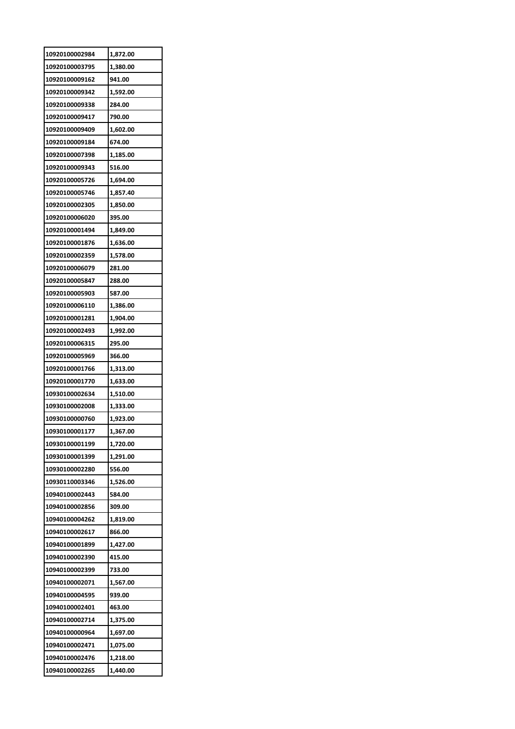| 10920100002984                   | 1,872.00 |
|----------------------------------|----------|
| 10920100003795                   | 1,380.00 |
| 10920100009162                   | 941.00   |
| 10920100009342                   | 1,592.00 |
| 10920100009338                   | 284.00   |
| 10920100009417                   | 790.00   |
| 10920100009409                   | 1,602.00 |
| 10920100009184                   | 674.00   |
| 10920100007398                   | 1,185.00 |
| 10920100009343                   | 516.00   |
| 10920100005726                   | 1,694.00 |
| 10920100005746                   | 1,857.40 |
| 10920100002305                   | 1,850.00 |
| 10920100006020                   | 395.00   |
| 10920100001494                   | 1,849.00 |
| 10920100001876                   | 1,636.00 |
| 10920100002359                   | 1,578.00 |
| 10920100006079                   | 281.00   |
| 10920100005847                   | 288.00   |
| 10920100005903                   | 587.00   |
| 10920100006110                   | 1,386.00 |
| 10920100001281                   | 1,904.00 |
| 10920100002493                   | 1,992.00 |
| 10920100006315                   | 295.00   |
| 10920100005969                   | 366.00   |
| 10920100001766                   | 1,313.00 |
| 10920100001770                   | 1,633.00 |
| 10930100002634                   | 1,510.00 |
| 10930100002008                   | 1,333.00 |
| 10930100000760                   | 1,923.00 |
| 10930100001177                   | 1,367.00 |
| 10930100001199                   | 1,720.00 |
| 10930100001399                   | 1,291.00 |
| 10930100002280                   | 556.00   |
| 10930110003346                   | 1,526.00 |
| 10940100002443                   | 584.00   |
| 10940100002856                   |          |
| 10940100004262                   | 309.00   |
|                                  | 1,819.00 |
| 10940100002617<br>10940100001899 | 866.00   |
|                                  | 1,427.00 |
| 10940100002390                   | 415.00   |
| 10940100002399                   | 733.00   |
| 10940100002071                   | 1,567.00 |
| 10940100004595                   | 939.00   |
| 10940100002401                   | 463.00   |
| 10940100002714                   | 1,375.00 |
| 10940100000964                   | 1,697.00 |
| 10940100002471                   | 1,075.00 |
| 10940100002476                   | 1,218.00 |
| 10940100002265                   | 1,440.00 |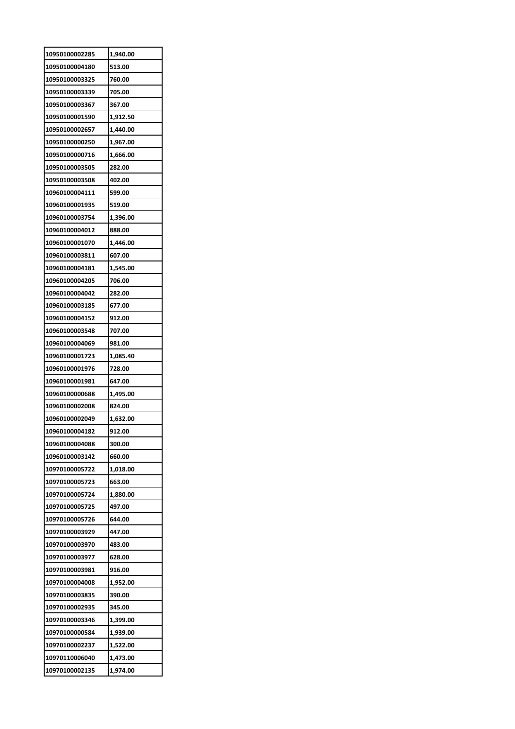| 10950100002285 | 1,940.00 |
|----------------|----------|
| 10950100004180 | 513.00   |
| 10950100003325 | 760.00   |
| 10950100003339 | 705.00   |
| 10950100003367 | 367.00   |
| 10950100001590 | 1,912.50 |
| 10950100002657 | 1,440.00 |
| 10950100000250 | 1,967.00 |
| 10950100000716 | 1,666.00 |
| 10950100003505 | 282.00   |
| 10950100003508 | 402.00   |
| 10960100004111 | 599.00   |
| 10960100001935 | 519.00   |
| 10960100003754 | 1,396.00 |
| 10960100004012 | 888.00   |
| 10960100001070 | 1,446.00 |
| 10960100003811 | 607.00   |
| 10960100004181 | 1,545.00 |
| 10960100004205 | 706.00   |
| 10960100004042 | 282.00   |
| 10960100003185 | 677.00   |
| 10960100004152 | 912.00   |
| 10960100003548 | 707.00   |
| 10960100004069 | 981.00   |
| 10960100001723 | 1,085.40 |
| 10960100001976 | 728.00   |
| 10960100001981 | 647.00   |
| 10960100000688 | 1,495.00 |
| 10960100002008 | 824.00   |
| 10960100002049 | 1,632.00 |
| 10960100004182 | 912.00   |
| 10960100004088 | 300.00   |
| 10960100003142 | 660.00   |
| 10970100005722 | 1,018.00 |
| 10970100005723 | 663.00   |
| 10970100005724 | 1,880.00 |
| 10970100005725 | 497.00   |
| 10970100005726 | 644.00   |
| 10970100003929 | 447.00   |
| 10970100003970 | 483.00   |
| 10970100003977 | 628.00   |
| 10970100003981 | 916.00   |
| 10970100004008 | 1,952.00 |
| 10970100003835 | 390.00   |
|                |          |
| 10970100002935 | 345.00   |
| 10970100003346 | 1,399.00 |
| 10970100000584 | 1,939.00 |
| 10970100002237 | 1,522.00 |
| 10970110006040 | 1,473.00 |
| 10970100002135 | 1,974.00 |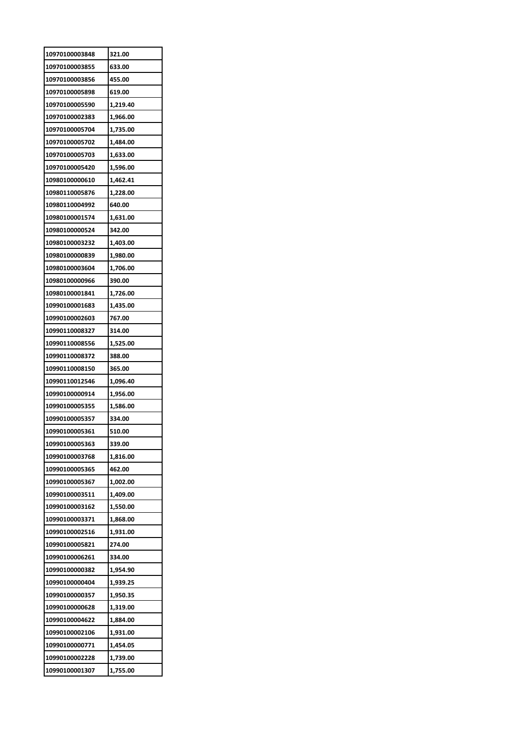| 10970100003848 | 321.00   |
|----------------|----------|
| 10970100003855 | 633.00   |
| 10970100003856 | 455.00   |
| 10970100005898 | 619.00   |
| 10970100005590 | 1,219.40 |
| 10970100002383 | 1,966.00 |
| 10970100005704 | 1,735.00 |
| 10970100005702 | 1,484.00 |
| 10970100005703 | 1,633.00 |
| 10970100005420 | 1,596.00 |
| 10980100000610 | 1,462.41 |
| 10980110005876 | 1,228.00 |
| 10980110004992 | 640.00   |
| 10980100001574 | 1,631.00 |
| 10980100000524 | 342.00   |
| 10980100003232 | 1,403.00 |
| 10980100000839 | 1,980.00 |
| 10980100003604 | 1,706.00 |
| 10980100000966 | 390.00   |
| 10980100001841 | 1,726.00 |
| 10990100001683 | 1,435.00 |
| 10990100002603 | 767.00   |
| 10990110008327 | 314.00   |
| 10990110008556 | 1,525.00 |
| 10990110008372 | 388.00   |
| 10990110008150 | 365.00   |
| 10990110012546 | 1,096.40 |
| 10990100000914 | 1,956.00 |
| 10990100005355 | 1,586.00 |
| 10990100005357 | 334.00   |
| 10990100005361 | 510.00   |
| 10990100005363 | 339.00   |
| 10990100003768 | 1,816.00 |
| 10990100005365 | 462.00   |
| 10990100005367 | 1,002.00 |
| 10990100003511 | 1,409.00 |
| 10990100003162 | 1,550.00 |
| 10990100003371 | 1,868.00 |
| 10990100002516 | 1,931.00 |
| 10990100005821 | 274.00   |
| 10990100006261 | 334.00   |
| 10990100000382 | 1,954.90 |
| 10990100000404 | 1,939.25 |
| 10990100000357 | 1,950.35 |
| 10990100000628 | 1,319.00 |
| 10990100004622 | 1,884.00 |
| 10990100002106 | 1,931.00 |
| 10990100000771 | 1,454.05 |
| 10990100002228 | 1,739.00 |
| 10990100001307 | 1,755.00 |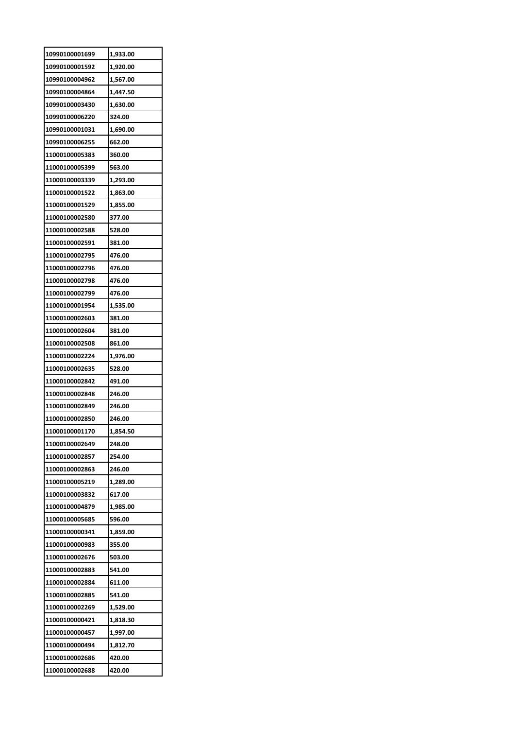| 10990100001699 | 1,933.00 |
|----------------|----------|
| 10990100001592 | 1,920.00 |
| 10990100004962 | 1,567.00 |
| 10990100004864 | 1,447.50 |
| 10990100003430 | 1,630.00 |
| 10990100006220 | 324.00   |
| 10990100001031 | 1,690.00 |
| 10990100006255 | 662.00   |
| 11000100005383 | 360.00   |
| 11000100005399 | 563.00   |
| 11000100003339 | 1,293.00 |
| 11000100001522 | 1,863.00 |
| 11000100001529 | 1,855.00 |
| 11000100002580 | 377.00   |
| 11000100002588 | 528.00   |
| 11000100002591 | 381.00   |
| 11000100002795 | 476.00   |
| 11000100002796 | 476.00   |
| 11000100002798 | 476.00   |
| 11000100002799 | 476.00   |
| 11000100001954 | 1,535.00 |
| 11000100002603 | 381.00   |
| 11000100002604 | 381.00   |
| 11000100002508 | 861.00   |
| 11000100002224 | 1,976.00 |
| 11000100002635 | 528.00   |
| 11000100002842 | 491.00   |
| 11000100002848 | 246.00   |
| 11000100002849 | 246.00   |
| 11000100002850 | 246.00   |
| 11000100001170 | 1,854.50 |
| 11000100002649 | 248.00   |
| 11000100002857 | 254.00   |
| 11000100002863 | 246.00   |
| 11000100005219 | 1,289.00 |
| 11000100003832 | 617.00   |
| 11000100004879 | 1,985.00 |
| 11000100005685 | 596.00   |
| 11000100000341 | 1,859.00 |
| 11000100000983 | 355.00   |
| 11000100002676 | 503.00   |
| 11000100002883 | 541.00   |
| 11000100002884 | 611.00   |
| 11000100002885 | 541.00   |
| 11000100002269 | 1,529.00 |
| 11000100000421 | 1,818.30 |
| 11000100000457 | 1,997.00 |
| 11000100000494 | 1,812.70 |
| 11000100002686 |          |
|                | 420.00   |